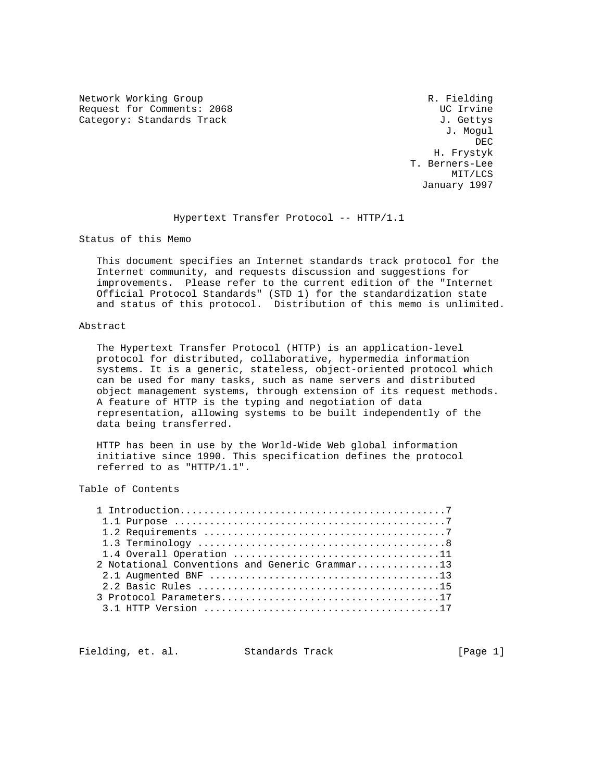Network Working Group and Month Communications of the R. Fielding Request for Comments: 2068 UC Irvine Category: Standards Track Gategory: Standards Track J. Gettys

 J. Mogul **DEC DEC**  H. Frystyk T. Berners-Lee MIT/LCS January 1997

Hypertext Transfer Protocol -- HTTP/1.1

Status of this Memo

 This document specifies an Internet standards track protocol for the Internet community, and requests discussion and suggestions for improvements. Please refer to the current edition of the "Internet Official Protocol Standards" (STD 1) for the standardization state and status of this protocol. Distribution of this memo is unlimited.

## Abstract

 The Hypertext Transfer Protocol (HTTP) is an application-level protocol for distributed, collaborative, hypermedia information systems. It is a generic, stateless, object-oriented protocol which can be used for many tasks, such as name servers and distributed object management systems, through extension of its request methods. A feature of HTTP is the typing and negotiation of data representation, allowing systems to be built independently of the data being transferred.

 HTTP has been in use by the World-Wide Web global information initiative since 1990. This specification defines the protocol referred to as "HTTP/1.1".

Table of Contents

| 2 Notational Conventions and Generic Grammar13 |
|------------------------------------------------|
|                                                |
|                                                |
|                                                |
|                                                |

Fielding, et. al. Standards Track [Page 1]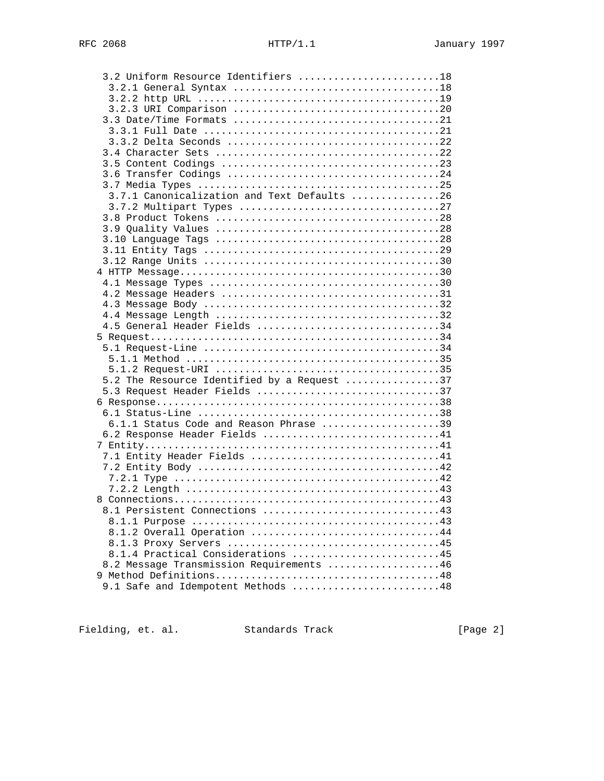| 3.2 Uniform Resource Identifiers 18         |
|---------------------------------------------|
|                                             |
|                                             |
|                                             |
|                                             |
|                                             |
|                                             |
|                                             |
|                                             |
|                                             |
|                                             |
| 3.7.1 Canonicalization and Text Defaults 26 |
|                                             |
|                                             |
|                                             |
|                                             |
|                                             |
|                                             |
|                                             |
|                                             |
|                                             |
|                                             |
|                                             |
| 4.5 General Header Fields 34                |
|                                             |
|                                             |
|                                             |
|                                             |
| 5.2 The Resource Identified by a Request 37 |
| 5.3 Request Header Fields 37                |
|                                             |
|                                             |
| 6.1.1 Status Code and Reason Phrase 39      |
| 6.2 Response Header Fields 41               |
|                                             |
| 7.1 Entity Header Fields 41                 |
|                                             |
|                                             |
|                                             |
|                                             |
|                                             |
|                                             |
| 8.1.2 Overall Operation 44                  |
|                                             |
| 8.1.4 Practical Considerations 45           |
| 8.2 Message Transmission Requirements 46    |
|                                             |
| 9.1 Safe and Idempotent Methods 48          |

Fielding, et. al. Standards Track [Page 2]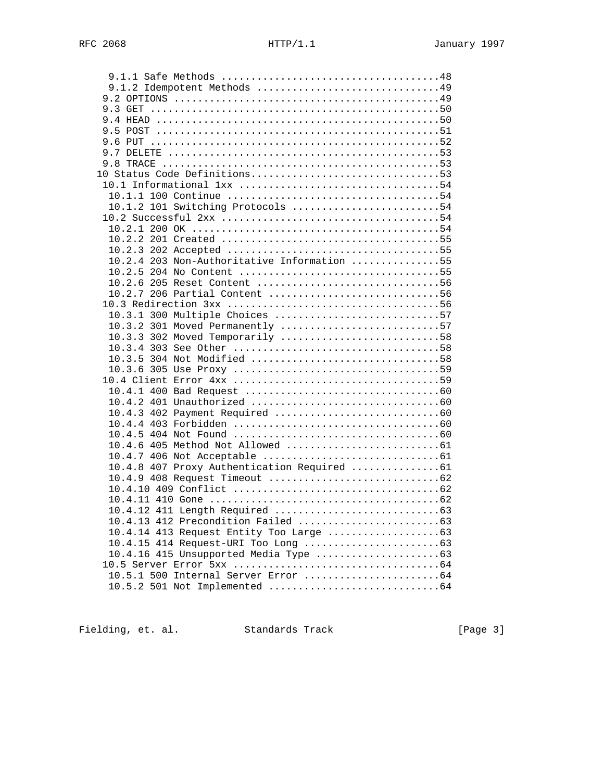| 10 Status Code Definitions53                |  |
|---------------------------------------------|--|
|                                             |  |
|                                             |  |
| 10.1.2 101 Switching Protocols 54           |  |
|                                             |  |
|                                             |  |
|                                             |  |
|                                             |  |
| 10.2.4 203 Non-Authoritative Information 55 |  |
|                                             |  |
|                                             |  |
| 10.2.7 206 Partial Content 56               |  |
|                                             |  |
| 10.3.1 300 Multiple Choices 57              |  |
| 10.3.2 301 Moved Permanently 57             |  |
| 10.3.3 302 Moved Temporarily 58             |  |
|                                             |  |
| 10.3.5 304 Not Modified 58                  |  |
|                                             |  |
|                                             |  |
|                                             |  |
|                                             |  |
|                                             |  |
|                                             |  |
|                                             |  |
|                                             |  |
|                                             |  |
| 10.4.8 407 Proxy Authentication Required 61 |  |
|                                             |  |
|                                             |  |
|                                             |  |
|                                             |  |
|                                             |  |
| 10.4.14 413 Request Entity Too Large 63     |  |
|                                             |  |
|                                             |  |
|                                             |  |
|                                             |  |
|                                             |  |
|                                             |  |

Fielding, et. al. Standards Track [Page 3]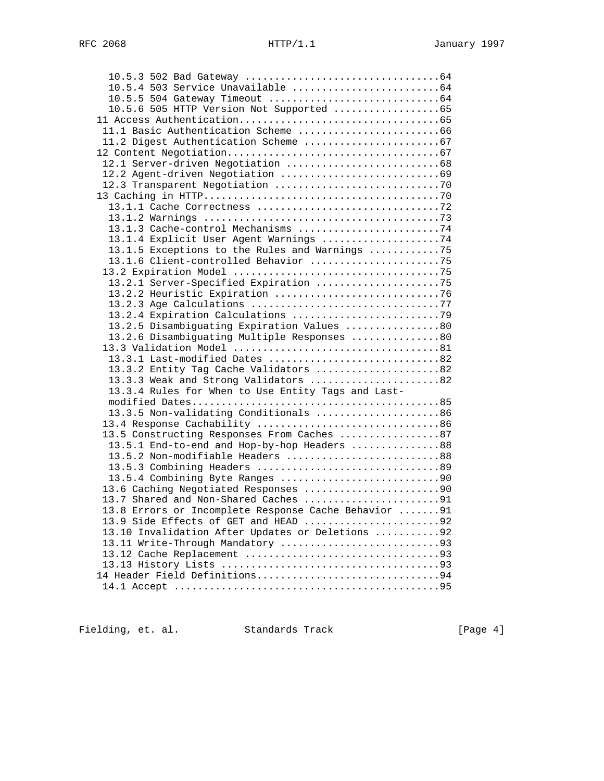| 10.5.6 505 HTTP Version Not Supported 65             |  |
|------------------------------------------------------|--|
|                                                      |  |
| 11.1 Basic Authentication Scheme 66                  |  |
|                                                      |  |
|                                                      |  |
|                                                      |  |
| 12.2 Agent-driven Negotiation 69                     |  |
|                                                      |  |
|                                                      |  |
|                                                      |  |
|                                                      |  |
| 13.1.3 Cache-control Mechanisms 74                   |  |
| 13.1.4 Explicit User Agent Warnings 74               |  |
| 13.1.5 Exceptions to the Rules and Warnings 75       |  |
| 13.1.6 Client-controlled Behavior 75                 |  |
|                                                      |  |
| 13.2.1 Server-Specified Expiration 75                |  |
| 13.2.2 Heuristic Expiration 76                       |  |
|                                                      |  |
| 13.2.4 Expiration Calculations 79                    |  |
| 13.2.5 Disambiguating Expiration Values 80           |  |
| 13.2.6 Disambiguating Multiple Responses 80          |  |
|                                                      |  |
| 13.3.1 Last-modified Dates 82                        |  |
| 13.3.2 Entity Tag Cache Validators 82                |  |
| 13.3.3 Weak and Strong Validators 82                 |  |
| 13.3.4 Rules for When to Use Entity Tags and Last-   |  |
|                                                      |  |
| 13.3.5 Non-validating Conditionals 86                |  |
|                                                      |  |
| 13.5 Constructing Responses From Caches 87           |  |
| 13.5.1 End-to-end and Hop-by-hop Headers 88          |  |
| 13.5.2 Non-modifiable Headers 88                     |  |
| 13.5.3 Combining Headers 89                          |  |
|                                                      |  |
| 13.6 Caching Negotiated Responses 90                 |  |
| 13.7 Shared and Non-Shared Caches 91                 |  |
| 13.8 Errors or Incomplete Response Cache Behavior 91 |  |
| 13.9 Side Effects of GET and HEAD 92                 |  |
| 13.10 Invalidation After Updates or Deletions 92     |  |
| 13.11 Write-Through Mandatory 93                     |  |
|                                                      |  |
|                                                      |  |
| 14 Header Field Definitions94                        |  |
|                                                      |  |
|                                                      |  |

Fielding, et. al. Standards Track [Page 4]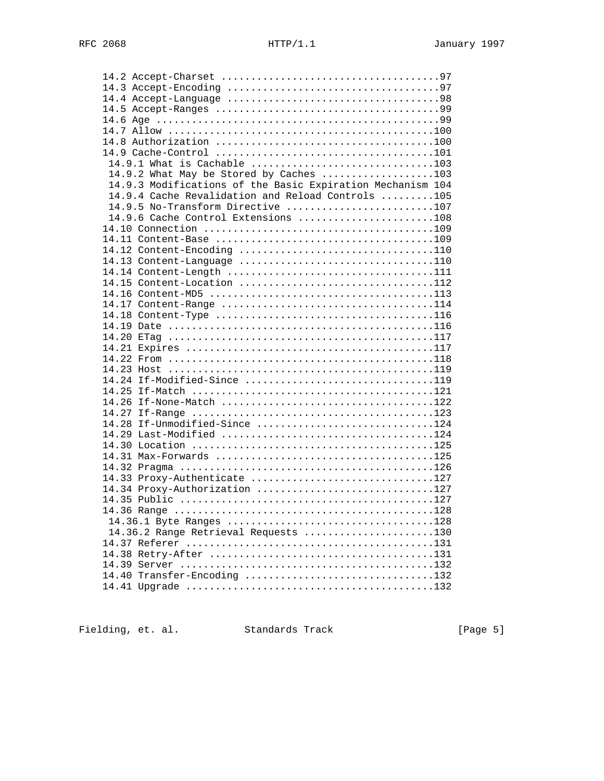| 14.9.1 What is Cachable 103                                |
|------------------------------------------------------------|
| 14.9.2 What May be Stored by Caches 103                    |
| 14.9.3 Modifications of the Basic Expiration Mechanism 104 |
| 14.9.4 Cache Revalidation and Reload Controls 105          |
| 14.9.5 No-Transform Directive 107                          |
| 14.9.6 Cache Control Extensions 108                        |
|                                                            |
|                                                            |
| 14.12 Content-Encoding 110                                 |
| 14.13 Content-Language 110                                 |
| 14.14 Content-Length 111                                   |
| 14.15 Content-Location 112                                 |
|                                                            |
|                                                            |
|                                                            |
|                                                            |
|                                                            |
|                                                            |
|                                                            |
|                                                            |
| 14.24 If-Modified-Since 119                                |
|                                                            |
|                                                            |
|                                                            |
| 14.28 If-Unmodified-Since 124                              |
| 14.29 Last-Modified 124                                    |
|                                                            |
|                                                            |
|                                                            |
| 14.33 Proxy-Authenticate 127                               |
| 14.34 Proxy-Authorization 127                              |
|                                                            |
|                                                            |
|                                                            |
| 14.36.2 Range Retrieval Requests 130                       |
|                                                            |
|                                                            |
|                                                            |
| 14.40 Transfer-Encoding 132                                |
|                                                            |

Fielding, et. al. Standards Track [Page 5]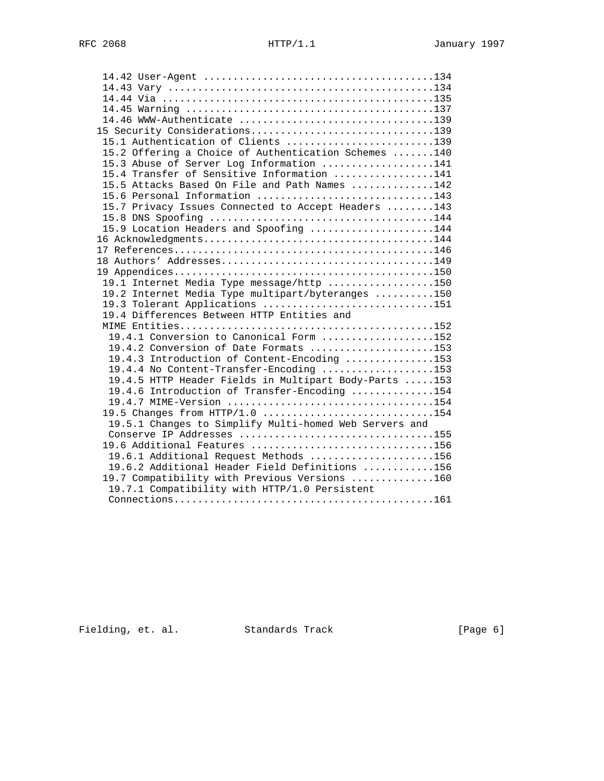| 14.46 WWW-Authenticate 139                             |  |
|--------------------------------------------------------|--|
| 15 Security Considerations139                          |  |
| 15.1 Authentication of Clients 139                     |  |
| 15.2 Offering a Choice of Authentication Schemes 140   |  |
| 15.3 Abuse of Server Log Information 141               |  |
| 15.4 Transfer of Sensitive Information 141             |  |
| 15.5 Attacks Based On File and Path Names 142          |  |
| 15.6 Personal Information 143                          |  |
| 15.7 Privacy Issues Connected to Accept Headers 143    |  |
|                                                        |  |
| 15.9 Location Headers and Spoofing 144                 |  |
|                                                        |  |
|                                                        |  |
|                                                        |  |
|                                                        |  |
| 19.1 Internet Media Type message/http 150              |  |
| 19.2 Internet Media Type multipart/byteranges 150      |  |
| 19.3 Tolerant Applications 151                         |  |
| 19.4 Differences Between HTTP Entities and             |  |
|                                                        |  |
| 19.4.1 Conversion to Canonical Form 152                |  |
| 19.4.2 Conversion of Date Formats 153                  |  |
| 19.4.3 Introduction of Content-Encoding 153            |  |
| 19.4.4 No Content-Transfer-Encoding 153                |  |
| 19.4.5 HTTP Header Fields in Multipart Body-Parts 153  |  |
| 19.4.6 Introduction of Transfer-Encoding 154           |  |
| 19.4.7 MIME-Version 154                                |  |
| 19.5 Changes from HTTP/1.0 154                         |  |
| 19.5.1 Changes to Simplify Multi-homed Web Servers and |  |
|                                                        |  |
| 19.6 Additional Features 156                           |  |
| 19.6.1 Additional Request Methods 156                  |  |
| 19.6.2 Additional Header Field Definitions 156         |  |
| 19.7 Compatibility with Previous Versions 160          |  |
| 19.7.1 Compatibility with HTTP/1.0 Persistent          |  |
|                                                        |  |

Fielding, et. al. Standards Track [Page 6]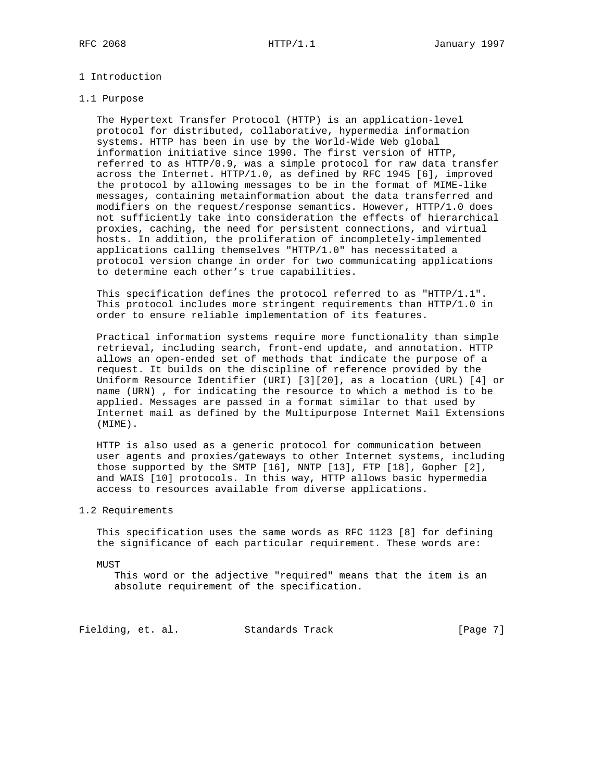# 1 Introduction

## 1.1 Purpose

 The Hypertext Transfer Protocol (HTTP) is an application-level protocol for distributed, collaborative, hypermedia information systems. HTTP has been in use by the World-Wide Web global information initiative since 1990. The first version of HTTP, referred to as HTTP/0.9, was a simple protocol for raw data transfer across the Internet. HTTP/1.0, as defined by RFC 1945 [6], improved the protocol by allowing messages to be in the format of MIME-like messages, containing metainformation about the data transferred and modifiers on the request/response semantics. However, HTTP/1.0 does not sufficiently take into consideration the effects of hierarchical proxies, caching, the need for persistent connections, and virtual hosts. In addition, the proliferation of incompletely-implemented applications calling themselves "HTTP/1.0" has necessitated a protocol version change in order for two communicating applications to determine each other's true capabilities.

 This specification defines the protocol referred to as "HTTP/1.1". This protocol includes more stringent requirements than HTTP/1.0 in order to ensure reliable implementation of its features.

 Practical information systems require more functionality than simple retrieval, including search, front-end update, and annotation. HTTP allows an open-ended set of methods that indicate the purpose of a request. It builds on the discipline of reference provided by the Uniform Resource Identifier (URI) [3][20], as a location (URL) [4] or name (URN) , for indicating the resource to which a method is to be applied. Messages are passed in a format similar to that used by Internet mail as defined by the Multipurpose Internet Mail Extensions (MIME).

 HTTP is also used as a generic protocol for communication between user agents and proxies/gateways to other Internet systems, including those supported by the SMTP [16], NNTP [13], FTP [18], Gopher [2], and WAIS [10] protocols. In this way, HTTP allows basic hypermedia access to resources available from diverse applications.

1.2 Requirements

 This specification uses the same words as RFC 1123 [8] for defining the significance of each particular requirement. These words are:

MUST

 This word or the adjective "required" means that the item is an absolute requirement of the specification.

Fielding, et. al. Standards Track [Page 7]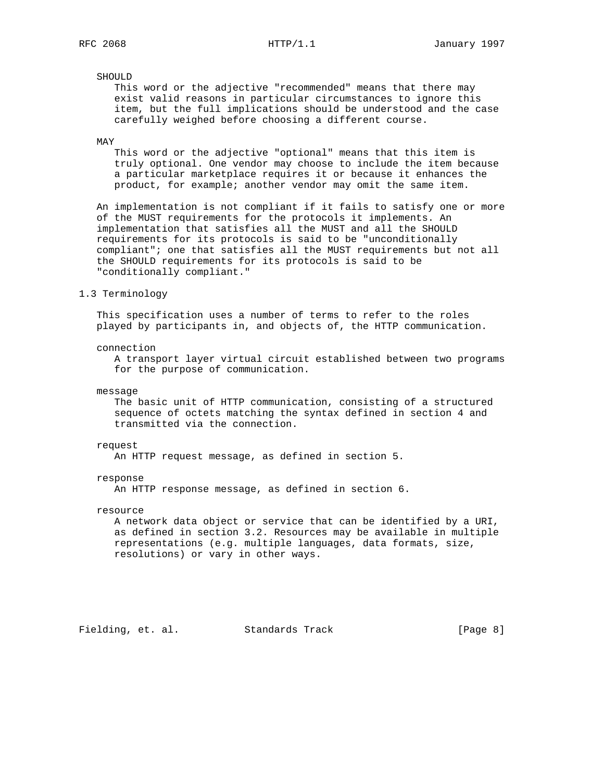## SHOULD

 This word or the adjective "recommended" means that there may exist valid reasons in particular circumstances to ignore this item, but the full implications should be understood and the case carefully weighed before choosing a different course.

## MAY

 This word or the adjective "optional" means that this item is truly optional. One vendor may choose to include the item because a particular marketplace requires it or because it enhances the product, for example; another vendor may omit the same item.

 An implementation is not compliant if it fails to satisfy one or more of the MUST requirements for the protocols it implements. An implementation that satisfies all the MUST and all the SHOULD requirements for its protocols is said to be "unconditionally compliant"; one that satisfies all the MUST requirements but not all the SHOULD requirements for its protocols is said to be "conditionally compliant."

## 1.3 Terminology

 This specification uses a number of terms to refer to the roles played by participants in, and objects of, the HTTP communication.

### connection

 A transport layer virtual circuit established between two programs for the purpose of communication.

## message

 The basic unit of HTTP communication, consisting of a structured sequence of octets matching the syntax defined in section 4 and transmitted via the connection.

### request

An HTTP request message, as defined in section 5.

### response

An HTTP response message, as defined in section 6.

### resource

 A network data object or service that can be identified by a URI, as defined in section 3.2. Resources may be available in multiple representations (e.g. multiple languages, data formats, size, resolutions) or vary in other ways.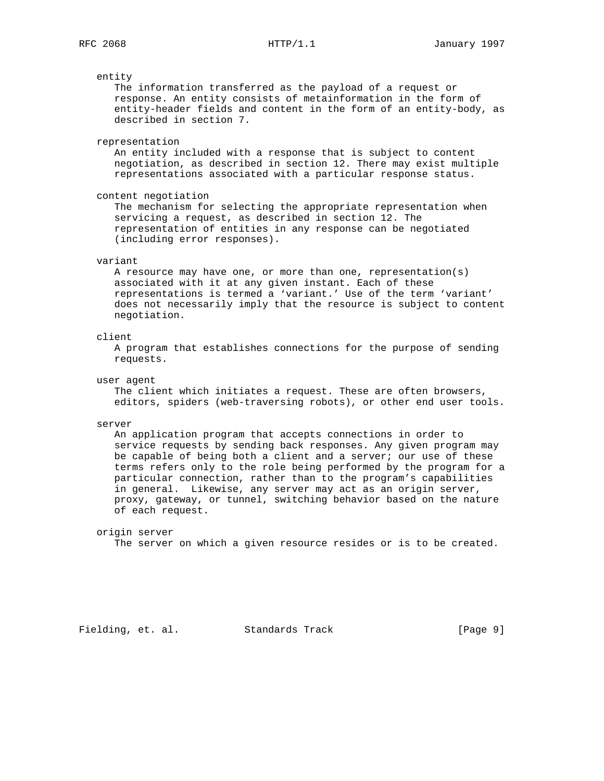## entity

 The information transferred as the payload of a request or response. An entity consists of metainformation in the form of entity-header fields and content in the form of an entity-body, as described in section 7.

representation

 An entity included with a response that is subject to content negotiation, as described in section 12. There may exist multiple representations associated with a particular response status.

content negotiation

 The mechanism for selecting the appropriate representation when servicing a request, as described in section 12. The representation of entities in any response can be negotiated (including error responses).

## variant

 A resource may have one, or more than one, representation(s) associated with it at any given instant. Each of these representations is termed a 'variant.' Use of the term 'variant' does not necessarily imply that the resource is subject to content negotiation.

## client

 A program that establishes connections for the purpose of sending requests.

## user agent

 The client which initiates a request. These are often browsers, editors, spiders (web-traversing robots), or other end user tools.

server

 An application program that accepts connections in order to service requests by sending back responses. Any given program may be capable of being both a client and a server; our use of these terms refers only to the role being performed by the program for a particular connection, rather than to the program's capabilities in general. Likewise, any server may act as an origin server, proxy, gateway, or tunnel, switching behavior based on the nature of each request.

## origin server

The server on which a given resource resides or is to be created.

Fielding, et. al. Standards Track [Page 9]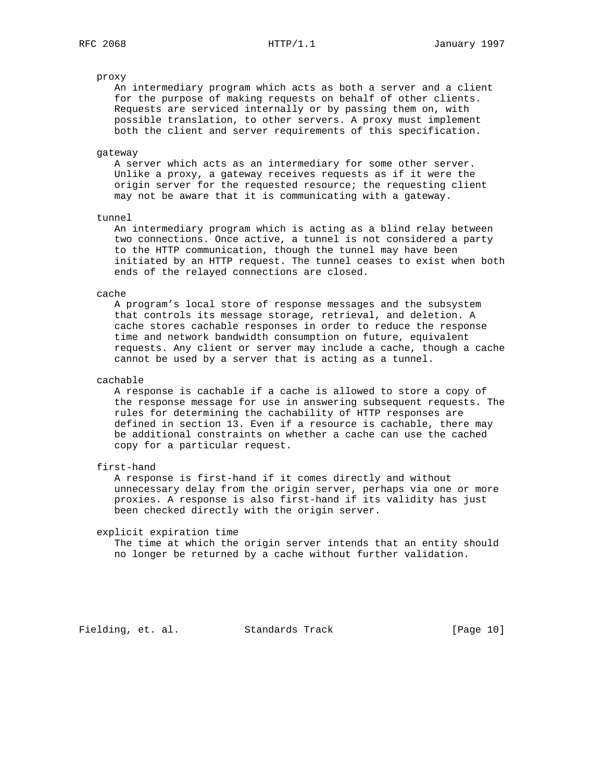## proxy

 An intermediary program which acts as both a server and a client for the purpose of making requests on behalf of other clients. Requests are serviced internally or by passing them on, with possible translation, to other servers. A proxy must implement both the client and server requirements of this specification.

### gateway

 A server which acts as an intermediary for some other server. Unlike a proxy, a gateway receives requests as if it were the origin server for the requested resource; the requesting client may not be aware that it is communicating with a gateway.

### tunnel

 An intermediary program which is acting as a blind relay between two connections. Once active, a tunnel is not considered a party to the HTTP communication, though the tunnel may have been initiated by an HTTP request. The tunnel ceases to exist when both ends of the relayed connections are closed.

### cache

 A program's local store of response messages and the subsystem that controls its message storage, retrieval, and deletion. A cache stores cachable responses in order to reduce the response time and network bandwidth consumption on future, equivalent requests. Any client or server may include a cache, though a cache cannot be used by a server that is acting as a tunnel.

## cachable

 A response is cachable if a cache is allowed to store a copy of the response message for use in answering subsequent requests. The rules for determining the cachability of HTTP responses are defined in section 13. Even if a resource is cachable, there may be additional constraints on whether a cache can use the cached copy for a particular request.

## first-hand

 A response is first-hand if it comes directly and without unnecessary delay from the origin server, perhaps via one or more proxies. A response is also first-hand if its validity has just been checked directly with the origin server.

## explicit expiration time

 The time at which the origin server intends that an entity should no longer be returned by a cache without further validation.

Fielding, et. al. Standards Track [Page 10]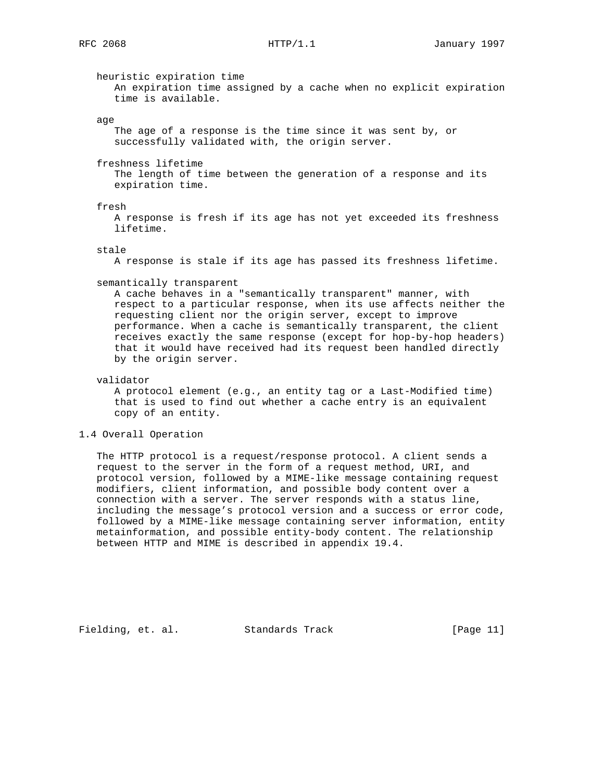heuristic expiration time An expiration time assigned by a cache when no explicit expiration time is available. age The age of a response is the time since it was sent by, or successfully validated with, the origin server. freshness lifetime The length of time between the generation of a response and its expiration time. fresh A response is fresh if its age has not yet exceeded its freshness lifetime. stale A response is stale if its age has passed its freshness lifetime. semantically transparent A cache behaves in a "semantically transparent" manner, with respect to a particular response, when its use affects neither the

 requesting client nor the origin server, except to improve performance. When a cache is semantically transparent, the client receives exactly the same response (except for hop-by-hop headers) that it would have received had its request been handled directly by the origin server.

## validator

 A protocol element (e.g., an entity tag or a Last-Modified time) that is used to find out whether a cache entry is an equivalent copy of an entity.

## 1.4 Overall Operation

 The HTTP protocol is a request/response protocol. A client sends a request to the server in the form of a request method, URI, and protocol version, followed by a MIME-like message containing request modifiers, client information, and possible body content over a connection with a server. The server responds with a status line, including the message's protocol version and a success or error code, followed by a MIME-like message containing server information, entity metainformation, and possible entity-body content. The relationship between HTTP and MIME is described in appendix 19.4.

Fielding, et. al. Standards Track [Page 11]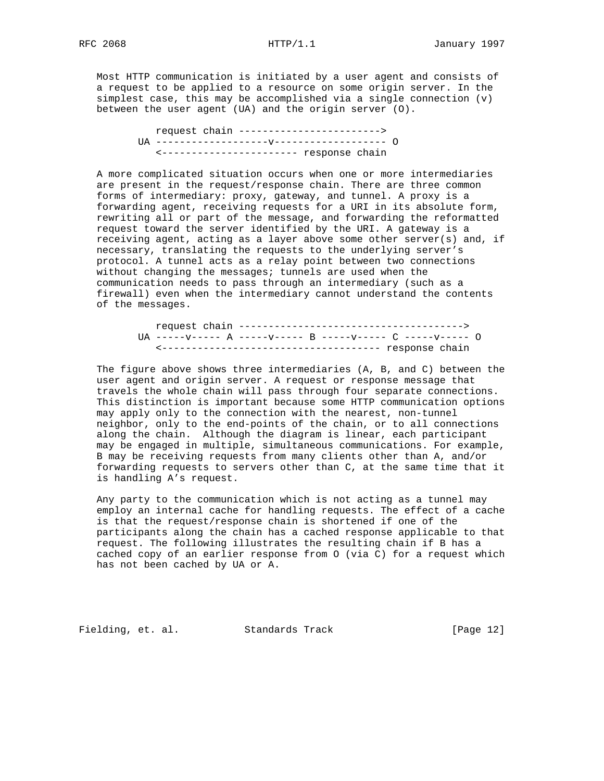Most HTTP communication is initiated by a user agent and consists of a request to be applied to a resource on some origin server. In the simplest case, this may be accomplished via a single connection  $(v)$ between the user agent (UA) and the origin server (O).

> request chain ------------------------> UA -------------------v------------------- O <----------------------- response chain

 A more complicated situation occurs when one or more intermediaries are present in the request/response chain. There are three common forms of intermediary: proxy, gateway, and tunnel. A proxy is a forwarding agent, receiving requests for a URI in its absolute form, rewriting all or part of the message, and forwarding the reformatted request toward the server identified by the URI. A gateway is a receiving agent, acting as a layer above some other server(s) and, if necessary, translating the requests to the underlying server's protocol. A tunnel acts as a relay point between two connections without changing the messages; tunnels are used when the communication needs to pass through an intermediary (such as a firewall) even when the intermediary cannot understand the contents of the messages.

 The figure above shows three intermediaries (A, B, and C) between the user agent and origin server. A request or response message that travels the whole chain will pass through four separate connections. This distinction is important because some HTTP communication options may apply only to the connection with the nearest, non-tunnel neighbor, only to the end-points of the chain, or to all connections along the chain. Although the diagram is linear, each participant may be engaged in multiple, simultaneous communications. For example, B may be receiving requests from many clients other than A, and/or forwarding requests to servers other than C, at the same time that it is handling A's request.

 Any party to the communication which is not acting as a tunnel may employ an internal cache for handling requests. The effect of a cache is that the request/response chain is shortened if one of the participants along the chain has a cached response applicable to that request. The following illustrates the resulting chain if B has a cached copy of an earlier response from O (via C) for a request which has not been cached by UA or A.

Fielding, et. al. Standards Track [Page 12]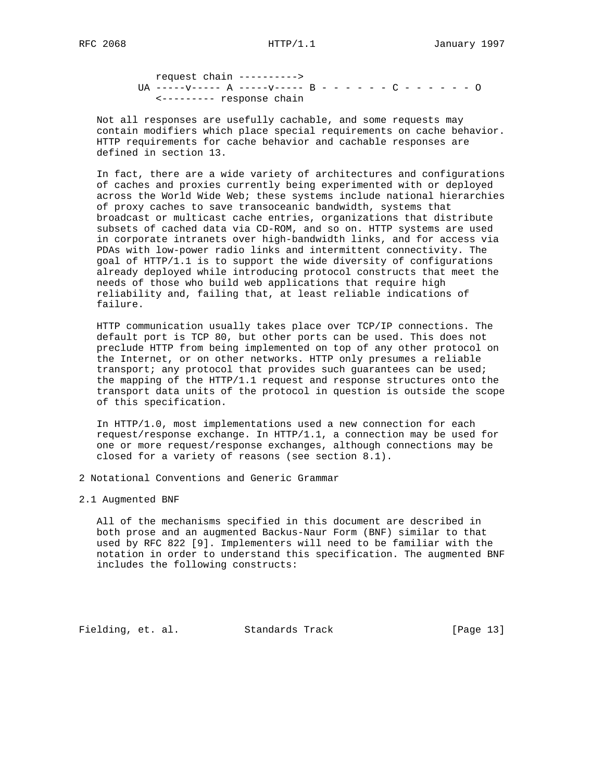request chain ----------> UA -----v----- A -----v----- B - - - - - - C - - - - - - O <--------- response chain

 Not all responses are usefully cachable, and some requests may contain modifiers which place special requirements on cache behavior. HTTP requirements for cache behavior and cachable responses are defined in section 13.

 In fact, there are a wide variety of architectures and configurations of caches and proxies currently being experimented with or deployed across the World Wide Web; these systems include national hierarchies of proxy caches to save transoceanic bandwidth, systems that broadcast or multicast cache entries, organizations that distribute subsets of cached data via CD-ROM, and so on. HTTP systems are used in corporate intranets over high-bandwidth links, and for access via PDAs with low-power radio links and intermittent connectivity. The goal of HTTP/1.1 is to support the wide diversity of configurations already deployed while introducing protocol constructs that meet the needs of those who build web applications that require high reliability and, failing that, at least reliable indications of failure.

 HTTP communication usually takes place over TCP/IP connections. The default port is TCP 80, but other ports can be used. This does not preclude HTTP from being implemented on top of any other protocol on the Internet, or on other networks. HTTP only presumes a reliable transport; any protocol that provides such guarantees can be used; the mapping of the HTTP/1.1 request and response structures onto the transport data units of the protocol in question is outside the scope of this specification.

 In HTTP/1.0, most implementations used a new connection for each request/response exchange. In HTTP/1.1, a connection may be used for one or more request/response exchanges, although connections may be closed for a variety of reasons (see section 8.1).

2 Notational Conventions and Generic Grammar

2.1 Augmented BNF

 All of the mechanisms specified in this document are described in both prose and an augmented Backus-Naur Form (BNF) similar to that used by RFC 822 [9]. Implementers will need to be familiar with the notation in order to understand this specification. The augmented BNF includes the following constructs:

Fielding, et. al. Standards Track [Page 13]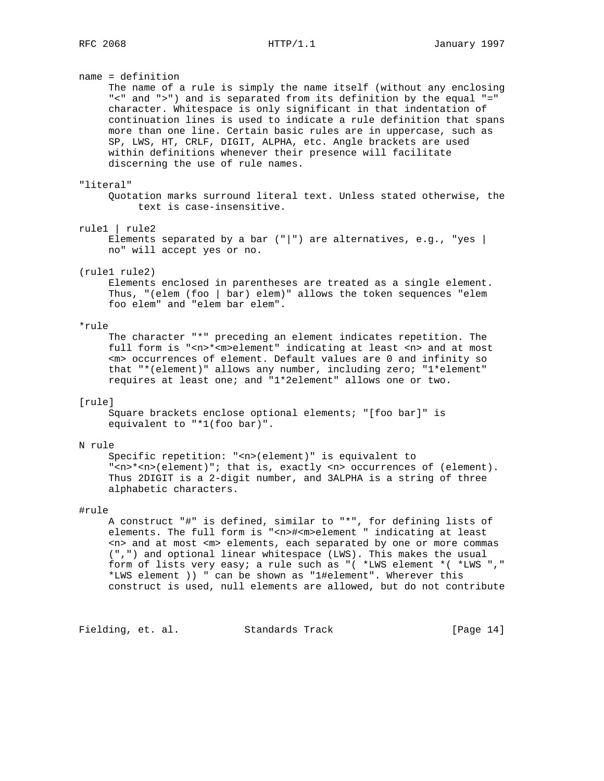name = definition The name of a rule is simply the name itself (without any enclosing "<" and ">") and is separated from its definition by the equal "=" character. Whitespace is only significant in that indentation of continuation lines is used to indicate a rule definition that spans more than one line. Certain basic rules are in uppercase, such as SP, LWS, HT, CRLF, DIGIT, ALPHA, etc. Angle brackets are used within definitions whenever their presence will facilitate discerning the use of rule names. "literal" Quotation marks surround literal text. Unless stated otherwise, the text is case-insensitive. rule1 | rule2 Elements separated by a bar ("|") are alternatives, e.g., "yes | no" will accept yes or no. (rule1 rule2) Elements enclosed in parentheses are treated as a single element. Thus, "(elem (foo | bar) elem)" allows the token sequences "elem foo elem" and "elem bar elem". \*rule The character "\*" preceding an element indicates repetition. The full form is "<n>\*<m>element" indicating at least <n> and at most <m> occurrences of element. Default values are 0 and infinity so that "\*(element)" allows any number, including zero; "1\*element" requires at least one; and "1\*2element" allows one or two. [rule] Square brackets enclose optional elements; "[foo bar]" is equivalent to "\*1(foo bar)". N rule Specific repetition: "<n>(element)" is equivalent to "<n>\*<n>(element)"; that is, exactly <n> occurrences of (element). Thus 2DIGIT is a 2-digit number, and 3ALPHA is a string of three

## #rule

alphabetic characters.

 A construct "#" is defined, similar to "\*", for defining lists of elements. The full form is "<n>#<m>element " indicating at least <n> and at most <m> elements, each separated by one or more commas (",") and optional linear whitespace (LWS). This makes the usual form of lists very easy; a rule such as "( \*LWS element \*( \*LWS "," \*LWS element )) " can be shown as "1#element". Wherever this construct is used, null elements are allowed, but do not contribute

Fielding, et. al. Standards Track [Page 14]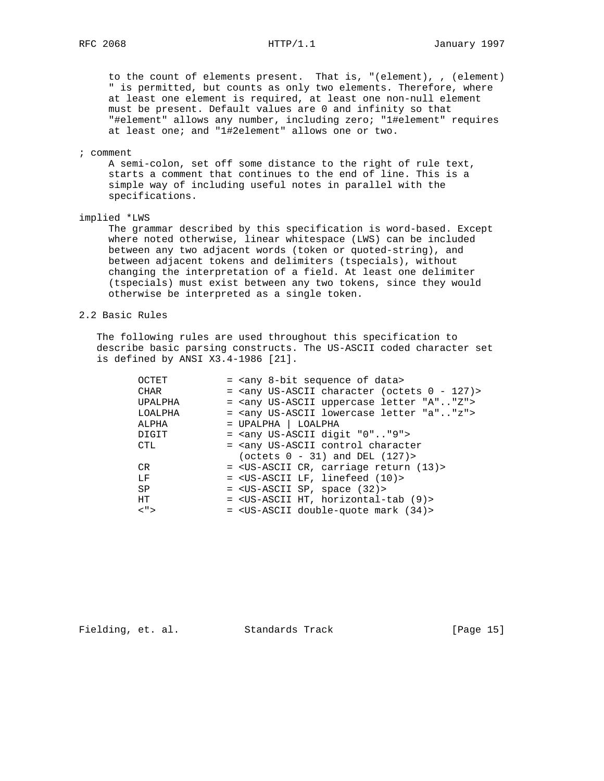to the count of elements present. That is, "(element), , (element) " is permitted, but counts as only two elements. Therefore, where at least one element is required, at least one non-null element must be present. Default values are 0 and infinity so that "#element" allows any number, including zero; "1#element" requires at least one; and "1#2element" allows one or two.

### ; comment

 A semi-colon, set off some distance to the right of rule text, starts a comment that continues to the end of line. This is a simple way of including useful notes in parallel with the specifications.

## implied \*LWS

 The grammar described by this specification is word-based. Except where noted otherwise, linear whitespace (LWS) can be included between any two adjacent words (token or quoted-string), and between adjacent tokens and delimiters (tspecials), without changing the interpretation of a field. At least one delimiter (tspecials) must exist between any two tokens, since they would otherwise be interpreted as a single token.

# 2.2 Basic Rules

 The following rules are used throughout this specification to describe basic parsing constructs. The US-ASCII coded character set is defined by ANSI X3.4-1986 [21].

| OCTET        | = <any 8-bit="" data="" of="" sequence=""></any>                         |
|--------------|--------------------------------------------------------------------------|
| CHAR         | $=$ <any (octets="" <math="" character="" us-ascii="">0 - 127)&gt;</any> |
| UPALPHA      | = <any "a""z"="" letter="" uppercase="" us-ascii=""></any>               |
| LOALPHA      | = <any "a""z"="" letter="" lowercase="" us-ascii=""></any>               |
| ALPHA        | $=$ UPALPHA $ $ LOALPHA                                                  |
| DIGIT        | $=$ <any "0""9"="" digit="" us-ascii=""></any>                           |
| <b>CTL</b>   | = <any character<="" control="" td="" us-ascii=""></any>                 |
|              | (octets $0 - 31$ ) and DEL $(127)$                                       |
| CR.          | = < US-ASCII CR, carriage return (13) >                                  |
| LF           | = <us-ascii (10)="" lf,="" linefeed=""></us-ascii>                       |
| SP           | = < US-ASCII SP, space (32)>                                             |
| HT.          | = < US-ASCII HT, horizontal-tab (9)>                                     |
| $\langle$ "> | = <us-ascii (34)="" double-quote="" mark=""></us-ascii>                  |
|              |                                                                          |

Fielding, et. al. Standards Track [Page 15]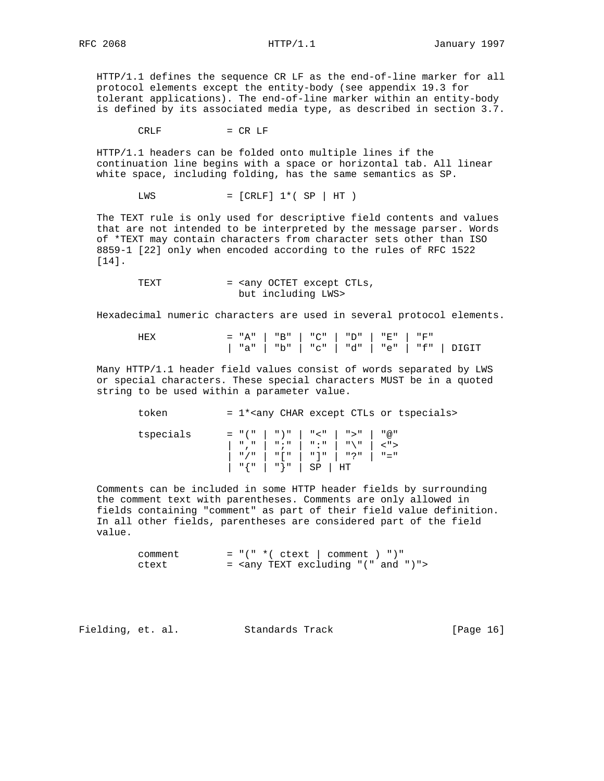HTTP/1.1 defines the sequence CR LF as the end-of-line marker for all protocol elements except the entity-body (see appendix 19.3 for tolerant applications). The end-of-line marker within an entity-body is defined by its associated media type, as described in section 3.7.

 $CRLF$  =  $CR LF$ 

 HTTP/1.1 headers can be folded onto multiple lines if the continuation line begins with a space or horizontal tab. All linear white space, including folding, has the same semantics as SP.

 $LWS = [CRLF] 1*(SP | HT)$ 

 The TEXT rule is only used for descriptive field contents and values that are not intended to be interpreted by the message parser. Words of \*TEXT may contain characters from character sets other than ISO 8859-1 [22] only when encoded according to the rules of RFC 1522 [14].

> TEXT = <any OCTET except CTLs, but including LWS>

Hexadecimal numeric characters are used in several protocol elements.

| $=$<br>. .                       | 11 O 11 | $\mathsf{H} \cap \mathsf{H}$ | יי רד יי<br><u>.</u> | "E" | ۰        |                                     |
|----------------------------------|---------|------------------------------|----------------------|-----|----------|-------------------------------------|
| $\mathbb{R}$ $\sim$ $\mathbb{R}$ | ~       |                              |                      | ◡   | <b>.</b> | "h"   "o"   "d"   "e"   "f"   DICIT |

 Many HTTP/1.1 header field values consist of words separated by LWS or special characters. These special characters MUST be in a quoted string to be used within a parameter value.

| token     | = 1* <any char="" ctls="" except="" or="" tspecials=""></any> |
|-----------|---------------------------------------------------------------|
| tspecials |                                                               |

 Comments can be included in some HTTP header fields by surrounding the comment text with parentheses. Comments are only allowed in fields containing "comment" as part of their field value definition. In all other fields, parentheses are considered part of the field value.

```
comment = "(" * ( ctext | comment ) ")" ctext = <any TEXT excluding "(" and ")">
```
Fielding, et. al. Standards Track [Page 16]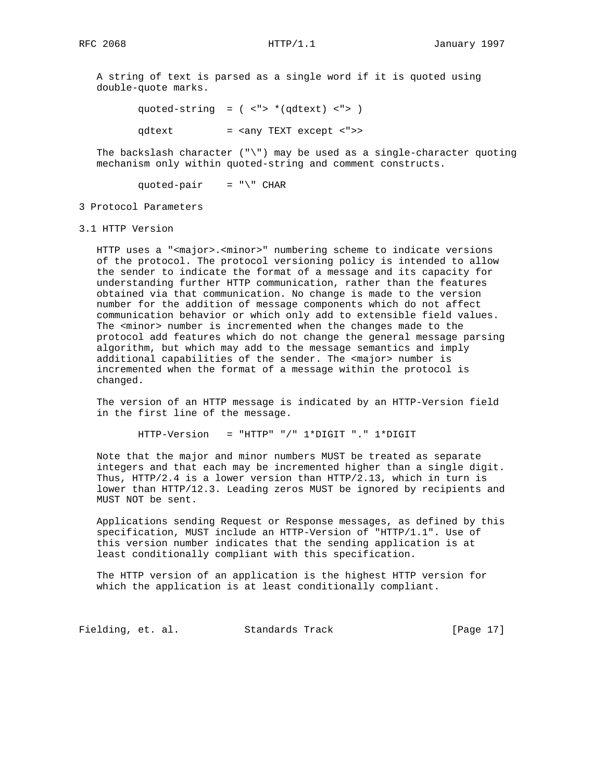A string of text is parsed as a single word if it is quoted using double-quote marks.

quoted-string = ( <"> \*(qdtext) <"> )

qdtext = <any TEXT except <">>

The backslash character  $(\sqrt{m})$  may be used as a single-character quoting mechanism only within quoted-string and comment constructs.

quoted-pair =  $"\$  CHAR

3 Protocol Parameters

3.1 HTTP Version

 HTTP uses a "<major>.<minor>" numbering scheme to indicate versions of the protocol. The protocol versioning policy is intended to allow the sender to indicate the format of a message and its capacity for understanding further HTTP communication, rather than the features obtained via that communication. No change is made to the version number for the addition of message components which do not affect communication behavior or which only add to extensible field values. The <minor> number is incremented when the changes made to the protocol add features which do not change the general message parsing algorithm, but which may add to the message semantics and imply additional capabilities of the sender. The <major> number is incremented when the format of a message within the protocol is changed.

 The version of an HTTP message is indicated by an HTTP-Version field in the first line of the message.

HTTP-Version = "HTTP" "/" 1\*DIGIT "." 1\*DIGIT

 Note that the major and minor numbers MUST be treated as separate integers and that each may be incremented higher than a single digit. Thus, HTTP/2.4 is a lower version than HTTP/2.13, which in turn is lower than HTTP/12.3. Leading zeros MUST be ignored by recipients and MUST NOT be sent.

 Applications sending Request or Response messages, as defined by this specification, MUST include an HTTP-Version of "HTTP/1.1". Use of this version number indicates that the sending application is at least conditionally compliant with this specification.

 The HTTP version of an application is the highest HTTP version for which the application is at least conditionally compliant.

Fielding, et. al. Standards Track [Page 17]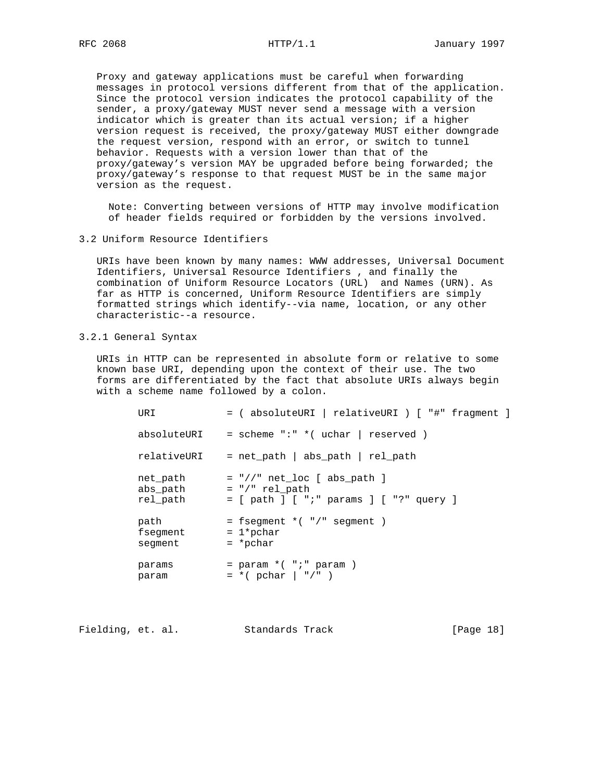Proxy and gateway applications must be careful when forwarding messages in protocol versions different from that of the application. Since the protocol version indicates the protocol capability of the sender, a proxy/gateway MUST never send a message with a version indicator which is greater than its actual version; if a higher version request is received, the proxy/gateway MUST either downgrade the request version, respond with an error, or switch to tunnel behavior. Requests with a version lower than that of the proxy/gateway's version MAY be upgraded before being forwarded; the proxy/gateway's response to that request MUST be in the same major version as the request.

 Note: Converting between versions of HTTP may involve modification of header fields required or forbidden by the versions involved.

3.2 Uniform Resource Identifiers

 URIs have been known by many names: WWW addresses, Universal Document Identifiers, Universal Resource Identifiers , and finally the combination of Uniform Resource Locators (URL) and Names (URN). As far as HTTP is concerned, Uniform Resource Identifiers are simply formatted strings which identify--via name, location, or any other characteristic--a resource.

3.2.1 General Syntax

 URIs in HTTP can be represented in absolute form or relative to some known base URI, depending upon the context of their use. The two forms are differentiated by the fact that absolute URIs always begin with a scheme name followed by a colon.

| URI                              | = ( absoluteURI   relativeURI ) [ "#" fragment ]                                           |
|----------------------------------|--------------------------------------------------------------------------------------------|
|                                  | absoluteURI = $\text{scheme}$ ":" *( uchar   reserved )                                    |
|                                  | $relative \cup RI$ = net path   abs path   rel path                                        |
| net path<br>abs path<br>rel path | $=$ "//" net loc [ abs path ]<br>= "/" rel path<br>= [ path ] [ ";" params ] [ "?" query ] |
| path<br>fseqment<br>segment      | $=$ fseqment $*($ "/" seqment)<br>= 1*pchar<br>$= *pchar$                                  |
| params<br>param                  | $=$ param $*($ ";" param $)$<br>$= *$ (pchar   "/" )                                       |

Fielding, et. al. Standards Track [Page 18]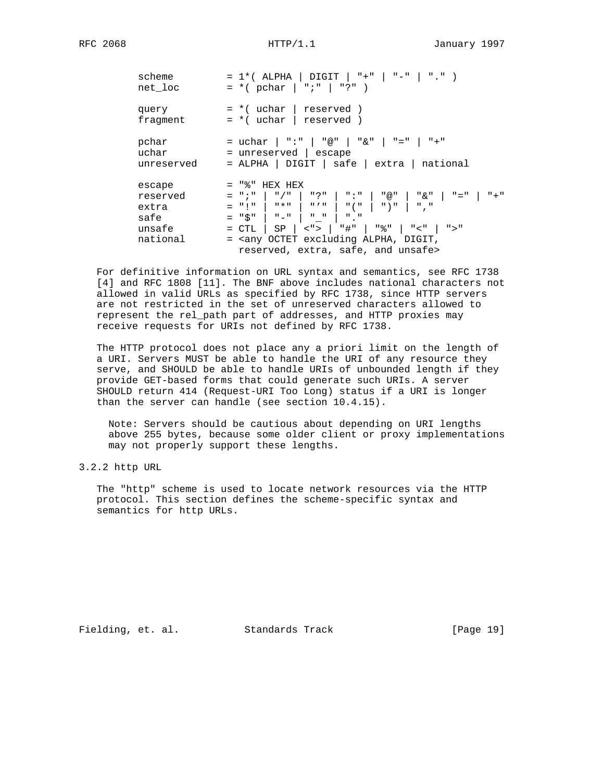scheme = 1\*( ALPHA | DIGIT | "+" | "-" | "." ) net\_loc = \*( pchar | ";" | "?" ) query = \*( uchar | reserved )  $fragment = *(*uchar* | reserved )$  pchar = uchar | ":" | "@" | "&" | "=" | "+" uchar = unreserved | escape unreserved = ALPHA | DIGIT | safe | extra | national escape = "%" HEX HEX reserved = ";" | "/" | "?" | ":" | "@" | "&" | "=" | "+" extra = "!" | "\*" | "'" | "(" | ")" | "," safe = "\$" | "-" | "\_" | "." unsafe = CTL | SP | <"> | "#" | "%" | "<" | ">" national = <any OCTET excluding ALPHA, DIGIT, reserved, extra, safe, and unsafe>

 For definitive information on URL syntax and semantics, see RFC 1738 [4] and RFC 1808 [11]. The BNF above includes national characters not allowed in valid URLs as specified by RFC 1738, since HTTP servers are not restricted in the set of unreserved characters allowed to represent the rel\_path part of addresses, and HTTP proxies may receive requests for URIs not defined by RFC 1738.

 The HTTP protocol does not place any a priori limit on the length of a URI. Servers MUST be able to handle the URI of any resource they serve, and SHOULD be able to handle URIs of unbounded length if they provide GET-based forms that could generate such URIs. A server SHOULD return 414 (Request-URI Too Long) status if a URI is longer than the server can handle (see section 10.4.15).

 Note: Servers should be cautious about depending on URI lengths above 255 bytes, because some older client or proxy implementations may not properly support these lengths.

3.2.2 http URL

 The "http" scheme is used to locate network resources via the HTTP protocol. This section defines the scheme-specific syntax and semantics for http URLs.

Fielding, et. al. Standards Track [Page 19]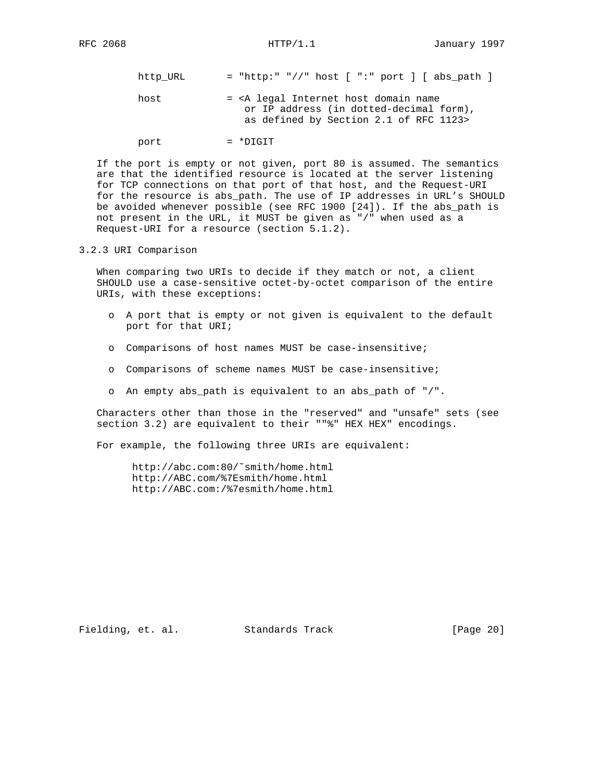- $http://" hctry."$  = "http:" "//" host [ ":" port ] [ abs\_path ]
- host = <A legal Internet host domain name or IP address (in dotted-decimal form), as defined by Section 2.1 of RFC 1123>

port = \*DIGIT

 If the port is empty or not given, port 80 is assumed. The semantics are that the identified resource is located at the server listening for TCP connections on that port of that host, and the Request-URI for the resource is abs\_path. The use of IP addresses in URL's SHOULD be avoided whenever possible (see RFC 1900 [24]). If the abs\_path is not present in the URL, it MUST be given as "/" when used as a Request-URI for a resource (section 5.1.2).

## 3.2.3 URI Comparison

 When comparing two URIs to decide if they match or not, a client SHOULD use a case-sensitive octet-by-octet comparison of the entire URIs, with these exceptions:

- o A port that is empty or not given is equivalent to the default port for that URI;
- o Comparisons of host names MUST be case-insensitive;
- o Comparisons of scheme names MUST be case-insensitive;
- o An empty abs\_path is equivalent to an abs\_path of "/".

 Characters other than those in the "reserved" and "unsafe" sets (see section 3.2) are equivalent to their ""%" HEX HEX" encodings.

For example, the following three URIs are equivalent:

 http://abc.com:80/˜smith/home.html http://ABC.com/%7Esmith/home.html http://ABC.com:/%7esmith/home.html

Fielding, et. al. Standards Track [Page 20]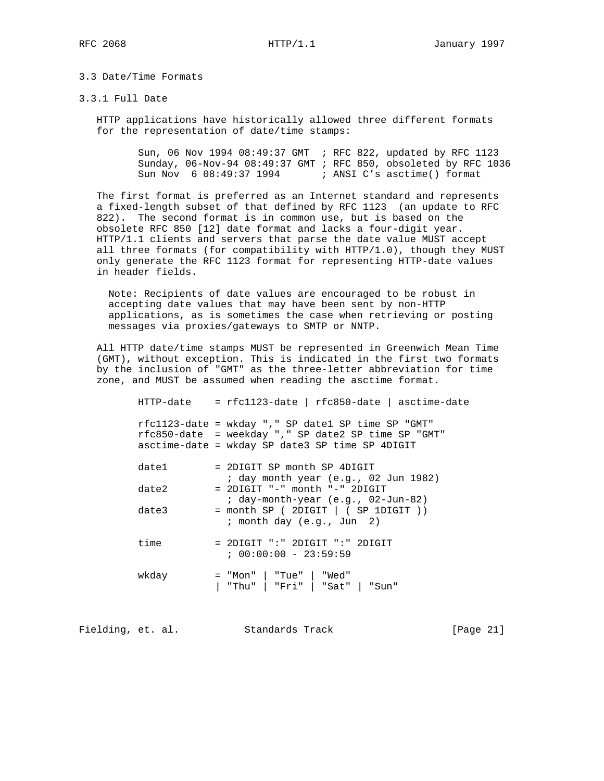# 3.3 Date/Time Formats

## 3.3.1 Full Date

 HTTP applications have historically allowed three different formats for the representation of date/time stamps:

> Sun, 06 Nov 1994 08:49:37 GMT ; RFC 822, updated by RFC 1123 Sunday, 06-Nov-94 08:49:37 GMT ; RFC 850, obsoleted by RFC 1036 Sun Nov 6 08:49:37 1994 ; ANSI C's asctime() format

 The first format is preferred as an Internet standard and represents a fixed-length subset of that defined by RFC 1123 (an update to RFC 822). The second format is in common use, but is based on the obsolete RFC 850 [12] date format and lacks a four-digit year. HTTP/1.1 clients and servers that parse the date value MUST accept all three formats (for compatibility with HTTP/1.0), though they MUST only generate the RFC 1123 format for representing HTTP-date values in header fields.

 Note: Recipients of date values are encouraged to be robust in accepting date values that may have been sent by non-HTTP applications, as is sometimes the case when retrieving or posting messages via proxies/gateways to SMTP or NNTP.

 All HTTP date/time stamps MUST be represented in Greenwich Mean Time (GMT), without exception. This is indicated in the first two formats by the inclusion of "GMT" as the three-letter abbreviation for time zone, and MUST be assumed when reading the asctime format.

|       | $HTTP-date = rfc1123-date   rfc850-date   asctime-date$                                                                                                         |
|-------|-----------------------------------------------------------------------------------------------------------------------------------------------------------------|
|       | $rfc1123$ -date = wkday "," SP datel SP time SP "GMT"<br>rfc850-date = weekday "," SP date2 SP time SP "GMT"<br>asctime-date = wkday SP date3 SP time SP 4DIGIT |
| date1 | = 2DIGIT SP month SP 4DIGIT<br>; day month year (e.g., 02 Jun 1982)                                                                                             |
| date2 | = 2DIGIT "-" month "-" 2DIGIT<br>$;$ day-month-year (e.g., 02-Jun-82)                                                                                           |
| date3 | $=$ month SP ( 2DIGIT   ( SP 1DIGIT ))<br>; month day $(e,q, Jun 2)$                                                                                            |
| time  | $= 2$ DIGIT ":" $2$ DIGIT ":" $2$ DIGIT<br>$: 00:00:00 - 23:59:59$                                                                                              |
| wkday | $=$ "Mon"   "Tue"   "Wed"<br>"Thu"   "Fri"   "Sat"   "Sun"                                                                                                      |
|       |                                                                                                                                                                 |

Fielding, et. al. Standards Track [Page 21]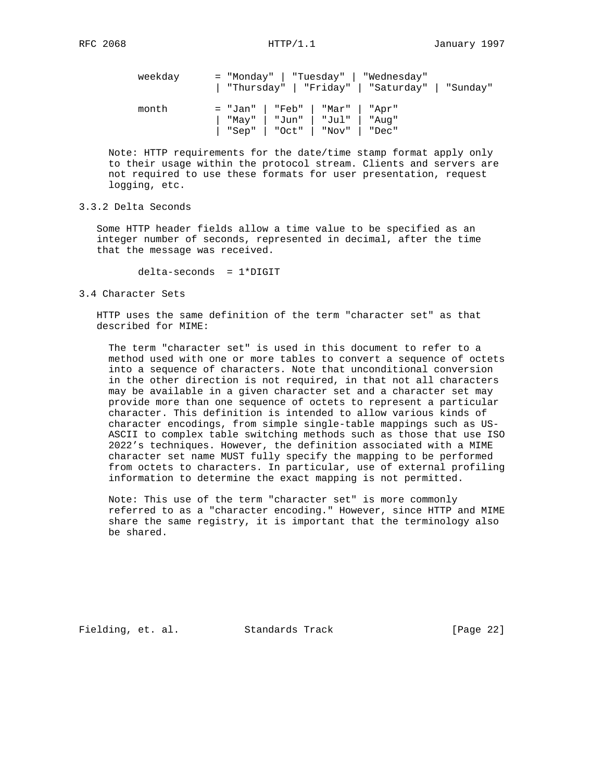weekday = "Monday" | "Tuesday" | "Wednesday" | "Thursday" | "Friday" | "Saturday" | "Sunday" month = "Jan" | "Feb" | "Mar" | "Apr" | "May" | "Jun" | "Jul" | "Aug" | "Sep" | "Oct" | "Nov" | "Dec"

 Note: HTTP requirements for the date/time stamp format apply only to their usage within the protocol stream. Clients and servers are not required to use these formats for user presentation, request logging, etc.

3.3.2 Delta Seconds

 Some HTTP header fields allow a time value to be specified as an integer number of seconds, represented in decimal, after the time that the message was received.

delta-seconds = 1\*DIGIT

3.4 Character Sets

 HTTP uses the same definition of the term "character set" as that described for MIME:

 The term "character set" is used in this document to refer to a method used with one or more tables to convert a sequence of octets into a sequence of characters. Note that unconditional conversion in the other direction is not required, in that not all characters may be available in a given character set and a character set may provide more than one sequence of octets to represent a particular character. This definition is intended to allow various kinds of character encodings, from simple single-table mappings such as US- ASCII to complex table switching methods such as those that use ISO 2022's techniques. However, the definition associated with a MIME character set name MUST fully specify the mapping to be performed from octets to characters. In particular, use of external profiling information to determine the exact mapping is not permitted.

 Note: This use of the term "character set" is more commonly referred to as a "character encoding." However, since HTTP and MIME share the same registry, it is important that the terminology also be shared.

Fielding, et. al. Standards Track [Page 22]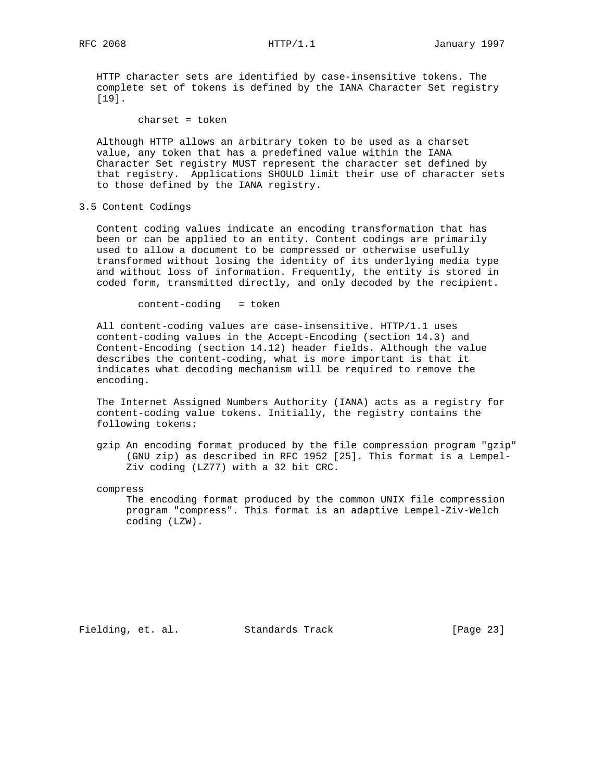HTTP character sets are identified by case-insensitive tokens. The complete set of tokens is defined by the IANA Character Set registry [19].

charset = token

 Although HTTP allows an arbitrary token to be used as a charset value, any token that has a predefined value within the IANA Character Set registry MUST represent the character set defined by that registry. Applications SHOULD limit their use of character sets to those defined by the IANA registry.

3.5 Content Codings

 Content coding values indicate an encoding transformation that has been or can be applied to an entity. Content codings are primarily used to allow a document to be compressed or otherwise usefully transformed without losing the identity of its underlying media type and without loss of information. Frequently, the entity is stored in coded form, transmitted directly, and only decoded by the recipient.

content-coding = token

 All content-coding values are case-insensitive. HTTP/1.1 uses content-coding values in the Accept-Encoding (section 14.3) and Content-Encoding (section 14.12) header fields. Although the value describes the content-coding, what is more important is that it indicates what decoding mechanism will be required to remove the encoding.

 The Internet Assigned Numbers Authority (IANA) acts as a registry for content-coding value tokens. Initially, the registry contains the following tokens:

 gzip An encoding format produced by the file compression program "gzip" (GNU zip) as described in RFC 1952 [25]. This format is a Lempel- Ziv coding (LZ77) with a 32 bit CRC.

compress

 The encoding format produced by the common UNIX file compression program "compress". This format is an adaptive Lempel-Ziv-Welch coding (LZW).

Fielding, et. al. Standards Track [Page 23]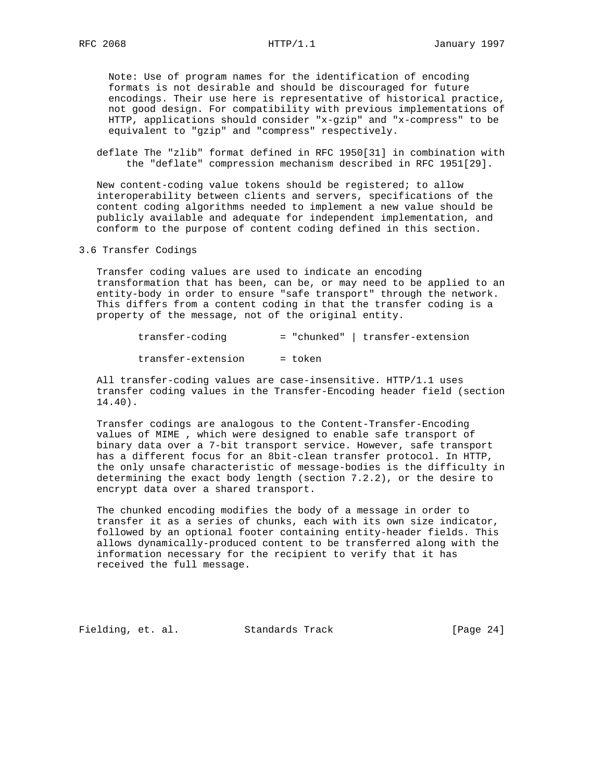Note: Use of program names for the identification of encoding formats is not desirable and should be discouraged for future encodings. Their use here is representative of historical practice, not good design. For compatibility with previous implementations of HTTP, applications should consider "x-gzip" and "x-compress" to be equivalent to "gzip" and "compress" respectively.

 deflate The "zlib" format defined in RFC 1950[31] in combination with the "deflate" compression mechanism described in RFC 1951[29].

 New content-coding value tokens should be registered; to allow interoperability between clients and servers, specifications of the content coding algorithms needed to implement a new value should be publicly available and adequate for independent implementation, and conform to the purpose of content coding defined in this section.

3.6 Transfer Codings

 Transfer coding values are used to indicate an encoding transformation that has been, can be, or may need to be applied to an entity-body in order to ensure "safe transport" through the network. This differs from a content coding in that the transfer coding is a property of the message, not of the original entity.

transfer-coding = "chunked" | transfer-extension

transfer-extension = token

 All transfer-coding values are case-insensitive. HTTP/1.1 uses transfer coding values in the Transfer-Encoding header field (section 14.40).

 Transfer codings are analogous to the Content-Transfer-Encoding values of MIME , which were designed to enable safe transport of binary data over a 7-bit transport service. However, safe transport has a different focus for an 8bit-clean transfer protocol. In HTTP, the only unsafe characteristic of message-bodies is the difficulty in determining the exact body length (section 7.2.2), or the desire to encrypt data over a shared transport.

 The chunked encoding modifies the body of a message in order to transfer it as a series of chunks, each with its own size indicator, followed by an optional footer containing entity-header fields. This allows dynamically-produced content to be transferred along with the information necessary for the recipient to verify that it has received the full message.

Fielding, et. al. Standards Track [Page 24]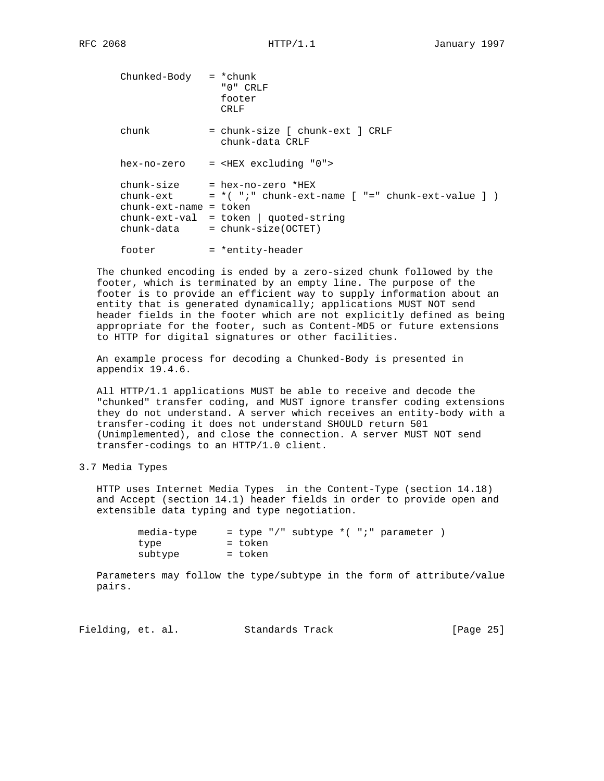| Chunked-Body                          | = *chunk<br>$"0"$ CRLF<br>footer<br><b>CRLF</b>                                                                                                                             |  |
|---------------------------------------|-----------------------------------------------------------------------------------------------------------------------------------------------------------------------------|--|
| chunk                                 | = chunk-size [ chunk-ext ] CRLF<br>chunk-data CRLF                                                                                                                          |  |
| hex-no-zero                           | = <hex "0"="" excluding=""></hex>                                                                                                                                           |  |
| chunk-ext<br>$chunk-ext-name = token$ | $chunk-size = hex-no-zero * HEX$<br>$= *$ ( $"i"$ chunk-ext-name [ $"="$ chunk-ext-value ] )<br>$chunk-ext-val$ = token   quoted-string<br>$chunk-data = chunk-size(OCTET)$ |  |

footer = \*entity-header

 The chunked encoding is ended by a zero-sized chunk followed by the footer, which is terminated by an empty line. The purpose of the footer is to provide an efficient way to supply information about an entity that is generated dynamically; applications MUST NOT send header fields in the footer which are not explicitly defined as being appropriate for the footer, such as Content-MD5 or future extensions to HTTP for digital signatures or other facilities.

 An example process for decoding a Chunked-Body is presented in appendix 19.4.6.

 All HTTP/1.1 applications MUST be able to receive and decode the "chunked" transfer coding, and MUST ignore transfer coding extensions they do not understand. A server which receives an entity-body with a transfer-coding it does not understand SHOULD return 501 (Unimplemented), and close the connection. A server MUST NOT send transfer-codings to an HTTP/1.0 client.

# 3.7 Media Types

 HTTP uses Internet Media Types in the Content-Type (section 14.18) and Accept (section 14.1) header fields in order to provide open and extensible data typing and type negotiation.

 media-type = type "/" subtype \*( ";" parameter ) type = token type = token<br>subtype = token

 Parameters may follow the type/subtype in the form of attribute/value pairs.

Fielding, et. al. Standards Track [Page 25]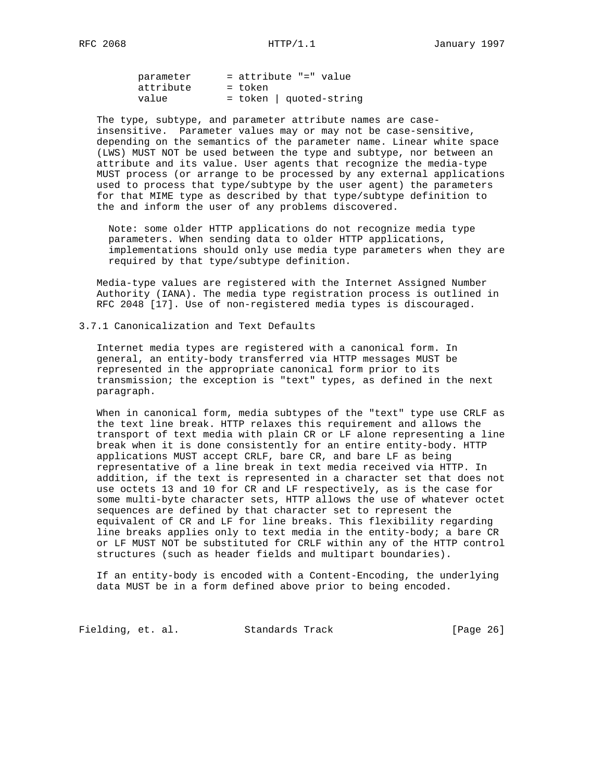parameter = attribute "=" value attribute = token value  $=$  token | quoted-string

 The type, subtype, and parameter attribute names are case insensitive. Parameter values may or may not be case-sensitive, depending on the semantics of the parameter name. Linear white space (LWS) MUST NOT be used between the type and subtype, nor between an attribute and its value. User agents that recognize the media-type MUST process (or arrange to be processed by any external applications used to process that type/subtype by the user agent) the parameters for that MIME type as described by that type/subtype definition to the and inform the user of any problems discovered.

 Note: some older HTTP applications do not recognize media type parameters. When sending data to older HTTP applications, implementations should only use media type parameters when they are required by that type/subtype definition.

 Media-type values are registered with the Internet Assigned Number Authority (IANA). The media type registration process is outlined in RFC 2048 [17]. Use of non-registered media types is discouraged.

3.7.1 Canonicalization and Text Defaults

 Internet media types are registered with a canonical form. In general, an entity-body transferred via HTTP messages MUST be represented in the appropriate canonical form prior to its transmission; the exception is "text" types, as defined in the next paragraph.

 When in canonical form, media subtypes of the "text" type use CRLF as the text line break. HTTP relaxes this requirement and allows the transport of text media with plain CR or LF alone representing a line break when it is done consistently for an entire entity-body. HTTP applications MUST accept CRLF, bare CR, and bare LF as being representative of a line break in text media received via HTTP. In addition, if the text is represented in a character set that does not use octets 13 and 10 for CR and LF respectively, as is the case for some multi-byte character sets, HTTP allows the use of whatever octet sequences are defined by that character set to represent the equivalent of CR and LF for line breaks. This flexibility regarding line breaks applies only to text media in the entity-body; a bare CR or LF MUST NOT be substituted for CRLF within any of the HTTP control structures (such as header fields and multipart boundaries).

 If an entity-body is encoded with a Content-Encoding, the underlying data MUST be in a form defined above prior to being encoded.

Fielding, et. al. Standards Track [Page 26]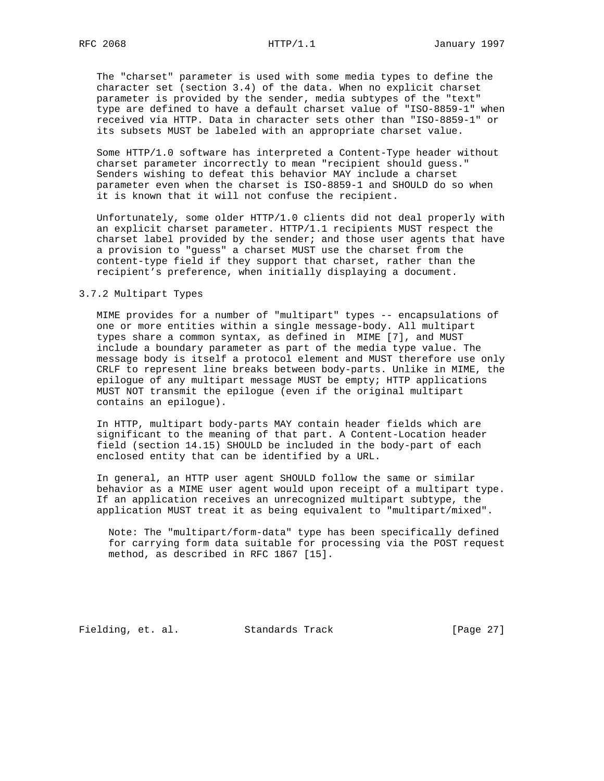The "charset" parameter is used with some media types to define the character set (section 3.4) of the data. When no explicit charset parameter is provided by the sender, media subtypes of the "text" type are defined to have a default charset value of "ISO-8859-1" when received via HTTP. Data in character sets other than "ISO-8859-1" or its subsets MUST be labeled with an appropriate charset value.

 Some HTTP/1.0 software has interpreted a Content-Type header without charset parameter incorrectly to mean "recipient should guess." Senders wishing to defeat this behavior MAY include a charset parameter even when the charset is ISO-8859-1 and SHOULD do so when it is known that it will not confuse the recipient.

 Unfortunately, some older HTTP/1.0 clients did not deal properly with an explicit charset parameter. HTTP/1.1 recipients MUST respect the charset label provided by the sender; and those user agents that have a provision to "guess" a charset MUST use the charset from the content-type field if they support that charset, rather than the recipient's preference, when initially displaying a document.

## 3.7.2 Multipart Types

 MIME provides for a number of "multipart" types -- encapsulations of one or more entities within a single message-body. All multipart types share a common syntax, as defined in MIME [7], and MUST include a boundary parameter as part of the media type value. The message body is itself a protocol element and MUST therefore use only CRLF to represent line breaks between body-parts. Unlike in MIME, the epilogue of any multipart message MUST be empty; HTTP applications MUST NOT transmit the epilogue (even if the original multipart contains an epilogue).

 In HTTP, multipart body-parts MAY contain header fields which are significant to the meaning of that part. A Content-Location header field (section 14.15) SHOULD be included in the body-part of each enclosed entity that can be identified by a URL.

 In general, an HTTP user agent SHOULD follow the same or similar behavior as a MIME user agent would upon receipt of a multipart type. If an application receives an unrecognized multipart subtype, the application MUST treat it as being equivalent to "multipart/mixed".

 Note: The "multipart/form-data" type has been specifically defined for carrying form data suitable for processing via the POST request method, as described in RFC 1867 [15].

Fielding, et. al. Standards Track [Page 27]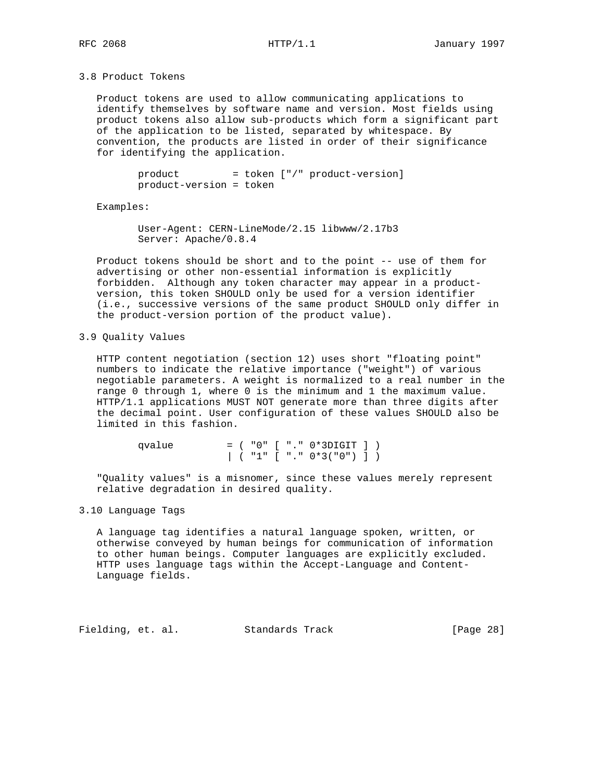# 3.8 Product Tokens

 Product tokens are used to allow communicating applications to identify themselves by software name and version. Most fields using product tokens also allow sub-products which form a significant part of the application to be listed, separated by whitespace. By convention, the products are listed in order of their significance for identifying the application.

product = token ["/" product-version] product-version = token

Examples:

 User-Agent: CERN-LineMode/2.15 libwww/2.17b3 Server: Apache/0.8.4

 Product tokens should be short and to the point -- use of them for advertising or other non-essential information is explicitly forbidden. Although any token character may appear in a product version, this token SHOULD only be used for a version identifier (i.e., successive versions of the same product SHOULD only differ in the product-version portion of the product value).

## 3.9 Quality Values

 HTTP content negotiation (section 12) uses short "floating point" numbers to indicate the relative importance ("weight") of various negotiable parameters. A weight is normalized to a real number in the range 0 through 1, where 0 is the minimum and 1 the maximum value. HTTP/1.1 applications MUST NOT generate more than three digits after the decimal point. User configuration of these values SHOULD also be limited in this fashion.

> qvalue =  $( "0" [ "." 0*3DIGIT ] )$ | ( "1" [ "." 0\*3("0") ] )

 "Quality values" is a misnomer, since these values merely represent relative degradation in desired quality.

# 3.10 Language Tags

 A language tag identifies a natural language spoken, written, or otherwise conveyed by human beings for communication of information to other human beings. Computer languages are explicitly excluded. HTTP uses language tags within the Accept-Language and Content- Language fields.

Fielding, et. al. Standards Track [Page 28]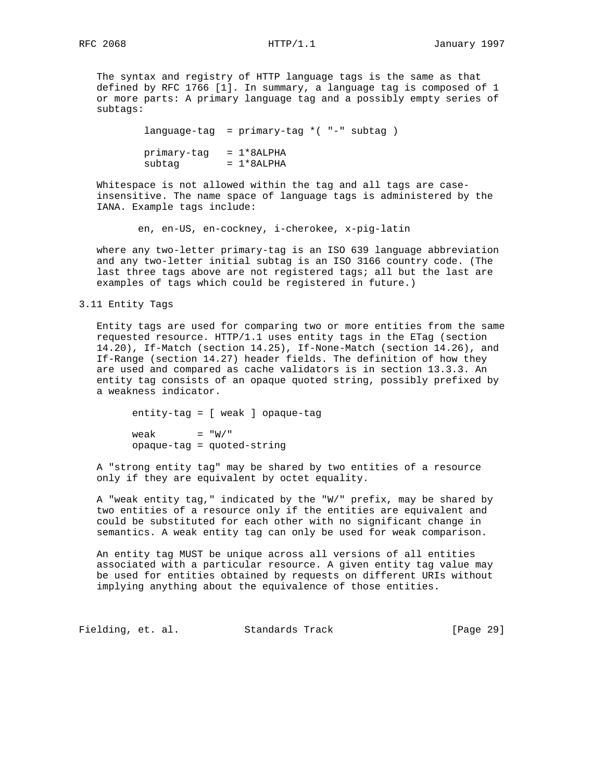The syntax and registry of HTTP language tags is the same as that defined by RFC 1766 [1]. In summary, a language tag is composed of 1 or more parts: A primary language tag and a possibly empty series of subtags:

> language-tag = primary-tag \*( "-" subtag ) primary-tag = 1\*8ALPHA  $subtag = 1*8ALPHA$

 Whitespace is not allowed within the tag and all tags are case insensitive. The name space of language tags is administered by the IANA. Example tags include:

en, en-US, en-cockney, i-cherokee, x-pig-latin

 where any two-letter primary-tag is an ISO 639 language abbreviation and any two-letter initial subtag is an ISO 3166 country code. (The last three tags above are not registered tags; all but the last are examples of tags which could be registered in future.)

3.11 Entity Tags

 Entity tags are used for comparing two or more entities from the same requested resource. HTTP/1.1 uses entity tags in the ETag (section 14.20), If-Match (section 14.25), If-None-Match (section 14.26), and If-Range (section 14.27) header fields. The definition of how they are used and compared as cache validators is in section 13.3.3. An entity tag consists of an opaque quoted string, possibly prefixed by a weakness indicator.

 entity-tag = [ weak ] opaque-tag weak =  $^{\prime\prime}W$ /" opaque-tag = quoted-string

 A "strong entity tag" may be shared by two entities of a resource only if they are equivalent by octet equality.

 A "weak entity tag," indicated by the "W/" prefix, may be shared by two entities of a resource only if the entities are equivalent and could be substituted for each other with no significant change in semantics. A weak entity tag can only be used for weak comparison.

 An entity tag MUST be unique across all versions of all entities associated with a particular resource. A given entity tag value may be used for entities obtained by requests on different URIs without implying anything about the equivalence of those entities.

Fielding, et. al. Standards Track [Page 29]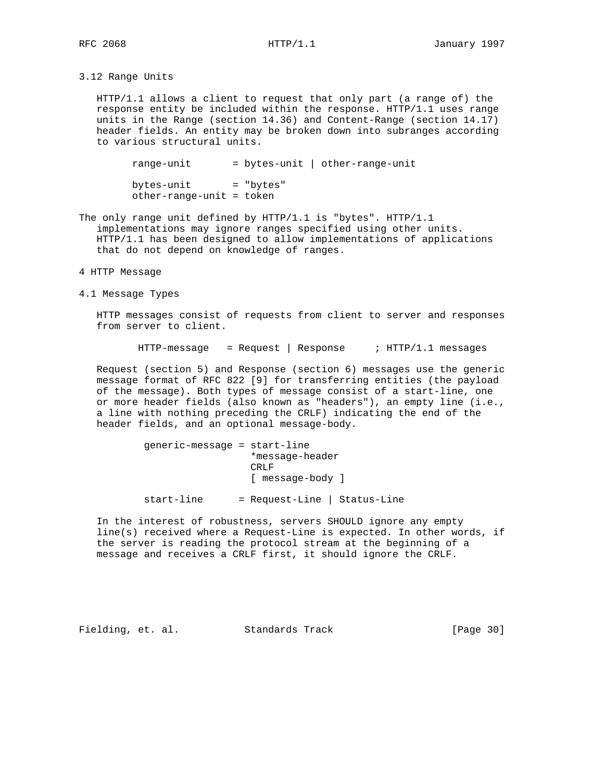3.12 Range Units

 HTTP/1.1 allows a client to request that only part (a range of) the response entity be included within the response. HTTP/1.1 uses range units in the Range (section 14.36) and Content-Range (section 14.17) header fields. An entity may be broken down into subranges according to various structural units.

 $range-unit = bytes-unit | other-range-unit$ bytes-unit = "bytes" other-range-unit = token

The only range unit defined by HTTP/1.1 is "bytes". HTTP/1.1 implementations may ignore ranges specified using other units. HTTP/1.1 has been designed to allow implementations of applications that do not depend on knowledge of ranges.

4 HTTP Message

4.1 Message Types

 HTTP messages consist of requests from client to server and responses from server to client.

HTTP-message = Request | Response ; HTTP/1.1 messages

 Request (section 5) and Response (section 6) messages use the generic message format of RFC 822 [9] for transferring entities (the payload of the message). Both types of message consist of a start-line, one or more header fields (also known as "headers"), an empty line (i.e., a line with nothing preceding the CRLF) indicating the end of the header fields, and an optional message-body.

> generic-message = start-line \*message-header CRLF [ message-body ] start-line = Request-Line | Status-Line

 In the interest of robustness, servers SHOULD ignore any empty line(s) received where a Request-Line is expected. In other words, if the server is reading the protocol stream at the beginning of a message and receives a CRLF first, it should ignore the CRLF.

Fielding, et. al. Standards Track [Page 30]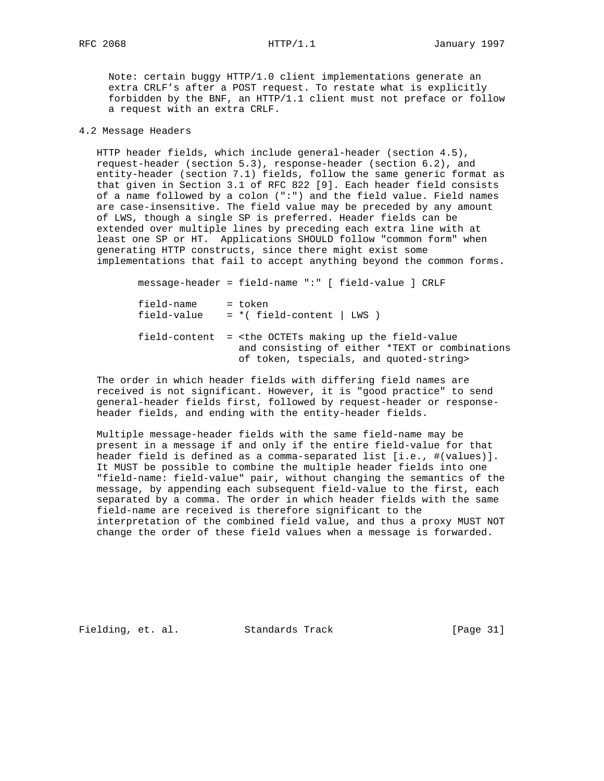Note: certain buggy HTTP/1.0 client implementations generate an extra CRLF's after a POST request. To restate what is explicitly forbidden by the BNF, an HTTP/1.1 client must not preface or follow a request with an extra CRLF.

# 4.2 Message Headers

 HTTP header fields, which include general-header (section 4.5), request-header (section 5.3), response-header (section 6.2), and entity-header (section 7.1) fields, follow the same generic format as that given in Section 3.1 of RFC 822 [9]. Each header field consists of a name followed by a colon (":") and the field value. Field names are case-insensitive. The field value may be preceded by any amount of LWS, though a single SP is preferred. Header fields can be extended over multiple lines by preceding each extra line with at least one SP or HT. Applications SHOULD follow "common form" when generating HTTP constructs, since there might exist some implementations that fail to accept anything beyond the common forms.

 message-header = field-name ":" [ field-value ] CRLF field-name = token field-value =  $*($  field-content | LWS ) field-content = <the OCTETs making up the field-value and consisting of either \*TEXT or combinations of token, tspecials, and quoted-string>

 The order in which header fields with differing field names are received is not significant. However, it is "good practice" to send general-header fields first, followed by request-header or response header fields, and ending with the entity-header fields.

 Multiple message-header fields with the same field-name may be present in a message if and only if the entire field-value for that header field is defined as a comma-separated list [i.e., #(values)]. It MUST be possible to combine the multiple header fields into one "field-name: field-value" pair, without changing the semantics of the message, by appending each subsequent field-value to the first, each separated by a comma. The order in which header fields with the same field-name are received is therefore significant to the interpretation of the combined field value, and thus a proxy MUST NOT change the order of these field values when a message is forwarded.

Fielding, et. al. Standards Track [Page 31]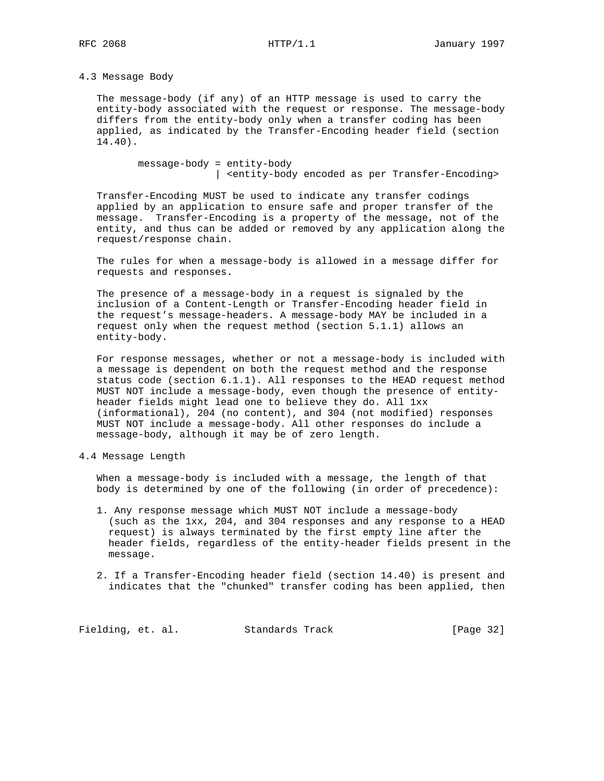# 4.3 Message Body

 The message-body (if any) of an HTTP message is used to carry the entity-body associated with the request or response. The message-body differs from the entity-body only when a transfer coding has been applied, as indicated by the Transfer-Encoding header field (section 14.40).

 message-body = entity-body | <entity-body encoded as per Transfer-Encoding>

 Transfer-Encoding MUST be used to indicate any transfer codings applied by an application to ensure safe and proper transfer of the message. Transfer-Encoding is a property of the message, not of the entity, and thus can be added or removed by any application along the request/response chain.

 The rules for when a message-body is allowed in a message differ for requests and responses.

 The presence of a message-body in a request is signaled by the inclusion of a Content-Length or Transfer-Encoding header field in the request's message-headers. A message-body MAY be included in a request only when the request method (section 5.1.1) allows an entity-body.

 For response messages, whether or not a message-body is included with a message is dependent on both the request method and the response status code (section 6.1.1). All responses to the HEAD request method MUST NOT include a message-body, even though the presence of entity header fields might lead one to believe they do. All 1xx (informational), 204 (no content), and 304 (not modified) responses MUST NOT include a message-body. All other responses do include a message-body, although it may be of zero length.

4.4 Message Length

 When a message-body is included with a message, the length of that body is determined by one of the following (in order of precedence):

- 1. Any response message which MUST NOT include a message-body (such as the 1xx, 204, and 304 responses and any response to a HEAD request) is always terminated by the first empty line after the header fields, regardless of the entity-header fields present in the message.
- 2. If a Transfer-Encoding header field (section 14.40) is present and indicates that the "chunked" transfer coding has been applied, then

Fielding, et. al. Standards Track [Page 32]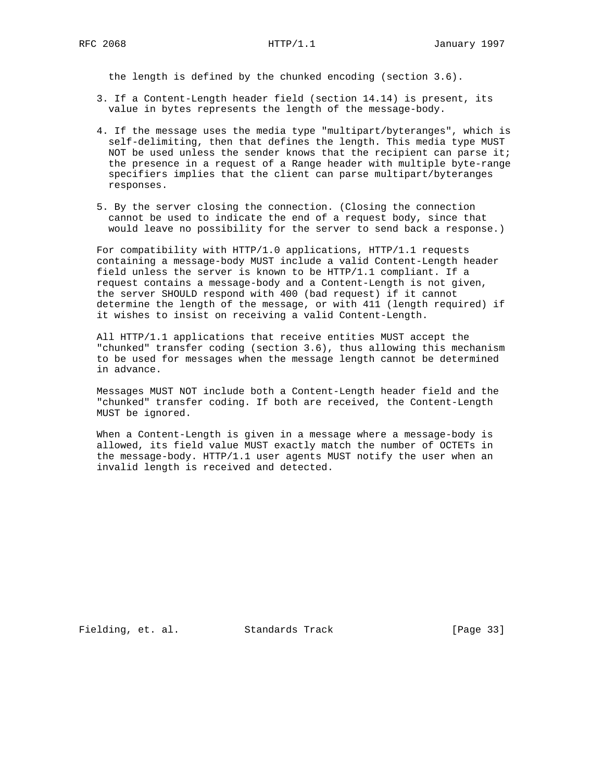the length is defined by the chunked encoding (section 3.6).

- 3. If a Content-Length header field (section 14.14) is present, its value in bytes represents the length of the message-body.
- 4. If the message uses the media type "multipart/byteranges", which is self-delimiting, then that defines the length. This media type MUST NOT be used unless the sender knows that the recipient can parse it; the presence in a request of a Range header with multiple byte-range specifiers implies that the client can parse multipart/byteranges responses.
- 5. By the server closing the connection. (Closing the connection cannot be used to indicate the end of a request body, since that would leave no possibility for the server to send back a response.)

 For compatibility with HTTP/1.0 applications, HTTP/1.1 requests containing a message-body MUST include a valid Content-Length header field unless the server is known to be HTTP/1.1 compliant. If a request contains a message-body and a Content-Length is not given, the server SHOULD respond with 400 (bad request) if it cannot determine the length of the message, or with 411 (length required) if it wishes to insist on receiving a valid Content-Length.

 All HTTP/1.1 applications that receive entities MUST accept the "chunked" transfer coding (section 3.6), thus allowing this mechanism to be used for messages when the message length cannot be determined in advance.

 Messages MUST NOT include both a Content-Length header field and the "chunked" transfer coding. If both are received, the Content-Length MUST be ignored.

 When a Content-Length is given in a message where a message-body is allowed, its field value MUST exactly match the number of OCTETs in the message-body. HTTP/1.1 user agents MUST notify the user when an invalid length is received and detected.

Fielding, et. al. Standards Track [Page 33]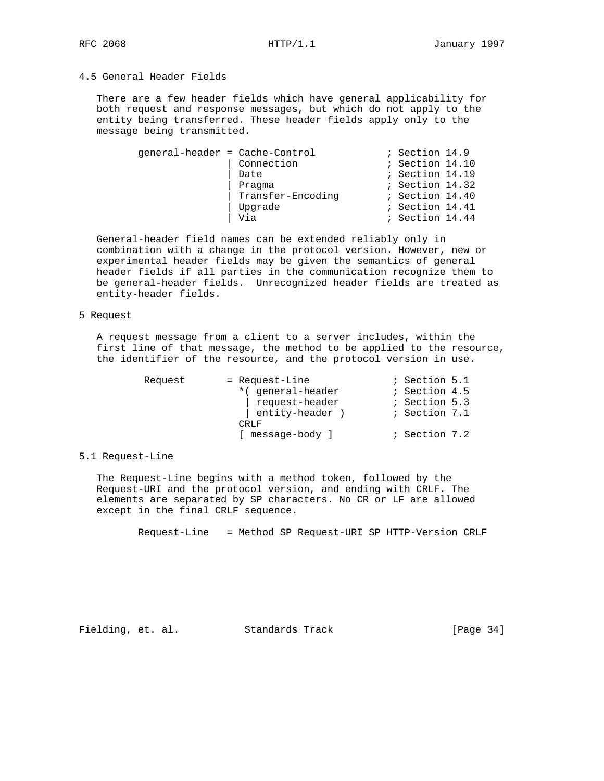# 4.5 General Header Fields

 There are a few header fields which have general applicability for both request and response messages, but which do not apply to the entity being transferred. These header fields apply only to the message being transmitted.

| general-header = Cache-Control | ; Section 14.9    |  |
|--------------------------------|-------------------|--|
| Connection                     | $:$ Section 14.10 |  |
| Date                           | : Section 14.19   |  |
| Pragma                         | : Section 14.32   |  |
| Transfer-Encoding              | ; Section $14.40$ |  |
| Upqrade                        | ; Section 14.41   |  |
| Via                            | ; Section 14.44   |  |

 General-header field names can be extended reliably only in combination with a change in the protocol version. However, new or experimental header fields may be given the semantics of general header fields if all parties in the communication recognize them to be general-header fields. Unrecognized header fields are treated as entity-header fields.

# 5 Request

 A request message from a client to a server includes, within the first line of that message, the method to be applied to the resource, the identifier of the resource, and the protocol version in use.

| Request | = Request-Line    | ; Section 5.1 |  |
|---------|-------------------|---------------|--|
|         | *( general-header | ; Section 4.5 |  |
|         | request-header    | ; Section 5.3 |  |
|         | entity-header )   | ; Section 7.1 |  |
|         | CRLF              |               |  |
|         | message-body ]    | ; Section 7.2 |  |

5.1 Request-Line

 The Request-Line begins with a method token, followed by the Request-URI and the protocol version, and ending with CRLF. The elements are separated by SP characters. No CR or LF are allowed except in the final CRLF sequence.

Request-Line = Method SP Request-URI SP HTTP-Version CRLF

Fielding, et. al. Standards Track [Page 34]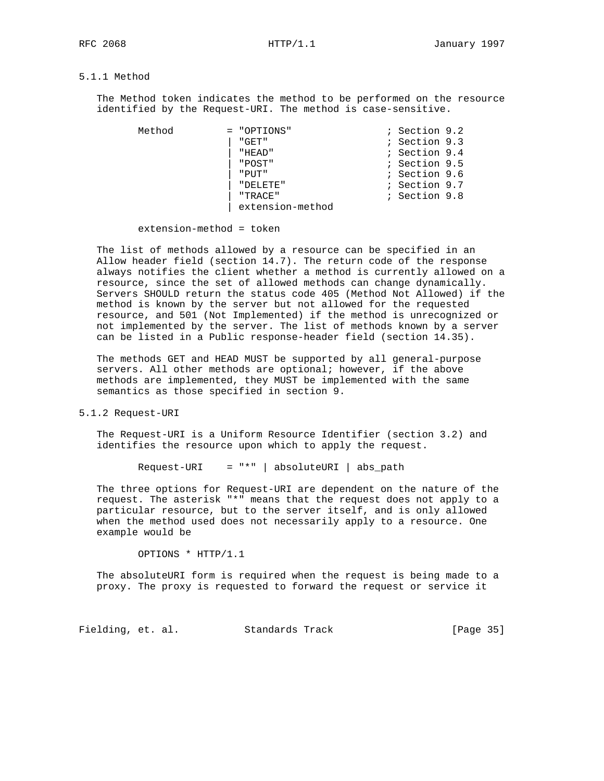# 5.1.1 Method

 The Method token indicates the method to be performed on the resource identified by the Request-URI. The method is case-sensitive.

Method = "OPTIONS" ; Section 9.2<br>| "GET" ; Section 9.3  $\begin{array}{|c|c|c|c|c|}\hline & \text{``GET''} & \text{ } & \text{``Section 9.3}\hline \end{array}$  | "HEAD" ; Section 9.4 | "POST" ; Section 9.5 | "PUT" ; Section 9.6 | "DELETE" ; Section 9.7 | "TRACE" ; Section 9.8 extension-method

## extension-method = token

 The list of methods allowed by a resource can be specified in an Allow header field (section 14.7). The return code of the response always notifies the client whether a method is currently allowed on a resource, since the set of allowed methods can change dynamically. Servers SHOULD return the status code 405 (Method Not Allowed) if the method is known by the server but not allowed for the requested resource, and 501 (Not Implemented) if the method is unrecognized or not implemented by the server. The list of methods known by a server can be listed in a Public response-header field (section 14.35).

 The methods GET and HEAD MUST be supported by all general-purpose servers. All other methods are optional; however, if the above methods are implemented, they MUST be implemented with the same semantics as those specified in section 9.

## 5.1.2 Request-URI

 The Request-URI is a Uniform Resource Identifier (section 3.2) and identifies the resource upon which to apply the request.

Request-URI = "\*" | absoluteURI | abs\_path

 The three options for Request-URI are dependent on the nature of the request. The asterisk "\*" means that the request does not apply to a particular resource, but to the server itself, and is only allowed when the method used does not necessarily apply to a resource. One example would be

OPTIONS \* HTTP/1.1

 The absoluteURI form is required when the request is being made to a proxy. The proxy is requested to forward the request or service it

Fielding, et. al. Standards Track [Page 35]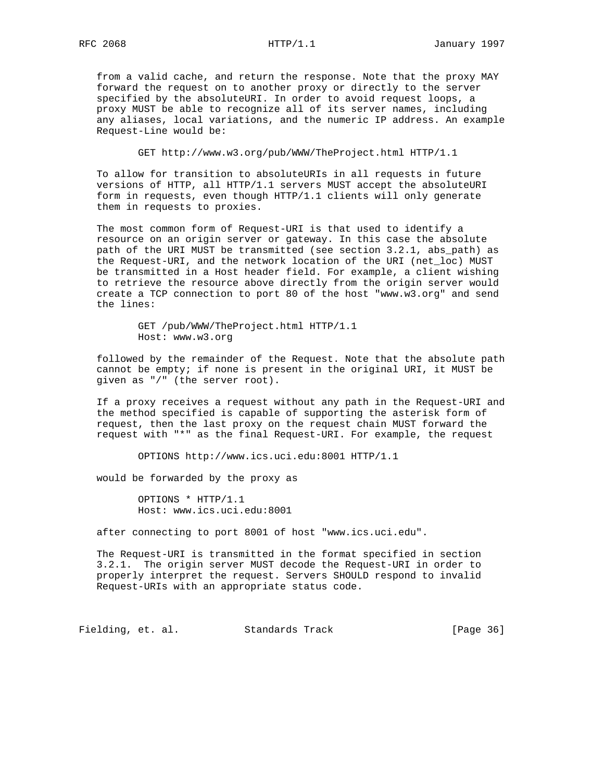from a valid cache, and return the response. Note that the proxy MAY forward the request on to another proxy or directly to the server specified by the absoluteURI. In order to avoid request loops, a proxy MUST be able to recognize all of its server names, including any aliases, local variations, and the numeric IP address. An example Request-Line would be:

GET http://www.w3.org/pub/WWW/TheProject.html HTTP/1.1

 To allow for transition to absoluteURIs in all requests in future versions of HTTP, all HTTP/1.1 servers MUST accept the absoluteURI form in requests, even though HTTP/1.1 clients will only generate them in requests to proxies.

 The most common form of Request-URI is that used to identify a resource on an origin server or gateway. In this case the absolute path of the URI MUST be transmitted (see section 3.2.1, abs\_path) as the Request-URI, and the network location of the URI (net\_loc) MUST be transmitted in a Host header field. For example, a client wishing to retrieve the resource above directly from the origin server would create a TCP connection to port 80 of the host "www.w3.org" and send the lines:

> GET /pub/WWW/TheProject.html HTTP/1.1 Host: www.w3.org

 followed by the remainder of the Request. Note that the absolute path cannot be empty; if none is present in the original URI, it MUST be given as "/" (the server root).

 If a proxy receives a request without any path in the Request-URI and the method specified is capable of supporting the asterisk form of request, then the last proxy on the request chain MUST forward the request with "\*" as the final Request-URI. For example, the request

OPTIONS http://www.ics.uci.edu:8001 HTTP/1.1

would be forwarded by the proxy as

 OPTIONS \* HTTP/1.1 Host: www.ics.uci.edu:8001

after connecting to port 8001 of host "www.ics.uci.edu".

 The Request-URI is transmitted in the format specified in section 3.2.1. The origin server MUST decode the Request-URI in order to properly interpret the request. Servers SHOULD respond to invalid Request-URIs with an appropriate status code.

Fielding, et. al. Standards Track [Page 36]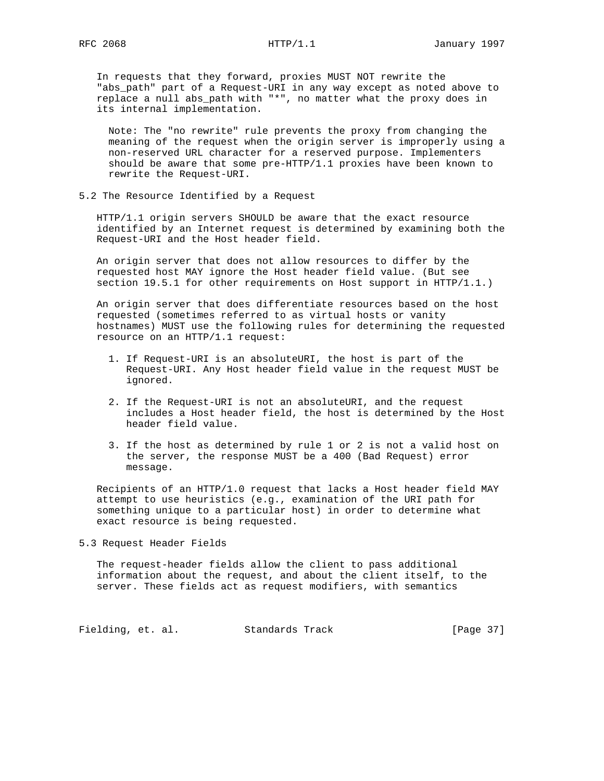In requests that they forward, proxies MUST NOT rewrite the "abs\_path" part of a Request-URI in any way except as noted above to replace a null abs\_path with "\*", no matter what the proxy does in its internal implementation.

 Note: The "no rewrite" rule prevents the proxy from changing the meaning of the request when the origin server is improperly using a non-reserved URL character for a reserved purpose. Implementers should be aware that some pre-HTTP/1.1 proxies have been known to rewrite the Request-URI.

5.2 The Resource Identified by a Request

 HTTP/1.1 origin servers SHOULD be aware that the exact resource identified by an Internet request is determined by examining both the Request-URI and the Host header field.

 An origin server that does not allow resources to differ by the requested host MAY ignore the Host header field value. (But see section 19.5.1 for other requirements on Host support in HTTP/1.1.)

 An origin server that does differentiate resources based on the host requested (sometimes referred to as virtual hosts or vanity hostnames) MUST use the following rules for determining the requested resource on an HTTP/1.1 request:

- 1. If Request-URI is an absoluteURI, the host is part of the Request-URI. Any Host header field value in the request MUST be ignored.
- 2. If the Request-URI is not an absoluteURI, and the request includes a Host header field, the host is determined by the Host header field value.
- 3. If the host as determined by rule 1 or 2 is not a valid host on the server, the response MUST be a 400 (Bad Request) error message.

 Recipients of an HTTP/1.0 request that lacks a Host header field MAY attempt to use heuristics (e.g., examination of the URI path for something unique to a particular host) in order to determine what exact resource is being requested.

5.3 Request Header Fields

 The request-header fields allow the client to pass additional information about the request, and about the client itself, to the server. These fields act as request modifiers, with semantics

Fielding, et. al. Standards Track [Page 37]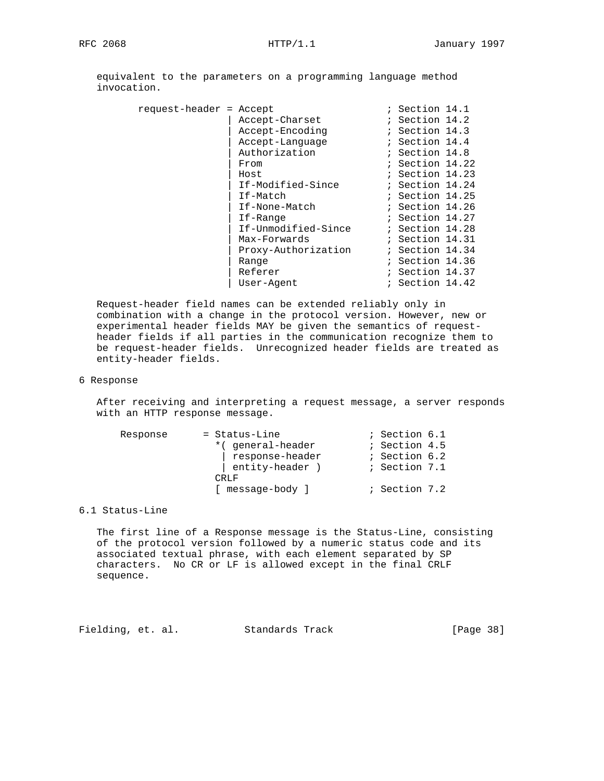| request-header = Accept |                     | ; Section $14.1$  |  |
|-------------------------|---------------------|-------------------|--|
|                         | Accept-Charset      | ; Section 14.2    |  |
|                         | Accept-Encoding     | ; Section 14.3    |  |
|                         | Accept-Lanquage     | ; Section 14.4    |  |
|                         | Authorization       | ; Section 14.8    |  |
|                         | From                | ; Section 14.22   |  |
|                         | Host                | ; Section $14.23$ |  |
|                         | If-Modified-Since   | ; Section $14.24$ |  |
|                         | If-Match            | : Section 14.25   |  |
|                         | If-None-Match       | : Section 14.26   |  |
|                         | $If$ -Range         | ; Section $14.27$ |  |
|                         | If-Unmodified-Since | ; Section $14.28$ |  |
|                         | Max-Forwards        | ; Section 14.31   |  |
|                         | Proxy-Authorization | ; Section 14.34   |  |
|                         | Range               | : Section 14.36   |  |
|                         | Referer             | ; Section $14.37$ |  |
|                         | User-Agent          | Section 14.42     |  |
|                         |                     |                   |  |

 equivalent to the parameters on a programming language method invocation.

 Request-header field names can be extended reliably only in combination with a change in the protocol version. However, new or experimental header fields MAY be given the semantics of request header fields if all parties in the communication recognize them to be request-header fields. Unrecognized header fields are treated as entity-header fields.

# 6 Response

 After receiving and interpreting a request message, a server responds with an HTTP response message.

| $=$ Status-Line    | ; Section 6.1 |
|--------------------|---------------|
| *( general-header  | ; Section 4.5 |
| response-header    | ; Section 6.2 |
| entity-header )    | ; Section 7.1 |
| CRT <sub>I</sub> F |               |
| [ message-body ]   | ; Section 7.2 |
|                    |               |

# 6.1 Status-Line

 The first line of a Response message is the Status-Line, consisting of the protocol version followed by a numeric status code and its associated textual phrase, with each element separated by SP characters. No CR or LF is allowed except in the final CRLF sequence.

Fielding, et. al. Standards Track [Page 38]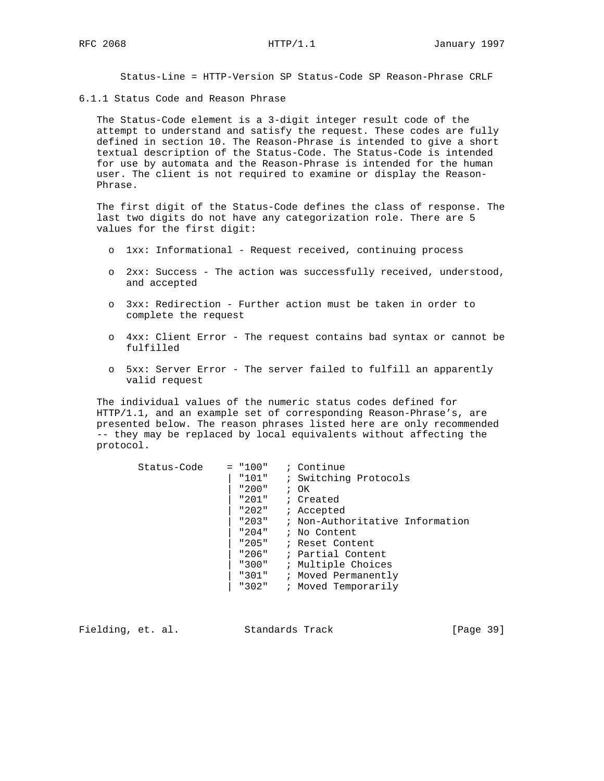Status-Line = HTTP-Version SP Status-Code SP Reason-Phrase CRLF

6.1.1 Status Code and Reason Phrase

 The Status-Code element is a 3-digit integer result code of the attempt to understand and satisfy the request. These codes are fully defined in section 10. The Reason-Phrase is intended to give a short textual description of the Status-Code. The Status-Code is intended for use by automata and the Reason-Phrase is intended for the human user. The client is not required to examine or display the Reason- Phrase.

 The first digit of the Status-Code defines the class of response. The last two digits do not have any categorization role. There are 5 values for the first digit:

- o 1xx: Informational Request received, continuing process
- o 2xx: Success The action was successfully received, understood, and accepted
- o 3xx: Redirection Further action must be taken in order to complete the request
- o 4xx: Client Error The request contains bad syntax or cannot be fulfilled
- o 5xx: Server Error The server failed to fulfill an apparently valid request

 The individual values of the numeric status codes defined for HTTP/1.1, and an example set of corresponding Reason-Phrase's, are presented below. The reason phrases listed here are only recommended -- they may be replaced by local equivalents without affecting the protocol.

| Status-Code | $= "100"$ | ; Continue                      |
|-------------|-----------|---------------------------------|
|             | "101"     | ; Switching Protocols           |
|             | "200"     | $:$ OK                          |
|             | "201"     | ; Created                       |
|             | "202"     | ; Accepted                      |
|             | "203"     | ; Non-Authoritative Information |
|             | "204"     | ; No Content                    |
|             | "205"     | ; Reset Content                 |
|             | "206"     | ; Partial Content               |
|             | "300"     | ; Multiple Choices              |
|             | "301"     | ; Moved Permanently             |
|             | "302"     | ; Moved Temporarily             |

Fielding, et. al. Standards Track [Page 39]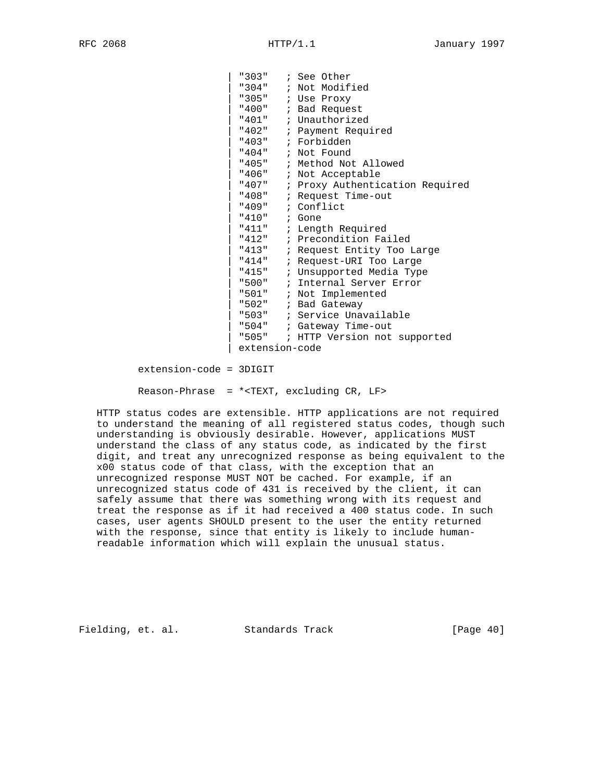| "303" ; See Other | "304" ; Not Modified | "305" ; Use Proxy | "400" ; Bad Request | "401" ; Unauthorized | "402" ; Payment Required | "403" ; Forbidden "404" ; Not Found | "405" ; Method Not Allowed | "406" ; Not Acceptable | "407" ; Proxy Authentication Required | "408" ; Request Time-out | "409" ; Conflict | "410" ; Gone "411" ; Length Required | "412" ; Precondition Failed | "413" ; Request Entity Too Large | "414" ; Request-URI Too Large | "415" ; Unsupported Media Type | "500" ; Internal Server Error | "501" ; Not Implemented | "502" ; Bad Gateway | "503" ; Service Unavailable | "504" ; Gateway Time-out | "505" ; HTTP Version not supported extension-code

extension-code = 3DIGIT

Reason-Phrase = \*<TEXT, excluding CR, LF>

 HTTP status codes are extensible. HTTP applications are not required to understand the meaning of all registered status codes, though such understanding is obviously desirable. However, applications MUST understand the class of any status code, as indicated by the first digit, and treat any unrecognized response as being equivalent to the x00 status code of that class, with the exception that an unrecognized response MUST NOT be cached. For example, if an unrecognized status code of 431 is received by the client, it can safely assume that there was something wrong with its request and treat the response as if it had received a 400 status code. In such cases, user agents SHOULD present to the user the entity returned with the response, since that entity is likely to include human readable information which will explain the unusual status.

Fielding, et. al. Standards Track [Page 40]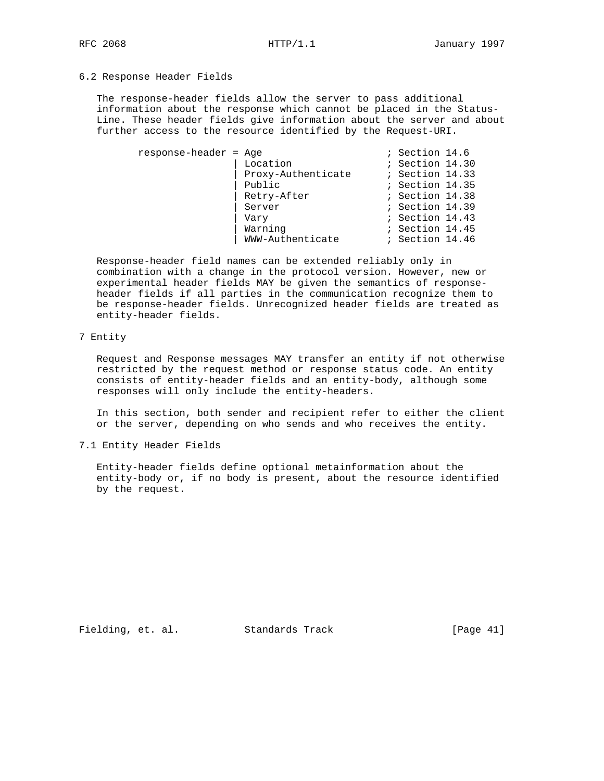## 6.2 Response Header Fields

 The response-header fields allow the server to pass additional information about the response which cannot be placed in the Status- Line. These header fields give information about the server and about further access to the resource identified by the Request-URI.

| response-header = Age |                    | ; Section 14.6  |  |
|-----------------------|--------------------|-----------------|--|
|                       | Location           | : Section 14.30 |  |
|                       | Proxy-Authenticate | : Section 14.33 |  |
|                       | Public             | : Section 14.35 |  |
|                       | Retry-After        | ; Section 14.38 |  |
|                       | Server             | : Section 14.39 |  |
|                       | Vary               | : Section 14.43 |  |
|                       | Warning            | : Section 14.45 |  |
|                       | WWW-Authenticate   | : Section 14.46 |  |

 Response-header field names can be extended reliably only in combination with a change in the protocol version. However, new or experimental header fields MAY be given the semantics of response header fields if all parties in the communication recognize them to be response-header fields. Unrecognized header fields are treated as entity-header fields.

## 7 Entity

 Request and Response messages MAY transfer an entity if not otherwise restricted by the request method or response status code. An entity consists of entity-header fields and an entity-body, although some responses will only include the entity-headers.

 In this section, both sender and recipient refer to either the client or the server, depending on who sends and who receives the entity.

7.1 Entity Header Fields

 Entity-header fields define optional metainformation about the entity-body or, if no body is present, about the resource identified by the request.

Fielding, et. al. Standards Track [Page 41]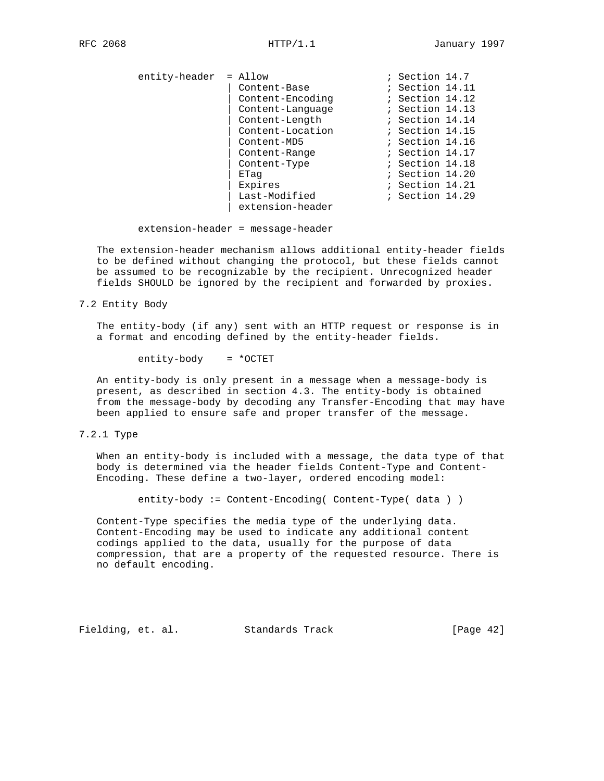| entity-header | $=$ Allow        | ; Section 14.7    |
|---------------|------------------|-------------------|
|               | Content-Base     | ; Section 14.11   |
|               | Content-Encoding | $:$ Section 14.12 |
|               | Content-Language | : Section 14.13   |
|               | Content-Length   | ; Section $14.14$ |
|               | Content-Location | $:$ Section 14.15 |
|               | Content-MD5      | $:$ Section 14.16 |
|               | Content-Range    | ; Section $14.17$ |
|               | Content-Type     | : Section 14.18   |
|               | ETaq             | $i$ Section 14.20 |
|               | Expires          | ; Section $14.21$ |
|               | Last-Modified    | ; Section 14.29   |
|               | extension-header |                   |

extension-header = message-header

 The extension-header mechanism allows additional entity-header fields to be defined without changing the protocol, but these fields cannot be assumed to be recognizable by the recipient. Unrecognized header fields SHOULD be ignored by the recipient and forwarded by proxies.

7.2 Entity Body

 The entity-body (if any) sent with an HTTP request or response is in a format and encoding defined by the entity-header fields.

entity-body = \*OCTET

 An entity-body is only present in a message when a message-body is present, as described in section 4.3. The entity-body is obtained from the message-body by decoding any Transfer-Encoding that may have been applied to ensure safe and proper transfer of the message.

## 7.2.1 Type

 When an entity-body is included with a message, the data type of that body is determined via the header fields Content-Type and Content- Encoding. These define a two-layer, ordered encoding model:

entity-body := Content-Encoding( Content-Type( data ) )

 Content-Type specifies the media type of the underlying data. Content-Encoding may be used to indicate any additional content codings applied to the data, usually for the purpose of data compression, that are a property of the requested resource. There is no default encoding.

Fielding, et. al. Standards Track [Page 42]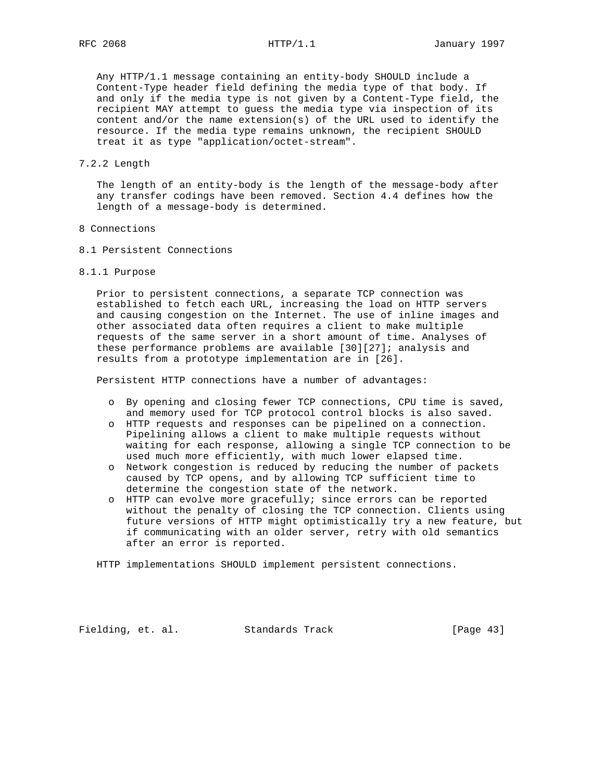Any HTTP/1.1 message containing an entity-body SHOULD include a Content-Type header field defining the media type of that body. If and only if the media type is not given by a Content-Type field, the recipient MAY attempt to guess the media type via inspection of its content and/or the name extension(s) of the URL used to identify the resource. If the media type remains unknown, the recipient SHOULD treat it as type "application/octet-stream".

7.2.2 Length

 The length of an entity-body is the length of the message-body after any transfer codings have been removed. Section 4.4 defines how the length of a message-body is determined.

- 8 Connections
- 8.1 Persistent Connections
- 8.1.1 Purpose

 Prior to persistent connections, a separate TCP connection was established to fetch each URL, increasing the load on HTTP servers and causing congestion on the Internet. The use of inline images and other associated data often requires a client to make multiple requests of the same server in a short amount of time. Analyses of these performance problems are available [30][27]; analysis and results from a prototype implementation are in [26].

Persistent HTTP connections have a number of advantages:

- o By opening and closing fewer TCP connections, CPU time is saved, and memory used for TCP protocol control blocks is also saved.
- o HTTP requests and responses can be pipelined on a connection. Pipelining allows a client to make multiple requests without waiting for each response, allowing a single TCP connection to be used much more efficiently, with much lower elapsed time.
- o Network congestion is reduced by reducing the number of packets caused by TCP opens, and by allowing TCP sufficient time to determine the congestion state of the network.
- o HTTP can evolve more gracefully; since errors can be reported without the penalty of closing the TCP connection. Clients using future versions of HTTP might optimistically try a new feature, but if communicating with an older server, retry with old semantics after an error is reported.

HTTP implementations SHOULD implement persistent connections.

Fielding, et. al. Standards Track [Page 43]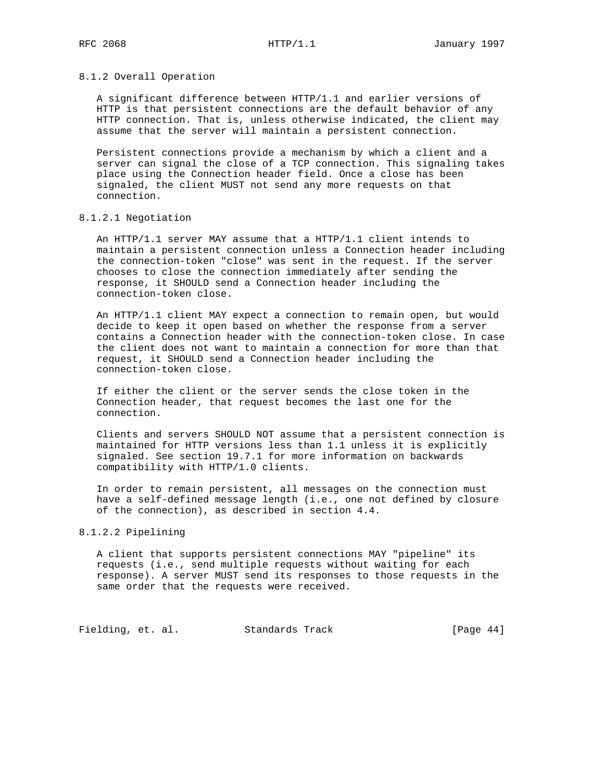### 8.1.2 Overall Operation

 A significant difference between HTTP/1.1 and earlier versions of HTTP is that persistent connections are the default behavior of any HTTP connection. That is, unless otherwise indicated, the client may assume that the server will maintain a persistent connection.

 Persistent connections provide a mechanism by which a client and a server can signal the close of a TCP connection. This signaling takes place using the Connection header field. Once a close has been signaled, the client MUST not send any more requests on that connection.

### 8.1.2.1 Negotiation

 An HTTP/1.1 server MAY assume that a HTTP/1.1 client intends to maintain a persistent connection unless a Connection header including the connection-token "close" was sent in the request. If the server chooses to close the connection immediately after sending the response, it SHOULD send a Connection header including the connection-token close.

 An HTTP/1.1 client MAY expect a connection to remain open, but would decide to keep it open based on whether the response from a server contains a Connection header with the connection-token close. In case the client does not want to maintain a connection for more than that request, it SHOULD send a Connection header including the connection-token close.

 If either the client or the server sends the close token in the Connection header, that request becomes the last one for the connection.

 Clients and servers SHOULD NOT assume that a persistent connection is maintained for HTTP versions less than 1.1 unless it is explicitly signaled. See section 19.7.1 for more information on backwards compatibility with HTTP/1.0 clients.

 In order to remain persistent, all messages on the connection must have a self-defined message length (i.e., one not defined by closure of the connection), as described in section 4.4.

# 8.1.2.2 Pipelining

 A client that supports persistent connections MAY "pipeline" its requests (i.e., send multiple requests without waiting for each response). A server MUST send its responses to those requests in the same order that the requests were received.

Fielding, et. al. Standards Track [Page 44]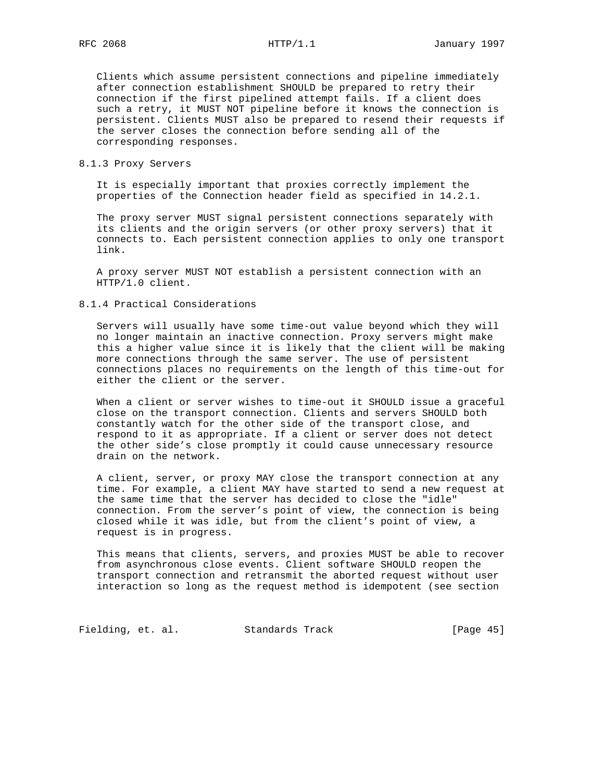Clients which assume persistent connections and pipeline immediately after connection establishment SHOULD be prepared to retry their connection if the first pipelined attempt fails. If a client does such a retry, it MUST NOT pipeline before it knows the connection is persistent. Clients MUST also be prepared to resend their requests if the server closes the connection before sending all of the corresponding responses.

## 8.1.3 Proxy Servers

 It is especially important that proxies correctly implement the properties of the Connection header field as specified in 14.2.1.

 The proxy server MUST signal persistent connections separately with its clients and the origin servers (or other proxy servers) that it connects to. Each persistent connection applies to only one transport link.

 A proxy server MUST NOT establish a persistent connection with an HTTP/1.0 client.

## 8.1.4 Practical Considerations

 Servers will usually have some time-out value beyond which they will no longer maintain an inactive connection. Proxy servers might make this a higher value since it is likely that the client will be making more connections through the same server. The use of persistent connections places no requirements on the length of this time-out for either the client or the server.

When a client or server wishes to time-out it SHOULD issue a graceful close on the transport connection. Clients and servers SHOULD both constantly watch for the other side of the transport close, and respond to it as appropriate. If a client or server does not detect the other side's close promptly it could cause unnecessary resource drain on the network.

 A client, server, or proxy MAY close the transport connection at any time. For example, a client MAY have started to send a new request at the same time that the server has decided to close the "idle" connection. From the server's point of view, the connection is being closed while it was idle, but from the client's point of view, a request is in progress.

 This means that clients, servers, and proxies MUST be able to recover from asynchronous close events. Client software SHOULD reopen the transport connection and retransmit the aborted request without user interaction so long as the request method is idempotent (see section

Fielding, et. al. Standards Track [Page 45]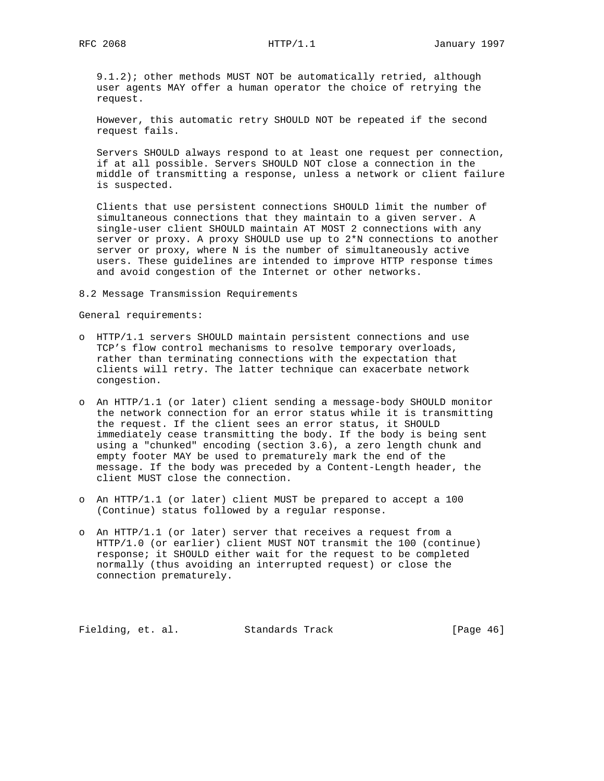9.1.2); other methods MUST NOT be automatically retried, although user agents MAY offer a human operator the choice of retrying the request.

 However, this automatic retry SHOULD NOT be repeated if the second request fails.

 Servers SHOULD always respond to at least one request per connection, if at all possible. Servers SHOULD NOT close a connection in the middle of transmitting a response, unless a network or client failure is suspected.

 Clients that use persistent connections SHOULD limit the number of simultaneous connections that they maintain to a given server. A single-user client SHOULD maintain AT MOST 2 connections with any server or proxy. A proxy SHOULD use up to 2\*N connections to another server or proxy, where N is the number of simultaneously active users. These guidelines are intended to improve HTTP response times and avoid congestion of the Internet or other networks.

8.2 Message Transmission Requirements

General requirements:

- o HTTP/1.1 servers SHOULD maintain persistent connections and use TCP's flow control mechanisms to resolve temporary overloads, rather than terminating connections with the expectation that clients will retry. The latter technique can exacerbate network congestion.
- o An HTTP/1.1 (or later) client sending a message-body SHOULD monitor the network connection for an error status while it is transmitting the request. If the client sees an error status, it SHOULD immediately cease transmitting the body. If the body is being sent using a "chunked" encoding (section 3.6), a zero length chunk and empty footer MAY be used to prematurely mark the end of the message. If the body was preceded by a Content-Length header, the client MUST close the connection.
- o An HTTP/1.1 (or later) client MUST be prepared to accept a 100 (Continue) status followed by a regular response.
- o An HTTP/1.1 (or later) server that receives a request from a HTTP/1.0 (or earlier) client MUST NOT transmit the 100 (continue) response; it SHOULD either wait for the request to be completed normally (thus avoiding an interrupted request) or close the connection prematurely.

Fielding, et. al. Standards Track [Page 46]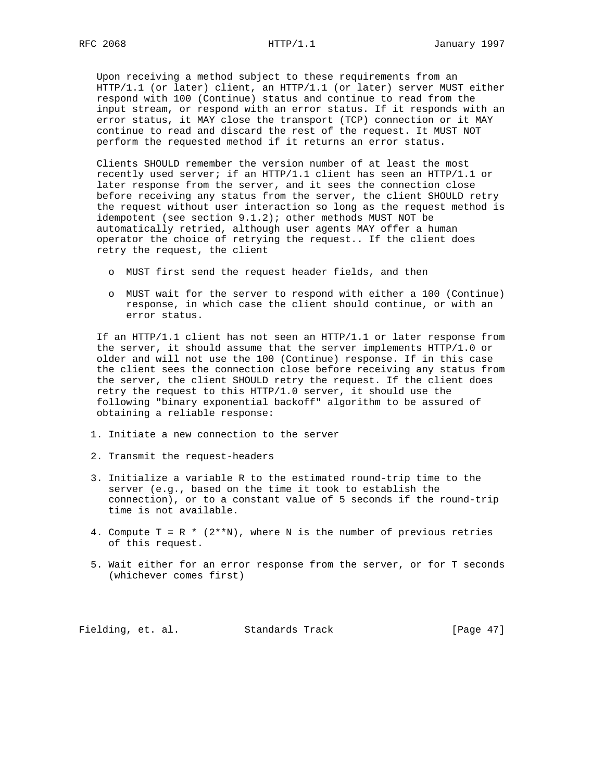Upon receiving a method subject to these requirements from an HTTP/1.1 (or later) client, an HTTP/1.1 (or later) server MUST either respond with 100 (Continue) status and continue to read from the input stream, or respond with an error status. If it responds with an error status, it MAY close the transport (TCP) connection or it MAY continue to read and discard the rest of the request. It MUST NOT perform the requested method if it returns an error status.

 Clients SHOULD remember the version number of at least the most recently used server; if an HTTP/1.1 client has seen an HTTP/1.1 or later response from the server, and it sees the connection close before receiving any status from the server, the client SHOULD retry the request without user interaction so long as the request method is idempotent (see section 9.1.2); other methods MUST NOT be automatically retried, although user agents MAY offer a human operator the choice of retrying the request.. If the client does retry the request, the client

- o MUST first send the request header fields, and then
- o MUST wait for the server to respond with either a 100 (Continue) response, in which case the client should continue, or with an error status.

 If an HTTP/1.1 client has not seen an HTTP/1.1 or later response from the server, it should assume that the server implements HTTP/1.0 or older and will not use the 100 (Continue) response. If in this case the client sees the connection close before receiving any status from the server, the client SHOULD retry the request. If the client does retry the request to this HTTP/1.0 server, it should use the following "binary exponential backoff" algorithm to be assured of obtaining a reliable response:

- 1. Initiate a new connection to the server
- 2. Transmit the request-headers
- 3. Initialize a variable R to the estimated round-trip time to the server (e.g., based on the time it took to establish the connection), or to a constant value of 5 seconds if the round-trip time is not available.
- 4. Compute  $T = R * (2**N)$ , where N is the number of previous retries of this request.
- 5. Wait either for an error response from the server, or for T seconds (whichever comes first)

Fielding, et. al. Standards Track [Page 47]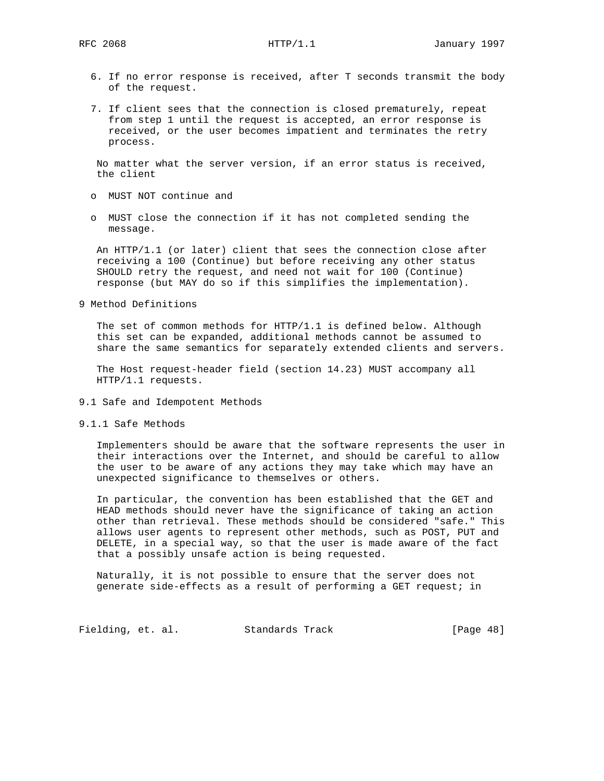- 6. If no error response is received, after T seconds transmit the body of the request.
- 7. If client sees that the connection is closed prematurely, repeat from step 1 until the request is accepted, an error response is received, or the user becomes impatient and terminates the retry process.

 No matter what the server version, if an error status is received, the client

- o MUST NOT continue and
- o MUST close the connection if it has not completed sending the message.

 An HTTP/1.1 (or later) client that sees the connection close after receiving a 100 (Continue) but before receiving any other status SHOULD retry the request, and need not wait for 100 (Continue) response (but MAY do so if this simplifies the implementation).

9 Method Definitions

 The set of common methods for HTTP/1.1 is defined below. Although this set can be expanded, additional methods cannot be assumed to share the same semantics for separately extended clients and servers.

 The Host request-header field (section 14.23) MUST accompany all HTTP/1.1 requests.

- 9.1 Safe and Idempotent Methods
- 9.1.1 Safe Methods

 Implementers should be aware that the software represents the user in their interactions over the Internet, and should be careful to allow the user to be aware of any actions they may take which may have an unexpected significance to themselves or others.

 In particular, the convention has been established that the GET and HEAD methods should never have the significance of taking an action other than retrieval. These methods should be considered "safe." This allows user agents to represent other methods, such as POST, PUT and DELETE, in a special way, so that the user is made aware of the fact that a possibly unsafe action is being requested.

 Naturally, it is not possible to ensure that the server does not generate side-effects as a result of performing a GET request; in

Fielding, et. al. Standards Track [Page 48]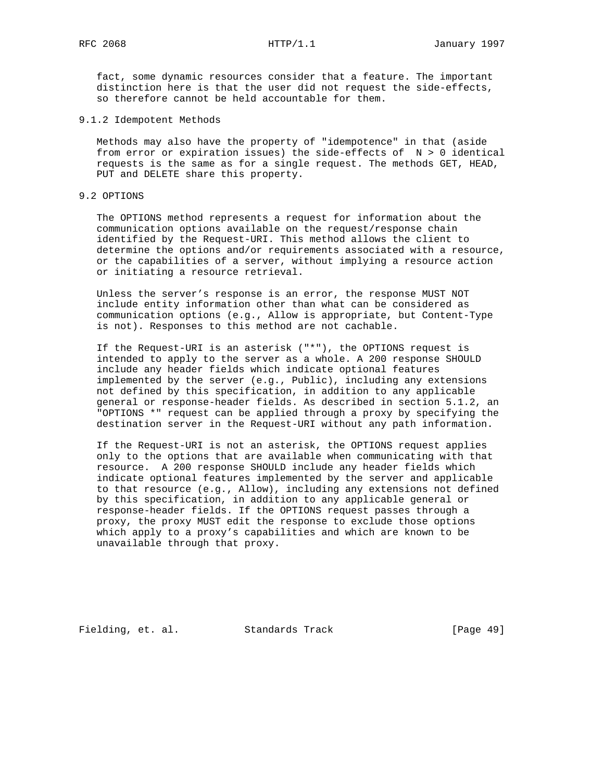fact, some dynamic resources consider that a feature. The important distinction here is that the user did not request the side-effects, so therefore cannot be held accountable for them.

9.1.2 Idempotent Methods

 Methods may also have the property of "idempotence" in that (aside from error or expiration issues) the side-effects of N > 0 identical requests is the same as for a single request. The methods GET, HEAD, PUT and DELETE share this property.

# 9.2 OPTIONS

 The OPTIONS method represents a request for information about the communication options available on the request/response chain identified by the Request-URI. This method allows the client to determine the options and/or requirements associated with a resource, or the capabilities of a server, without implying a resource action or initiating a resource retrieval.

 Unless the server's response is an error, the response MUST NOT include entity information other than what can be considered as communication options (e.g., Allow is appropriate, but Content-Type is not). Responses to this method are not cachable.

 If the Request-URI is an asterisk ("\*"), the OPTIONS request is intended to apply to the server as a whole. A 200 response SHOULD include any header fields which indicate optional features implemented by the server (e.g., Public), including any extensions not defined by this specification, in addition to any applicable general or response-header fields. As described in section 5.1.2, an "OPTIONS \*" request can be applied through a proxy by specifying the destination server in the Request-URI without any path information.

 If the Request-URI is not an asterisk, the OPTIONS request applies only to the options that are available when communicating with that resource. A 200 response SHOULD include any header fields which indicate optional features implemented by the server and applicable to that resource (e.g., Allow), including any extensions not defined by this specification, in addition to any applicable general or response-header fields. If the OPTIONS request passes through a proxy, the proxy MUST edit the response to exclude those options which apply to a proxy's capabilities and which are known to be unavailable through that proxy.

Fielding, et. al. Standards Track [Page 49]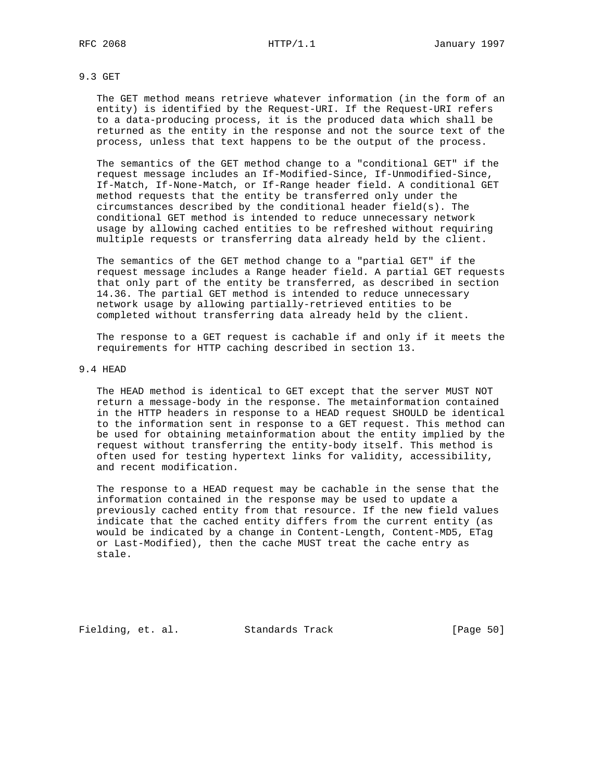# 9.3 GET

 The GET method means retrieve whatever information (in the form of an entity) is identified by the Request-URI. If the Request-URI refers to a data-producing process, it is the produced data which shall be returned as the entity in the response and not the source text of the process, unless that text happens to be the output of the process.

 The semantics of the GET method change to a "conditional GET" if the request message includes an If-Modified-Since, If-Unmodified-Since, If-Match, If-None-Match, or If-Range header field. A conditional GET method requests that the entity be transferred only under the circumstances described by the conditional header field(s). The conditional GET method is intended to reduce unnecessary network usage by allowing cached entities to be refreshed without requiring multiple requests or transferring data already held by the client.

 The semantics of the GET method change to a "partial GET" if the request message includes a Range header field. A partial GET requests that only part of the entity be transferred, as described in section 14.36. The partial GET method is intended to reduce unnecessary network usage by allowing partially-retrieved entities to be completed without transferring data already held by the client.

 The response to a GET request is cachable if and only if it meets the requirements for HTTP caching described in section 13.

### 9.4 HEAD

 The HEAD method is identical to GET except that the server MUST NOT return a message-body in the response. The metainformation contained in the HTTP headers in response to a HEAD request SHOULD be identical to the information sent in response to a GET request. This method can be used for obtaining metainformation about the entity implied by the request without transferring the entity-body itself. This method is often used for testing hypertext links for validity, accessibility, and recent modification.

 The response to a HEAD request may be cachable in the sense that the information contained in the response may be used to update a previously cached entity from that resource. If the new field values indicate that the cached entity differs from the current entity (as would be indicated by a change in Content-Length, Content-MD5, ETag or Last-Modified), then the cache MUST treat the cache entry as stale.

Fielding, et. al. Standards Track [Page 50]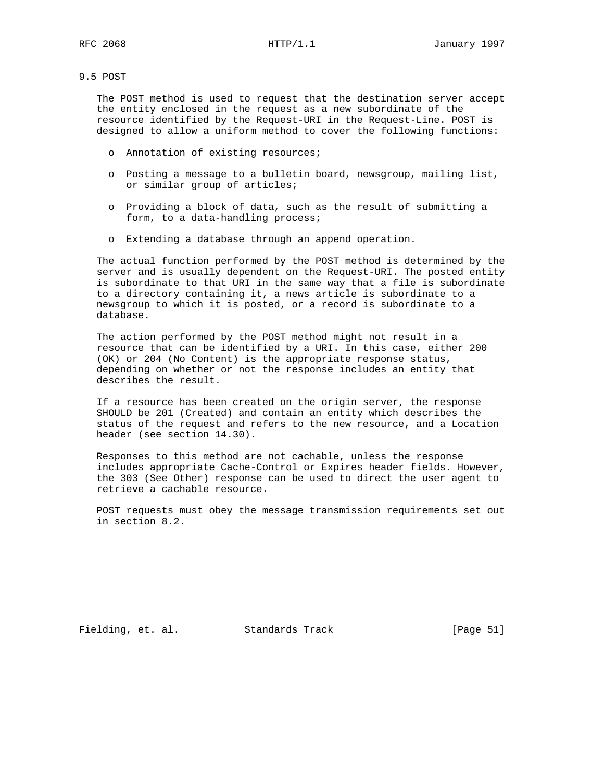# 9.5 POST

 The POST method is used to request that the destination server accept the entity enclosed in the request as a new subordinate of the resource identified by the Request-URI in the Request-Line. POST is designed to allow a uniform method to cover the following functions:

- o Annotation of existing resources;
- o Posting a message to a bulletin board, newsgroup, mailing list, or similar group of articles;
- o Providing a block of data, such as the result of submitting a form, to a data-handling process;
- o Extending a database through an append operation.

 The actual function performed by the POST method is determined by the server and is usually dependent on the Request-URI. The posted entity is subordinate to that URI in the same way that a file is subordinate to a directory containing it, a news article is subordinate to a newsgroup to which it is posted, or a record is subordinate to a database.

 The action performed by the POST method might not result in a resource that can be identified by a URI. In this case, either 200 (OK) or 204 (No Content) is the appropriate response status, depending on whether or not the response includes an entity that describes the result.

 If a resource has been created on the origin server, the response SHOULD be 201 (Created) and contain an entity which describes the status of the request and refers to the new resource, and a Location header (see section 14.30).

 Responses to this method are not cachable, unless the response includes appropriate Cache-Control or Expires header fields. However, the 303 (See Other) response can be used to direct the user agent to retrieve a cachable resource.

 POST requests must obey the message transmission requirements set out in section 8.2.

Fielding, et. al. Standards Track [Page 51]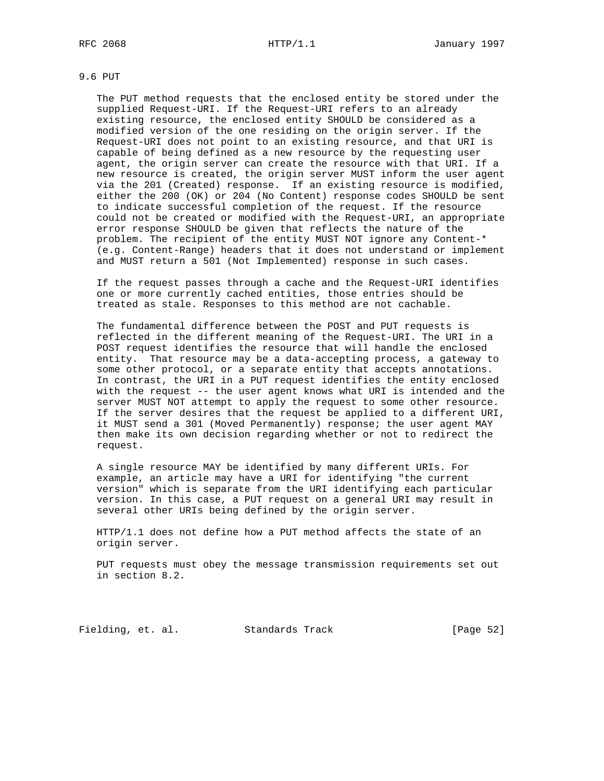## 9.6 PUT

 The PUT method requests that the enclosed entity be stored under the supplied Request-URI. If the Request-URI refers to an already existing resource, the enclosed entity SHOULD be considered as a modified version of the one residing on the origin server. If the Request-URI does not point to an existing resource, and that URI is capable of being defined as a new resource by the requesting user agent, the origin server can create the resource with that URI. If a new resource is created, the origin server MUST inform the user agent via the 201 (Created) response. If an existing resource is modified, either the 200 (OK) or 204 (No Content) response codes SHOULD be sent to indicate successful completion of the request. If the resource could not be created or modified with the Request-URI, an appropriate error response SHOULD be given that reflects the nature of the problem. The recipient of the entity MUST NOT ignore any Content-\* (e.g. Content-Range) headers that it does not understand or implement and MUST return a 501 (Not Implemented) response in such cases.

 If the request passes through a cache and the Request-URI identifies one or more currently cached entities, those entries should be treated as stale. Responses to this method are not cachable.

 The fundamental difference between the POST and PUT requests is reflected in the different meaning of the Request-URI. The URI in a POST request identifies the resource that will handle the enclosed entity. That resource may be a data-accepting process, a gateway to some other protocol, or a separate entity that accepts annotations. In contrast, the URI in a PUT request identifies the entity enclosed with the request -- the user agent knows what URI is intended and the server MUST NOT attempt to apply the request to some other resource. If the server desires that the request be applied to a different URI, it MUST send a 301 (Moved Permanently) response; the user agent MAY then make its own decision regarding whether or not to redirect the request.

 A single resource MAY be identified by many different URIs. For example, an article may have a URI for identifying "the current version" which is separate from the URI identifying each particular version. In this case, a PUT request on a general URI may result in several other URIs being defined by the origin server.

 HTTP/1.1 does not define how a PUT method affects the state of an origin server.

 PUT requests must obey the message transmission requirements set out in section 8.2.

Fielding, et. al. Standards Track [Page 52]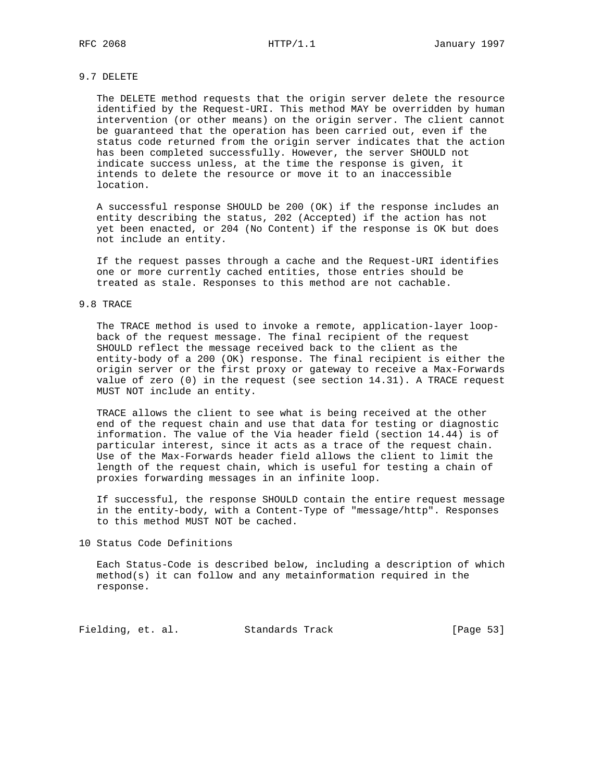# 9.7 DELETE

 The DELETE method requests that the origin server delete the resource identified by the Request-URI. This method MAY be overridden by human intervention (or other means) on the origin server. The client cannot be guaranteed that the operation has been carried out, even if the status code returned from the origin server indicates that the action has been completed successfully. However, the server SHOULD not indicate success unless, at the time the response is given, it intends to delete the resource or move it to an inaccessible location.

 A successful response SHOULD be 200 (OK) if the response includes an entity describing the status, 202 (Accepted) if the action has not yet been enacted, or 204 (No Content) if the response is OK but does not include an entity.

 If the request passes through a cache and the Request-URI identifies one or more currently cached entities, those entries should be treated as stale. Responses to this method are not cachable.

## 9.8 TRACE

 The TRACE method is used to invoke a remote, application-layer loop back of the request message. The final recipient of the request SHOULD reflect the message received back to the client as the entity-body of a 200 (OK) response. The final recipient is either the origin server or the first proxy or gateway to receive a Max-Forwards value of zero (0) in the request (see section 14.31). A TRACE request MUST NOT include an entity.

 TRACE allows the client to see what is being received at the other end of the request chain and use that data for testing or diagnostic information. The value of the Via header field (section 14.44) is of particular interest, since it acts as a trace of the request chain. Use of the Max-Forwards header field allows the client to limit the length of the request chain, which is useful for testing a chain of proxies forwarding messages in an infinite loop.

 If successful, the response SHOULD contain the entire request message in the entity-body, with a Content-Type of "message/http". Responses to this method MUST NOT be cached.

10 Status Code Definitions

 Each Status-Code is described below, including a description of which method(s) it can follow and any metainformation required in the response.

Fielding, et. al. Standards Track [Page 53]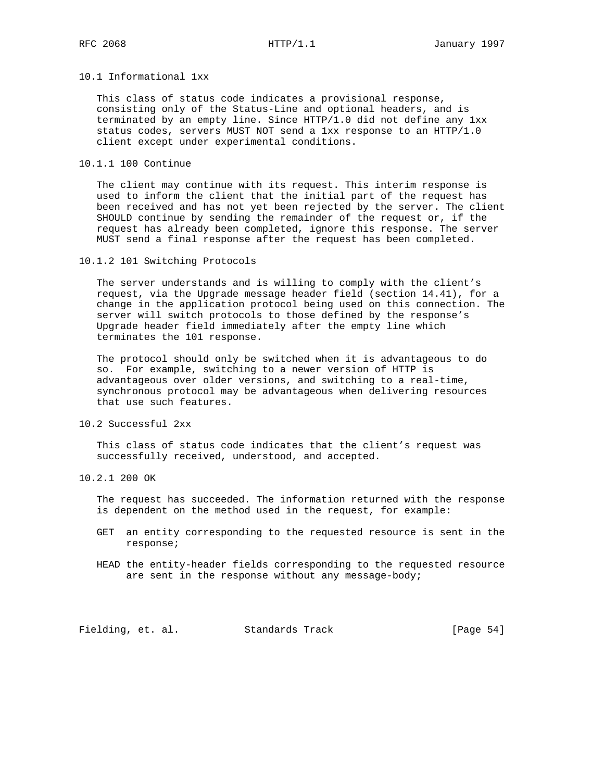# 10.1 Informational 1xx

 This class of status code indicates a provisional response, consisting only of the Status-Line and optional headers, and is terminated by an empty line. Since HTTP/1.0 did not define any 1xx status codes, servers MUST NOT send a 1xx response to an HTTP/1.0 client except under experimental conditions.

# 10.1.1 100 Continue

 The client may continue with its request. This interim response is used to inform the client that the initial part of the request has been received and has not yet been rejected by the server. The client SHOULD continue by sending the remainder of the request or, if the request has already been completed, ignore this response. The server MUST send a final response after the request has been completed.

10.1.2 101 Switching Protocols

 The server understands and is willing to comply with the client's request, via the Upgrade message header field (section 14.41), for a change in the application protocol being used on this connection. The server will switch protocols to those defined by the response's Upgrade header field immediately after the empty line which terminates the 101 response.

 The protocol should only be switched when it is advantageous to do so. For example, switching to a newer version of HTTP is advantageous over older versions, and switching to a real-time, synchronous protocol may be advantageous when delivering resources that use such features.

10.2 Successful 2xx

 This class of status code indicates that the client's request was successfully received, understood, and accepted.

10.2.1 200 OK

 The request has succeeded. The information returned with the response is dependent on the method used in the request, for example:

- GET an entity corresponding to the requested resource is sent in the response;
- HEAD the entity-header fields corresponding to the requested resource are sent in the response without any message-body;

Fielding, et. al. Standards Track [Page 54]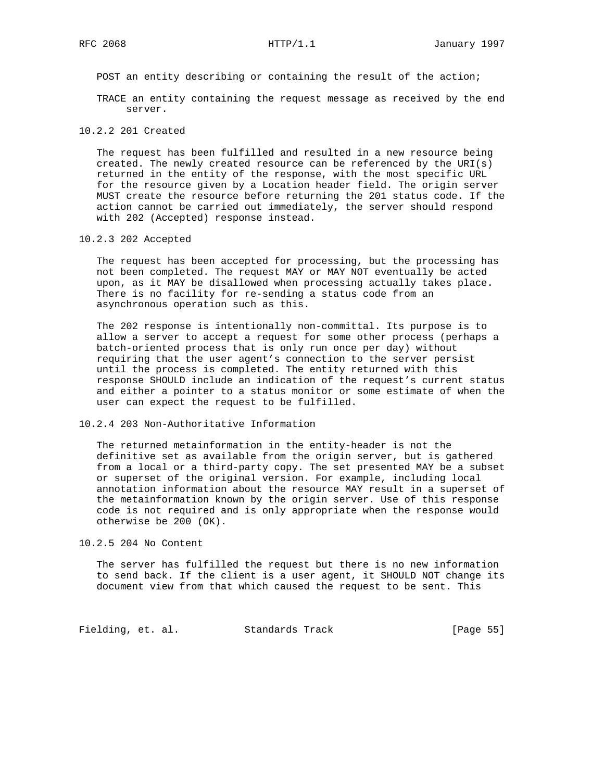POST an entity describing or containing the result of the action;

 TRACE an entity containing the request message as received by the end server.

# 10.2.2 201 Created

 The request has been fulfilled and resulted in a new resource being created. The newly created resource can be referenced by the URI(s) returned in the entity of the response, with the most specific URL for the resource given by a Location header field. The origin server MUST create the resource before returning the 201 status code. If the action cannot be carried out immediately, the server should respond with 202 (Accepted) response instead.

10.2.3 202 Accepted

 The request has been accepted for processing, but the processing has not been completed. The request MAY or MAY NOT eventually be acted upon, as it MAY be disallowed when processing actually takes place. There is no facility for re-sending a status code from an asynchronous operation such as this.

 The 202 response is intentionally non-committal. Its purpose is to allow a server to accept a request for some other process (perhaps a batch-oriented process that is only run once per day) without requiring that the user agent's connection to the server persist until the process is completed. The entity returned with this response SHOULD include an indication of the request's current status and either a pointer to a status monitor or some estimate of when the user can expect the request to be fulfilled.

10.2.4 203 Non-Authoritative Information

 The returned metainformation in the entity-header is not the definitive set as available from the origin server, but is gathered from a local or a third-party copy. The set presented MAY be a subset or superset of the original version. For example, including local annotation information about the resource MAY result in a superset of the metainformation known by the origin server. Use of this response code is not required and is only appropriate when the response would otherwise be 200 (OK).

10.2.5 204 No Content

 The server has fulfilled the request but there is no new information to send back. If the client is a user agent, it SHOULD NOT change its document view from that which caused the request to be sent. This

Fielding, et. al. Standards Track [Page 55]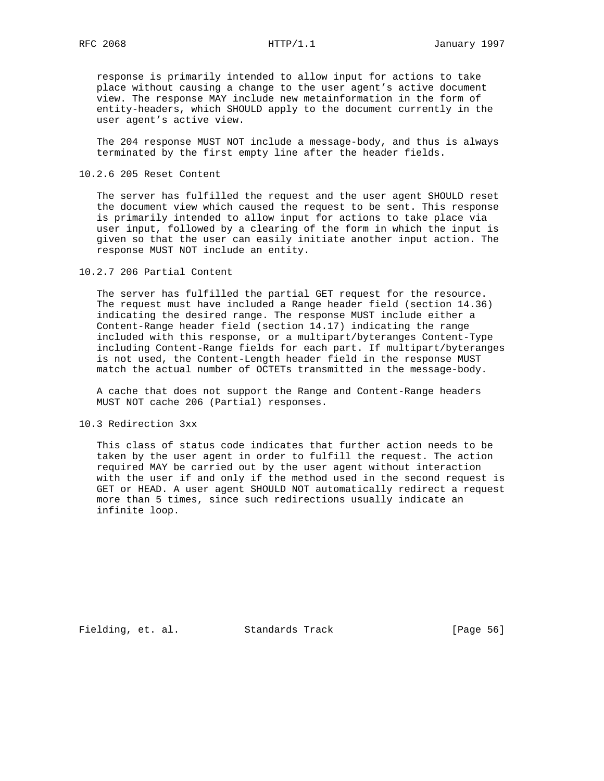response is primarily intended to allow input for actions to take place without causing a change to the user agent's active document view. The response MAY include new metainformation in the form of entity-headers, which SHOULD apply to the document currently in the user agent's active view.

 The 204 response MUST NOT include a message-body, and thus is always terminated by the first empty line after the header fields.

10.2.6 205 Reset Content

 The server has fulfilled the request and the user agent SHOULD reset the document view which caused the request to be sent. This response is primarily intended to allow input for actions to take place via user input, followed by a clearing of the form in which the input is given so that the user can easily initiate another input action. The response MUST NOT include an entity.

10.2.7 206 Partial Content

 The server has fulfilled the partial GET request for the resource. The request must have included a Range header field (section 14.36) indicating the desired range. The response MUST include either a Content-Range header field (section 14.17) indicating the range included with this response, or a multipart/byteranges Content-Type including Content-Range fields for each part. If multipart/byteranges is not used, the Content-Length header field in the response MUST match the actual number of OCTETs transmitted in the message-body.

 A cache that does not support the Range and Content-Range headers MUST NOT cache 206 (Partial) responses.

10.3 Redirection 3xx

 This class of status code indicates that further action needs to be taken by the user agent in order to fulfill the request. The action required MAY be carried out by the user agent without interaction with the user if and only if the method used in the second request is GET or HEAD. A user agent SHOULD NOT automatically redirect a request more than 5 times, since such redirections usually indicate an infinite loop.

Fielding, et. al. Standards Track [Page 56]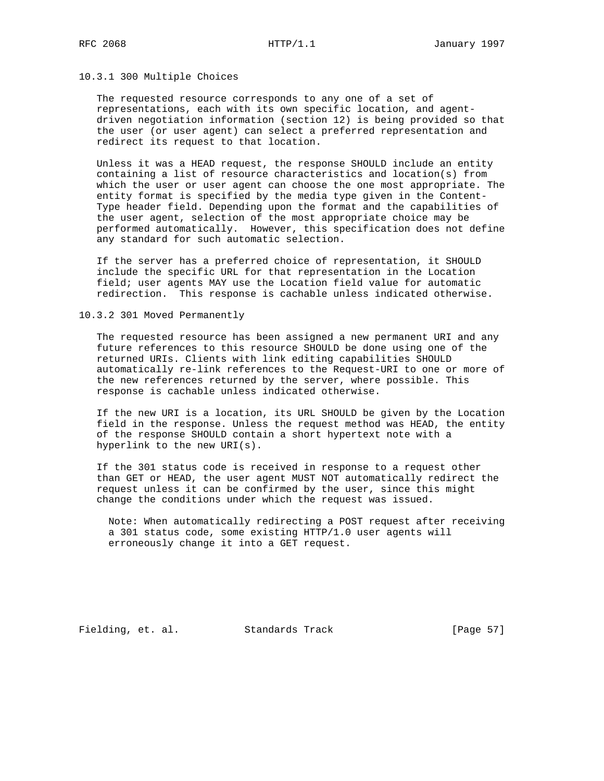## 10.3.1 300 Multiple Choices

 The requested resource corresponds to any one of a set of representations, each with its own specific location, and agent driven negotiation information (section 12) is being provided so that the user (or user agent) can select a preferred representation and redirect its request to that location.

 Unless it was a HEAD request, the response SHOULD include an entity containing a list of resource characteristics and location(s) from which the user or user agent can choose the one most appropriate. The entity format is specified by the media type given in the Content- Type header field. Depending upon the format and the capabilities of the user agent, selection of the most appropriate choice may be performed automatically. However, this specification does not define any standard for such automatic selection.

 If the server has a preferred choice of representation, it SHOULD include the specific URL for that representation in the Location field; user agents MAY use the Location field value for automatic redirection. This response is cachable unless indicated otherwise.

## 10.3.2 301 Moved Permanently

 The requested resource has been assigned a new permanent URI and any future references to this resource SHOULD be done using one of the returned URIs. Clients with link editing capabilities SHOULD automatically re-link references to the Request-URI to one or more of the new references returned by the server, where possible. This response is cachable unless indicated otherwise.

 If the new URI is a location, its URL SHOULD be given by the Location field in the response. Unless the request method was HEAD, the entity of the response SHOULD contain a short hypertext note with a hyperlink to the new URI(s).

 If the 301 status code is received in response to a request other than GET or HEAD, the user agent MUST NOT automatically redirect the request unless it can be confirmed by the user, since this might change the conditions under which the request was issued.

 Note: When automatically redirecting a POST request after receiving a 301 status code, some existing HTTP/1.0 user agents will erroneously change it into a GET request.

Fielding, et. al. Standards Track [Page 57]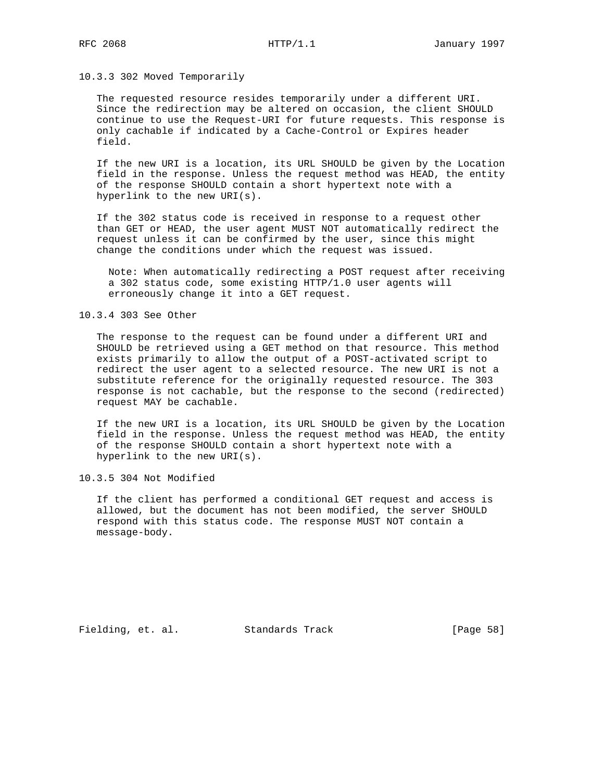## 10.3.3 302 Moved Temporarily

 The requested resource resides temporarily under a different URI. Since the redirection may be altered on occasion, the client SHOULD continue to use the Request-URI for future requests. This response is only cachable if indicated by a Cache-Control or Expires header field.

 If the new URI is a location, its URL SHOULD be given by the Location field in the response. Unless the request method was HEAD, the entity of the response SHOULD contain a short hypertext note with a hyperlink to the new URI(s).

 If the 302 status code is received in response to a request other than GET or HEAD, the user agent MUST NOT automatically redirect the request unless it can be confirmed by the user, since this might change the conditions under which the request was issued.

 Note: When automatically redirecting a POST request after receiving a 302 status code, some existing HTTP/1.0 user agents will erroneously change it into a GET request.

## 10.3.4 303 See Other

 The response to the request can be found under a different URI and SHOULD be retrieved using a GET method on that resource. This method exists primarily to allow the output of a POST-activated script to redirect the user agent to a selected resource. The new URI is not a substitute reference for the originally requested resource. The 303 response is not cachable, but the response to the second (redirected) request MAY be cachable.

 If the new URI is a location, its URL SHOULD be given by the Location field in the response. Unless the request method was HEAD, the entity of the response SHOULD contain a short hypertext note with a hyperlink to the new URI(s).

10.3.5 304 Not Modified

 If the client has performed a conditional GET request and access is allowed, but the document has not been modified, the server SHOULD respond with this status code. The response MUST NOT contain a message-body.

Fielding, et. al. Standards Track [Page 58]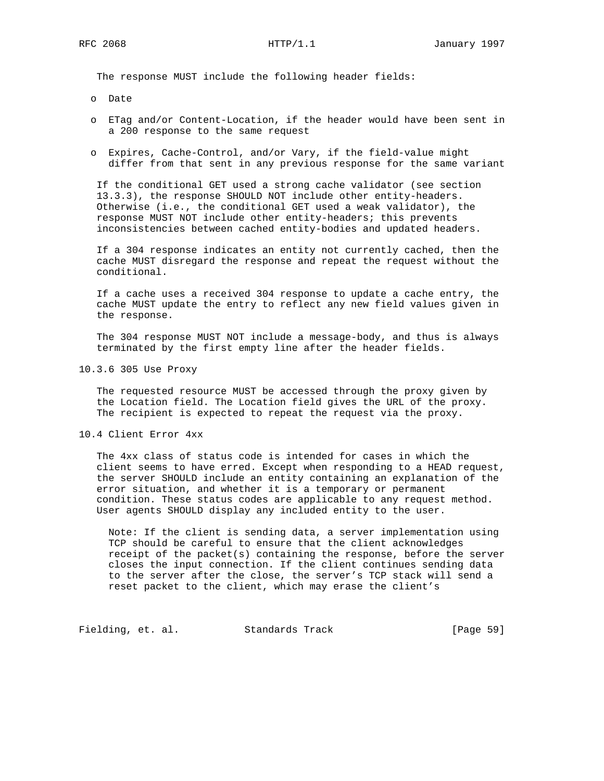The response MUST include the following header fields:

- o Date
- o ETag and/or Content-Location, if the header would have been sent in a 200 response to the same request
- o Expires, Cache-Control, and/or Vary, if the field-value might differ from that sent in any previous response for the same variant

 If the conditional GET used a strong cache validator (see section 13.3.3), the response SHOULD NOT include other entity-headers. Otherwise (i.e., the conditional GET used a weak validator), the response MUST NOT include other entity-headers; this prevents inconsistencies between cached entity-bodies and updated headers.

 If a 304 response indicates an entity not currently cached, then the cache MUST disregard the response and repeat the request without the conditional.

 If a cache uses a received 304 response to update a cache entry, the cache MUST update the entry to reflect any new field values given in the response.

 The 304 response MUST NOT include a message-body, and thus is always terminated by the first empty line after the header fields.

10.3.6 305 Use Proxy

 The requested resource MUST be accessed through the proxy given by the Location field. The Location field gives the URL of the proxy. The recipient is expected to repeat the request via the proxy.

10.4 Client Error 4xx

 The 4xx class of status code is intended for cases in which the client seems to have erred. Except when responding to a HEAD request, the server SHOULD include an entity containing an explanation of the error situation, and whether it is a temporary or permanent condition. These status codes are applicable to any request method. User agents SHOULD display any included entity to the user.

 Note: If the client is sending data, a server implementation using TCP should be careful to ensure that the client acknowledges receipt of the packet(s) containing the response, before the server closes the input connection. If the client continues sending data to the server after the close, the server's TCP stack will send a reset packet to the client, which may erase the client's

Fielding, et. al. Standards Track [Page 59]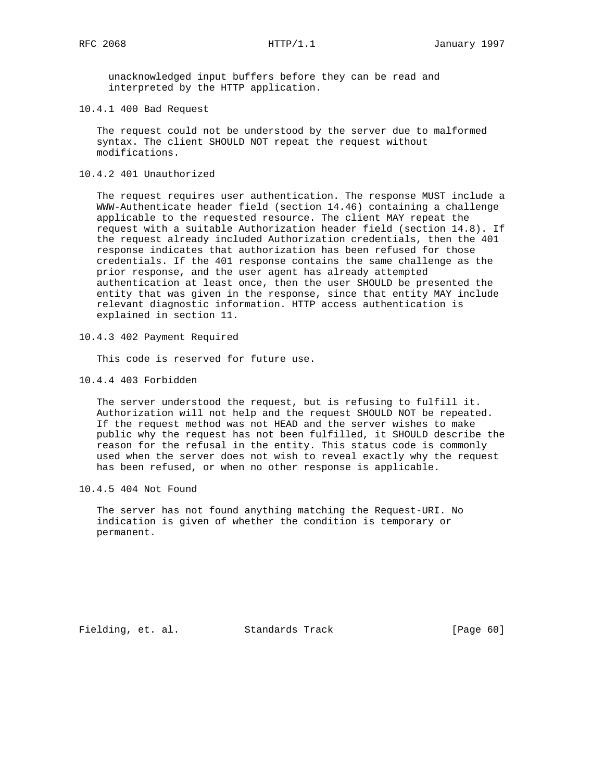unacknowledged input buffers before they can be read and interpreted by the HTTP application.

10.4.1 400 Bad Request

 The request could not be understood by the server due to malformed syntax. The client SHOULD NOT repeat the request without modifications.

10.4.2 401 Unauthorized

 The request requires user authentication. The response MUST include a WWW-Authenticate header field (section 14.46) containing a challenge applicable to the requested resource. The client MAY repeat the request with a suitable Authorization header field (section 14.8). If the request already included Authorization credentials, then the 401 response indicates that authorization has been refused for those credentials. If the 401 response contains the same challenge as the prior response, and the user agent has already attempted authentication at least once, then the user SHOULD be presented the entity that was given in the response, since that entity MAY include relevant diagnostic information. HTTP access authentication is explained in section 11.

10.4.3 402 Payment Required

This code is reserved for future use.

10.4.4 403 Forbidden

 The server understood the request, but is refusing to fulfill it. Authorization will not help and the request SHOULD NOT be repeated. If the request method was not HEAD and the server wishes to make public why the request has not been fulfilled, it SHOULD describe the reason for the refusal in the entity. This status code is commonly used when the server does not wish to reveal exactly why the request has been refused, or when no other response is applicable.

10.4.5 404 Not Found

 The server has not found anything matching the Request-URI. No indication is given of whether the condition is temporary or permanent.

Fielding, et. al. Standards Track [Page 60]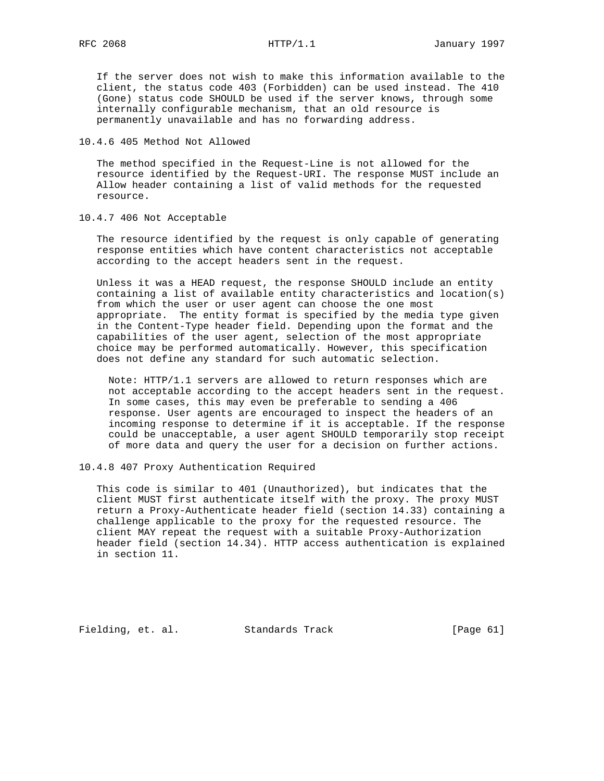If the server does not wish to make this information available to the client, the status code 403 (Forbidden) can be used instead. The 410 (Gone) status code SHOULD be used if the server knows, through some internally configurable mechanism, that an old resource is permanently unavailable and has no forwarding address.

# 10.4.6 405 Method Not Allowed

 The method specified in the Request-Line is not allowed for the resource identified by the Request-URI. The response MUST include an Allow header containing a list of valid methods for the requested resource.

10.4.7 406 Not Acceptable

 The resource identified by the request is only capable of generating response entities which have content characteristics not acceptable according to the accept headers sent in the request.

 Unless it was a HEAD request, the response SHOULD include an entity containing a list of available entity characteristics and location(s) from which the user or user agent can choose the one most appropriate. The entity format is specified by the media type given in the Content-Type header field. Depending upon the format and the capabilities of the user agent, selection of the most appropriate choice may be performed automatically. However, this specification does not define any standard for such automatic selection.

 Note: HTTP/1.1 servers are allowed to return responses which are not acceptable according to the accept headers sent in the request. In some cases, this may even be preferable to sending a 406 response. User agents are encouraged to inspect the headers of an incoming response to determine if it is acceptable. If the response could be unacceptable, a user agent SHOULD temporarily stop receipt of more data and query the user for a decision on further actions.

10.4.8 407 Proxy Authentication Required

 This code is similar to 401 (Unauthorized), but indicates that the client MUST first authenticate itself with the proxy. The proxy MUST return a Proxy-Authenticate header field (section 14.33) containing a challenge applicable to the proxy for the requested resource. The client MAY repeat the request with a suitable Proxy-Authorization header field (section 14.34). HTTP access authentication is explained in section 11.

Fielding, et. al. Standards Track [Page 61]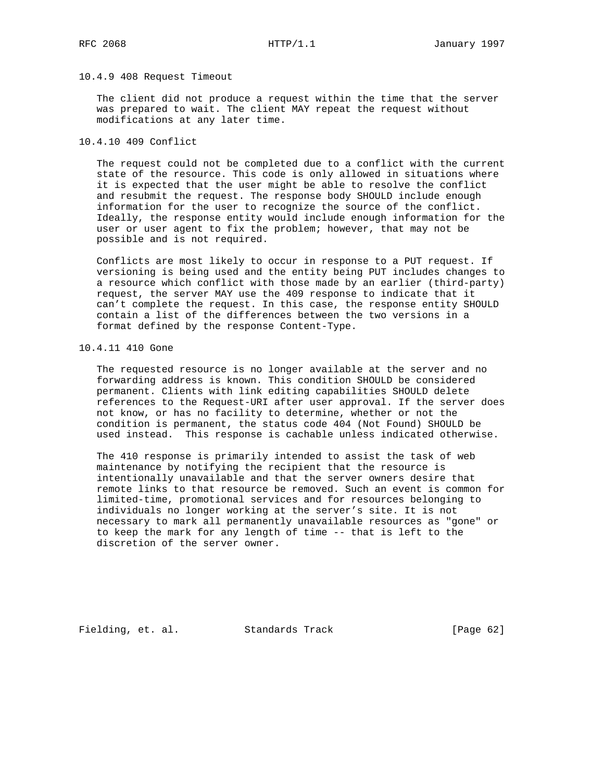## 10.4.9 408 Request Timeout

 The client did not produce a request within the time that the server was prepared to wait. The client MAY repeat the request without modifications at any later time.

## 10.4.10 409 Conflict

 The request could not be completed due to a conflict with the current state of the resource. This code is only allowed in situations where it is expected that the user might be able to resolve the conflict and resubmit the request. The response body SHOULD include enough information for the user to recognize the source of the conflict. Ideally, the response entity would include enough information for the user or user agent to fix the problem; however, that may not be possible and is not required.

 Conflicts are most likely to occur in response to a PUT request. If versioning is being used and the entity being PUT includes changes to a resource which conflict with those made by an earlier (third-party) request, the server MAY use the 409 response to indicate that it can't complete the request. In this case, the response entity SHOULD contain a list of the differences between the two versions in a format defined by the response Content-Type.

## 10.4.11 410 Gone

 The requested resource is no longer available at the server and no forwarding address is known. This condition SHOULD be considered permanent. Clients with link editing capabilities SHOULD delete references to the Request-URI after user approval. If the server does not know, or has no facility to determine, whether or not the condition is permanent, the status code 404 (Not Found) SHOULD be used instead. This response is cachable unless indicated otherwise.

 The 410 response is primarily intended to assist the task of web maintenance by notifying the recipient that the resource is intentionally unavailable and that the server owners desire that remote links to that resource be removed. Such an event is common for limited-time, promotional services and for resources belonging to individuals no longer working at the server's site. It is not necessary to mark all permanently unavailable resources as "gone" or to keep the mark for any length of time -- that is left to the discretion of the server owner.

Fielding, et. al. Standards Track [Page 62]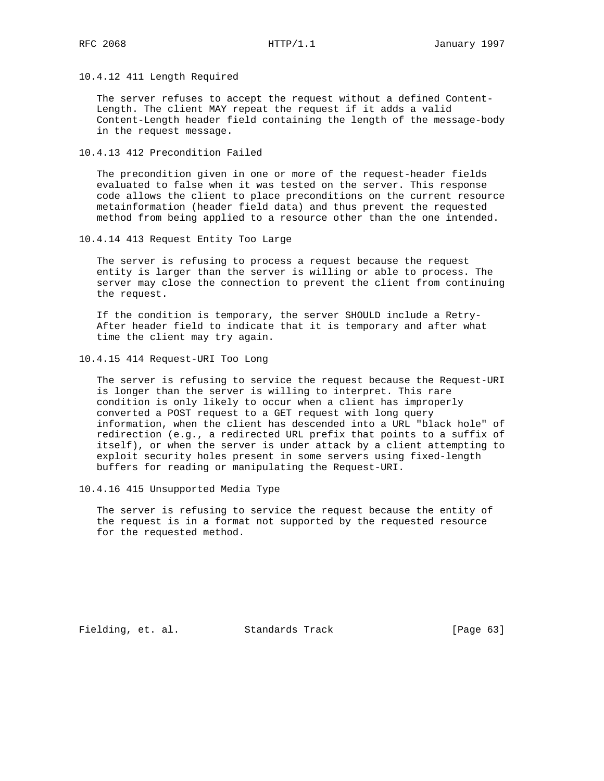10.4.12 411 Length Required

 The server refuses to accept the request without a defined Content- Length. The client MAY repeat the request if it adds a valid Content-Length header field containing the length of the message-body in the request message.

10.4.13 412 Precondition Failed

 The precondition given in one or more of the request-header fields evaluated to false when it was tested on the server. This response code allows the client to place preconditions on the current resource metainformation (header field data) and thus prevent the requested method from being applied to a resource other than the one intended.

10.4.14 413 Request Entity Too Large

 The server is refusing to process a request because the request entity is larger than the server is willing or able to process. The server may close the connection to prevent the client from continuing the request.

 If the condition is temporary, the server SHOULD include a Retry- After header field to indicate that it is temporary and after what time the client may try again.

10.4.15 414 Request-URI Too Long

 The server is refusing to service the request because the Request-URI is longer than the server is willing to interpret. This rare condition is only likely to occur when a client has improperly converted a POST request to a GET request with long query information, when the client has descended into a URL "black hole" of redirection (e.g., a redirected URL prefix that points to a suffix of itself), or when the server is under attack by a client attempting to exploit security holes present in some servers using fixed-length buffers for reading or manipulating the Request-URI.

10.4.16 415 Unsupported Media Type

 The server is refusing to service the request because the entity of the request is in a format not supported by the requested resource for the requested method.

Fielding, et. al. Standards Track [Page 63]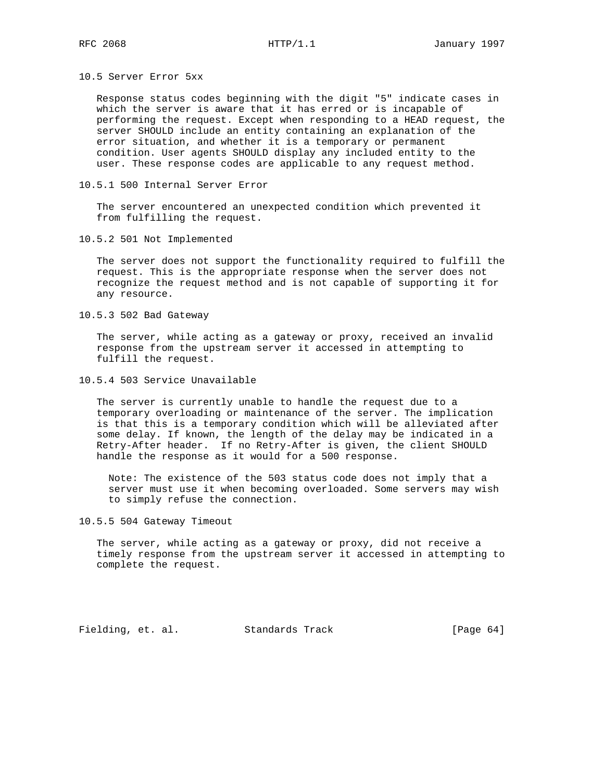10.5 Server Error 5xx

 Response status codes beginning with the digit "5" indicate cases in which the server is aware that it has erred or is incapable of performing the request. Except when responding to a HEAD request, the server SHOULD include an entity containing an explanation of the error situation, and whether it is a temporary or permanent condition. User agents SHOULD display any included entity to the user. These response codes are applicable to any request method.

10.5.1 500 Internal Server Error

 The server encountered an unexpected condition which prevented it from fulfilling the request.

10.5.2 501 Not Implemented

 The server does not support the functionality required to fulfill the request. This is the appropriate response when the server does not recognize the request method and is not capable of supporting it for any resource.

10.5.3 502 Bad Gateway

 The server, while acting as a gateway or proxy, received an invalid response from the upstream server it accessed in attempting to fulfill the request.

10.5.4 503 Service Unavailable

 The server is currently unable to handle the request due to a temporary overloading or maintenance of the server. The implication is that this is a temporary condition which will be alleviated after some delay. If known, the length of the delay may be indicated in a Retry-After header. If no Retry-After is given, the client SHOULD handle the response as it would for a 500 response.

 Note: The existence of the 503 status code does not imply that a server must use it when becoming overloaded. Some servers may wish to simply refuse the connection.

10.5.5 504 Gateway Timeout

 The server, while acting as a gateway or proxy, did not receive a timely response from the upstream server it accessed in attempting to complete the request.

Fielding, et. al. Standards Track [Page 64]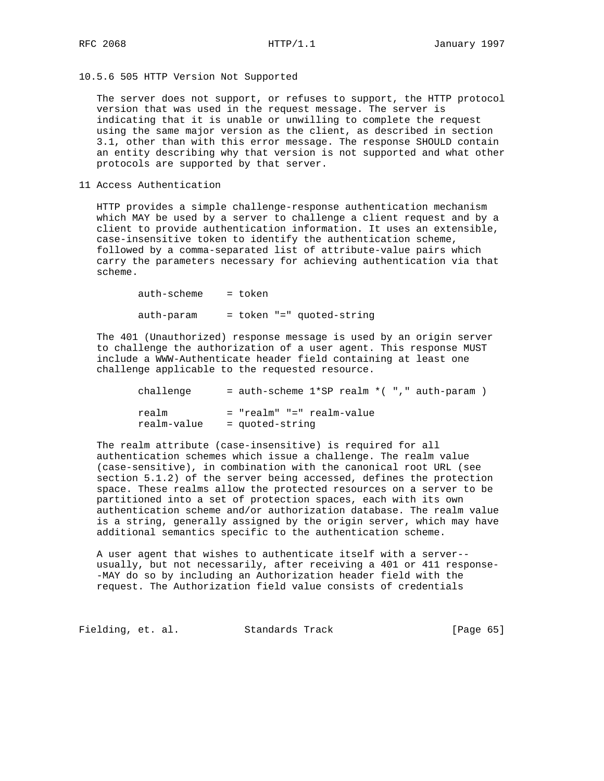10.5.6 505 HTTP Version Not Supported

 The server does not support, or refuses to support, the HTTP protocol version that was used in the request message. The server is indicating that it is unable or unwilling to complete the request using the same major version as the client, as described in section 3.1, other than with this error message. The response SHOULD contain an entity describing why that version is not supported and what other protocols are supported by that server.

11 Access Authentication

 HTTP provides a simple challenge-response authentication mechanism which MAY be used by a server to challenge a client request and by a client to provide authentication information. It uses an extensible, case-insensitive token to identify the authentication scheme, followed by a comma-separated list of attribute-value pairs which carry the parameters necessary for achieving authentication via that scheme.

 auth-scheme = token auth-param = token "=" quoted-string

 The 401 (Unauthorized) response message is used by an origin server to challenge the authorization of a user agent. This response MUST include a WWW-Authenticate header field containing at least one challenge applicable to the requested resource.

| challenge   | = $auth-scheme 1*SP realm * ( " , " author-param )$ |
|-------------|-----------------------------------------------------|
| realm       | = "realm" "=" realm-value                           |
| realm-value | = quoted-string                                     |

 The realm attribute (case-insensitive) is required for all authentication schemes which issue a challenge. The realm value (case-sensitive), in combination with the canonical root URL (see section 5.1.2) of the server being accessed, defines the protection space. These realms allow the protected resources on a server to be partitioned into a set of protection spaces, each with its own authentication scheme and/or authorization database. The realm value is a string, generally assigned by the origin server, which may have additional semantics specific to the authentication scheme.

 A user agent that wishes to authenticate itself with a server- usually, but not necessarily, after receiving a 401 or 411 response- -MAY do so by including an Authorization header field with the request. The Authorization field value consists of credentials

Fielding, et. al. Standards Track [Page 65]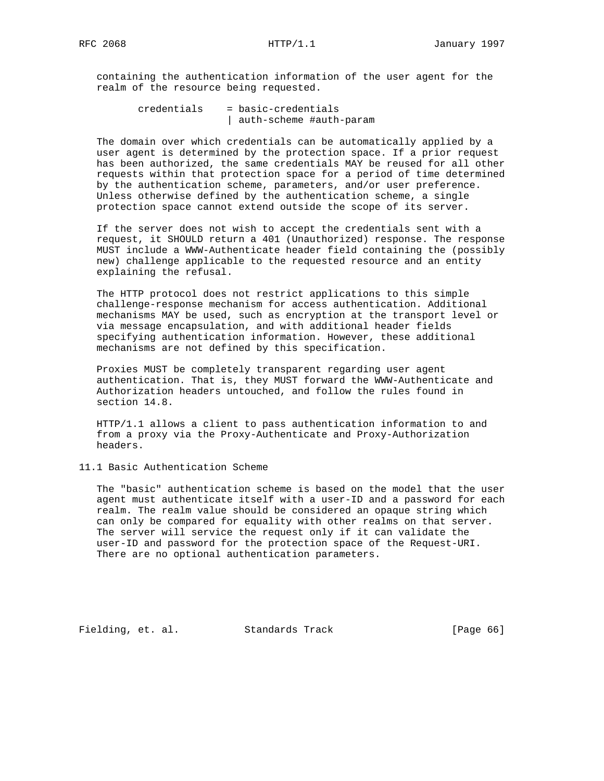containing the authentication information of the user agent for the realm of the resource being requested.

```
 credentials = basic-credentials
   | auth-scheme #auth-param
```
 The domain over which credentials can be automatically applied by a user agent is determined by the protection space. If a prior request has been authorized, the same credentials MAY be reused for all other requests within that protection space for a period of time determined by the authentication scheme, parameters, and/or user preference. Unless otherwise defined by the authentication scheme, a single protection space cannot extend outside the scope of its server.

 If the server does not wish to accept the credentials sent with a request, it SHOULD return a 401 (Unauthorized) response. The response MUST include a WWW-Authenticate header field containing the (possibly new) challenge applicable to the requested resource and an entity explaining the refusal.

 The HTTP protocol does not restrict applications to this simple challenge-response mechanism for access authentication. Additional mechanisms MAY be used, such as encryption at the transport level or via message encapsulation, and with additional header fields specifying authentication information. However, these additional mechanisms are not defined by this specification.

 Proxies MUST be completely transparent regarding user agent authentication. That is, they MUST forward the WWW-Authenticate and Authorization headers untouched, and follow the rules found in section 14.8.

 HTTP/1.1 allows a client to pass authentication information to and from a proxy via the Proxy-Authenticate and Proxy-Authorization headers.

11.1 Basic Authentication Scheme

 The "basic" authentication scheme is based on the model that the user agent must authenticate itself with a user-ID and a password for each realm. The realm value should be considered an opaque string which can only be compared for equality with other realms on that server. The server will service the request only if it can validate the user-ID and password for the protection space of the Request-URI. There are no optional authentication parameters.

Fielding, et. al. Standards Track [Page 66]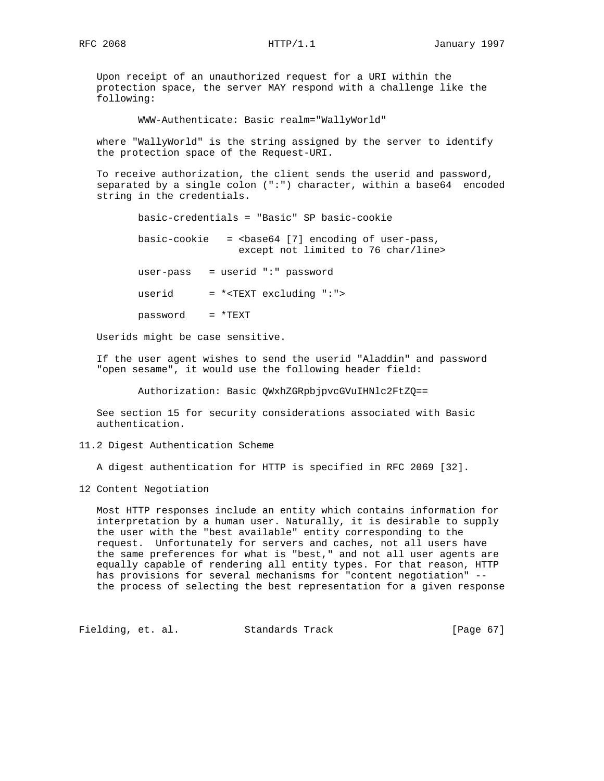Upon receipt of an unauthorized request for a URI within the protection space, the server MAY respond with a challenge like the following:

WWW-Authenticate: Basic realm="WallyWorld"

 where "WallyWorld" is the string assigned by the server to identify the protection space of the Request-URI.

 To receive authorization, the client sends the userid and password, separated by a single colon (":") character, within a base64 encoded string in the credentials.

> basic-credentials = "Basic" SP basic-cookie  $basic-cookie$  =  $$  except not limited to 76 char/line> user-pass = userid ":" password userid = \*<TEXT excluding ":"> password = \*TEXT

Userids might be case sensitive.

 If the user agent wishes to send the userid "Aladdin" and password "open sesame", it would use the following header field:

Authorization: Basic QWxhZGRpbjpvcGVuIHNlc2FtZQ==

 See section 15 for security considerations associated with Basic authentication.

11.2 Digest Authentication Scheme

A digest authentication for HTTP is specified in RFC 2069 [32].

12 Content Negotiation

 Most HTTP responses include an entity which contains information for interpretation by a human user. Naturally, it is desirable to supply the user with the "best available" entity corresponding to the request. Unfortunately for servers and caches, not all users have the same preferences for what is "best," and not all user agents are equally capable of rendering all entity types. For that reason, HTTP has provisions for several mechanisms for "content negotiation" - the process of selecting the best representation for a given response

Fielding, et. al. Standards Track [Page 67]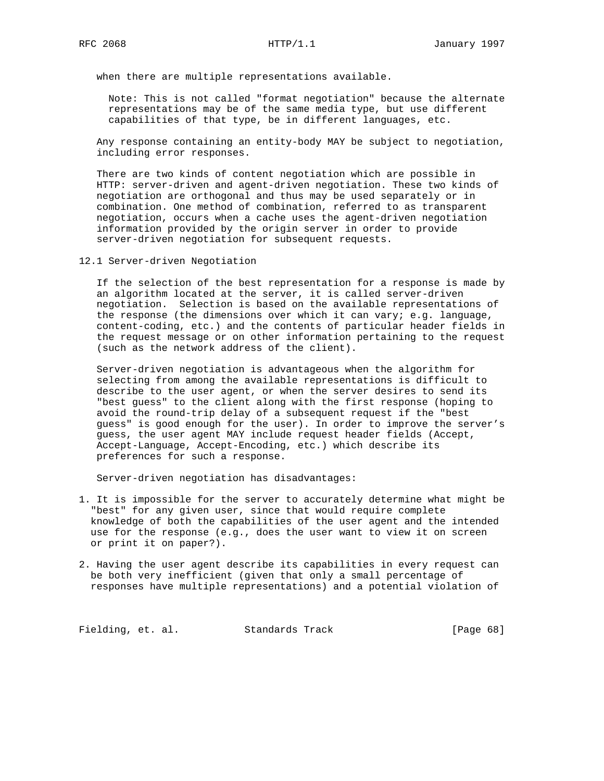when there are multiple representations available.

 Note: This is not called "format negotiation" because the alternate representations may be of the same media type, but use different capabilities of that type, be in different languages, etc.

 Any response containing an entity-body MAY be subject to negotiation, including error responses.

 There are two kinds of content negotiation which are possible in HTTP: server-driven and agent-driven negotiation. These two kinds of negotiation are orthogonal and thus may be used separately or in combination. One method of combination, referred to as transparent negotiation, occurs when a cache uses the agent-driven negotiation information provided by the origin server in order to provide server-driven negotiation for subsequent requests.

12.1 Server-driven Negotiation

 If the selection of the best representation for a response is made by an algorithm located at the server, it is called server-driven negotiation. Selection is based on the available representations of the response (the dimensions over which it can vary; e.g. language, content-coding, etc.) and the contents of particular header fields in the request message or on other information pertaining to the request (such as the network address of the client).

 Server-driven negotiation is advantageous when the algorithm for selecting from among the available representations is difficult to describe to the user agent, or when the server desires to send its "best guess" to the client along with the first response (hoping to avoid the round-trip delay of a subsequent request if the "best guess" is good enough for the user). In order to improve the server's guess, the user agent MAY include request header fields (Accept, Accept-Language, Accept-Encoding, etc.) which describe its preferences for such a response.

Server-driven negotiation has disadvantages:

- 1. It is impossible for the server to accurately determine what might be "best" for any given user, since that would require complete knowledge of both the capabilities of the user agent and the intended use for the response (e.g., does the user want to view it on screen or print it on paper?).
- 2. Having the user agent describe its capabilities in every request can be both very inefficient (given that only a small percentage of responses have multiple representations) and a potential violation of

Fielding, et. al. Standards Track [Page 68]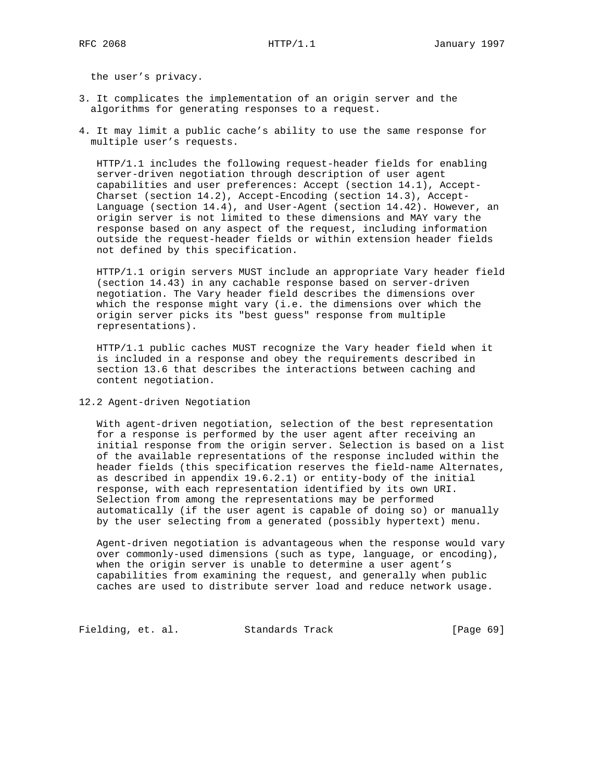the user's privacy.

- 3. It complicates the implementation of an origin server and the algorithms for generating responses to a request.
- 4. It may limit a public cache's ability to use the same response for multiple user's requests.

 HTTP/1.1 includes the following request-header fields for enabling server-driven negotiation through description of user agent capabilities and user preferences: Accept (section 14.1), Accept- Charset (section 14.2), Accept-Encoding (section 14.3), Accept- Language (section 14.4), and User-Agent (section 14.42). However, an origin server is not limited to these dimensions and MAY vary the response based on any aspect of the request, including information outside the request-header fields or within extension header fields not defined by this specification.

 HTTP/1.1 origin servers MUST include an appropriate Vary header field (section 14.43) in any cachable response based on server-driven negotiation. The Vary header field describes the dimensions over which the response might vary (i.e. the dimensions over which the origin server picks its "best guess" response from multiple representations).

 HTTP/1.1 public caches MUST recognize the Vary header field when it is included in a response and obey the requirements described in section 13.6 that describes the interactions between caching and content negotiation.

12.2 Agent-driven Negotiation

 With agent-driven negotiation, selection of the best representation for a response is performed by the user agent after receiving an initial response from the origin server. Selection is based on a list of the available representations of the response included within the header fields (this specification reserves the field-name Alternates, as described in appendix 19.6.2.1) or entity-body of the initial response, with each representation identified by its own URI. Selection from among the representations may be performed automatically (if the user agent is capable of doing so) or manually by the user selecting from a generated (possibly hypertext) menu.

 Agent-driven negotiation is advantageous when the response would vary over commonly-used dimensions (such as type, language, or encoding), when the origin server is unable to determine a user agent's capabilities from examining the request, and generally when public caches are used to distribute server load and reduce network usage.

Fielding, et. al. Standards Track [Page 69]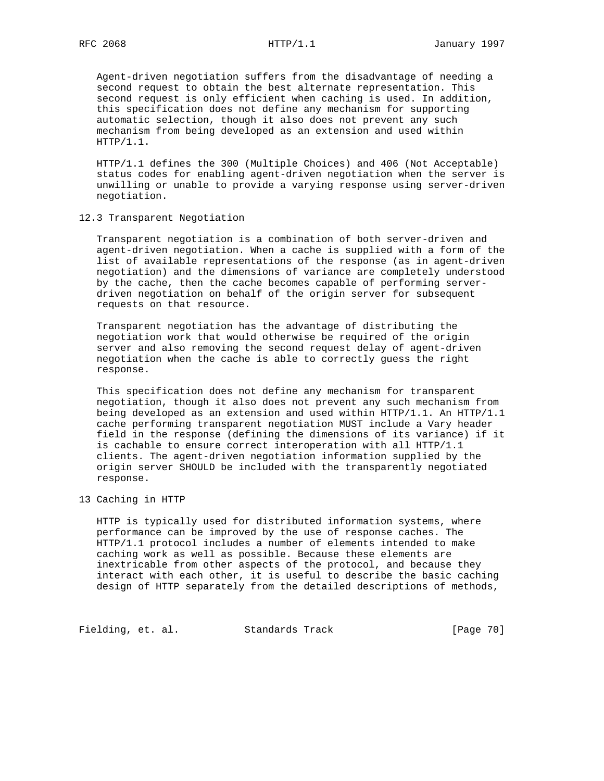Agent-driven negotiation suffers from the disadvantage of needing a second request to obtain the best alternate representation. This second request is only efficient when caching is used. In addition, this specification does not define any mechanism for supporting automatic selection, though it also does not prevent any such mechanism from being developed as an extension and used within HTTP/1.1.

 HTTP/1.1 defines the 300 (Multiple Choices) and 406 (Not Acceptable) status codes for enabling agent-driven negotiation when the server is unwilling or unable to provide a varying response using server-driven negotiation.

12.3 Transparent Negotiation

 Transparent negotiation is a combination of both server-driven and agent-driven negotiation. When a cache is supplied with a form of the list of available representations of the response (as in agent-driven negotiation) and the dimensions of variance are completely understood by the cache, then the cache becomes capable of performing server driven negotiation on behalf of the origin server for subsequent requests on that resource.

 Transparent negotiation has the advantage of distributing the negotiation work that would otherwise be required of the origin server and also removing the second request delay of agent-driven negotiation when the cache is able to correctly guess the right response.

 This specification does not define any mechanism for transparent negotiation, though it also does not prevent any such mechanism from being developed as an extension and used within HTTP/1.1. An HTTP/1.1 cache performing transparent negotiation MUST include a Vary header field in the response (defining the dimensions of its variance) if it is cachable to ensure correct interoperation with all HTTP/1.1 clients. The agent-driven negotiation information supplied by the origin server SHOULD be included with the transparently negotiated response.

### 13 Caching in HTTP

 HTTP is typically used for distributed information systems, where performance can be improved by the use of response caches. The HTTP/1.1 protocol includes a number of elements intended to make caching work as well as possible. Because these elements are inextricable from other aspects of the protocol, and because they interact with each other, it is useful to describe the basic caching design of HTTP separately from the detailed descriptions of methods,

Fielding, et. al. Standards Track [Page 70]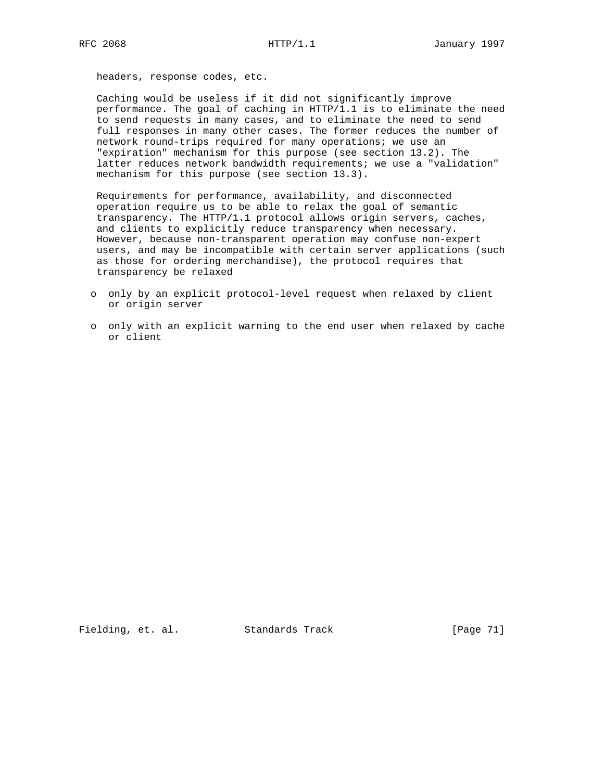headers, response codes, etc.

 Caching would be useless if it did not significantly improve performance. The goal of caching in HTTP/1.1 is to eliminate the need to send requests in many cases, and to eliminate the need to send full responses in many other cases. The former reduces the number of network round-trips required for many operations; we use an "expiration" mechanism for this purpose (see section 13.2). The latter reduces network bandwidth requirements; we use a "validation" mechanism for this purpose (see section 13.3).

 Requirements for performance, availability, and disconnected operation require us to be able to relax the goal of semantic transparency. The HTTP/1.1 protocol allows origin servers, caches, and clients to explicitly reduce transparency when necessary. However, because non-transparent operation may confuse non-expert users, and may be incompatible with certain server applications (such as those for ordering merchandise), the protocol requires that transparency be relaxed

- o only by an explicit protocol-level request when relaxed by client or origin server
- o only with an explicit warning to the end user when relaxed by cache or client

Fielding, et. al. Standards Track [Page 71]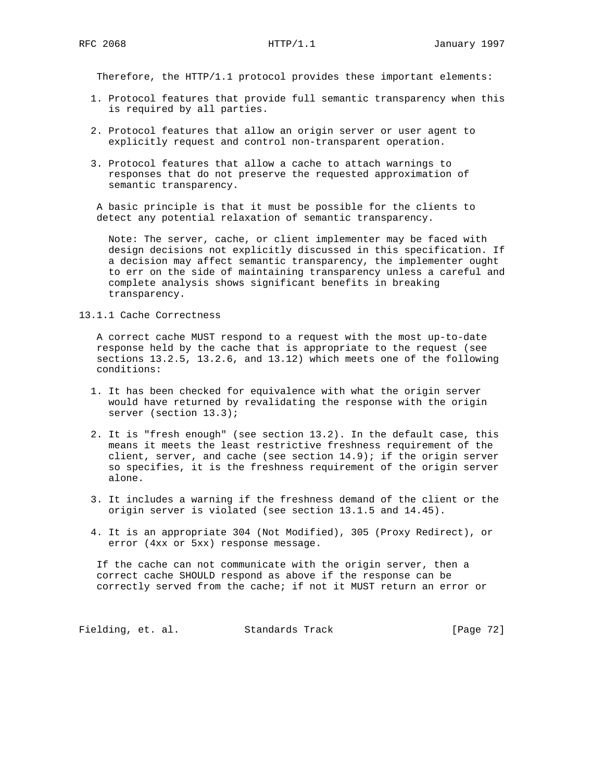Therefore, the HTTP/1.1 protocol provides these important elements:

- 1. Protocol features that provide full semantic transparency when this is required by all parties.
- 2. Protocol features that allow an origin server or user agent to explicitly request and control non-transparent operation.
- 3. Protocol features that allow a cache to attach warnings to responses that do not preserve the requested approximation of semantic transparency.

 A basic principle is that it must be possible for the clients to detect any potential relaxation of semantic transparency.

 Note: The server, cache, or client implementer may be faced with design decisions not explicitly discussed in this specification. If a decision may affect semantic transparency, the implementer ought to err on the side of maintaining transparency unless a careful and complete analysis shows significant benefits in breaking transparency.

13.1.1 Cache Correctness

 A correct cache MUST respond to a request with the most up-to-date response held by the cache that is appropriate to the request (see sections 13.2.5, 13.2.6, and 13.12) which meets one of the following conditions:

- 1. It has been checked for equivalence with what the origin server would have returned by revalidating the response with the origin server (section 13.3);
- 2. It is "fresh enough" (see section 13.2). In the default case, this means it meets the least restrictive freshness requirement of the client, server, and cache (see section  $14.9$ ); if the origin server so specifies, it is the freshness requirement of the origin server alone.
- 3. It includes a warning if the freshness demand of the client or the origin server is violated (see section 13.1.5 and 14.45).
- 4. It is an appropriate 304 (Not Modified), 305 (Proxy Redirect), or error (4xx or 5xx) response message.

 If the cache can not communicate with the origin server, then a correct cache SHOULD respond as above if the response can be correctly served from the cache; if not it MUST return an error or

Fielding, et. al. Standards Track [Page 72]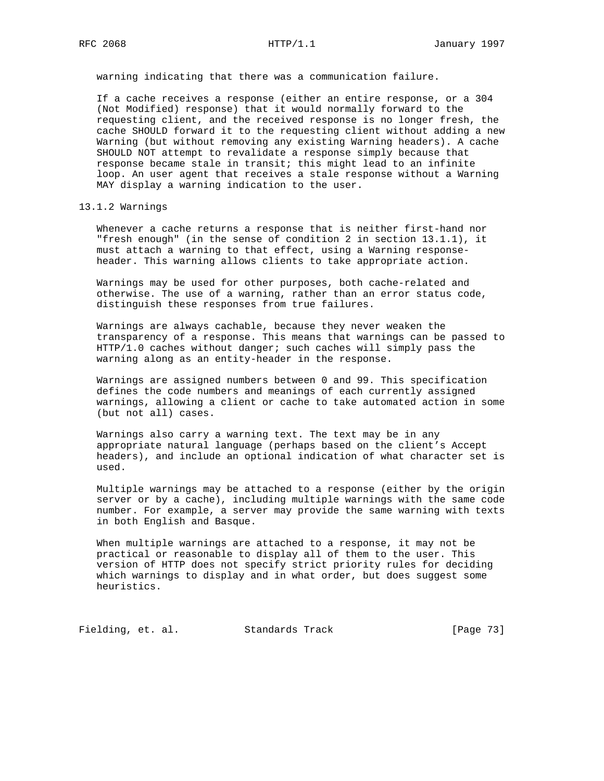warning indicating that there was a communication failure.

 If a cache receives a response (either an entire response, or a 304 (Not Modified) response) that it would normally forward to the requesting client, and the received response is no longer fresh, the cache SHOULD forward it to the requesting client without adding a new Warning (but without removing any existing Warning headers). A cache SHOULD NOT attempt to revalidate a response simply because that response became stale in transit; this might lead to an infinite loop. An user agent that receives a stale response without a Warning MAY display a warning indication to the user.

13.1.2 Warnings

 Whenever a cache returns a response that is neither first-hand nor "fresh enough" (in the sense of condition 2 in section 13.1.1), it must attach a warning to that effect, using a Warning response header. This warning allows clients to take appropriate action.

 Warnings may be used for other purposes, both cache-related and otherwise. The use of a warning, rather than an error status code, distinguish these responses from true failures.

 Warnings are always cachable, because they never weaken the transparency of a response. This means that warnings can be passed to HTTP/1.0 caches without danger; such caches will simply pass the warning along as an entity-header in the response.

 Warnings are assigned numbers between 0 and 99. This specification defines the code numbers and meanings of each currently assigned warnings, allowing a client or cache to take automated action in some (but not all) cases.

 Warnings also carry a warning text. The text may be in any appropriate natural language (perhaps based on the client's Accept headers), and include an optional indication of what character set is used.

 Multiple warnings may be attached to a response (either by the origin server or by a cache), including multiple warnings with the same code number. For example, a server may provide the same warning with texts in both English and Basque.

 When multiple warnings are attached to a response, it may not be practical or reasonable to display all of them to the user. This version of HTTP does not specify strict priority rules for deciding which warnings to display and in what order, but does suggest some heuristics.

Fielding, et. al. Standards Track [Page 73]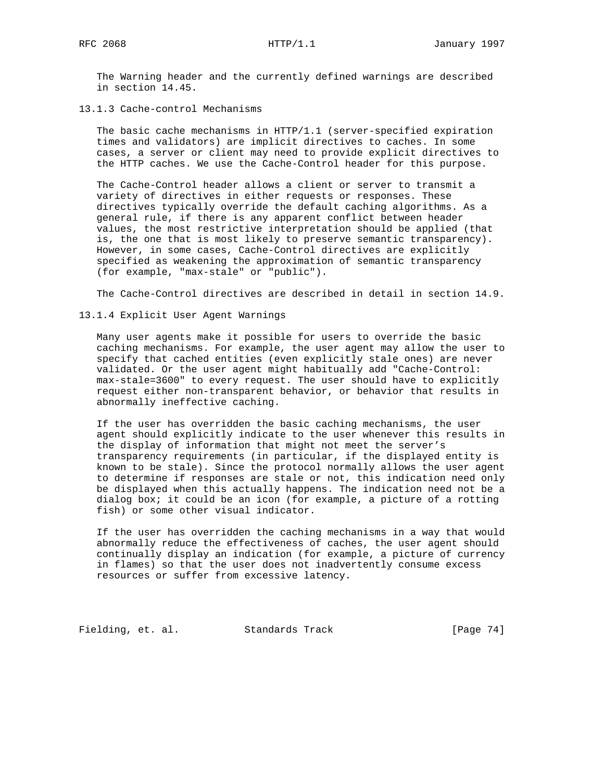The Warning header and the currently defined warnings are described in section 14.45.

13.1.3 Cache-control Mechanisms

 The basic cache mechanisms in HTTP/1.1 (server-specified expiration times and validators) are implicit directives to caches. In some cases, a server or client may need to provide explicit directives to the HTTP caches. We use the Cache-Control header for this purpose.

 The Cache-Control header allows a client or server to transmit a variety of directives in either requests or responses. These directives typically override the default caching algorithms. As a general rule, if there is any apparent conflict between header values, the most restrictive interpretation should be applied (that is, the one that is most likely to preserve semantic transparency). However, in some cases, Cache-Control directives are explicitly specified as weakening the approximation of semantic transparency (for example, "max-stale" or "public").

The Cache-Control directives are described in detail in section 14.9.

13.1.4 Explicit User Agent Warnings

 Many user agents make it possible for users to override the basic caching mechanisms. For example, the user agent may allow the user to specify that cached entities (even explicitly stale ones) are never validated. Or the user agent might habitually add "Cache-Control: max-stale=3600" to every request. The user should have to explicitly request either non-transparent behavior, or behavior that results in abnormally ineffective caching.

 If the user has overridden the basic caching mechanisms, the user agent should explicitly indicate to the user whenever this results in the display of information that might not meet the server's transparency requirements (in particular, if the displayed entity is known to be stale). Since the protocol normally allows the user agent to determine if responses are stale or not, this indication need only be displayed when this actually happens. The indication need not be a dialog box; it could be an icon (for example, a picture of a rotting fish) or some other visual indicator.

 If the user has overridden the caching mechanisms in a way that would abnormally reduce the effectiveness of caches, the user agent should continually display an indication (for example, a picture of currency in flames) so that the user does not inadvertently consume excess resources or suffer from excessive latency.

Fielding, et. al. Standards Track [Page 74]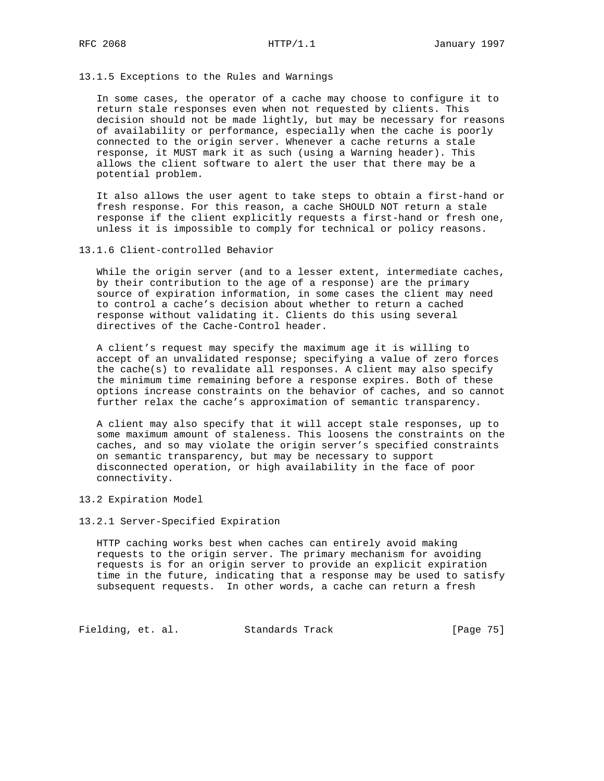### 13.1.5 Exceptions to the Rules and Warnings

 In some cases, the operator of a cache may choose to configure it to return stale responses even when not requested by clients. This decision should not be made lightly, but may be necessary for reasons of availability or performance, especially when the cache is poorly connected to the origin server. Whenever a cache returns a stale response, it MUST mark it as such (using a Warning header). This allows the client software to alert the user that there may be a potential problem.

 It also allows the user agent to take steps to obtain a first-hand or fresh response. For this reason, a cache SHOULD NOT return a stale response if the client explicitly requests a first-hand or fresh one, unless it is impossible to comply for technical or policy reasons.

13.1.6 Client-controlled Behavior

 While the origin server (and to a lesser extent, intermediate caches, by their contribution to the age of a response) are the primary source of expiration information, in some cases the client may need to control a cache's decision about whether to return a cached response without validating it. Clients do this using several directives of the Cache-Control header.

 A client's request may specify the maximum age it is willing to accept of an unvalidated response; specifying a value of zero forces the cache(s) to revalidate all responses. A client may also specify the minimum time remaining before a response expires. Both of these options increase constraints on the behavior of caches, and so cannot further relax the cache's approximation of semantic transparency.

 A client may also specify that it will accept stale responses, up to some maximum amount of staleness. This loosens the constraints on the caches, and so may violate the origin server's specified constraints on semantic transparency, but may be necessary to support disconnected operation, or high availability in the face of poor connectivity.

13.2 Expiration Model

13.2.1 Server-Specified Expiration

 HTTP caching works best when caches can entirely avoid making requests to the origin server. The primary mechanism for avoiding requests is for an origin server to provide an explicit expiration time in the future, indicating that a response may be used to satisfy subsequent requests. In other words, a cache can return a fresh

Fielding, et. al. Standards Track [Page 75]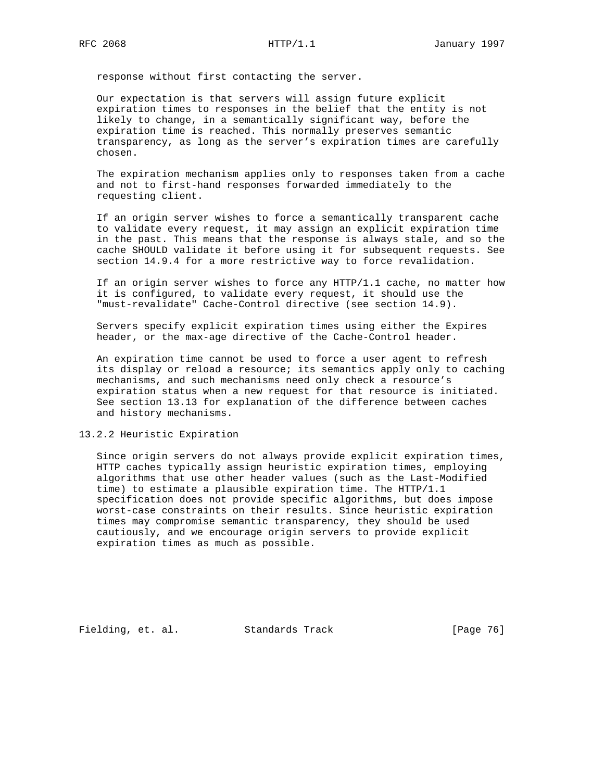response without first contacting the server.

 Our expectation is that servers will assign future explicit expiration times to responses in the belief that the entity is not likely to change, in a semantically significant way, before the expiration time is reached. This normally preserves semantic transparency, as long as the server's expiration times are carefully chosen.

 The expiration mechanism applies only to responses taken from a cache and not to first-hand responses forwarded immediately to the requesting client.

 If an origin server wishes to force a semantically transparent cache to validate every request, it may assign an explicit expiration time in the past. This means that the response is always stale, and so the cache SHOULD validate it before using it for subsequent requests. See section 14.9.4 for a more restrictive way to force revalidation.

 If an origin server wishes to force any HTTP/1.1 cache, no matter how it is configured, to validate every request, it should use the "must-revalidate" Cache-Control directive (see section 14.9).

 Servers specify explicit expiration times using either the Expires header, or the max-age directive of the Cache-Control header.

 An expiration time cannot be used to force a user agent to refresh its display or reload a resource; its semantics apply only to caching mechanisms, and such mechanisms need only check a resource's expiration status when a new request for that resource is initiated. See section 13.13 for explanation of the difference between caches and history mechanisms.

13.2.2 Heuristic Expiration

 Since origin servers do not always provide explicit expiration times, HTTP caches typically assign heuristic expiration times, employing algorithms that use other header values (such as the Last-Modified time) to estimate a plausible expiration time. The HTTP/1.1 specification does not provide specific algorithms, but does impose worst-case constraints on their results. Since heuristic expiration times may compromise semantic transparency, they should be used cautiously, and we encourage origin servers to provide explicit expiration times as much as possible.

Fielding, et. al. Standards Track [Page 76]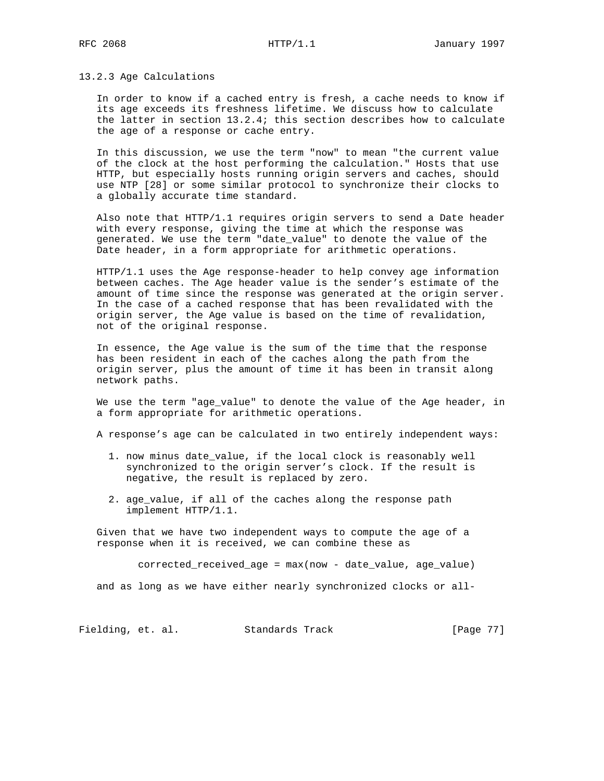### 13.2.3 Age Calculations

 In order to know if a cached entry is fresh, a cache needs to know if its age exceeds its freshness lifetime. We discuss how to calculate the latter in section 13.2.4; this section describes how to calculate the age of a response or cache entry.

 In this discussion, we use the term "now" to mean "the current value of the clock at the host performing the calculation." Hosts that use HTTP, but especially hosts running origin servers and caches, should use NTP [28] or some similar protocol to synchronize their clocks to a globally accurate time standard.

 Also note that HTTP/1.1 requires origin servers to send a Date header with every response, giving the time at which the response was generated. We use the term "date\_value" to denote the value of the Date header, in a form appropriate for arithmetic operations.

 HTTP/1.1 uses the Age response-header to help convey age information between caches. The Age header value is the sender's estimate of the amount of time since the response was generated at the origin server. In the case of a cached response that has been revalidated with the origin server, the Age value is based on the time of revalidation, not of the original response.

 In essence, the Age value is the sum of the time that the response has been resident in each of the caches along the path from the origin server, plus the amount of time it has been in transit along network paths.

 We use the term "age\_value" to denote the value of the Age header, in a form appropriate for arithmetic operations.

A response's age can be calculated in two entirely independent ways:

- 1. now minus date\_value, if the local clock is reasonably well synchronized to the origin server's clock. If the result is negative, the result is replaced by zero.
- 2. age\_value, if all of the caches along the response path implement HTTP/1.1.

 Given that we have two independent ways to compute the age of a response when it is received, we can combine these as

corrected\_received\_age = max(now - date\_value, age\_value)

and as long as we have either nearly synchronized clocks or all-

Fielding, et. al. Standards Track [Page 77]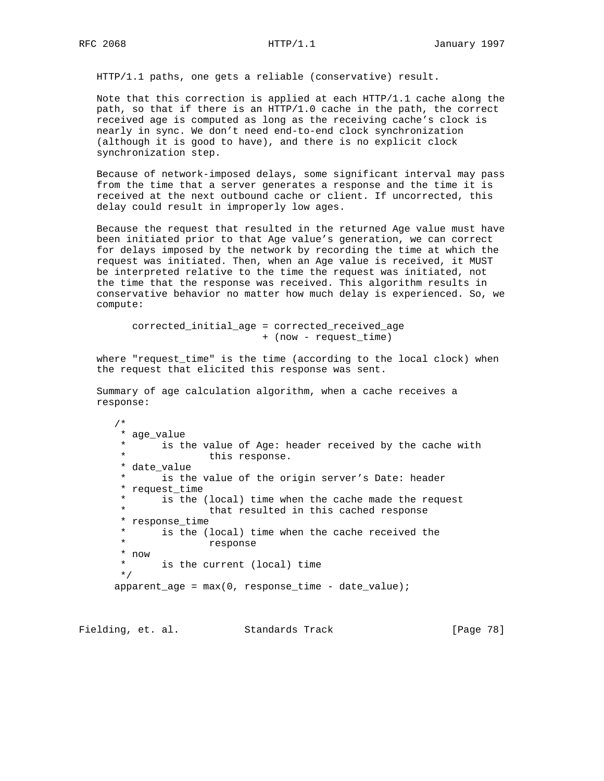HTTP/1.1 paths, one gets a reliable (conservative) result.

 Note that this correction is applied at each HTTP/1.1 cache along the path, so that if there is an HTTP/1.0 cache in the path, the correct received age is computed as long as the receiving cache's clock is nearly in sync. We don't need end-to-end clock synchronization (although it is good to have), and there is no explicit clock synchronization step.

 Because of network-imposed delays, some significant interval may pass from the time that a server generates a response and the time it is received at the next outbound cache or client. If uncorrected, this delay could result in improperly low ages.

 Because the request that resulted in the returned Age value must have been initiated prior to that Age value's generation, we can correct for delays imposed by the network by recording the time at which the request was initiated. Then, when an Age value is received, it MUST be interpreted relative to the time the request was initiated, not the time that the response was received. This algorithm results in conservative behavior no matter how much delay is experienced. So, we compute:

```
 corrected_initial_age = corrected_received_age
                      + (now - request_time)
```
 where "request\_time" is the time (according to the local clock) when the request that elicited this response was sent.

 Summary of age calculation algorithm, when a cache receives a response:

 /\* \* age\_value is the value of Age: header received by the cache with this response. \* date\_value is the value of the origin server's Date: header \* request\_time \* is the (local) time when the cache made the request that resulted in this cached response \* response\_time \* is the (local) time when the cache received the response \* now \* is the current (local) time \*/  $apparent_age = max(0, response_time - date_value);$ 

Fielding, et. al. Standards Track [Page 78]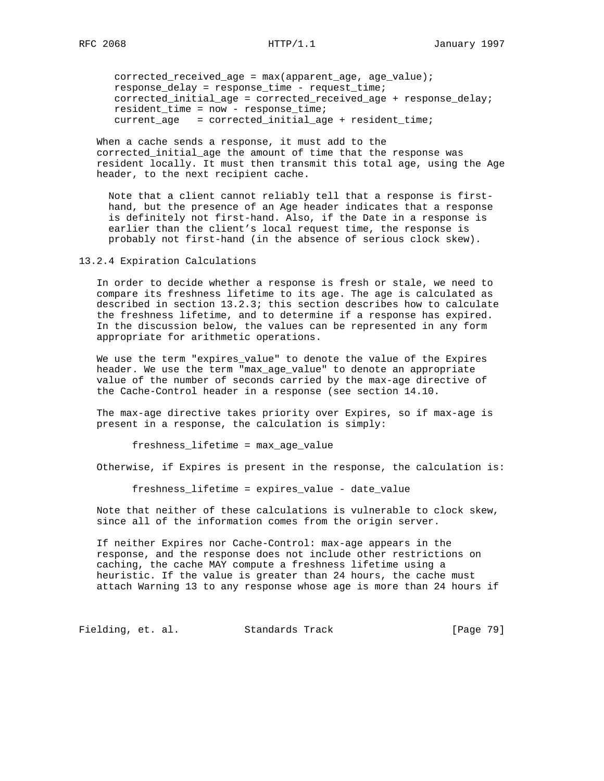corrected\_received\_age = max(apparent\_age, age\_value); response\_delay = response\_time - request\_time; corrected\_initial\_age = corrected\_received\_age + response\_delay; resident\_time = now - response\_time; current\_age = corrected\_initial\_age + resident\_time;

 When a cache sends a response, it must add to the corrected\_initial\_age the amount of time that the response was resident locally. It must then transmit this total age, using the Age header, to the next recipient cache.

 Note that a client cannot reliably tell that a response is first hand, but the presence of an Age header indicates that a response is definitely not first-hand. Also, if the Date in a response is earlier than the client's local request time, the response is probably not first-hand (in the absence of serious clock skew).

13.2.4 Expiration Calculations

 In order to decide whether a response is fresh or stale, we need to compare its freshness lifetime to its age. The age is calculated as described in section 13.2.3; this section describes how to calculate the freshness lifetime, and to determine if a response has expired. In the discussion below, the values can be represented in any form appropriate for arithmetic operations.

 We use the term "expires\_value" to denote the value of the Expires header. We use the term "max\_age\_value" to denote an appropriate value of the number of seconds carried by the max-age directive of the Cache-Control header in a response (see section 14.10.

 The max-age directive takes priority over Expires, so if max-age is present in a response, the calculation is simply:

freshness\_lifetime = max\_age\_value

Otherwise, if Expires is present in the response, the calculation is:

freshness\_lifetime = expires\_value - date\_value

 Note that neither of these calculations is vulnerable to clock skew, since all of the information comes from the origin server.

 If neither Expires nor Cache-Control: max-age appears in the response, and the response does not include other restrictions on caching, the cache MAY compute a freshness lifetime using a heuristic. If the value is greater than 24 hours, the cache must attach Warning 13 to any response whose age is more than 24 hours if

Fielding, et. al. Standards Track [Page 79]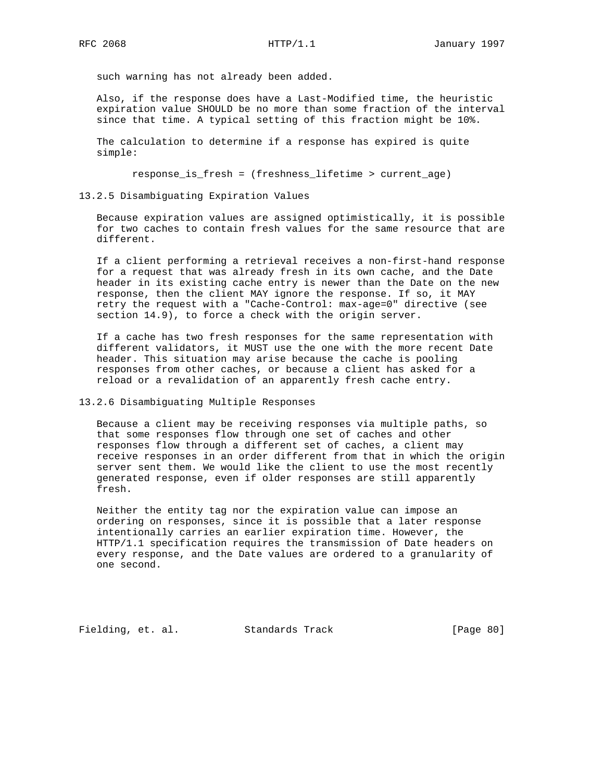such warning has not already been added.

 Also, if the response does have a Last-Modified time, the heuristic expiration value SHOULD be no more than some fraction of the interval since that time. A typical setting of this fraction might be 10%.

 The calculation to determine if a response has expired is quite simple:

response\_is\_fresh = (freshness\_lifetime > current\_age)

13.2.5 Disambiguating Expiration Values

 Because expiration values are assigned optimistically, it is possible for two caches to contain fresh values for the same resource that are different.

 If a client performing a retrieval receives a non-first-hand response for a request that was already fresh in its own cache, and the Date header in its existing cache entry is newer than the Date on the new response, then the client MAY ignore the response. If so, it MAY retry the request with a "Cache-Control: max-age=0" directive (see section 14.9), to force a check with the origin server.

 If a cache has two fresh responses for the same representation with different validators, it MUST use the one with the more recent Date header. This situation may arise because the cache is pooling responses from other caches, or because a client has asked for a reload or a revalidation of an apparently fresh cache entry.

# 13.2.6 Disambiguating Multiple Responses

 Because a client may be receiving responses via multiple paths, so that some responses flow through one set of caches and other responses flow through a different set of caches, a client may receive responses in an order different from that in which the origin server sent them. We would like the client to use the most recently generated response, even if older responses are still apparently fresh.

 Neither the entity tag nor the expiration value can impose an ordering on responses, since it is possible that a later response intentionally carries an earlier expiration time. However, the HTTP/1.1 specification requires the transmission of Date headers on every response, and the Date values are ordered to a granularity of one second.

Fielding, et. al. Standards Track [Page 80]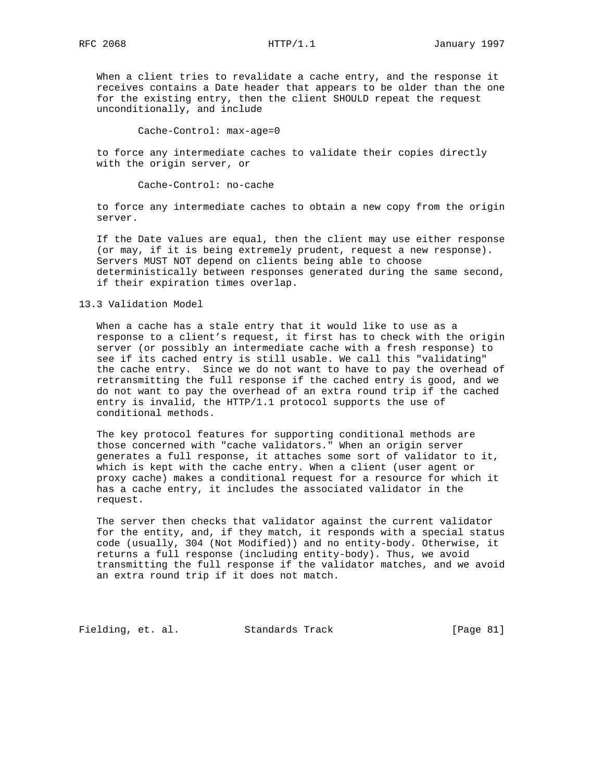When a client tries to revalidate a cache entry, and the response it receives contains a Date header that appears to be older than the one for the existing entry, then the client SHOULD repeat the request unconditionally, and include

Cache-Control: max-age=0

 to force any intermediate caches to validate their copies directly with the origin server, or

Cache-Control: no-cache

 to force any intermediate caches to obtain a new copy from the origin server.

 If the Date values are equal, then the client may use either response (or may, if it is being extremely prudent, request a new response). Servers MUST NOT depend on clients being able to choose deterministically between responses generated during the same second, if their expiration times overlap.

# 13.3 Validation Model

 When a cache has a stale entry that it would like to use as a response to a client's request, it first has to check with the origin server (or possibly an intermediate cache with a fresh response) to see if its cached entry is still usable. We call this "validating" the cache entry. Since we do not want to have to pay the overhead of retransmitting the full response if the cached entry is good, and we do not want to pay the overhead of an extra round trip if the cached entry is invalid, the HTTP/1.1 protocol supports the use of conditional methods.

 The key protocol features for supporting conditional methods are those concerned with "cache validators." When an origin server generates a full response, it attaches some sort of validator to it, which is kept with the cache entry. When a client (user agent or proxy cache) makes a conditional request for a resource for which it has a cache entry, it includes the associated validator in the request.

 The server then checks that validator against the current validator for the entity, and, if they match, it responds with a special status code (usually, 304 (Not Modified)) and no entity-body. Otherwise, it returns a full response (including entity-body). Thus, we avoid transmitting the full response if the validator matches, and we avoid an extra round trip if it does not match.

Fielding, et. al. Standards Track [Page 81]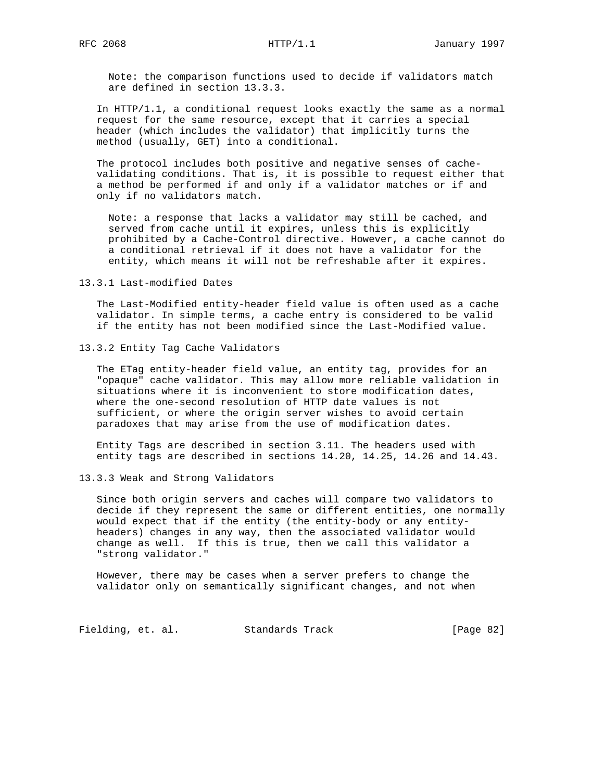Note: the comparison functions used to decide if validators match are defined in section 13.3.3.

 In HTTP/1.1, a conditional request looks exactly the same as a normal request for the same resource, except that it carries a special header (which includes the validator) that implicitly turns the method (usually, GET) into a conditional.

 The protocol includes both positive and negative senses of cache validating conditions. That is, it is possible to request either that a method be performed if and only if a validator matches or if and only if no validators match.

 Note: a response that lacks a validator may still be cached, and served from cache until it expires, unless this is explicitly prohibited by a Cache-Control directive. However, a cache cannot do a conditional retrieval if it does not have a validator for the entity, which means it will not be refreshable after it expires.

13.3.1 Last-modified Dates

 The Last-Modified entity-header field value is often used as a cache validator. In simple terms, a cache entry is considered to be valid if the entity has not been modified since the Last-Modified value.

13.3.2 Entity Tag Cache Validators

 The ETag entity-header field value, an entity tag, provides for an "opaque" cache validator. This may allow more reliable validation in situations where it is inconvenient to store modification dates, where the one-second resolution of HTTP date values is not sufficient, or where the origin server wishes to avoid certain paradoxes that may arise from the use of modification dates.

 Entity Tags are described in section 3.11. The headers used with entity tags are described in sections 14.20, 14.25, 14.26 and 14.43.

13.3.3 Weak and Strong Validators

 Since both origin servers and caches will compare two validators to decide if they represent the same or different entities, one normally would expect that if the entity (the entity-body or any entity headers) changes in any way, then the associated validator would change as well. If this is true, then we call this validator a "strong validator."

 However, there may be cases when a server prefers to change the validator only on semantically significant changes, and not when

Fielding, et. al. Standards Track [Page 82]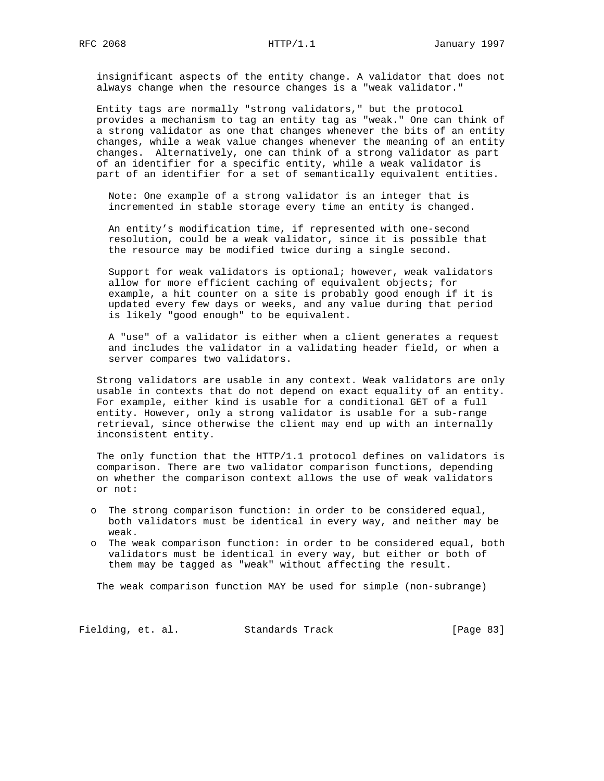insignificant aspects of the entity change. A validator that does not always change when the resource changes is a "weak validator."

 Entity tags are normally "strong validators," but the protocol provides a mechanism to tag an entity tag as "weak." One can think of a strong validator as one that changes whenever the bits of an entity changes, while a weak value changes whenever the meaning of an entity changes. Alternatively, one can think of a strong validator as part of an identifier for a specific entity, while a weak validator is part of an identifier for a set of semantically equivalent entities.

 Note: One example of a strong validator is an integer that is incremented in stable storage every time an entity is changed.

 An entity's modification time, if represented with one-second resolution, could be a weak validator, since it is possible that the resource may be modified twice during a single second.

 Support for weak validators is optional; however, weak validators allow for more efficient caching of equivalent objects; for example, a hit counter on a site is probably good enough if it is updated every few days or weeks, and any value during that period is likely "good enough" to be equivalent.

 A "use" of a validator is either when a client generates a request and includes the validator in a validating header field, or when a server compares two validators.

 Strong validators are usable in any context. Weak validators are only usable in contexts that do not depend on exact equality of an entity. For example, either kind is usable for a conditional GET of a full entity. However, only a strong validator is usable for a sub-range retrieval, since otherwise the client may end up with an internally inconsistent entity.

 The only function that the HTTP/1.1 protocol defines on validators is comparison. There are two validator comparison functions, depending on whether the comparison context allows the use of weak validators or not:

- o The strong comparison function: in order to be considered equal, both validators must be identical in every way, and neither may be weak.
- o The weak comparison function: in order to be considered equal, both validators must be identical in every way, but either or both of them may be tagged as "weak" without affecting the result.

The weak comparison function MAY be used for simple (non-subrange)

Fielding, et. al. Standards Track [Page 83]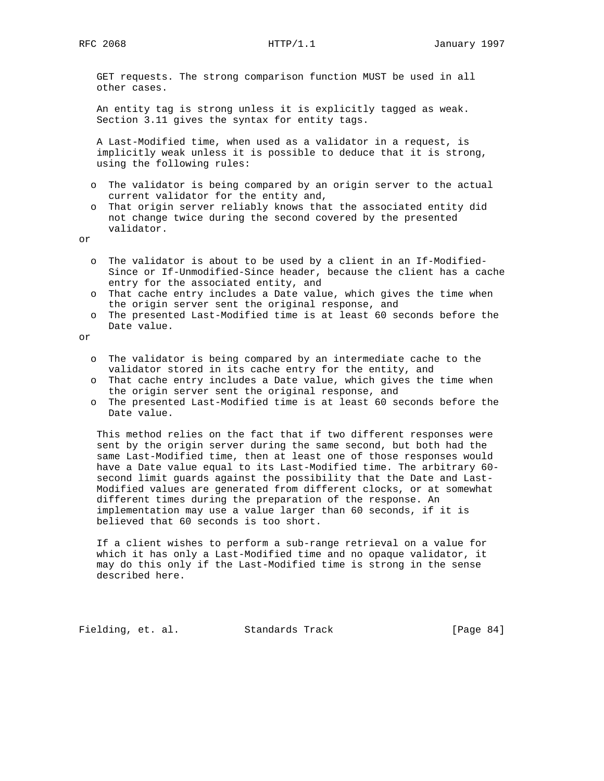GET requests. The strong comparison function MUST be used in all other cases.

 An entity tag is strong unless it is explicitly tagged as weak. Section 3.11 gives the syntax for entity tags.

 A Last-Modified time, when used as a validator in a request, is implicitly weak unless it is possible to deduce that it is strong, using the following rules:

- o The validator is being compared by an origin server to the actual current validator for the entity and,
- o That origin server reliably knows that the associated entity did not change twice during the second covered by the presented validator.

or

- o The validator is about to be used by a client in an If-Modified- Since or If-Unmodified-Since header, because the client has a cache entry for the associated entity, and
- o That cache entry includes a Date value, which gives the time when the origin server sent the original response, and
- o The presented Last-Modified time is at least 60 seconds before the Date value.

or

- o The validator is being compared by an intermediate cache to the validator stored in its cache entry for the entity, and
- o That cache entry includes a Date value, which gives the time when the origin server sent the original response, and
- o The presented Last-Modified time is at least 60 seconds before the Date value.

 This method relies on the fact that if two different responses were sent by the origin server during the same second, but both had the same Last-Modified time, then at least one of those responses would have a Date value equal to its Last-Modified time. The arbitrary 60 second limit guards against the possibility that the Date and Last- Modified values are generated from different clocks, or at somewhat different times during the preparation of the response. An implementation may use a value larger than 60 seconds, if it is believed that 60 seconds is too short.

 If a client wishes to perform a sub-range retrieval on a value for which it has only a Last-Modified time and no opaque validator, it may do this only if the Last-Modified time is strong in the sense described here.

Fielding, et. al. Standards Track [Page 84]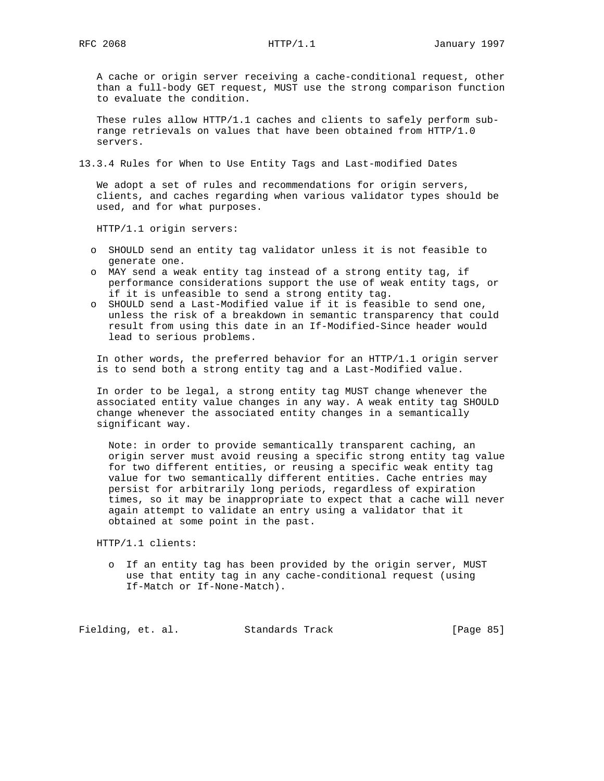A cache or origin server receiving a cache-conditional request, other than a full-body GET request, MUST use the strong comparison function to evaluate the condition.

 These rules allow HTTP/1.1 caches and clients to safely perform sub range retrievals on values that have been obtained from HTTP/1.0 servers.

13.3.4 Rules for When to Use Entity Tags and Last-modified Dates

 We adopt a set of rules and recommendations for origin servers, clients, and caches regarding when various validator types should be used, and for what purposes.

HTTP/1.1 origin servers:

- o SHOULD send an entity tag validator unless it is not feasible to generate one.
- o MAY send a weak entity tag instead of a strong entity tag, if performance considerations support the use of weak entity tags, or if it is unfeasible to send a strong entity tag.
- o SHOULD send a Last-Modified value if it is feasible to send one, unless the risk of a breakdown in semantic transparency that could result from using this date in an If-Modified-Since header would lead to serious problems.

 In other words, the preferred behavior for an HTTP/1.1 origin server is to send both a strong entity tag and a Last-Modified value.

 In order to be legal, a strong entity tag MUST change whenever the associated entity value changes in any way. A weak entity tag SHOULD change whenever the associated entity changes in a semantically significant way.

 Note: in order to provide semantically transparent caching, an origin server must avoid reusing a specific strong entity tag value for two different entities, or reusing a specific weak entity tag value for two semantically different entities. Cache entries may persist for arbitrarily long periods, regardless of expiration times, so it may be inappropriate to expect that a cache will never again attempt to validate an entry using a validator that it obtained at some point in the past.

HTTP/1.1 clients:

 o If an entity tag has been provided by the origin server, MUST use that entity tag in any cache-conditional request (using If-Match or If-None-Match).

Fielding, et. al. Standards Track [Page 85]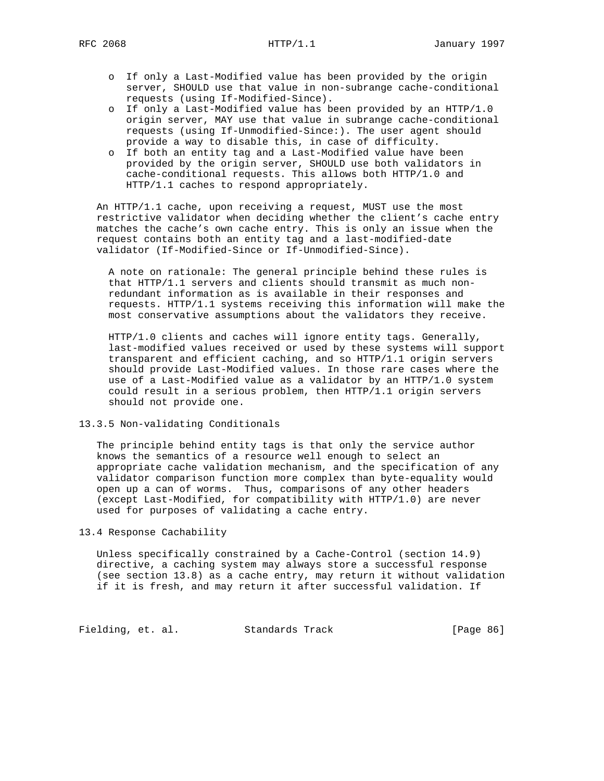- o If only a Last-Modified value has been provided by the origin server, SHOULD use that value in non-subrange cache-conditional requests (using If-Modified-Since).
- o If only a Last-Modified value has been provided by an HTTP/1.0 origin server, MAY use that value in subrange cache-conditional requests (using If-Unmodified-Since:). The user agent should provide a way to disable this, in case of difficulty.
- o If both an entity tag and a Last-Modified value have been provided by the origin server, SHOULD use both validators in cache-conditional requests. This allows both HTTP/1.0 and HTTP/1.1 caches to respond appropriately.

 An HTTP/1.1 cache, upon receiving a request, MUST use the most restrictive validator when deciding whether the client's cache entry matches the cache's own cache entry. This is only an issue when the request contains both an entity tag and a last-modified-date validator (If-Modified-Since or If-Unmodified-Since).

 A note on rationale: The general principle behind these rules is that HTTP/1.1 servers and clients should transmit as much non redundant information as is available in their responses and requests. HTTP/1.1 systems receiving this information will make the most conservative assumptions about the validators they receive.

 HTTP/1.0 clients and caches will ignore entity tags. Generally, last-modified values received or used by these systems will support transparent and efficient caching, and so HTTP/1.1 origin servers should provide Last-Modified values. In those rare cases where the use of a Last-Modified value as a validator by an HTTP/1.0 system could result in a serious problem, then HTTP/1.1 origin servers should not provide one.

13.3.5 Non-validating Conditionals

 The principle behind entity tags is that only the service author knows the semantics of a resource well enough to select an appropriate cache validation mechanism, and the specification of any validator comparison function more complex than byte-equality would open up a can of worms. Thus, comparisons of any other headers (except Last-Modified, for compatibility with HTTP/1.0) are never used for purposes of validating a cache entry.

13.4 Response Cachability

 Unless specifically constrained by a Cache-Control (section 14.9) directive, a caching system may always store a successful response (see section 13.8) as a cache entry, may return it without validation if it is fresh, and may return it after successful validation. If

Fielding, et. al. Standards Track [Page 86]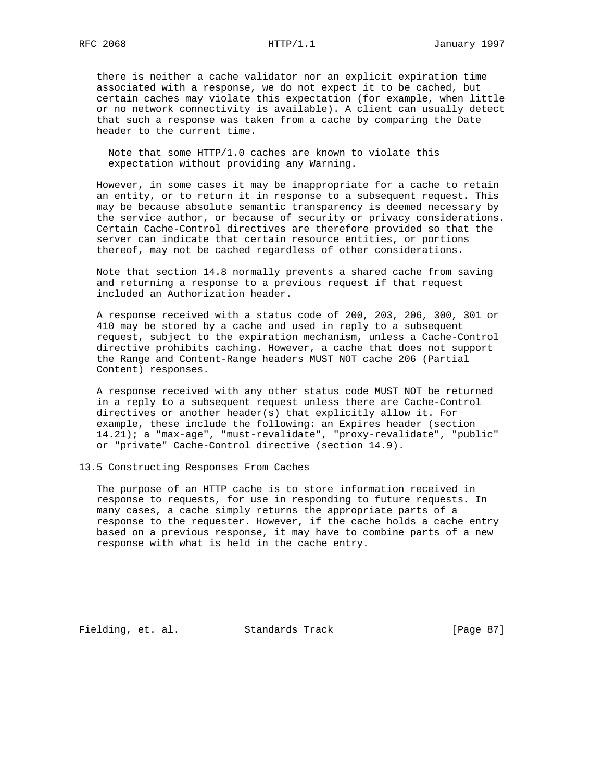there is neither a cache validator nor an explicit expiration time associated with a response, we do not expect it to be cached, but certain caches may violate this expectation (for example, when little or no network connectivity is available). A client can usually detect that such a response was taken from a cache by comparing the Date header to the current time.

 Note that some HTTP/1.0 caches are known to violate this expectation without providing any Warning.

 However, in some cases it may be inappropriate for a cache to retain an entity, or to return it in response to a subsequent request. This may be because absolute semantic transparency is deemed necessary by the service author, or because of security or privacy considerations. Certain Cache-Control directives are therefore provided so that the server can indicate that certain resource entities, or portions thereof, may not be cached regardless of other considerations.

 Note that section 14.8 normally prevents a shared cache from saving and returning a response to a previous request if that request included an Authorization header.

 A response received with a status code of 200, 203, 206, 300, 301 or 410 may be stored by a cache and used in reply to a subsequent request, subject to the expiration mechanism, unless a Cache-Control directive prohibits caching. However, a cache that does not support the Range and Content-Range headers MUST NOT cache 206 (Partial Content) responses.

 A response received with any other status code MUST NOT be returned in a reply to a subsequent request unless there are Cache-Control directives or another header(s) that explicitly allow it. For example, these include the following: an Expires header (section 14.21); a "max-age", "must-revalidate", "proxy-revalidate", "public" or "private" Cache-Control directive (section 14.9).

13.5 Constructing Responses From Caches

 The purpose of an HTTP cache is to store information received in response to requests, for use in responding to future requests. In many cases, a cache simply returns the appropriate parts of a response to the requester. However, if the cache holds a cache entry based on a previous response, it may have to combine parts of a new response with what is held in the cache entry.

Fielding, et. al. Standards Track [Page 87]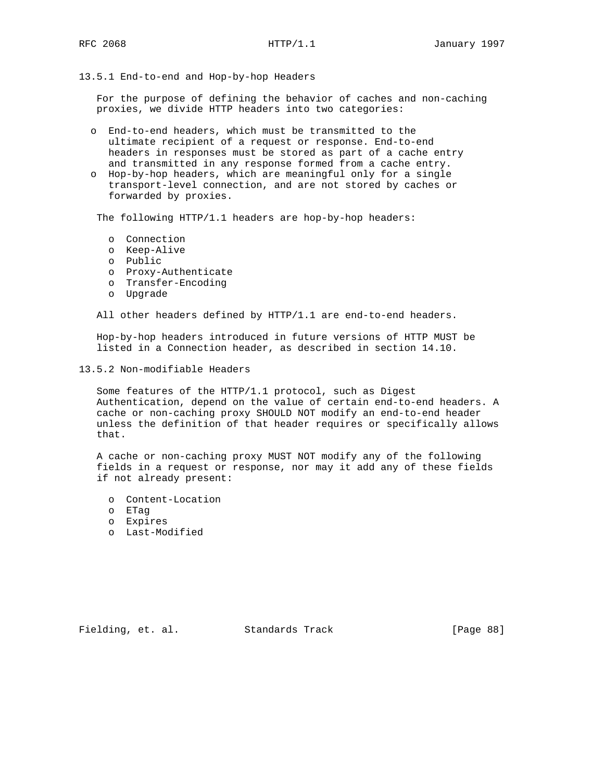13.5.1 End-to-end and Hop-by-hop Headers

 For the purpose of defining the behavior of caches and non-caching proxies, we divide HTTP headers into two categories:

- o End-to-end headers, which must be transmitted to the ultimate recipient of a request or response. End-to-end headers in responses must be stored as part of a cache entry and transmitted in any response formed from a cache entry.
- o Hop-by-hop headers, which are meaningful only for a single transport-level connection, and are not stored by caches or forwarded by proxies.

The following HTTP/1.1 headers are hop-by-hop headers:

- o Connection
- o Keep-Alive
- o Public
- o Proxy-Authenticate
- o Transfer-Encoding
- o Upgrade

All other headers defined by HTTP/1.1 are end-to-end headers.

 Hop-by-hop headers introduced in future versions of HTTP MUST be listed in a Connection header, as described in section 14.10.

13.5.2 Non-modifiable Headers

 Some features of the HTTP/1.1 protocol, such as Digest Authentication, depend on the value of certain end-to-end headers. A cache or non-caching proxy SHOULD NOT modify an end-to-end header unless the definition of that header requires or specifically allows that.

 A cache or non-caching proxy MUST NOT modify any of the following fields in a request or response, nor may it add any of these fields if not already present:

- o Content-Location
- o ETag
- o Expires
- o Last-Modified

Fielding, et. al. Standards Track [Page 88]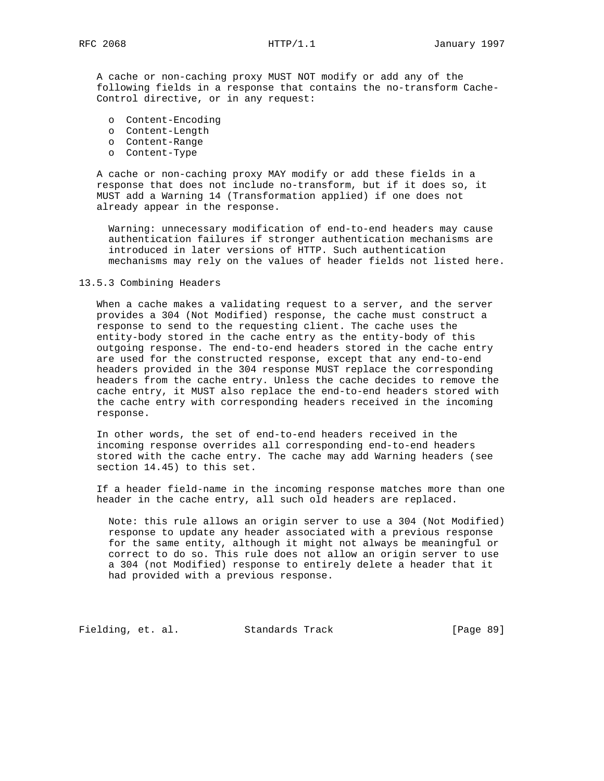A cache or non-caching proxy MUST NOT modify or add any of the following fields in a response that contains the no-transform Cache- Control directive, or in any request:

- o Content-Encoding
- o Content-Length
- o Content-Range
- o Content-Type

 A cache or non-caching proxy MAY modify or add these fields in a response that does not include no-transform, but if it does so, it MUST add a Warning 14 (Transformation applied) if one does not already appear in the response.

 Warning: unnecessary modification of end-to-end headers may cause authentication failures if stronger authentication mechanisms are introduced in later versions of HTTP. Such authentication mechanisms may rely on the values of header fields not listed here.

### 13.5.3 Combining Headers

 When a cache makes a validating request to a server, and the server provides a 304 (Not Modified) response, the cache must construct a response to send to the requesting client. The cache uses the entity-body stored in the cache entry as the entity-body of this outgoing response. The end-to-end headers stored in the cache entry are used for the constructed response, except that any end-to-end headers provided in the 304 response MUST replace the corresponding headers from the cache entry. Unless the cache decides to remove the cache entry, it MUST also replace the end-to-end headers stored with the cache entry with corresponding headers received in the incoming response.

 In other words, the set of end-to-end headers received in the incoming response overrides all corresponding end-to-end headers stored with the cache entry. The cache may add Warning headers (see section 14.45) to this set.

 If a header field-name in the incoming response matches more than one header in the cache entry, all such old headers are replaced.

 Note: this rule allows an origin server to use a 304 (Not Modified) response to update any header associated with a previous response for the same entity, although it might not always be meaningful or correct to do so. This rule does not allow an origin server to use a 304 (not Modified) response to entirely delete a header that it had provided with a previous response.

Fielding, et. al. Standards Track [Page 89]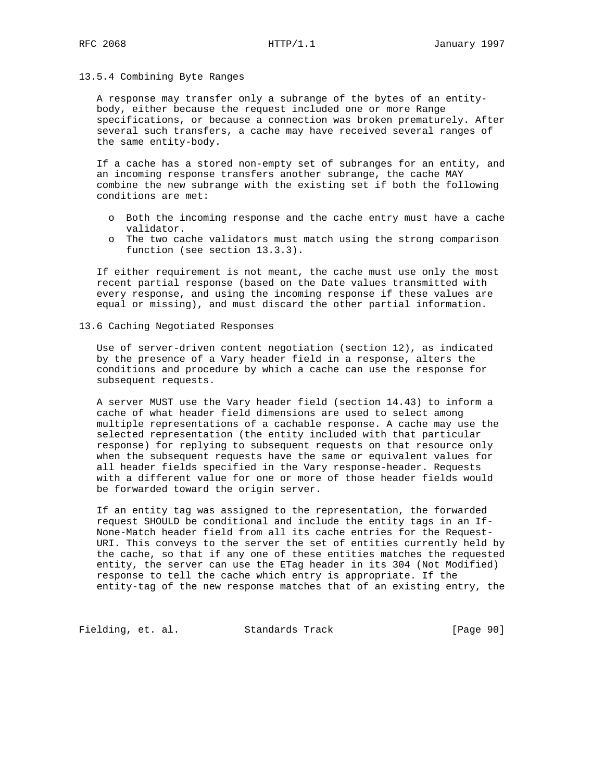# 13.5.4 Combining Byte Ranges

 A response may transfer only a subrange of the bytes of an entity body, either because the request included one or more Range specifications, or because a connection was broken prematurely. After several such transfers, a cache may have received several ranges of the same entity-body.

 If a cache has a stored non-empty set of subranges for an entity, and an incoming response transfers another subrange, the cache MAY combine the new subrange with the existing set if both the following conditions are met:

- o Both the incoming response and the cache entry must have a cache validator.
- o The two cache validators must match using the strong comparison function (see section 13.3.3).

 If either requirement is not meant, the cache must use only the most recent partial response (based on the Date values transmitted with every response, and using the incoming response if these values are equal or missing), and must discard the other partial information.

### 13.6 Caching Negotiated Responses

 Use of server-driven content negotiation (section 12), as indicated by the presence of a Vary header field in a response, alters the conditions and procedure by which a cache can use the response for subsequent requests.

 A server MUST use the Vary header field (section 14.43) to inform a cache of what header field dimensions are used to select among multiple representations of a cachable response. A cache may use the selected representation (the entity included with that particular response) for replying to subsequent requests on that resource only when the subsequent requests have the same or equivalent values for all header fields specified in the Vary response-header. Requests with a different value for one or more of those header fields would be forwarded toward the origin server.

 If an entity tag was assigned to the representation, the forwarded request SHOULD be conditional and include the entity tags in an If- None-Match header field from all its cache entries for the Request- URI. This conveys to the server the set of entities currently held by the cache, so that if any one of these entities matches the requested entity, the server can use the ETag header in its 304 (Not Modified) response to tell the cache which entry is appropriate. If the entity-tag of the new response matches that of an existing entry, the

Fielding, et. al. Standards Track [Page 90]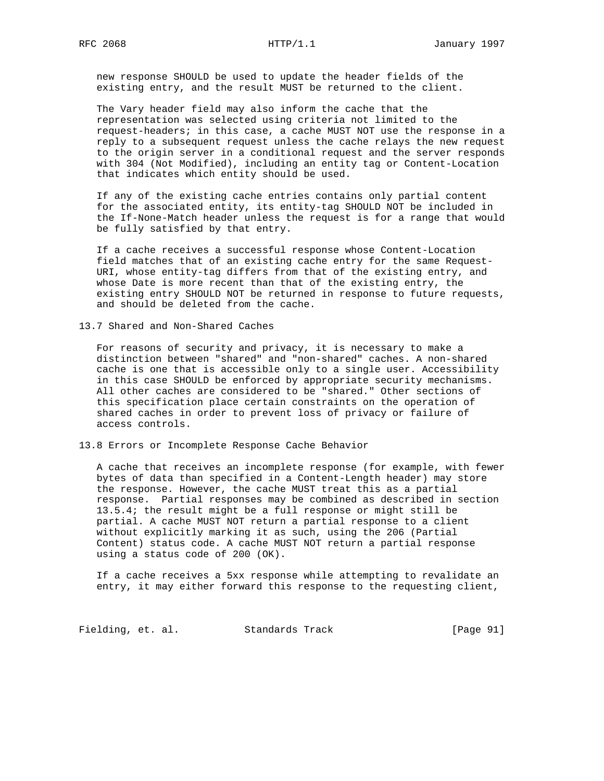new response SHOULD be used to update the header fields of the existing entry, and the result MUST be returned to the client.

 The Vary header field may also inform the cache that the representation was selected using criteria not limited to the request-headers; in this case, a cache MUST NOT use the response in a reply to a subsequent request unless the cache relays the new request to the origin server in a conditional request and the server responds with 304 (Not Modified), including an entity tag or Content-Location that indicates which entity should be used.

 If any of the existing cache entries contains only partial content for the associated entity, its entity-tag SHOULD NOT be included in the If-None-Match header unless the request is for a range that would be fully satisfied by that entry.

 If a cache receives a successful response whose Content-Location field matches that of an existing cache entry for the same Request- URI, whose entity-tag differs from that of the existing entry, and whose Date is more recent than that of the existing entry, the existing entry SHOULD NOT be returned in response to future requests, and should be deleted from the cache.

13.7 Shared and Non-Shared Caches

 For reasons of security and privacy, it is necessary to make a distinction between "shared" and "non-shared" caches. A non-shared cache is one that is accessible only to a single user. Accessibility in this case SHOULD be enforced by appropriate security mechanisms. All other caches are considered to be "shared." Other sections of this specification place certain constraints on the operation of shared caches in order to prevent loss of privacy or failure of access controls.

13.8 Errors or Incomplete Response Cache Behavior

 A cache that receives an incomplete response (for example, with fewer bytes of data than specified in a Content-Length header) may store the response. However, the cache MUST treat this as a partial response. Partial responses may be combined as described in section 13.5.4; the result might be a full response or might still be partial. A cache MUST NOT return a partial response to a client without explicitly marking it as such, using the 206 (Partial Content) status code. A cache MUST NOT return a partial response using a status code of 200 (OK).

 If a cache receives a 5xx response while attempting to revalidate an entry, it may either forward this response to the requesting client,

Fielding, et. al. Standards Track [Page 91]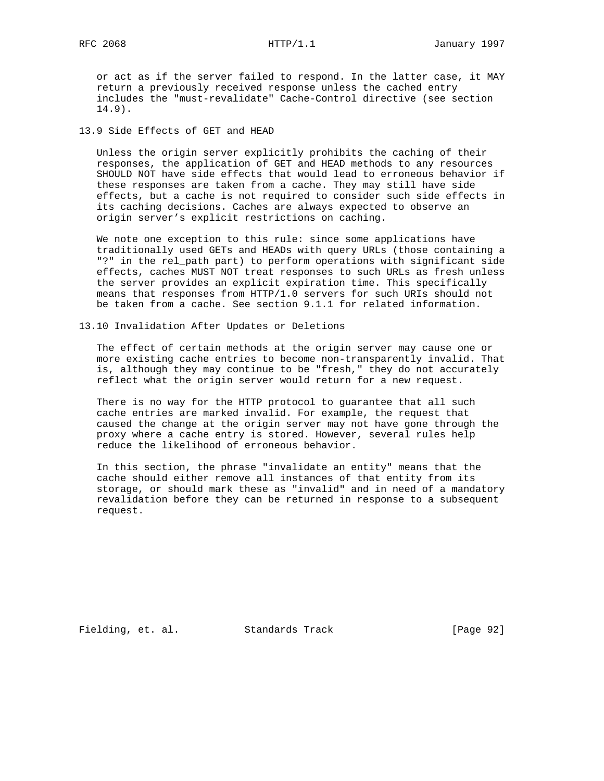or act as if the server failed to respond. In the latter case, it MAY return a previously received response unless the cached entry includes the "must-revalidate" Cache-Control directive (see section 14.9).

13.9 Side Effects of GET and HEAD

 Unless the origin server explicitly prohibits the caching of their responses, the application of GET and HEAD methods to any resources SHOULD NOT have side effects that would lead to erroneous behavior if these responses are taken from a cache. They may still have side effects, but a cache is not required to consider such side effects in its caching decisions. Caches are always expected to observe an origin server's explicit restrictions on caching.

We note one exception to this rule: since some applications have traditionally used GETs and HEADs with query URLs (those containing a "?" in the rel\_path part) to perform operations with significant side effects, caches MUST NOT treat responses to such URLs as fresh unless the server provides an explicit expiration time. This specifically means that responses from HTTP/1.0 servers for such URIs should not be taken from a cache. See section 9.1.1 for related information.

13.10 Invalidation After Updates or Deletions

 The effect of certain methods at the origin server may cause one or more existing cache entries to become non-transparently invalid. That is, although they may continue to be "fresh," they do not accurately reflect what the origin server would return for a new request.

 There is no way for the HTTP protocol to guarantee that all such cache entries are marked invalid. For example, the request that caused the change at the origin server may not have gone through the proxy where a cache entry is stored. However, several rules help reduce the likelihood of erroneous behavior.

 In this section, the phrase "invalidate an entity" means that the cache should either remove all instances of that entity from its storage, or should mark these as "invalid" and in need of a mandatory revalidation before they can be returned in response to a subsequent request.

Fielding, et. al. Standards Track [Page 92]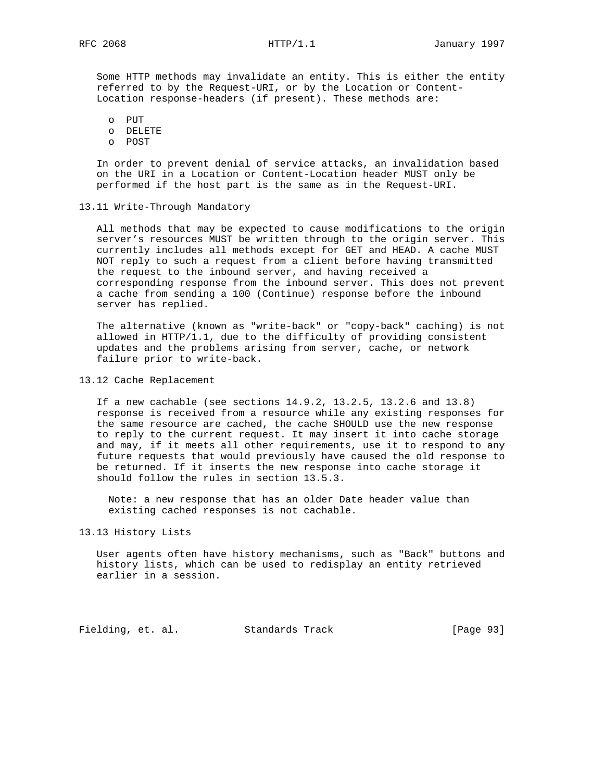Some HTTP methods may invalidate an entity. This is either the entity referred to by the Request-URI, or by the Location or Content- Location response-headers (if present). These methods are:

o PUT

- o DELETE
- o POST

 In order to prevent denial of service attacks, an invalidation based on the URI in a Location or Content-Location header MUST only be performed if the host part is the same as in the Request-URI.

13.11 Write-Through Mandatory

 All methods that may be expected to cause modifications to the origin server's resources MUST be written through to the origin server. This currently includes all methods except for GET and HEAD. A cache MUST NOT reply to such a request from a client before having transmitted the request to the inbound server, and having received a corresponding response from the inbound server. This does not prevent a cache from sending a 100 (Continue) response before the inbound server has replied.

 The alternative (known as "write-back" or "copy-back" caching) is not allowed in HTTP/1.1, due to the difficulty of providing consistent updates and the problems arising from server, cache, or network failure prior to write-back.

13.12 Cache Replacement

 If a new cachable (see sections 14.9.2, 13.2.5, 13.2.6 and 13.8) response is received from a resource while any existing responses for the same resource are cached, the cache SHOULD use the new response to reply to the current request. It may insert it into cache storage and may, if it meets all other requirements, use it to respond to any future requests that would previously have caused the old response to be returned. If it inserts the new response into cache storage it should follow the rules in section 13.5.3.

 Note: a new response that has an older Date header value than existing cached responses is not cachable.

### 13.13 History Lists

 User agents often have history mechanisms, such as "Back" buttons and history lists, which can be used to redisplay an entity retrieved earlier in a session.

Fielding, et. al. Standards Track [Page 93]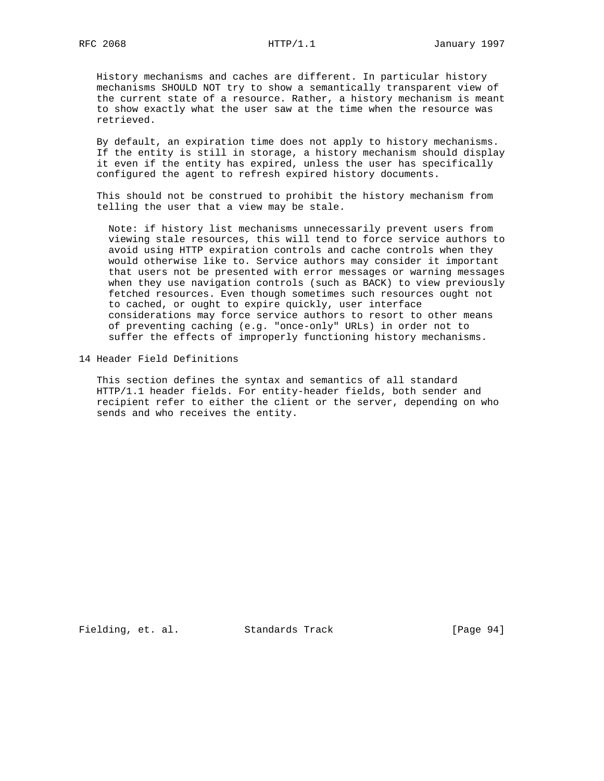History mechanisms and caches are different. In particular history mechanisms SHOULD NOT try to show a semantically transparent view of the current state of a resource. Rather, a history mechanism is meant to show exactly what the user saw at the time when the resource was retrieved.

 By default, an expiration time does not apply to history mechanisms. If the entity is still in storage, a history mechanism should display it even if the entity has expired, unless the user has specifically configured the agent to refresh expired history documents.

 This should not be construed to prohibit the history mechanism from telling the user that a view may be stale.

 Note: if history list mechanisms unnecessarily prevent users from viewing stale resources, this will tend to force service authors to avoid using HTTP expiration controls and cache controls when they would otherwise like to. Service authors may consider it important that users not be presented with error messages or warning messages when they use navigation controls (such as BACK) to view previously fetched resources. Even though sometimes such resources ought not to cached, or ought to expire quickly, user interface considerations may force service authors to resort to other means of preventing caching (e.g. "once-only" URLs) in order not to suffer the effects of improperly functioning history mechanisms.

14 Header Field Definitions

 This section defines the syntax and semantics of all standard HTTP/1.1 header fields. For entity-header fields, both sender and recipient refer to either the client or the server, depending on who sends and who receives the entity.

Fielding, et. al. Standards Track [Page 94]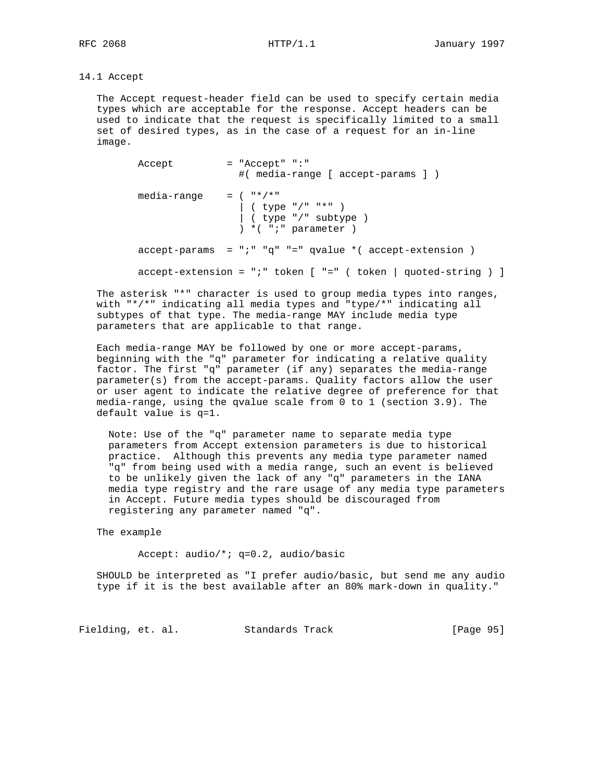# 14.1 Accept

 The Accept request-header field can be used to specify certain media types which are acceptable for the response. Accept headers can be used to indicate that the request is specifically limited to a small set of desired types, as in the case of a request for an in-line image.

Accept = "Accept" ":" #( media-range [ accept-params ] ) media-range =  $($  "\*/\*" | ( type "/" "\*" ) | ( type "/" subtype ) ) \*( ";" parameter ) accept-params = ";" "q" "=" qvalue \*( accept-extension )  $accept-extension = "i" token [ " =" ( token | quoted-string ) ]$ 

 The asterisk "\*" character is used to group media types into ranges, with "\*/\*" indicating all media types and "type/\*" indicating all subtypes of that type. The media-range MAY include media type parameters that are applicable to that range.

 Each media-range MAY be followed by one or more accept-params, beginning with the "q" parameter for indicating a relative quality factor. The first "q" parameter (if any) separates the media-range parameter(s) from the accept-params. Quality factors allow the user or user agent to indicate the relative degree of preference for that media-range, using the qvalue scale from 0 to 1 (section 3.9). The default value is q=1.

 Note: Use of the "q" parameter name to separate media type parameters from Accept extension parameters is due to historical practice. Although this prevents any media type parameter named "q" from being used with a media range, such an event is believed to be unlikely given the lack of any "q" parameters in the IANA media type registry and the rare usage of any media type parameters in Accept. Future media types should be discouraged from registering any parameter named "q".

The example

Accept: audio/\*; q=0.2, audio/basic

 SHOULD be interpreted as "I prefer audio/basic, but send me any audio type if it is the best available after an 80% mark-down in quality."

Fielding, et. al. Standards Track [Page 95]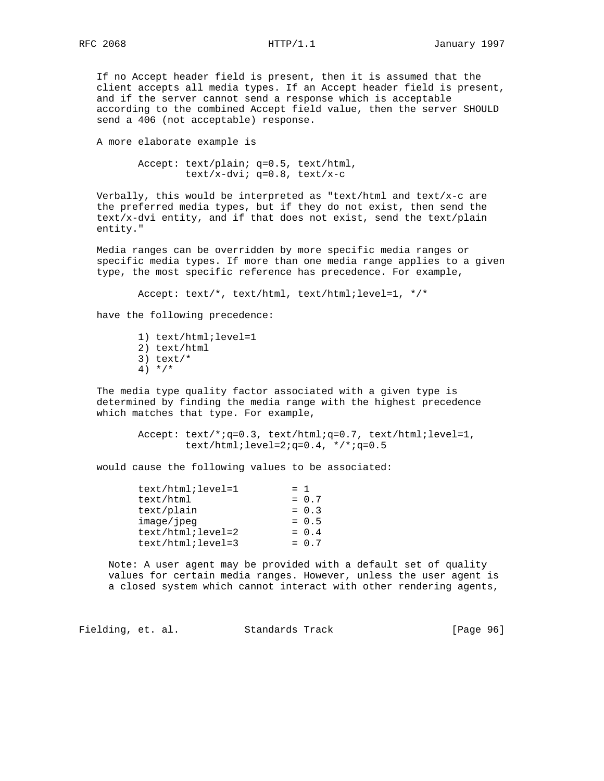If no Accept header field is present, then it is assumed that the client accepts all media types. If an Accept header field is present, and if the server cannot send a response which is acceptable according to the combined Accept field value, then the server SHOULD send a 406 (not acceptable) response.

A more elaborate example is

 Accept: text/plain; q=0.5, text/html, text/x-dvi; q=0.8, text/x-c

 Verbally, this would be interpreted as "text/html and text/x-c are the preferred media types, but if they do not exist, then send the text/x-dvi entity, and if that does not exist, send the text/plain entity."

 Media ranges can be overridden by more specific media ranges or specific media types. If more than one media range applies to a given type, the most specific reference has precedence. For example,

Accept: text/\*, text/html, text/html;level=1, \*/\*

have the following precedence:

 1) text/html;level=1 2) text/html 3) text/ $*$ 4) \*/\*

 The media type quality factor associated with a given type is determined by finding the media range with the highest precedence which matches that type. For example,

```
 Accept: text/*;q=0.3, text/html;q=0.7, text/html;level=1,
       text/html; level = 2; q = 0.4, */*; q = 0.5
```
would cause the following values to be associated:

| $=$ 1   |
|---------|
| $= 0.7$ |
| $= 0.3$ |
| $= 0.5$ |
| $= 0.4$ |
| $= 0.7$ |
|         |

 Note: A user agent may be provided with a default set of quality values for certain media ranges. However, unless the user agent is a closed system which cannot interact with other rendering agents,

Fielding, et. al. Standards Track [Page 96]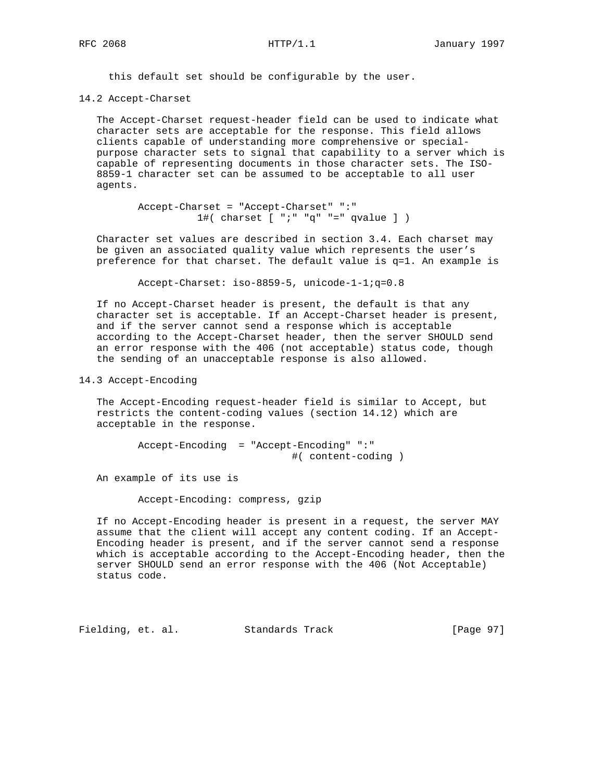this default set should be configurable by the user.

14.2 Accept-Charset

 The Accept-Charset request-header field can be used to indicate what character sets are acceptable for the response. This field allows clients capable of understanding more comprehensive or special purpose character sets to signal that capability to a server which is capable of representing documents in those character sets. The ISO- 8859-1 character set can be assumed to be acceptable to all user agents.

 Accept-Charset = "Accept-Charset" ":" 1#( charset [ ";" "q" "=" qvalue ] )

 Character set values are described in section 3.4. Each charset may be given an associated quality value which represents the user's preference for that charset. The default value is q=1. An example is

Accept-Charset: iso-8859-5, unicode-1-1;q=0.8

 If no Accept-Charset header is present, the default is that any character set is acceptable. If an Accept-Charset header is present, and if the server cannot send a response which is acceptable according to the Accept-Charset header, then the server SHOULD send an error response with the 406 (not acceptable) status code, though the sending of an unacceptable response is also allowed.

14.3 Accept-Encoding

 The Accept-Encoding request-header field is similar to Accept, but restricts the content-coding values (section 14.12) which are acceptable in the response.

> Accept-Encoding = "Accept-Encoding" ":" #( content-coding )

An example of its use is

Accept-Encoding: compress, gzip

 If no Accept-Encoding header is present in a request, the server MAY assume that the client will accept any content coding. If an Accept- Encoding header is present, and if the server cannot send a response which is acceptable according to the Accept-Encoding header, then the server SHOULD send an error response with the 406 (Not Acceptable) status code.

Fielding, et. al. Standards Track [Page 97]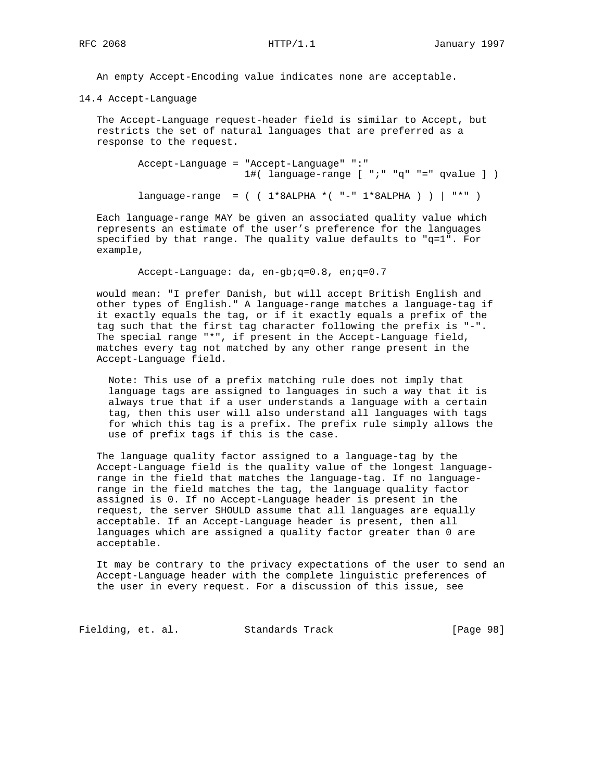An empty Accept-Encoding value indicates none are acceptable.

14.4 Accept-Language

 The Accept-Language request-header field is similar to Accept, but restricts the set of natural languages that are preferred as a response to the request.

> Accept-Language = "Accept-Language" ":" 1#( language-range [ ";" "q" "=" qvalue ] )

 $language-range = ( ( 1*8ALPHA * ( " - " 1*8ALPHA ) ) | " * " )$ 

 Each language-range MAY be given an associated quality value which represents an estimate of the user's preference for the languages specified by that range. The quality value defaults to "q=1". For example,

Accept-Language: da, en-gb;q=0.8, en;q=0.7

 would mean: "I prefer Danish, but will accept British English and other types of English." A language-range matches a language-tag if it exactly equals the tag, or if it exactly equals a prefix of the tag such that the first tag character following the prefix is "-". The special range "\*", if present in the Accept-Language field, matches every tag not matched by any other range present in the Accept-Language field.

 Note: This use of a prefix matching rule does not imply that language tags are assigned to languages in such a way that it is always true that if a user understands a language with a certain tag, then this user will also understand all languages with tags for which this tag is a prefix. The prefix rule simply allows the use of prefix tags if this is the case.

 The language quality factor assigned to a language-tag by the Accept-Language field is the quality value of the longest language range in the field that matches the language-tag. If no language range in the field matches the tag, the language quality factor assigned is 0. If no Accept-Language header is present in the request, the server SHOULD assume that all languages are equally acceptable. If an Accept-Language header is present, then all languages which are assigned a quality factor greater than 0 are acceptable.

 It may be contrary to the privacy expectations of the user to send an Accept-Language header with the complete linguistic preferences of the user in every request. For a discussion of this issue, see

Fielding, et. al. Standards Track [Page 98]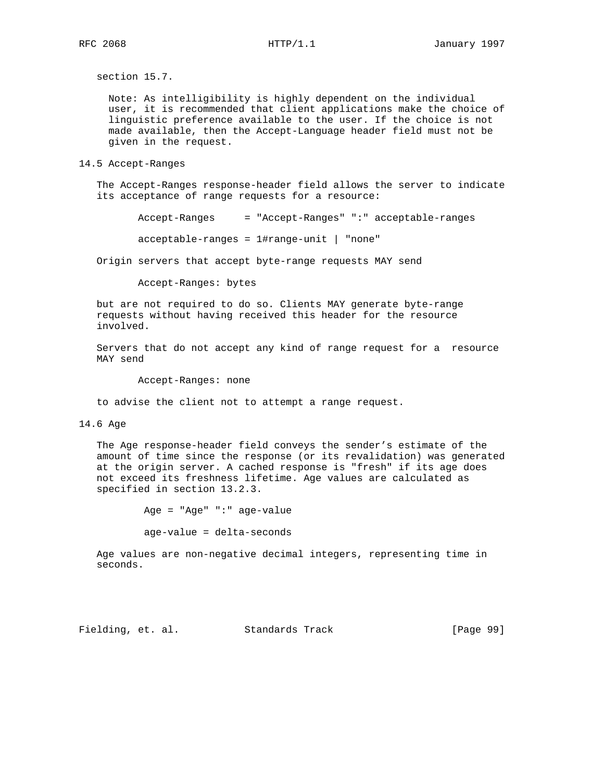section 15.7.

 Note: As intelligibility is highly dependent on the individual user, it is recommended that client applications make the choice of linguistic preference available to the user. If the choice is not made available, then the Accept-Language header field must not be given in the request.

# 14.5 Accept-Ranges

 The Accept-Ranges response-header field allows the server to indicate its acceptance of range requests for a resource:

Accept-Ranges = "Accept-Ranges" ":" acceptable-ranges

acceptable-ranges = 1#range-unit | "none"

Origin servers that accept byte-range requests MAY send

Accept-Ranges: bytes

 but are not required to do so. Clients MAY generate byte-range requests without having received this header for the resource involved.

 Servers that do not accept any kind of range request for a resource MAY send

Accept-Ranges: none

to advise the client not to attempt a range request.

### 14.6 Age

 The Age response-header field conveys the sender's estimate of the amount of time since the response (or its revalidation) was generated at the origin server. A cached response is "fresh" if its age does not exceed its freshness lifetime. Age values are calculated as specified in section 13.2.3.

Age = "Age" ":" age-value

age-value = delta-seconds

 Age values are non-negative decimal integers, representing time in seconds.

Fielding, et. al. Standards Track [Page 99]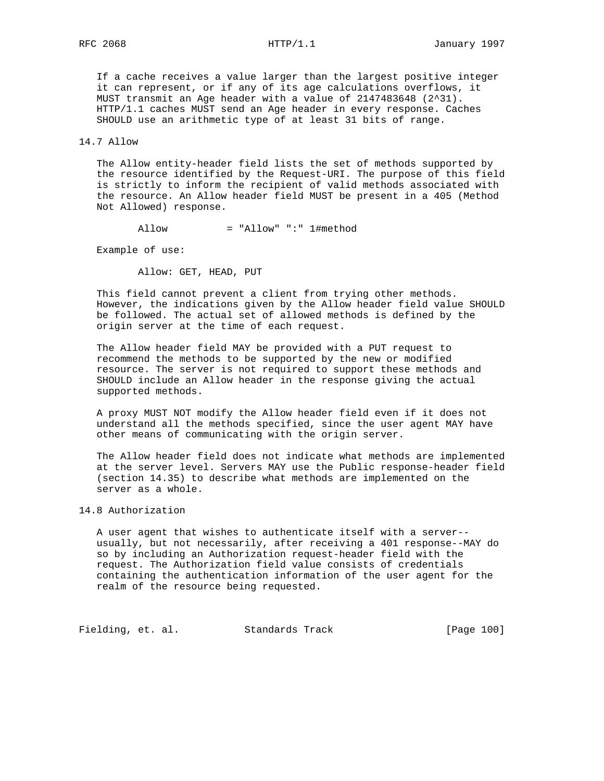If a cache receives a value larger than the largest positive integer it can represent, or if any of its age calculations overflows, it MUST transmit an Age header with a value of 2147483648 (2^31). HTTP/1.1 caches MUST send an Age header in every response. Caches SHOULD use an arithmetic type of at least 31 bits of range.

### 14.7 Allow

 The Allow entity-header field lists the set of methods supported by the resource identified by the Request-URI. The purpose of this field is strictly to inform the recipient of valid methods associated with the resource. An Allow header field MUST be present in a 405 (Method Not Allowed) response.

Allow = "Allow" ":" 1#method

Example of use:

Allow: GET, HEAD, PUT

 This field cannot prevent a client from trying other methods. However, the indications given by the Allow header field value SHOULD be followed. The actual set of allowed methods is defined by the origin server at the time of each request.

 The Allow header field MAY be provided with a PUT request to recommend the methods to be supported by the new or modified resource. The server is not required to support these methods and SHOULD include an Allow header in the response giving the actual supported methods.

 A proxy MUST NOT modify the Allow header field even if it does not understand all the methods specified, since the user agent MAY have other means of communicating with the origin server.

 The Allow header field does not indicate what methods are implemented at the server level. Servers MAY use the Public response-header field (section 14.35) to describe what methods are implemented on the server as a whole.

# 14.8 Authorization

 A user agent that wishes to authenticate itself with a server- usually, but not necessarily, after receiving a 401 response--MAY do so by including an Authorization request-header field with the request. The Authorization field value consists of credentials containing the authentication information of the user agent for the realm of the resource being requested.

Fielding, et. al. Standards Track [Page 100]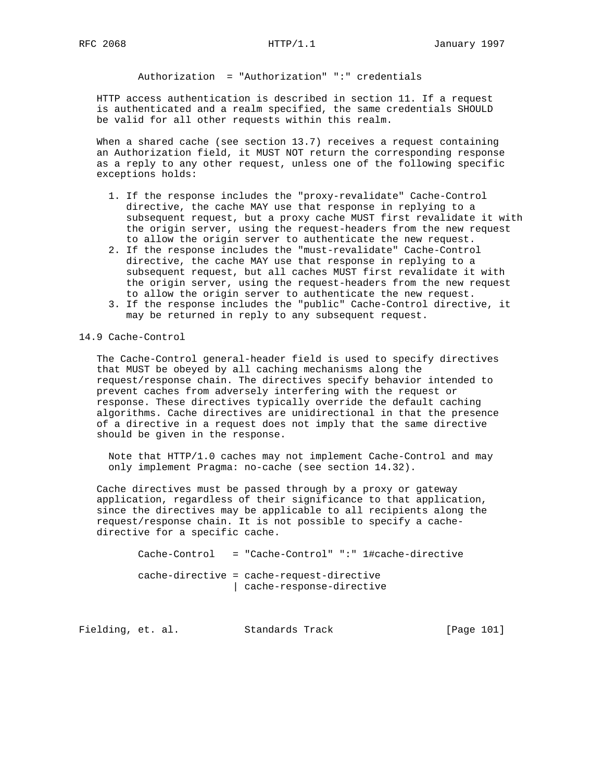Authorization = "Authorization" ":" credentials

 HTTP access authentication is described in section 11. If a request is authenticated and a realm specified, the same credentials SHOULD be valid for all other requests within this realm.

When a shared cache (see section 13.7) receives a request containing an Authorization field, it MUST NOT return the corresponding response as a reply to any other request, unless one of the following specific exceptions holds:

- 1. If the response includes the "proxy-revalidate" Cache-Control directive, the cache MAY use that response in replying to a subsequent request, but a proxy cache MUST first revalidate it with the origin server, using the request-headers from the new request to allow the origin server to authenticate the new request.
- 2. If the response includes the "must-revalidate" Cache-Control directive, the cache MAY use that response in replying to a subsequent request, but all caches MUST first revalidate it with the origin server, using the request-headers from the new request to allow the origin server to authenticate the new request.
- 3. If the response includes the "public" Cache-Control directive, it may be returned in reply to any subsequent request.
- 14.9 Cache-Control

 The Cache-Control general-header field is used to specify directives that MUST be obeyed by all caching mechanisms along the request/response chain. The directives specify behavior intended to prevent caches from adversely interfering with the request or response. These directives typically override the default caching algorithms. Cache directives are unidirectional in that the presence of a directive in a request does not imply that the same directive should be given in the response.

 Note that HTTP/1.0 caches may not implement Cache-Control and may only implement Pragma: no-cache (see section 14.32).

 Cache directives must be passed through by a proxy or gateway application, regardless of their significance to that application, since the directives may be applicable to all recipients along the request/response chain. It is not possible to specify a cache directive for a specific cache.

| Cache-Control                             |                          | = "Cache-Control" ":" 1#cache-directive |
|-------------------------------------------|--------------------------|-----------------------------------------|
| cache-directive = cache-request-directive |                          |                                         |
|                                           | cache-response-directive |                                         |

| Fielding, et. al. | Standards Track |  | [Page 101] |  |
|-------------------|-----------------|--|------------|--|
|-------------------|-----------------|--|------------|--|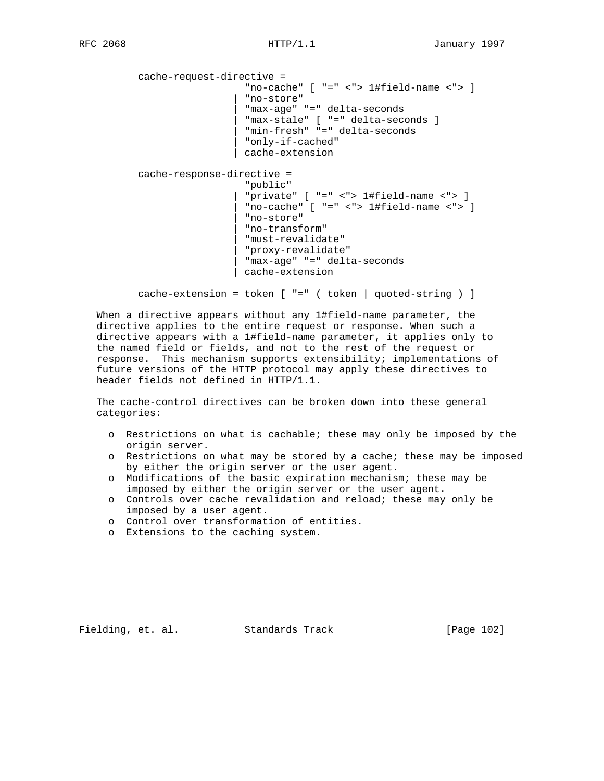```
 cache-request-directive =
                    "no-cache" [ "=" <"> 1#field-name <"> ]
                   | "no-store"
                  | "max-age" "=" delta-seconds
                   | "max-stale" [ "=" delta-seconds ]
                   | "min-fresh" "=" delta-seconds
                  | "only-if-cached"
                  | cache-extension
cache-response-directive =
                    "public"
                  | "private" [ "=" <"> 1#field-name <"> ]
                   | "no-cache" [ "=" <"> 1#field-name <"> ]
                   | "no-store"
                   | "no-transform"
                   | "must-revalidate"
                   | "proxy-revalidate"
                   | "max-age" "=" delta-seconds
                  | cache-extension
```
 $cache-extension = token [ "=' ( token | quoted-string ) ]$ 

 When a directive appears without any 1#field-name parameter, the directive applies to the entire request or response. When such a directive appears with a 1#field-name parameter, it applies only to the named field or fields, and not to the rest of the request or response. This mechanism supports extensibility; implementations of future versions of the HTTP protocol may apply these directives to header fields not defined in HTTP/1.1.

 The cache-control directives can be broken down into these general categories:

- o Restrictions on what is cachable; these may only be imposed by the origin server.
- o Restrictions on what may be stored by a cache; these may be imposed by either the origin server or the user agent.
- o Modifications of the basic expiration mechanism; these may be imposed by either the origin server or the user agent.
- o Controls over cache revalidation and reload; these may only be imposed by a user agent.
- o Control over transformation of entities.
- o Extensions to the caching system.

Fielding, et. al. Standards Track [Page 102]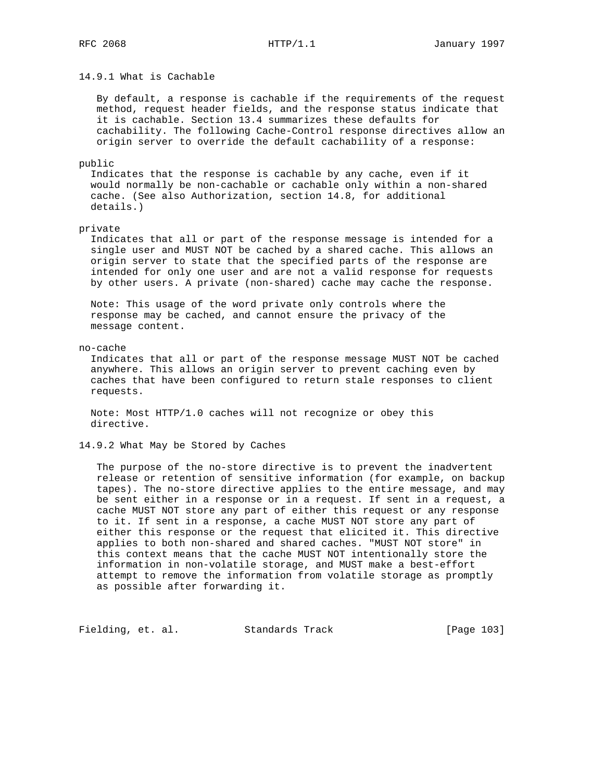# 14.9.1 What is Cachable

 By default, a response is cachable if the requirements of the request method, request header fields, and the response status indicate that it is cachable. Section 13.4 summarizes these defaults for cachability. The following Cache-Control response directives allow an origin server to override the default cachability of a response:

### public

 Indicates that the response is cachable by any cache, even if it would normally be non-cachable or cachable only within a non-shared cache. (See also Authorization, section 14.8, for additional details.)

### private

 Indicates that all or part of the response message is intended for a single user and MUST NOT be cached by a shared cache. This allows an origin server to state that the specified parts of the response are intended for only one user and are not a valid response for requests by other users. A private (non-shared) cache may cache the response.

 Note: This usage of the word private only controls where the response may be cached, and cannot ensure the privacy of the message content.

### no-cache

 Indicates that all or part of the response message MUST NOT be cached anywhere. This allows an origin server to prevent caching even by caches that have been configured to return stale responses to client requests.

 Note: Most HTTP/1.0 caches will not recognize or obey this directive.

# 14.9.2 What May be Stored by Caches

 The purpose of the no-store directive is to prevent the inadvertent release or retention of sensitive information (for example, on backup tapes). The no-store directive applies to the entire message, and may be sent either in a response or in a request. If sent in a request, a cache MUST NOT store any part of either this request or any response to it. If sent in a response, a cache MUST NOT store any part of either this response or the request that elicited it. This directive applies to both non-shared and shared caches. "MUST NOT store" in this context means that the cache MUST NOT intentionally store the information in non-volatile storage, and MUST make a best-effort attempt to remove the information from volatile storage as promptly as possible after forwarding it.

Fielding, et. al. Standards Track [Page 103]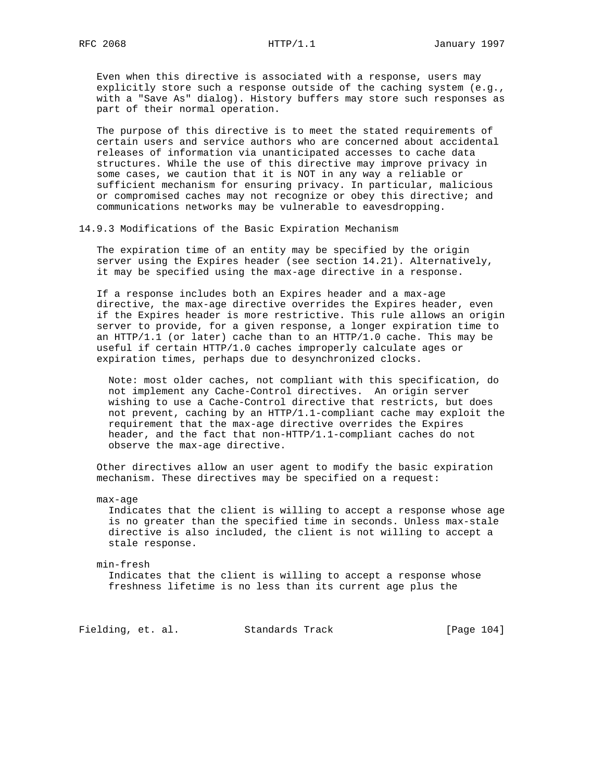Even when this directive is associated with a response, users may explicitly store such a response outside of the caching system (e.g., with a "Save As" dialog). History buffers may store such responses as part of their normal operation.

 The purpose of this directive is to meet the stated requirements of certain users and service authors who are concerned about accidental releases of information via unanticipated accesses to cache data structures. While the use of this directive may improve privacy in some cases, we caution that it is NOT in any way a reliable or sufficient mechanism for ensuring privacy. In particular, malicious or compromised caches may not recognize or obey this directive; and communications networks may be vulnerable to eavesdropping.

14.9.3 Modifications of the Basic Expiration Mechanism

 The expiration time of an entity may be specified by the origin server using the Expires header (see section 14.21). Alternatively, it may be specified using the max-age directive in a response.

 If a response includes both an Expires header and a max-age directive, the max-age directive overrides the Expires header, even if the Expires header is more restrictive. This rule allows an origin server to provide, for a given response, a longer expiration time to an HTTP/1.1 (or later) cache than to an HTTP/1.0 cache. This may be useful if certain HTTP/1.0 caches improperly calculate ages or expiration times, perhaps due to desynchronized clocks.

 Note: most older caches, not compliant with this specification, do not implement any Cache-Control directives. An origin server wishing to use a Cache-Control directive that restricts, but does not prevent, caching by an HTTP/1.1-compliant cache may exploit the requirement that the max-age directive overrides the Expires header, and the fact that non-HTTP/1.1-compliant caches do not observe the max-age directive.

 Other directives allow an user agent to modify the basic expiration mechanism. These directives may be specified on a request:

max-age

 Indicates that the client is willing to accept a response whose age is no greater than the specified time in seconds. Unless max-stale directive is also included, the client is not willing to accept a stale response.

# min-fresh Indicates that the client is willing to accept a response whose freshness lifetime is no less than its current age plus the

Fielding, et. al. Standards Track [Page 104]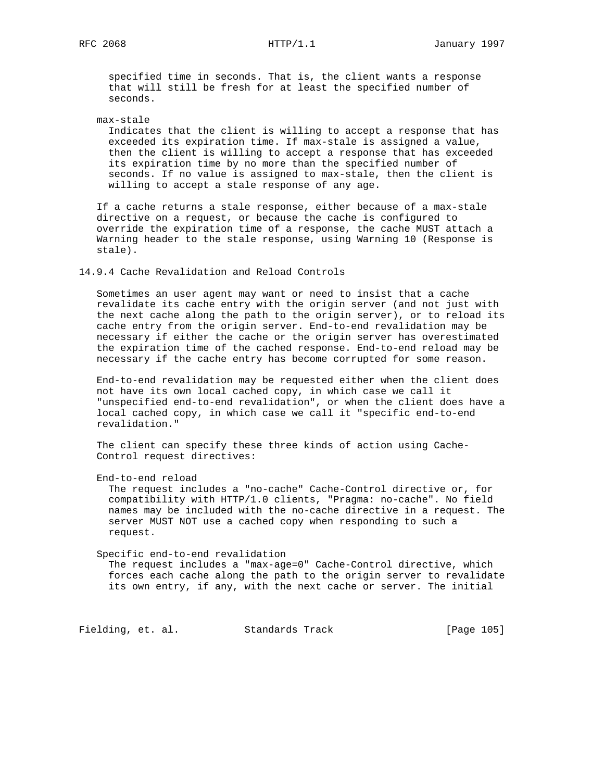specified time in seconds. That is, the client wants a response that will still be fresh for at least the specified number of seconds.

max-stale

 Indicates that the client is willing to accept a response that has exceeded its expiration time. If max-stale is assigned a value, then the client is willing to accept a response that has exceeded its expiration time by no more than the specified number of seconds. If no value is assigned to max-stale, then the client is willing to accept a stale response of any age.

 If a cache returns a stale response, either because of a max-stale directive on a request, or because the cache is configured to override the expiration time of a response, the cache MUST attach a Warning header to the stale response, using Warning 10 (Response is stale).

14.9.4 Cache Revalidation and Reload Controls

 Sometimes an user agent may want or need to insist that a cache revalidate its cache entry with the origin server (and not just with the next cache along the path to the origin server), or to reload its cache entry from the origin server. End-to-end revalidation may be necessary if either the cache or the origin server has overestimated the expiration time of the cached response. End-to-end reload may be necessary if the cache entry has become corrupted for some reason.

 End-to-end revalidation may be requested either when the client does not have its own local cached copy, in which case we call it "unspecified end-to-end revalidation", or when the client does have a local cached copy, in which case we call it "specific end-to-end revalidation."

 The client can specify these three kinds of action using Cache- Control request directives:

End-to-end reload

 The request includes a "no-cache" Cache-Control directive or, for compatibility with HTTP/1.0 clients, "Pragma: no-cache". No field names may be included with the no-cache directive in a request. The server MUST NOT use a cached copy when responding to such a request.

 Specific end-to-end revalidation The request includes a "max-age=0" Cache-Control directive, which forces each cache along the path to the origin server to revalidate its own entry, if any, with the next cache or server. The initial

Fielding, et. al. Standards Track [Page 105]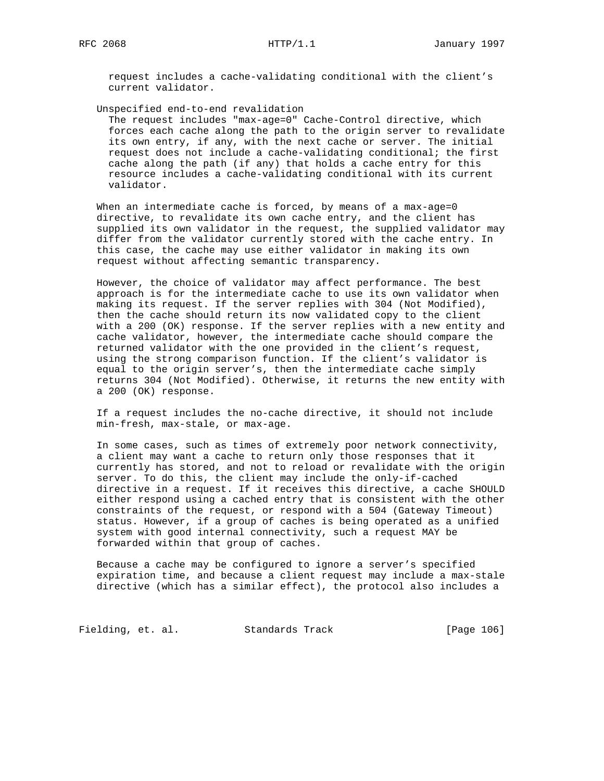request includes a cache-validating conditional with the client's current validator.

Unspecified end-to-end revalidation

 The request includes "max-age=0" Cache-Control directive, which forces each cache along the path to the origin server to revalidate its own entry, if any, with the next cache or server. The initial request does not include a cache-validating conditional; the first cache along the path (if any) that holds a cache entry for this resource includes a cache-validating conditional with its current validator.

When an intermediate cache is forced, by means of a max-age=0 directive, to revalidate its own cache entry, and the client has supplied its own validator in the request, the supplied validator may differ from the validator currently stored with the cache entry. In this case, the cache may use either validator in making its own request without affecting semantic transparency.

 However, the choice of validator may affect performance. The best approach is for the intermediate cache to use its own validator when making its request. If the server replies with 304 (Not Modified), then the cache should return its now validated copy to the client with a 200 (OK) response. If the server replies with a new entity and cache validator, however, the intermediate cache should compare the returned validator with the one provided in the client's request, using the strong comparison function. If the client's validator is equal to the origin server's, then the intermediate cache simply returns 304 (Not Modified). Otherwise, it returns the new entity with a 200 (OK) response.

 If a request includes the no-cache directive, it should not include min-fresh, max-stale, or max-age.

 In some cases, such as times of extremely poor network connectivity, a client may want a cache to return only those responses that it currently has stored, and not to reload or revalidate with the origin server. To do this, the client may include the only-if-cached directive in a request. If it receives this directive, a cache SHOULD either respond using a cached entry that is consistent with the other constraints of the request, or respond with a 504 (Gateway Timeout) status. However, if a group of caches is being operated as a unified system with good internal connectivity, such a request MAY be forwarded within that group of caches.

 Because a cache may be configured to ignore a server's specified expiration time, and because a client request may include a max-stale directive (which has a similar effect), the protocol also includes a

Fielding, et. al. Standards Track [Page 106]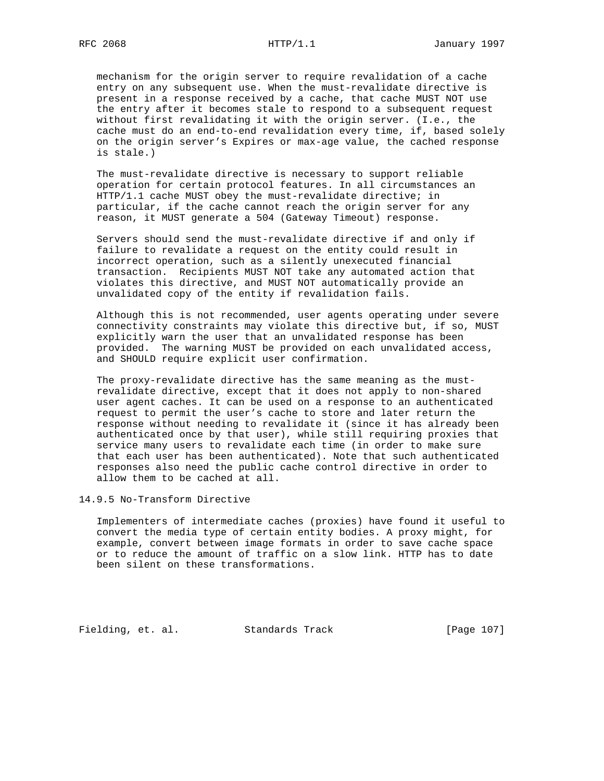mechanism for the origin server to require revalidation of a cache entry on any subsequent use. When the must-revalidate directive is present in a response received by a cache, that cache MUST NOT use the entry after it becomes stale to respond to a subsequent request without first revalidating it with the origin server. (I.e., the cache must do an end-to-end revalidation every time, if, based solely on the origin server's Expires or max-age value, the cached response is stale.)

 The must-revalidate directive is necessary to support reliable operation for certain protocol features. In all circumstances an HTTP/1.1 cache MUST obey the must-revalidate directive; in particular, if the cache cannot reach the origin server for any reason, it MUST generate a 504 (Gateway Timeout) response.

 Servers should send the must-revalidate directive if and only if failure to revalidate a request on the entity could result in incorrect operation, such as a silently unexecuted financial transaction. Recipients MUST NOT take any automated action that violates this directive, and MUST NOT automatically provide an unvalidated copy of the entity if revalidation fails.

 Although this is not recommended, user agents operating under severe connectivity constraints may violate this directive but, if so, MUST explicitly warn the user that an unvalidated response has been provided. The warning MUST be provided on each unvalidated access, and SHOULD require explicit user confirmation.

 The proxy-revalidate directive has the same meaning as the must revalidate directive, except that it does not apply to non-shared user agent caches. It can be used on a response to an authenticated request to permit the user's cache to store and later return the response without needing to revalidate it (since it has already been authenticated once by that user), while still requiring proxies that service many users to revalidate each time (in order to make sure that each user has been authenticated). Note that such authenticated responses also need the public cache control directive in order to allow them to be cached at all.

14.9.5 No-Transform Directive

 Implementers of intermediate caches (proxies) have found it useful to convert the media type of certain entity bodies. A proxy might, for example, convert between image formats in order to save cache space or to reduce the amount of traffic on a slow link. HTTP has to date been silent on these transformations.

Fielding, et. al. Standards Track [Page 107]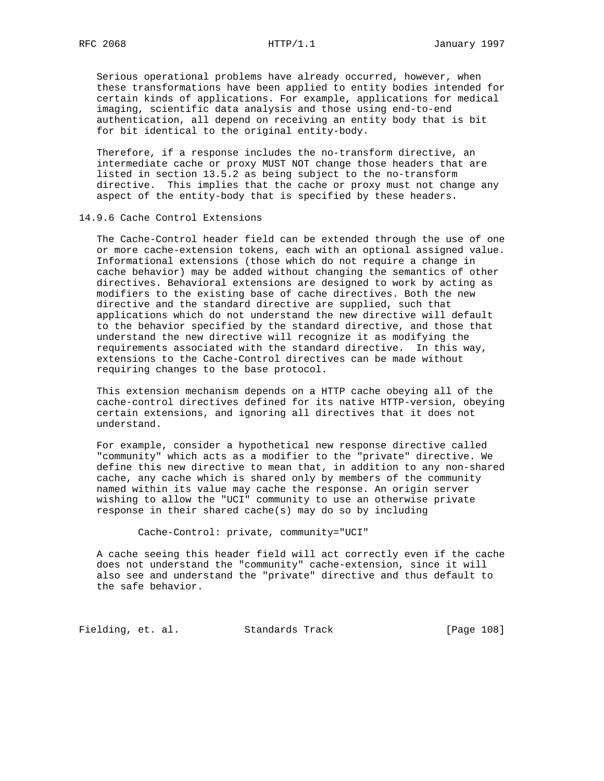Serious operational problems have already occurred, however, when these transformations have been applied to entity bodies intended for certain kinds of applications. For example, applications for medical imaging, scientific data analysis and those using end-to-end authentication, all depend on receiving an entity body that is bit for bit identical to the original entity-body.

 Therefore, if a response includes the no-transform directive, an intermediate cache or proxy MUST NOT change those headers that are listed in section 13.5.2 as being subject to the no-transform directive. This implies that the cache or proxy must not change any aspect of the entity-body that is specified by these headers.

# 14.9.6 Cache Control Extensions

 The Cache-Control header field can be extended through the use of one or more cache-extension tokens, each with an optional assigned value. Informational extensions (those which do not require a change in cache behavior) may be added without changing the semantics of other directives. Behavioral extensions are designed to work by acting as modifiers to the existing base of cache directives. Both the new directive and the standard directive are supplied, such that applications which do not understand the new directive will default to the behavior specified by the standard directive, and those that understand the new directive will recognize it as modifying the requirements associated with the standard directive. In this way, extensions to the Cache-Control directives can be made without requiring changes to the base protocol.

 This extension mechanism depends on a HTTP cache obeying all of the cache-control directives defined for its native HTTP-version, obeying certain extensions, and ignoring all directives that it does not understand.

 For example, consider a hypothetical new response directive called "community" which acts as a modifier to the "private" directive. We define this new directive to mean that, in addition to any non-shared cache, any cache which is shared only by members of the community named within its value may cache the response. An origin server wishing to allow the "UCI" community to use an otherwise private response in their shared cache(s) may do so by including

Cache-Control: private, community="UCI"

 A cache seeing this header field will act correctly even if the cache does not understand the "community" cache-extension, since it will also see and understand the "private" directive and thus default to the safe behavior.

Fielding, et. al. Standards Track [Page 108]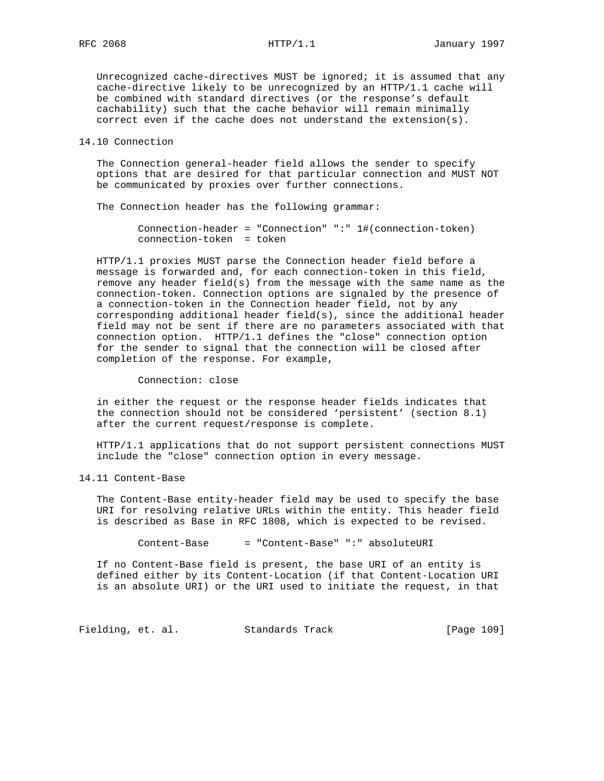Unrecognized cache-directives MUST be ignored; it is assumed that any cache-directive likely to be unrecognized by an HTTP/1.1 cache will be combined with standard directives (or the response's default cachability) such that the cache behavior will remain minimally correct even if the cache does not understand the extension(s).

### 14.10 Connection

 The Connection general-header field allows the sender to specify options that are desired for that particular connection and MUST NOT be communicated by proxies over further connections.

The Connection header has the following grammar:

 Connection-header = "Connection" ":" 1#(connection-token) connection-token = token

 HTTP/1.1 proxies MUST parse the Connection header field before a message is forwarded and, for each connection-token in this field, remove any header field(s) from the message with the same name as the connection-token. Connection options are signaled by the presence of a connection-token in the Connection header field, not by any corresponding additional header field(s), since the additional header field may not be sent if there are no parameters associated with that connection option. HTTP/1.1 defines the "close" connection option for the sender to signal that the connection will be closed after completion of the response. For example,

Connection: close

 in either the request or the response header fields indicates that the connection should not be considered 'persistent' (section 8.1) after the current request/response is complete.

 HTTP/1.1 applications that do not support persistent connections MUST include the "close" connection option in every message.

14.11 Content-Base

 The Content-Base entity-header field may be used to specify the base URI for resolving relative URLs within the entity. This header field is described as Base in RFC 1808, which is expected to be revised.

Content-Base = "Content-Base" ":" absoluteURI

 If no Content-Base field is present, the base URI of an entity is defined either by its Content-Location (if that Content-Location URI is an absolute URI) or the URI used to initiate the request, in that

Fielding, et. al. Standards Track [Page 109]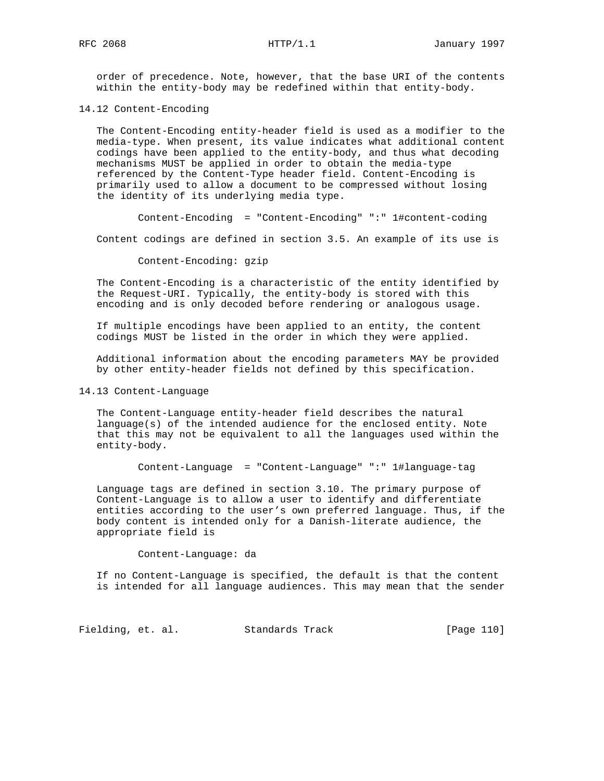order of precedence. Note, however, that the base URI of the contents within the entity-body may be redefined within that entity-body.

14.12 Content-Encoding

 The Content-Encoding entity-header field is used as a modifier to the media-type. When present, its value indicates what additional content codings have been applied to the entity-body, and thus what decoding mechanisms MUST be applied in order to obtain the media-type referenced by the Content-Type header field. Content-Encoding is primarily used to allow a document to be compressed without losing the identity of its underlying media type.

Content-Encoding = "Content-Encoding" ":" 1#content-coding

Content codings are defined in section 3.5. An example of its use is

Content-Encoding: gzip

 The Content-Encoding is a characteristic of the entity identified by the Request-URI. Typically, the entity-body is stored with this encoding and is only decoded before rendering or analogous usage.

 If multiple encodings have been applied to an entity, the content codings MUST be listed in the order in which they were applied.

 Additional information about the encoding parameters MAY be provided by other entity-header fields not defined by this specification.

## 14.13 Content-Language

 The Content-Language entity-header field describes the natural language(s) of the intended audience for the enclosed entity. Note that this may not be equivalent to all the languages used within the entity-body.

Content-Language = "Content-Language" ":" 1#language-tag

 Language tags are defined in section 3.10. The primary purpose of Content-Language is to allow a user to identify and differentiate entities according to the user's own preferred language. Thus, if the body content is intended only for a Danish-literate audience, the appropriate field is

Content-Language: da

 If no Content-Language is specified, the default is that the content is intended for all language audiences. This may mean that the sender

Fielding, et. al. Standards Track [Page 110]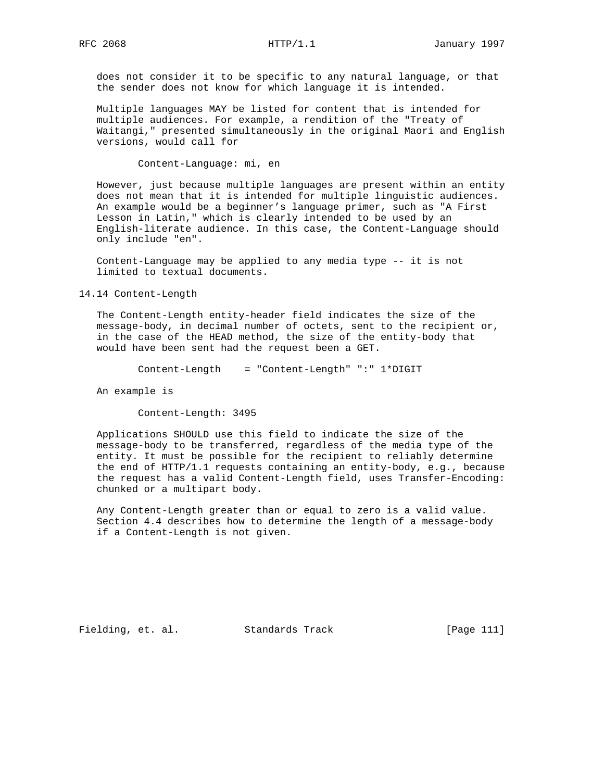does not consider it to be specific to any natural language, or that the sender does not know for which language it is intended.

 Multiple languages MAY be listed for content that is intended for multiple audiences. For example, a rendition of the "Treaty of Waitangi," presented simultaneously in the original Maori and English versions, would call for

Content-Language: mi, en

 However, just because multiple languages are present within an entity does not mean that it is intended for multiple linguistic audiences. An example would be a beginner's language primer, such as "A First Lesson in Latin," which is clearly intended to be used by an English-literate audience. In this case, the Content-Language should only include "en".

 Content-Language may be applied to any media type -- it is not limited to textual documents.

14.14 Content-Length

 The Content-Length entity-header field indicates the size of the message-body, in decimal number of octets, sent to the recipient or, in the case of the HEAD method, the size of the entity-body that would have been sent had the request been a GET.

Content-Length = "Content-Length" ":" 1\*DIGIT

An example is

Content-Length: 3495

 Applications SHOULD use this field to indicate the size of the message-body to be transferred, regardless of the media type of the entity. It must be possible for the recipient to reliably determine the end of HTTP/1.1 requests containing an entity-body, e.g., because the request has a valid Content-Length field, uses Transfer-Encoding: chunked or a multipart body.

 Any Content-Length greater than or equal to zero is a valid value. Section 4.4 describes how to determine the length of a message-body if a Content-Length is not given.

Fielding, et. al. Standards Track [Page 111]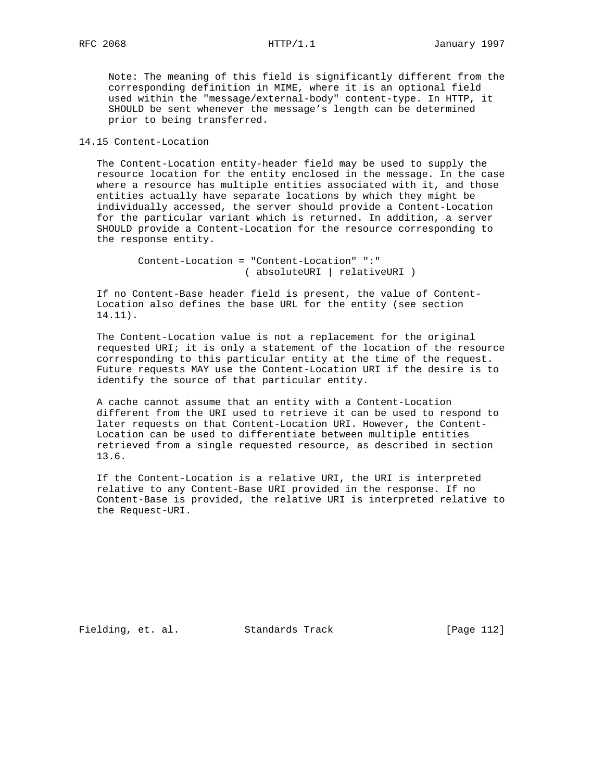Note: The meaning of this field is significantly different from the corresponding definition in MIME, where it is an optional field used within the "message/external-body" content-type. In HTTP, it SHOULD be sent whenever the message's length can be determined prior to being transferred.

# 14.15 Content-Location

 The Content-Location entity-header field may be used to supply the resource location for the entity enclosed in the message. In the case where a resource has multiple entities associated with it, and those entities actually have separate locations by which they might be individually accessed, the server should provide a Content-Location for the particular variant which is returned. In addition, a server SHOULD provide a Content-Location for the resource corresponding to the response entity.

> Content-Location = "Content-Location" ":" ( absoluteURI | relativeURI )

 If no Content-Base header field is present, the value of Content- Location also defines the base URL for the entity (see section 14.11).

 The Content-Location value is not a replacement for the original requested URI; it is only a statement of the location of the resource corresponding to this particular entity at the time of the request. Future requests MAY use the Content-Location URI if the desire is to identify the source of that particular entity.

 A cache cannot assume that an entity with a Content-Location different from the URI used to retrieve it can be used to respond to later requests on that Content-Location URI. However, the Content- Location can be used to differentiate between multiple entities retrieved from a single requested resource, as described in section 13.6.

 If the Content-Location is a relative URI, the URI is interpreted relative to any Content-Base URI provided in the response. If no Content-Base is provided, the relative URI is interpreted relative to the Request-URI.

Fielding, et. al. Standards Track [Page 112]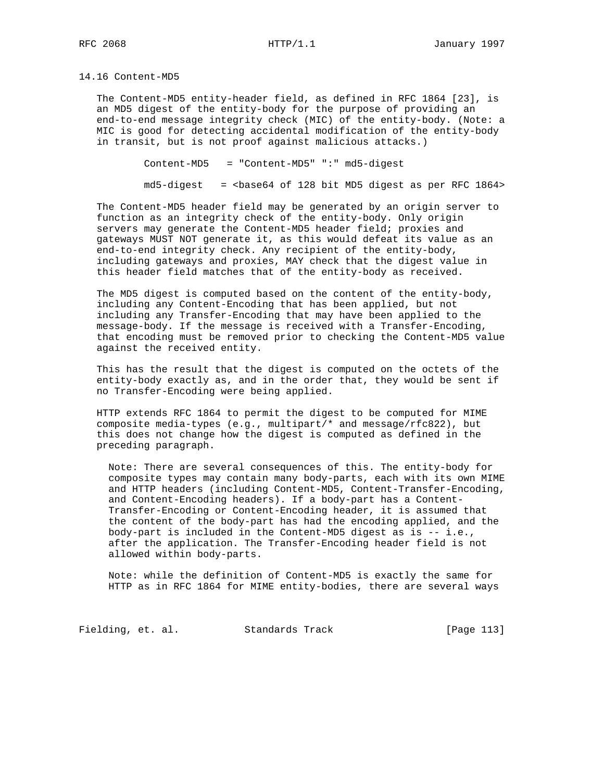14.16 Content-MD5

 The Content-MD5 entity-header field, as defined in RFC 1864 [23], is an MD5 digest of the entity-body for the purpose of providing an end-to-end message integrity check (MIC) of the entity-body. (Note: a MIC is good for detecting accidental modification of the entity-body in transit, but is not proof against malicious attacks.)

Content-MD5 = "Content-MD5" ":" md5-digest

md5-digest = <base64 of 128 bit MD5 digest as per RFC 1864>

 The Content-MD5 header field may be generated by an origin server to function as an integrity check of the entity-body. Only origin servers may generate the Content-MD5 header field; proxies and gateways MUST NOT generate it, as this would defeat its value as an end-to-end integrity check. Any recipient of the entity-body, including gateways and proxies, MAY check that the digest value in this header field matches that of the entity-body as received.

 The MD5 digest is computed based on the content of the entity-body, including any Content-Encoding that has been applied, but not including any Transfer-Encoding that may have been applied to the message-body. If the message is received with a Transfer-Encoding, that encoding must be removed prior to checking the Content-MD5 value against the received entity.

 This has the result that the digest is computed on the octets of the entity-body exactly as, and in the order that, they would be sent if no Transfer-Encoding were being applied.

 HTTP extends RFC 1864 to permit the digest to be computed for MIME composite media-types (e.g., multipart/\* and message/rfc822), but this does not change how the digest is computed as defined in the preceding paragraph.

 Note: There are several consequences of this. The entity-body for composite types may contain many body-parts, each with its own MIME and HTTP headers (including Content-MD5, Content-Transfer-Encoding, and Content-Encoding headers). If a body-part has a Content- Transfer-Encoding or Content-Encoding header, it is assumed that the content of the body-part has had the encoding applied, and the body-part is included in the Content-MD5 digest as is -- i.e., after the application. The Transfer-Encoding header field is not allowed within body-parts.

 Note: while the definition of Content-MD5 is exactly the same for HTTP as in RFC 1864 for MIME entity-bodies, there are several ways

Fielding, et. al. Standards Track [Page 113]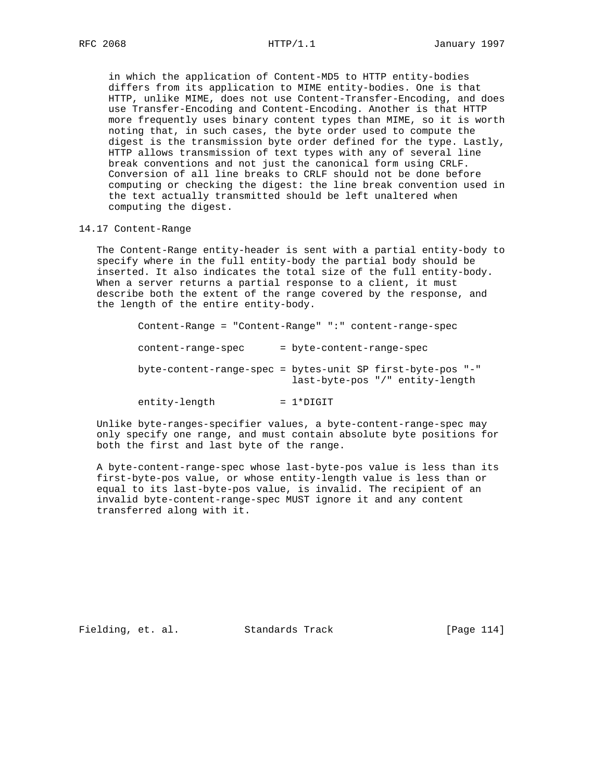in which the application of Content-MD5 to HTTP entity-bodies differs from its application to MIME entity-bodies. One is that HTTP, unlike MIME, does not use Content-Transfer-Encoding, and does use Transfer-Encoding and Content-Encoding. Another is that HTTP more frequently uses binary content types than MIME, so it is worth noting that, in such cases, the byte order used to compute the digest is the transmission byte order defined for the type. Lastly, HTTP allows transmission of text types with any of several line break conventions and not just the canonical form using CRLF. Conversion of all line breaks to CRLF should not be done before computing or checking the digest: the line break convention used in the text actually transmitted should be left unaltered when computing the digest.

### 14.17 Content-Range

 The Content-Range entity-header is sent with a partial entity-body to specify where in the full entity-body the partial body should be inserted. It also indicates the total size of the full entity-body. When a server returns a partial response to a client, it must describe both the extent of the range covered by the response, and the length of the entire entity-body.

|                    | $Content-Range = "Content-Range" :: content-range-space$                                      |
|--------------------|-----------------------------------------------------------------------------------------------|
| content-range-spec | = byte-content-range-spec                                                                     |
|                    | byte-content-range-spec = bytes-unit SP first-byte-pos "-"<br>last-byte-pos "/" entity-length |
| entity-length      | $= 1*DiffIT$                                                                                  |

 Unlike byte-ranges-specifier values, a byte-content-range-spec may only specify one range, and must contain absolute byte positions for both the first and last byte of the range.

 A byte-content-range-spec whose last-byte-pos value is less than its first-byte-pos value, or whose entity-length value is less than or equal to its last-byte-pos value, is invalid. The recipient of an invalid byte-content-range-spec MUST ignore it and any content transferred along with it.

Fielding, et. al. Standards Track [Page 114]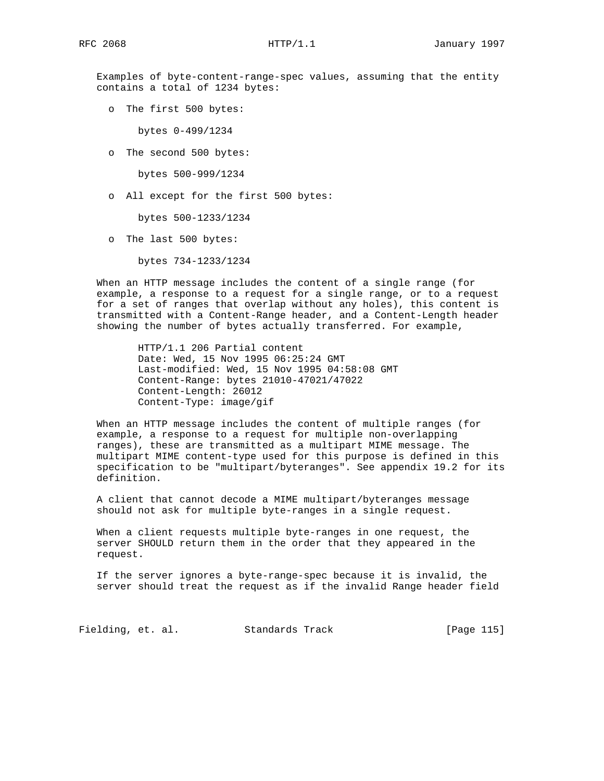Examples of byte-content-range-spec values, assuming that the entity contains a total of 1234 bytes:

o The first 500 bytes:

bytes 0-499/1234

o The second 500 bytes:

bytes 500-999/1234

o All except for the first 500 bytes:

bytes 500-1233/1234

o The last 500 bytes:

bytes 734-1233/1234

 When an HTTP message includes the content of a single range (for example, a response to a request for a single range, or to a request for a set of ranges that overlap without any holes), this content is transmitted with a Content-Range header, and a Content-Length header showing the number of bytes actually transferred. For example,

 HTTP/1.1 206 Partial content Date: Wed, 15 Nov 1995 06:25:24 GMT Last-modified: Wed, 15 Nov 1995 04:58:08 GMT Content-Range: bytes 21010-47021/47022 Content-Length: 26012 Content-Type: image/gif

 When an HTTP message includes the content of multiple ranges (for example, a response to a request for multiple non-overlapping ranges), these are transmitted as a multipart MIME message. The multipart MIME content-type used for this purpose is defined in this specification to be "multipart/byteranges". See appendix 19.2 for its definition.

 A client that cannot decode a MIME multipart/byteranges message should not ask for multiple byte-ranges in a single request.

 When a client requests multiple byte-ranges in one request, the server SHOULD return them in the order that they appeared in the request.

 If the server ignores a byte-range-spec because it is invalid, the server should treat the request as if the invalid Range header field

Fielding, et. al. Standards Track [Page 115]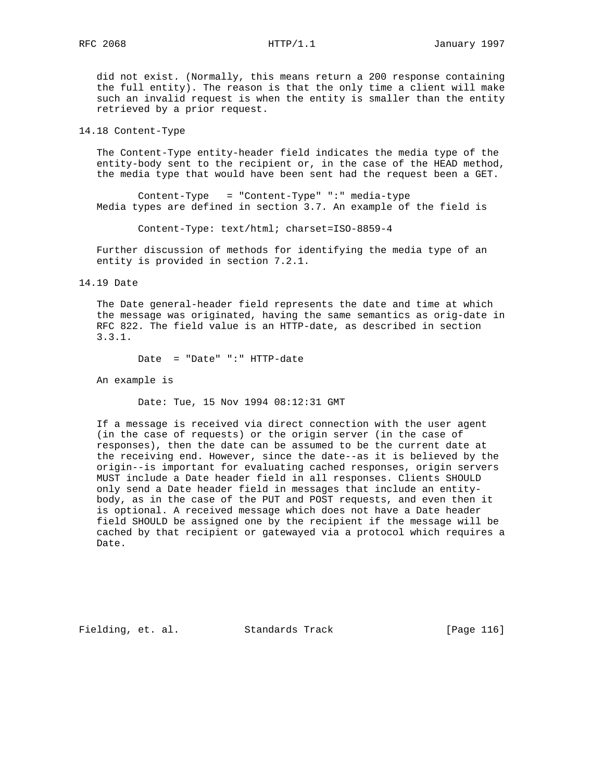did not exist. (Normally, this means return a 200 response containing the full entity). The reason is that the only time a client will make such an invalid request is when the entity is smaller than the entity retrieved by a prior request.

14.18 Content-Type

 The Content-Type entity-header field indicates the media type of the entity-body sent to the recipient or, in the case of the HEAD method, the media type that would have been sent had the request been a GET.

 Content-Type = "Content-Type" ":" media-type Media types are defined in section 3.7. An example of the field is

Content-Type: text/html; charset=ISO-8859-4

 Further discussion of methods for identifying the media type of an entity is provided in section 7.2.1.

14.19 Date

 The Date general-header field represents the date and time at which the message was originated, having the same semantics as orig-date in RFC 822. The field value is an HTTP-date, as described in section 3.3.1.

Date = "Date" ":" HTTP-date

An example is

Date: Tue, 15 Nov 1994 08:12:31 GMT

 If a message is received via direct connection with the user agent (in the case of requests) or the origin server (in the case of responses), then the date can be assumed to be the current date at the receiving end. However, since the date--as it is believed by the origin--is important for evaluating cached responses, origin servers MUST include a Date header field in all responses. Clients SHOULD only send a Date header field in messages that include an entity body, as in the case of the PUT and POST requests, and even then it is optional. A received message which does not have a Date header field SHOULD be assigned one by the recipient if the message will be cached by that recipient or gatewayed via a protocol which requires a Date.

Fielding, et. al. Standards Track [Page 116]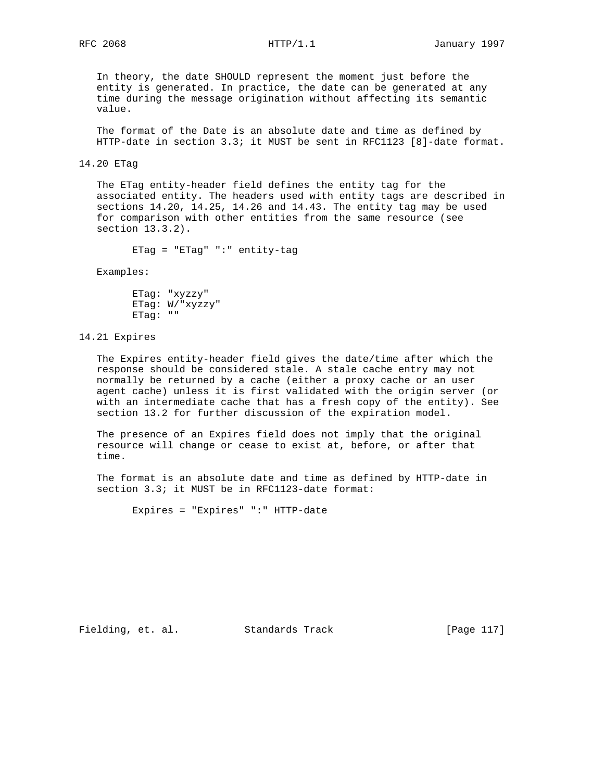In theory, the date SHOULD represent the moment just before the entity is generated. In practice, the date can be generated at any time during the message origination without affecting its semantic value.

 The format of the Date is an absolute date and time as defined by HTTP-date in section 3.3; it MUST be sent in RFC1123 [8]-date format.

# 14.20 ETag

 The ETag entity-header field defines the entity tag for the associated entity. The headers used with entity tags are described in sections 14.20, 14.25, 14.26 and 14.43. The entity tag may be used for comparison with other entities from the same resource (see section 13.3.2).

ETag = "ETag" ":" entity-tag

Examples:

 ETag: "xyzzy" ETag: W/"xyzzy" ETag: ""

14.21 Expires

 The Expires entity-header field gives the date/time after which the response should be considered stale. A stale cache entry may not normally be returned by a cache (either a proxy cache or an user agent cache) unless it is first validated with the origin server (or with an intermediate cache that has a fresh copy of the entity). See section 13.2 for further discussion of the expiration model.

 The presence of an Expires field does not imply that the original resource will change or cease to exist at, before, or after that time.

 The format is an absolute date and time as defined by HTTP-date in section 3.3; it MUST be in RFC1123-date format:

Expires = "Expires" ":" HTTP-date

Fielding, et. al. Standards Track [Page 117]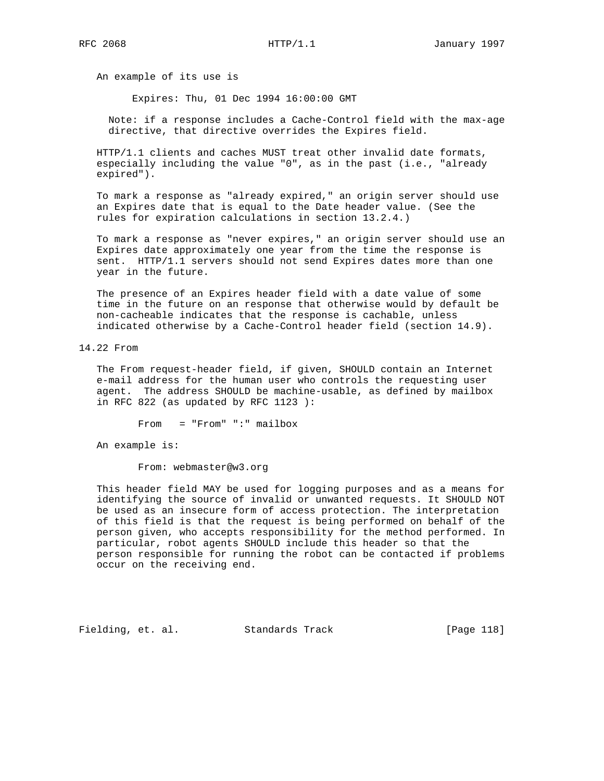An example of its use is

Expires: Thu, 01 Dec 1994 16:00:00 GMT

 Note: if a response includes a Cache-Control field with the max-age directive, that directive overrides the Expires field.

 HTTP/1.1 clients and caches MUST treat other invalid date formats, especially including the value "0", as in the past (i.e., "already expired").

 To mark a response as "already expired," an origin server should use an Expires date that is equal to the Date header value. (See the rules for expiration calculations in section 13.2.4.)

 To mark a response as "never expires," an origin server should use an Expires date approximately one year from the time the response is sent. HTTP/1.1 servers should not send Expires dates more than one year in the future.

 The presence of an Expires header field with a date value of some time in the future on an response that otherwise would by default be non-cacheable indicates that the response is cachable, unless indicated otherwise by a Cache-Control header field (section 14.9).

14.22 From

 The From request-header field, if given, SHOULD contain an Internet e-mail address for the human user who controls the requesting user agent. The address SHOULD be machine-usable, as defined by mailbox in RFC 822 (as updated by RFC 1123 ):

From = "From" ":" mailbox

An example is:

From: webmaster@w3.org

 This header field MAY be used for logging purposes and as a means for identifying the source of invalid or unwanted requests. It SHOULD NOT be used as an insecure form of access protection. The interpretation of this field is that the request is being performed on behalf of the person given, who accepts responsibility for the method performed. In particular, robot agents SHOULD include this header so that the person responsible for running the robot can be contacted if problems occur on the receiving end.

Fielding, et. al. Standards Track [Page 118]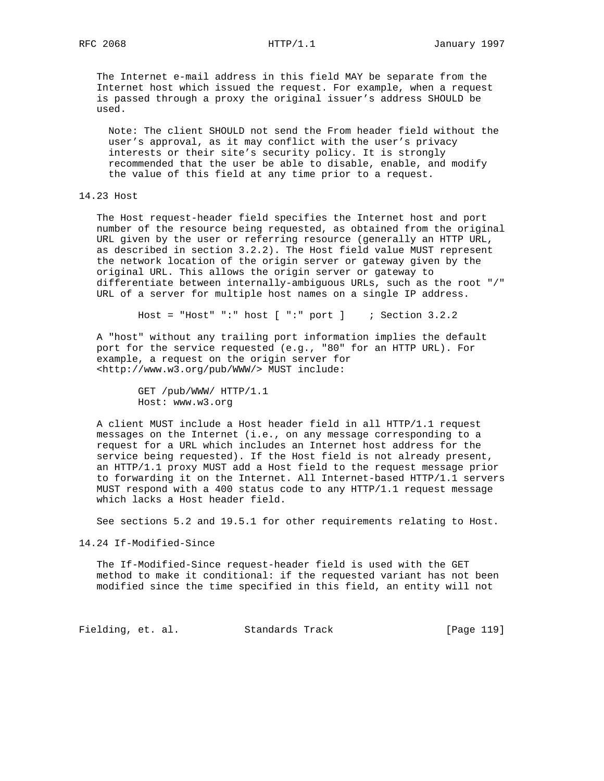The Internet e-mail address in this field MAY be separate from the Internet host which issued the request. For example, when a request is passed through a proxy the original issuer's address SHOULD be used.

 Note: The client SHOULD not send the From header field without the user's approval, as it may conflict with the user's privacy interests or their site's security policy. It is strongly recommended that the user be able to disable, enable, and modify the value of this field at any time prior to a request.

# 14.23 Host

 The Host request-header field specifies the Internet host and port number of the resource being requested, as obtained from the original URL given by the user or referring resource (generally an HTTP URL, as described in section 3.2.2). The Host field value MUST represent the network location of the origin server or gateway given by the original URL. This allows the origin server or gateway to differentiate between internally-ambiguous URLs, such as the root "/" URL of a server for multiple host names on a single IP address.

Host = "Host" ":" host  $[$  ":" port  $]$  ; Section 3.2.2

 A "host" without any trailing port information implies the default port for the service requested (e.g., "80" for an HTTP URL). For example, a request on the origin server for <http://www.w3.org/pub/WWW/> MUST include:

> GET /pub/WWW/ HTTP/1.1 Host: www.w3.org

 A client MUST include a Host header field in all HTTP/1.1 request messages on the Internet (i.e., on any message corresponding to a request for a URL which includes an Internet host address for the service being requested). If the Host field is not already present, an HTTP/1.1 proxy MUST add a Host field to the request message prior to forwarding it on the Internet. All Internet-based HTTP/1.1 servers MUST respond with a 400 status code to any HTTP/1.1 request message which lacks a Host header field.

See sections 5.2 and 19.5.1 for other requirements relating to Host.

14.24 If-Modified-Since

 The If-Modified-Since request-header field is used with the GET method to make it conditional: if the requested variant has not been modified since the time specified in this field, an entity will not

Fielding, et. al. Standards Track [Page 119]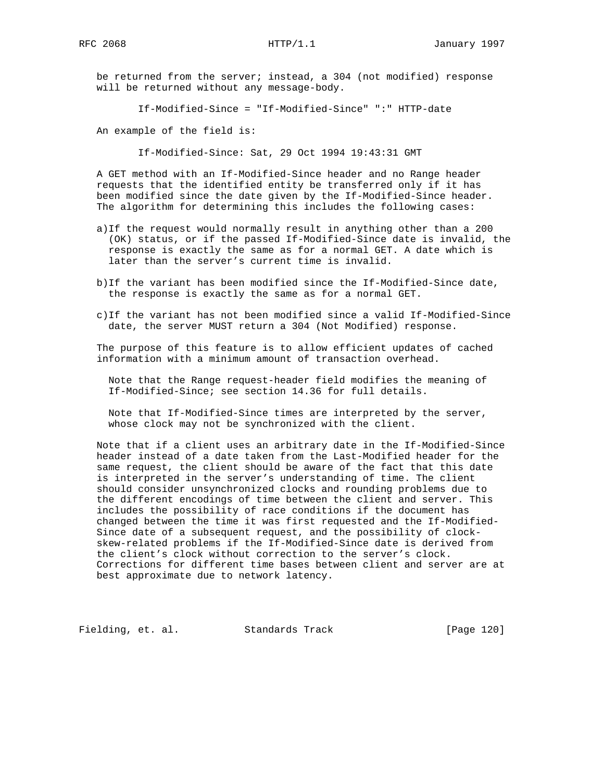be returned from the server; instead, a 304 (not modified) response will be returned without any message-body.

If-Modified-Since = "If-Modified-Since" ":" HTTP-date

An example of the field is:

If-Modified-Since: Sat, 29 Oct 1994 19:43:31 GMT

 A GET method with an If-Modified-Since header and no Range header requests that the identified entity be transferred only if it has been modified since the date given by the If-Modified-Since header. The algorithm for determining this includes the following cases:

- a)If the request would normally result in anything other than a 200 (OK) status, or if the passed If-Modified-Since date is invalid, the response is exactly the same as for a normal GET. A date which is later than the server's current time is invalid.
- b)If the variant has been modified since the If-Modified-Since date, the response is exactly the same as for a normal GET.
- c)If the variant has not been modified since a valid If-Modified-Since date, the server MUST return a 304 (Not Modified) response.

 The purpose of this feature is to allow efficient updates of cached information with a minimum amount of transaction overhead.

 Note that the Range request-header field modifies the meaning of If-Modified-Since; see section 14.36 for full details.

 Note that If-Modified-Since times are interpreted by the server, whose clock may not be synchronized with the client.

 Note that if a client uses an arbitrary date in the If-Modified-Since header instead of a date taken from the Last-Modified header for the same request, the client should be aware of the fact that this date is interpreted in the server's understanding of time. The client should consider unsynchronized clocks and rounding problems due to the different encodings of time between the client and server. This includes the possibility of race conditions if the document has changed between the time it was first requested and the If-Modified- Since date of a subsequent request, and the possibility of clock skew-related problems if the If-Modified-Since date is derived from the client's clock without correction to the server's clock. Corrections for different time bases between client and server are at best approximate due to network latency.

Fielding, et. al. Standards Track [Page 120]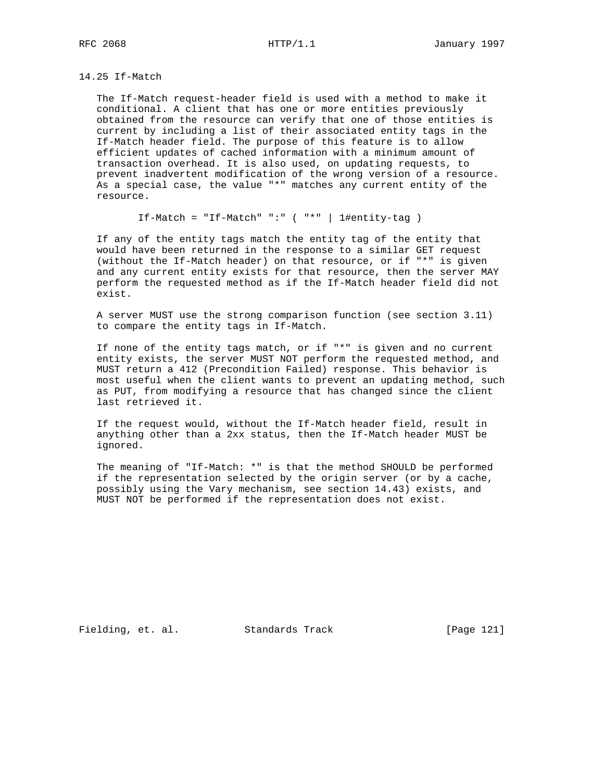14.25 If-Match

 The If-Match request-header field is used with a method to make it conditional. A client that has one or more entities previously obtained from the resource can verify that one of those entities is current by including a list of their associated entity tags in the If-Match header field. The purpose of this feature is to allow efficient updates of cached information with a minimum amount of transaction overhead. It is also used, on updating requests, to prevent inadvertent modification of the wrong version of a resource. As a special case, the value "\*" matches any current entity of the resource.

If-Match = "If-Match" ":" ( "\*" | 1#entity-tag )

 If any of the entity tags match the entity tag of the entity that would have been returned in the response to a similar GET request (without the If-Match header) on that resource, or if "\*" is given and any current entity exists for that resource, then the server MAY perform the requested method as if the If-Match header field did not exist.

 A server MUST use the strong comparison function (see section 3.11) to compare the entity tags in If-Match.

 If none of the entity tags match, or if "\*" is given and no current entity exists, the server MUST NOT perform the requested method, and MUST return a 412 (Precondition Failed) response. This behavior is most useful when the client wants to prevent an updating method, such as PUT, from modifying a resource that has changed since the client last retrieved it.

 If the request would, without the If-Match header field, result in anything other than a 2xx status, then the If-Match header MUST be ignored.

 The meaning of "If-Match: \*" is that the method SHOULD be performed if the representation selected by the origin server (or by a cache, possibly using the Vary mechanism, see section 14.43) exists, and MUST NOT be performed if the representation does not exist.

Fielding, et. al. Standards Track [Page 121]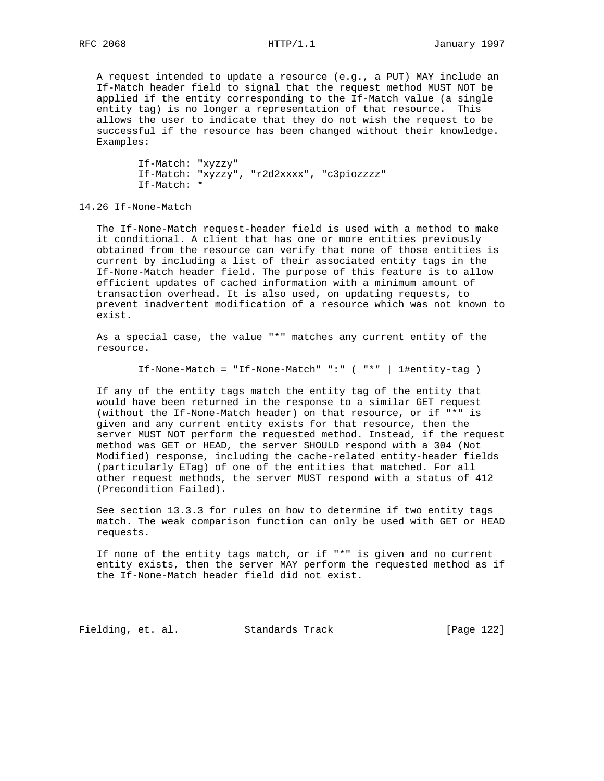A request intended to update a resource (e.g., a PUT) MAY include an If-Match header field to signal that the request method MUST NOT be applied if the entity corresponding to the If-Match value (a single entity tag) is no longer a representation of that resource. This allows the user to indicate that they do not wish the request to be successful if the resource has been changed without their knowledge. Examples:

> If-Match: "xyzzy" If-Match: "xyzzy", "r2d2xxxx", "c3piozzzz" If-Match: \*

14.26 If-None-Match

 The If-None-Match request-header field is used with a method to make it conditional. A client that has one or more entities previously obtained from the resource can verify that none of those entities is current by including a list of their associated entity tags in the If-None-Match header field. The purpose of this feature is to allow efficient updates of cached information with a minimum amount of transaction overhead. It is also used, on updating requests, to prevent inadvertent modification of a resource which was not known to exist.

 As a special case, the value "\*" matches any current entity of the resource.

If-None-Match = "If-None-Match" ":" ( "\*" | 1#entity-tag )

 If any of the entity tags match the entity tag of the entity that would have been returned in the response to a similar GET request (without the If-None-Match header) on that resource, or if "\*" is given and any current entity exists for that resource, then the server MUST NOT perform the requested method. Instead, if the request method was GET or HEAD, the server SHOULD respond with a 304 (Not Modified) response, including the cache-related entity-header fields (particularly ETag) of one of the entities that matched. For all other request methods, the server MUST respond with a status of 412 (Precondition Failed).

 See section 13.3.3 for rules on how to determine if two entity tags match. The weak comparison function can only be used with GET or HEAD requests.

 If none of the entity tags match, or if "\*" is given and no current entity exists, then the server MAY perform the requested method as if the If-None-Match header field did not exist.

Fielding, et. al. Standards Track [Page 122]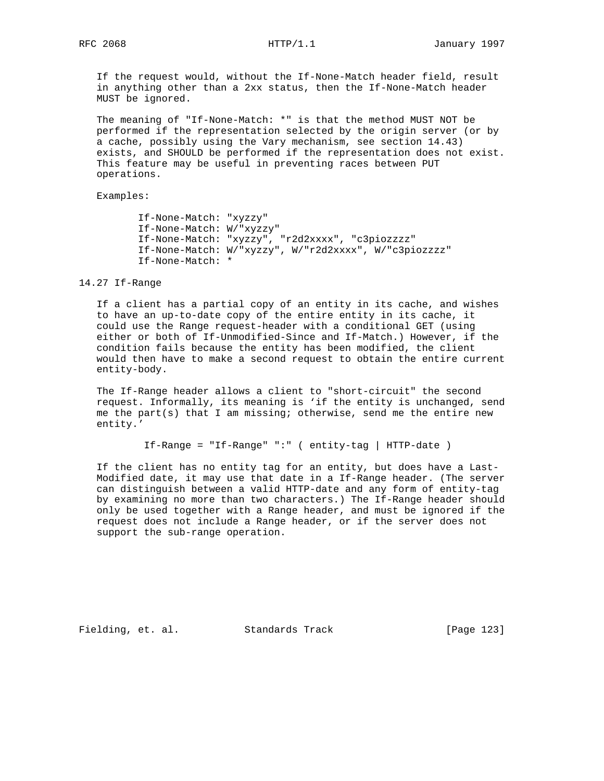If the request would, without the If-None-Match header field, result in anything other than a 2xx status, then the If-None-Match header MUST be ignored.

 The meaning of "If-None-Match: \*" is that the method MUST NOT be performed if the representation selected by the origin server (or by a cache, possibly using the Vary mechanism, see section 14.43) exists, and SHOULD be performed if the representation does not exist. This feature may be useful in preventing races between PUT operations.

Examples:

 If-None-Match: "xyzzy" If-None-Match: W/"xyzzy" If-None-Match: "xyzzy", "r2d2xxxx", "c3piozzzz" If-None-Match: W/"xyzzy", W/"r2d2xxxx", W/"c3piozzzz" If-None-Match: \*

### 14.27 If-Range

 If a client has a partial copy of an entity in its cache, and wishes to have an up-to-date copy of the entire entity in its cache, it could use the Range request-header with a conditional GET (using either or both of If-Unmodified-Since and If-Match.) However, if the condition fails because the entity has been modified, the client would then have to make a second request to obtain the entire current entity-body.

 The If-Range header allows a client to "short-circuit" the second request. Informally, its meaning is 'if the entity is unchanged, send me the part(s) that I am missing; otherwise, send me the entire new entity.'

```
 If-Range = "If-Range" ":" ( entity-tag | HTTP-date )
```
 If the client has no entity tag for an entity, but does have a Last- Modified date, it may use that date in a If-Range header. (The server can distinguish between a valid HTTP-date and any form of entity-tag by examining no more than two characters.) The If-Range header should only be used together with a Range header, and must be ignored if the request does not include a Range header, or if the server does not support the sub-range operation.

Fielding, et. al. Standards Track [Page 123]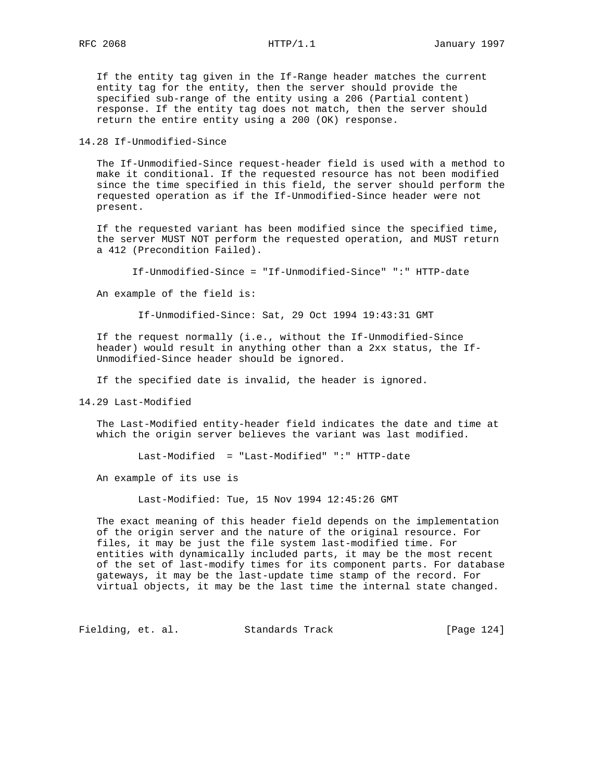If the entity tag given in the If-Range header matches the current entity tag for the entity, then the server should provide the specified sub-range of the entity using a 206 (Partial content) response. If the entity tag does not match, then the server should return the entire entity using a 200 (OK) response.

14.28 If-Unmodified-Since

 The If-Unmodified-Since request-header field is used with a method to make it conditional. If the requested resource has not been modified since the time specified in this field, the server should perform the requested operation as if the If-Unmodified-Since header were not present.

 If the requested variant has been modified since the specified time, the server MUST NOT perform the requested operation, and MUST return a 412 (Precondition Failed).

If-Unmodified-Since = "If-Unmodified-Since" ":" HTTP-date

An example of the field is:

If-Unmodified-Since: Sat, 29 Oct 1994 19:43:31 GMT

 If the request normally (i.e., without the If-Unmodified-Since header) would result in anything other than a 2xx status, the If- Unmodified-Since header should be ignored.

If the specified date is invalid, the header is ignored.

14.29 Last-Modified

 The Last-Modified entity-header field indicates the date and time at which the origin server believes the variant was last modified.

Last-Modified = "Last-Modified" ":" HTTP-date

An example of its use is

Last-Modified: Tue, 15 Nov 1994 12:45:26 GMT

 The exact meaning of this header field depends on the implementation of the origin server and the nature of the original resource. For files, it may be just the file system last-modified time. For entities with dynamically included parts, it may be the most recent of the set of last-modify times for its component parts. For database gateways, it may be the last-update time stamp of the record. For virtual objects, it may be the last time the internal state changed.

Fielding, et. al. Standards Track [Page 124]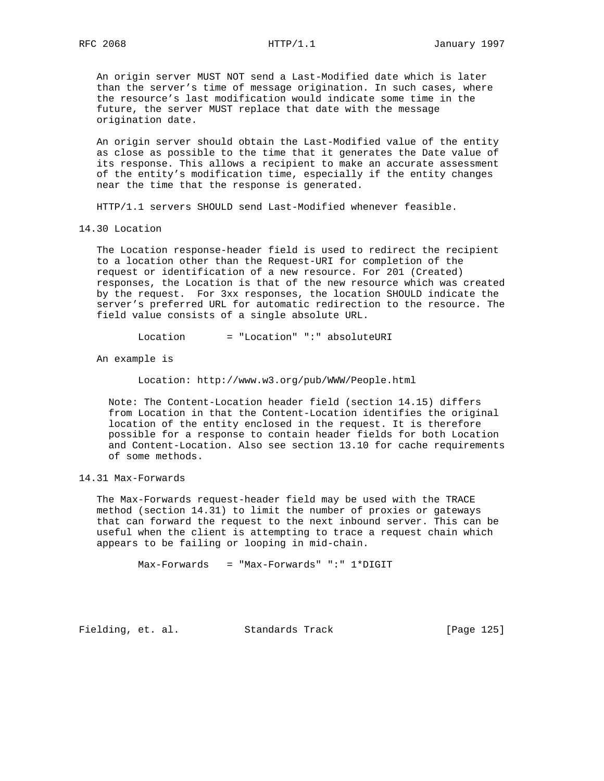An origin server MUST NOT send a Last-Modified date which is later than the server's time of message origination. In such cases, where the resource's last modification would indicate some time in the future, the server MUST replace that date with the message origination date.

 An origin server should obtain the Last-Modified value of the entity as close as possible to the time that it generates the Date value of its response. This allows a recipient to make an accurate assessment of the entity's modification time, especially if the entity changes near the time that the response is generated.

HTTP/1.1 servers SHOULD send Last-Modified whenever feasible.

14.30 Location

 The Location response-header field is used to redirect the recipient to a location other than the Request-URI for completion of the request or identification of a new resource. For 201 (Created) responses, the Location is that of the new resource which was created by the request. For 3xx responses, the location SHOULD indicate the server's preferred URL for automatic redirection to the resource. The field value consists of a single absolute URL.

Location = "Location" ":" absoluteURI

An example is

Location: http://www.w3.org/pub/WWW/People.html

 Note: The Content-Location header field (section 14.15) differs from Location in that the Content-Location identifies the original location of the entity enclosed in the request. It is therefore possible for a response to contain header fields for both Location and Content-Location. Also see section 13.10 for cache requirements of some methods.

## 14.31 Max-Forwards

 The Max-Forwards request-header field may be used with the TRACE method (section 14.31) to limit the number of proxies or gateways that can forward the request to the next inbound server. This can be useful when the client is attempting to trace a request chain which appears to be failing or looping in mid-chain.

Max-Forwards = "Max-Forwards" ":" 1\*DIGIT

Fielding, et. al. Standards Track [Page 125]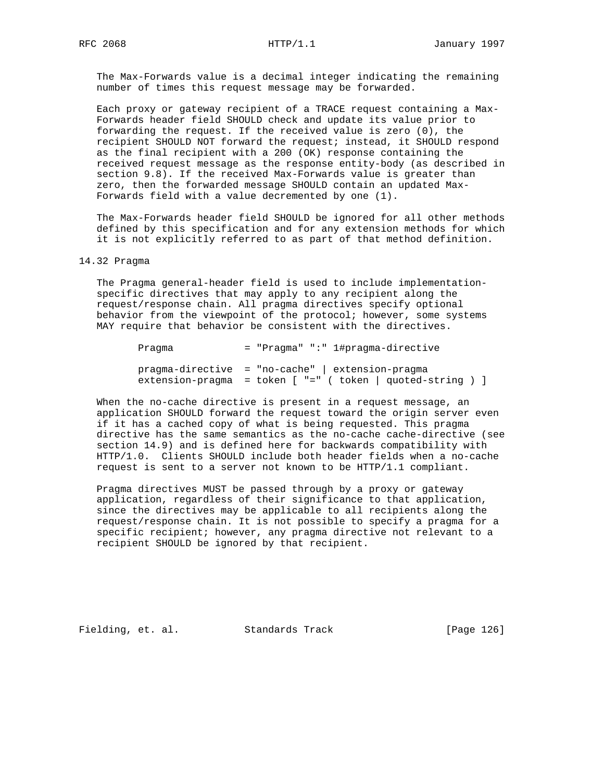The Max-Forwards value is a decimal integer indicating the remaining number of times this request message may be forwarded.

 Each proxy or gateway recipient of a TRACE request containing a Max- Forwards header field SHOULD check and update its value prior to forwarding the request. If the received value is zero (0), the recipient SHOULD NOT forward the request; instead, it SHOULD respond as the final recipient with a 200 (OK) response containing the received request message as the response entity-body (as described in section 9.8). If the received Max-Forwards value is greater than zero, then the forwarded message SHOULD contain an updated Max- Forwards field with a value decremented by one (1).

 The Max-Forwards header field SHOULD be ignored for all other methods defined by this specification and for any extension methods for which it is not explicitly referred to as part of that method definition.

### 14.32 Pragma

 The Pragma general-header field is used to include implementation specific directives that may apply to any recipient along the request/response chain. All pragma directives specify optional behavior from the viewpoint of the protocol; however, some systems MAY require that behavior be consistent with the directives.

```
Pragma = "Pragma" ":" 1#pragma-directive
```

```
 pragma-directive = "no-cache" | extension-pragma
extension-pragma = token [ "=" ( token | quoted-string ) ]
```
 When the no-cache directive is present in a request message, an application SHOULD forward the request toward the origin server even if it has a cached copy of what is being requested. This pragma directive has the same semantics as the no-cache cache-directive (see section 14.9) and is defined here for backwards compatibility with HTTP/1.0. Clients SHOULD include both header fields when a no-cache request is sent to a server not known to be HTTP/1.1 compliant.

 Pragma directives MUST be passed through by a proxy or gateway application, regardless of their significance to that application, since the directives may be applicable to all recipients along the request/response chain. It is not possible to specify a pragma for a specific recipient; however, any pragma directive not relevant to a recipient SHOULD be ignored by that recipient.

Fielding, et. al. Standards Track [Page 126]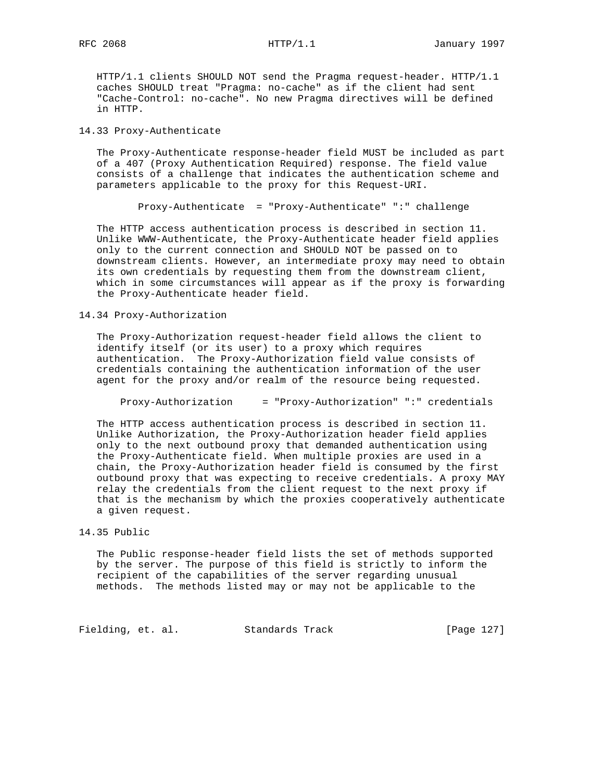HTTP/1.1 clients SHOULD NOT send the Pragma request-header. HTTP/1.1 caches SHOULD treat "Pragma: no-cache" as if the client had sent "Cache-Control: no-cache". No new Pragma directives will be defined in HTTP.

14.33 Proxy-Authenticate

 The Proxy-Authenticate response-header field MUST be included as part of a 407 (Proxy Authentication Required) response. The field value consists of a challenge that indicates the authentication scheme and parameters applicable to the proxy for this Request-URI.

Proxy-Authenticate = "Proxy-Authenticate" ":" challenge

 The HTTP access authentication process is described in section 11. Unlike WWW-Authenticate, the Proxy-Authenticate header field applies only to the current connection and SHOULD NOT be passed on to downstream clients. However, an intermediate proxy may need to obtain its own credentials by requesting them from the downstream client, which in some circumstances will appear as if the proxy is forwarding the Proxy-Authenticate header field.

14.34 Proxy-Authorization

 The Proxy-Authorization request-header field allows the client to identify itself (or its user) to a proxy which requires authentication. The Proxy-Authorization field value consists of credentials containing the authentication information of the user agent for the proxy and/or realm of the resource being requested.

Proxy-Authorization = "Proxy-Authorization" ":" credentials

 The HTTP access authentication process is described in section 11. Unlike Authorization, the Proxy-Authorization header field applies only to the next outbound proxy that demanded authentication using the Proxy-Authenticate field. When multiple proxies are used in a chain, the Proxy-Authorization header field is consumed by the first outbound proxy that was expecting to receive credentials. A proxy MAY relay the credentials from the client request to the next proxy if that is the mechanism by which the proxies cooperatively authenticate a given request.

### 14.35 Public

 The Public response-header field lists the set of methods supported by the server. The purpose of this field is strictly to inform the recipient of the capabilities of the server regarding unusual methods. The methods listed may or may not be applicable to the

Fielding, et. al. Standards Track [Page 127]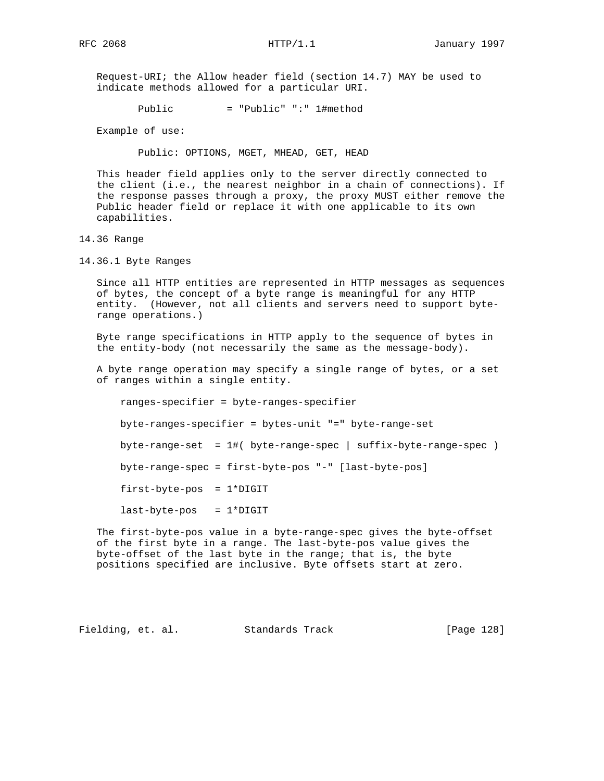Request-URI; the Allow header field (section 14.7) MAY be used to indicate methods allowed for a particular URI.

Public = "Public" ":" 1#method

Example of use:

Public: OPTIONS, MGET, MHEAD, GET, HEAD

 This header field applies only to the server directly connected to the client (i.e., the nearest neighbor in a chain of connections). If the response passes through a proxy, the proxy MUST either remove the Public header field or replace it with one applicable to its own capabilities.

14.36 Range

14.36.1 Byte Ranges

 Since all HTTP entities are represented in HTTP messages as sequences of bytes, the concept of a byte range is meaningful for any HTTP entity. (However, not all clients and servers need to support byte range operations.)

 Byte range specifications in HTTP apply to the sequence of bytes in the entity-body (not necessarily the same as the message-body).

 A byte range operation may specify a single range of bytes, or a set of ranges within a single entity.

 ranges-specifier = byte-ranges-specifier byte-ranges-specifier = bytes-unit "=" byte-range-set byte-range-set = 1#( byte-range-spec | suffix-byte-range-spec ) byte-range-spec = first-byte-pos "-" [last-byte-pos] first-byte-pos = 1\*DIGIT last-byte-pos = 1\*DIGIT

 The first-byte-pos value in a byte-range-spec gives the byte-offset of the first byte in a range. The last-byte-pos value gives the byte-offset of the last byte in the range; that is, the byte positions specified are inclusive. Byte offsets start at zero.

Fielding, et. al. Standards Track [Page 128]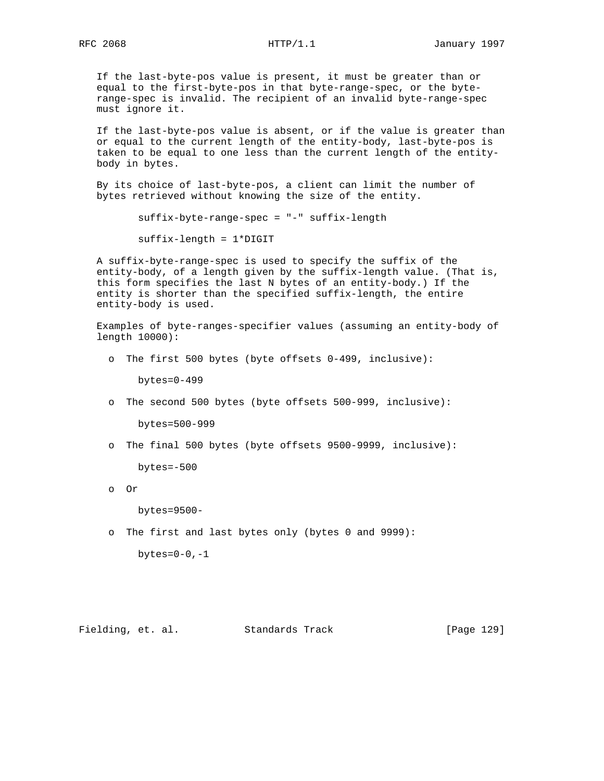If the last-byte-pos value is present, it must be greater than or equal to the first-byte-pos in that byte-range-spec, or the byte range-spec is invalid. The recipient of an invalid byte-range-spec must ignore it.

 If the last-byte-pos value is absent, or if the value is greater than or equal to the current length of the entity-body, last-byte-pos is taken to be equal to one less than the current length of the entity body in bytes.

 By its choice of last-byte-pos, a client can limit the number of bytes retrieved without knowing the size of the entity.

suffix-byte-range-spec = "-" suffix-length

suffix-length = 1\*DIGIT

 A suffix-byte-range-spec is used to specify the suffix of the entity-body, of a length given by the suffix-length value. (That is, this form specifies the last N bytes of an entity-body.) If the entity is shorter than the specified suffix-length, the entire entity-body is used.

 Examples of byte-ranges-specifier values (assuming an entity-body of length 10000):

o The first 500 bytes (byte offsets 0-499, inclusive):

bytes=0-499

o The second 500 bytes (byte offsets 500-999, inclusive):

bytes=500-999

o The final 500 bytes (byte offsets 9500-9999, inclusive):

bytes=-500

o Or

bytes=9500-

o The first and last bytes only (bytes 0 and 9999):

 $bytes=0-0,-1$ 

Fielding, et. al. Standards Track [Page 129]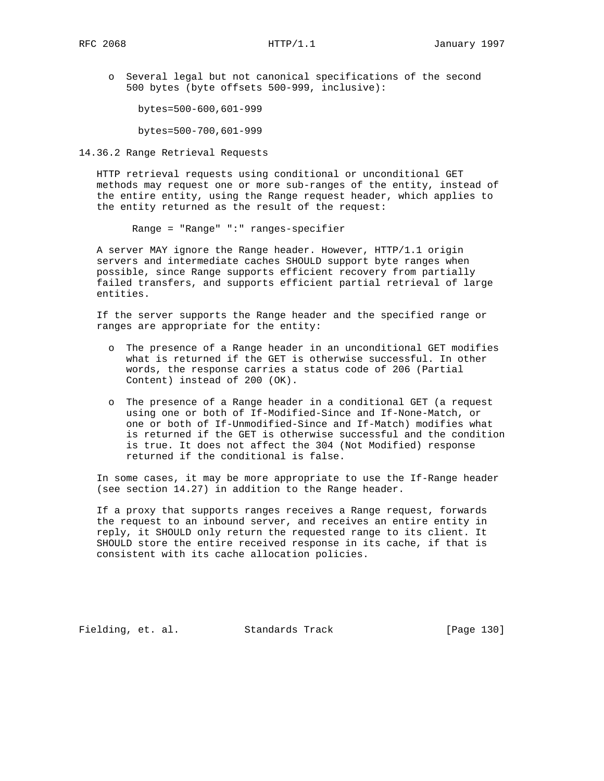o Several legal but not canonical specifications of the second 500 bytes (byte offsets 500-999, inclusive):

bytes=500-600,601-999

bytes=500-700,601-999

14.36.2 Range Retrieval Requests

 HTTP retrieval requests using conditional or unconditional GET methods may request one or more sub-ranges of the entity, instead of the entire entity, using the Range request header, which applies to the entity returned as the result of the request:

Range = "Range" ":" ranges-specifier

 A server MAY ignore the Range header. However, HTTP/1.1 origin servers and intermediate caches SHOULD support byte ranges when possible, since Range supports efficient recovery from partially failed transfers, and supports efficient partial retrieval of large entities.

 If the server supports the Range header and the specified range or ranges are appropriate for the entity:

- o The presence of a Range header in an unconditional GET modifies what is returned if the GET is otherwise successful. In other words, the response carries a status code of 206 (Partial Content) instead of 200 (OK).
- o The presence of a Range header in a conditional GET (a request using one or both of If-Modified-Since and If-None-Match, or one or both of If-Unmodified-Since and If-Match) modifies what is returned if the GET is otherwise successful and the condition is true. It does not affect the 304 (Not Modified) response returned if the conditional is false.

 In some cases, it may be more appropriate to use the If-Range header (see section 14.27) in addition to the Range header.

 If a proxy that supports ranges receives a Range request, forwards the request to an inbound server, and receives an entire entity in reply, it SHOULD only return the requested range to its client. It SHOULD store the entire received response in its cache, if that is consistent with its cache allocation policies.

Fielding, et. al. Standards Track [Page 130]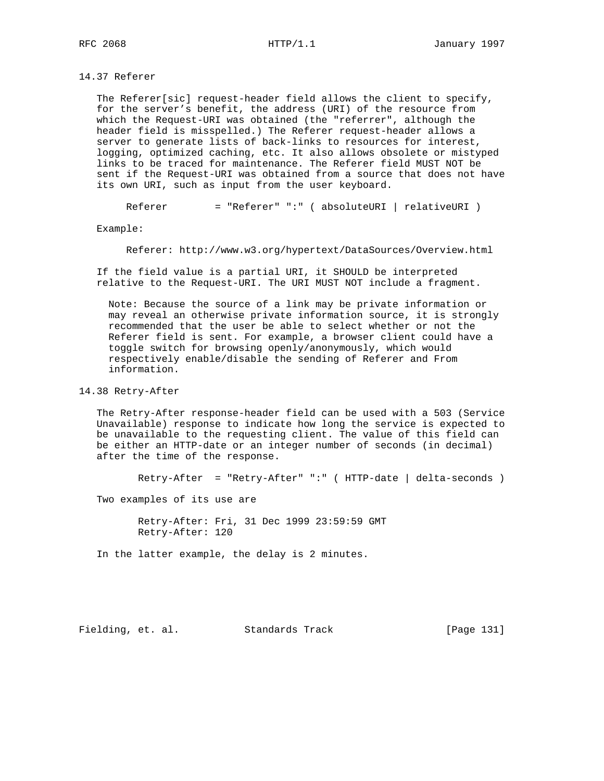# 14.37 Referer

 The Referer[sic] request-header field allows the client to specify, for the server's benefit, the address (URI) of the resource from which the Request-URI was obtained (the "referrer", although the header field is misspelled.) The Referer request-header allows a server to generate lists of back-links to resources for interest, logging, optimized caching, etc. It also allows obsolete or mistyped links to be traced for maintenance. The Referer field MUST NOT be sent if the Request-URI was obtained from a source that does not have its own URI, such as input from the user keyboard.

Referer = "Referer" ":" ( absoluteURI | relativeURI )

Example:

Referer: http://www.w3.org/hypertext/DataSources/Overview.html

 If the field value is a partial URI, it SHOULD be interpreted relative to the Request-URI. The URI MUST NOT include a fragment.

 Note: Because the source of a link may be private information or may reveal an otherwise private information source, it is strongly recommended that the user be able to select whether or not the Referer field is sent. For example, a browser client could have a toggle switch for browsing openly/anonymously, which would respectively enable/disable the sending of Referer and From information.

## 14.38 Retry-After

 The Retry-After response-header field can be used with a 503 (Service Unavailable) response to indicate how long the service is expected to be unavailable to the requesting client. The value of this field can be either an HTTP-date or an integer number of seconds (in decimal) after the time of the response.

Retry-After = "Retry-After" ":" ( HTTP-date | delta-seconds )

Two examples of its use are

 Retry-After: Fri, 31 Dec 1999 23:59:59 GMT Retry-After: 120

In the latter example, the delay is 2 minutes.

Fielding, et. al. Standards Track [Page 131]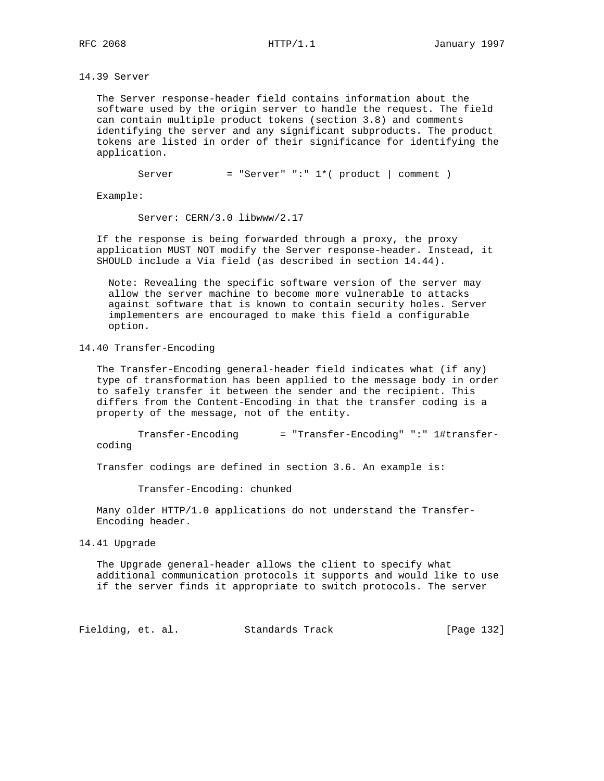## 14.39 Server

 The Server response-header field contains information about the software used by the origin server to handle the request. The field can contain multiple product tokens (section 3.8) and comments identifying the server and any significant subproducts. The product tokens are listed in order of their significance for identifying the application.

Server = "Server" ":" 1\*( product | comment )

Example:

Server: CERN/3.0 libwww/2.17

 If the response is being forwarded through a proxy, the proxy application MUST NOT modify the Server response-header. Instead, it SHOULD include a Via field (as described in section 14.44).

 Note: Revealing the specific software version of the server may allow the server machine to become more vulnerable to attacks against software that is known to contain security holes. Server implementers are encouraged to make this field a configurable option.

14.40 Transfer-Encoding

 The Transfer-Encoding general-header field indicates what (if any) type of transformation has been applied to the message body in order to safely transfer it between the sender and the recipient. This differs from the Content-Encoding in that the transfer coding is a property of the message, not of the entity.

 Transfer-Encoding = "Transfer-Encoding" ":" 1#transfer coding

Transfer codings are defined in section 3.6. An example is:

Transfer-Encoding: chunked

 Many older HTTP/1.0 applications do not understand the Transfer- Encoding header.

14.41 Upgrade

 The Upgrade general-header allows the client to specify what additional communication protocols it supports and would like to use if the server finds it appropriate to switch protocols. The server

Fielding, et. al. Standards Track [Page 132]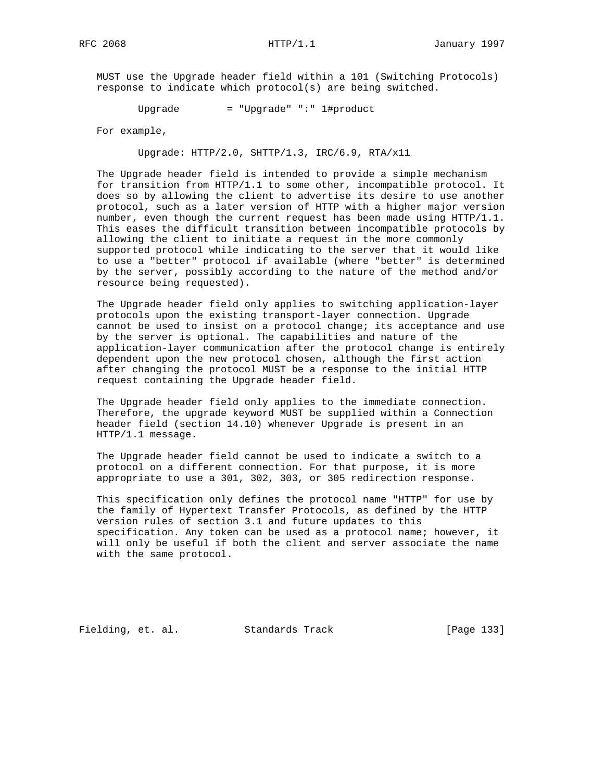MUST use the Upgrade header field within a 101 (Switching Protocols) response to indicate which protocol(s) are being switched.

Upgrade = "Upgrade" ":" 1#product

For example,

Upgrade: HTTP/2.0, SHTTP/1.3, IRC/6.9, RTA/x11

 The Upgrade header field is intended to provide a simple mechanism for transition from HTTP/1.1 to some other, incompatible protocol. It does so by allowing the client to advertise its desire to use another protocol, such as a later version of HTTP with a higher major version number, even though the current request has been made using HTTP/1.1. This eases the difficult transition between incompatible protocols by allowing the client to initiate a request in the more commonly supported protocol while indicating to the server that it would like to use a "better" protocol if available (where "better" is determined by the server, possibly according to the nature of the method and/or resource being requested).

 The Upgrade header field only applies to switching application-layer protocols upon the existing transport-layer connection. Upgrade cannot be used to insist on a protocol change; its acceptance and use by the server is optional. The capabilities and nature of the application-layer communication after the protocol change is entirely dependent upon the new protocol chosen, although the first action after changing the protocol MUST be a response to the initial HTTP request containing the Upgrade header field.

 The Upgrade header field only applies to the immediate connection. Therefore, the upgrade keyword MUST be supplied within a Connection header field (section 14.10) whenever Upgrade is present in an HTTP/1.1 message.

 The Upgrade header field cannot be used to indicate a switch to a protocol on a different connection. For that purpose, it is more appropriate to use a 301, 302, 303, or 305 redirection response.

 This specification only defines the protocol name "HTTP" for use by the family of Hypertext Transfer Protocols, as defined by the HTTP version rules of section 3.1 and future updates to this specification. Any token can be used as a protocol name; however, it will only be useful if both the client and server associate the name with the same protocol.

Fielding, et. al. Standards Track [Page 133]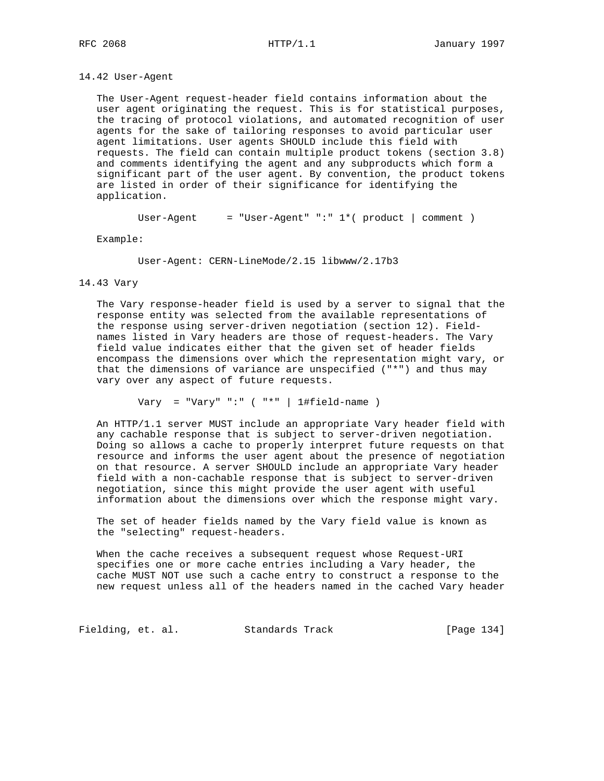## 14.42 User-Agent

 The User-Agent request-header field contains information about the user agent originating the request. This is for statistical purposes, the tracing of protocol violations, and automated recognition of user agents for the sake of tailoring responses to avoid particular user agent limitations. User agents SHOULD include this field with requests. The field can contain multiple product tokens (section 3.8) and comments identifying the agent and any subproducts which form a significant part of the user agent. By convention, the product tokens are listed in order of their significance for identifying the application.

User-Agent = "User-Agent" ":"  $1*($  product | comment )

Example:

User-Agent: CERN-LineMode/2.15 libwww/2.17b3

# 14.43 Vary

 The Vary response-header field is used by a server to signal that the response entity was selected from the available representations of the response using server-driven negotiation (section 12). Field names listed in Vary headers are those of request-headers. The Vary field value indicates either that the given set of header fields encompass the dimensions over which the representation might vary, or that the dimensions of variance are unspecified ("\*") and thus may vary over any aspect of future requests.

Vary = "Vary" ":"  $($  "\*" | 1#field-name )

 An HTTP/1.1 server MUST include an appropriate Vary header field with any cachable response that is subject to server-driven negotiation. Doing so allows a cache to properly interpret future requests on that resource and informs the user agent about the presence of negotiation on that resource. A server SHOULD include an appropriate Vary header field with a non-cachable response that is subject to server-driven negotiation, since this might provide the user agent with useful information about the dimensions over which the response might vary.

 The set of header fields named by the Vary field value is known as the "selecting" request-headers.

 When the cache receives a subsequent request whose Request-URI specifies one or more cache entries including a Vary header, the cache MUST NOT use such a cache entry to construct a response to the new request unless all of the headers named in the cached Vary header

Fielding, et. al. Standards Track [Page 134]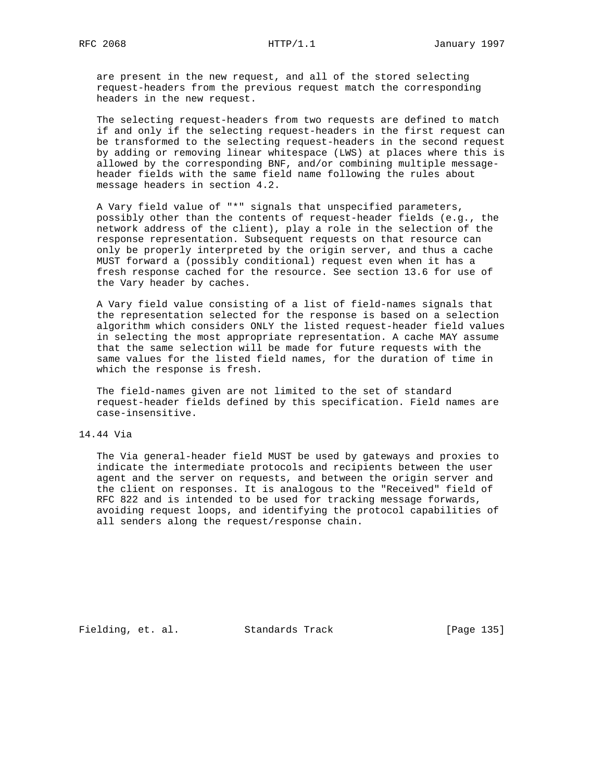are present in the new request, and all of the stored selecting request-headers from the previous request match the corresponding headers in the new request.

 The selecting request-headers from two requests are defined to match if and only if the selecting request-headers in the first request can be transformed to the selecting request-headers in the second request by adding or removing linear whitespace (LWS) at places where this is allowed by the corresponding BNF, and/or combining multiple message header fields with the same field name following the rules about message headers in section 4.2.

 A Vary field value of "\*" signals that unspecified parameters, possibly other than the contents of request-header fields (e.g., the network address of the client), play a role in the selection of the response representation. Subsequent requests on that resource can only be properly interpreted by the origin server, and thus a cache MUST forward a (possibly conditional) request even when it has a fresh response cached for the resource. See section 13.6 for use of the Vary header by caches.

 A Vary field value consisting of a list of field-names signals that the representation selected for the response is based on a selection algorithm which considers ONLY the listed request-header field values in selecting the most appropriate representation. A cache MAY assume that the same selection will be made for future requests with the same values for the listed field names, for the duration of time in which the response is fresh.

 The field-names given are not limited to the set of standard request-header fields defined by this specification. Field names are case-insensitive.

# 14.44 Via

 The Via general-header field MUST be used by gateways and proxies to indicate the intermediate protocols and recipients between the user agent and the server on requests, and between the origin server and the client on responses. It is analogous to the "Received" field of RFC 822 and is intended to be used for tracking message forwards, avoiding request loops, and identifying the protocol capabilities of all senders along the request/response chain.

Fielding, et. al. Standards Track [Page 135]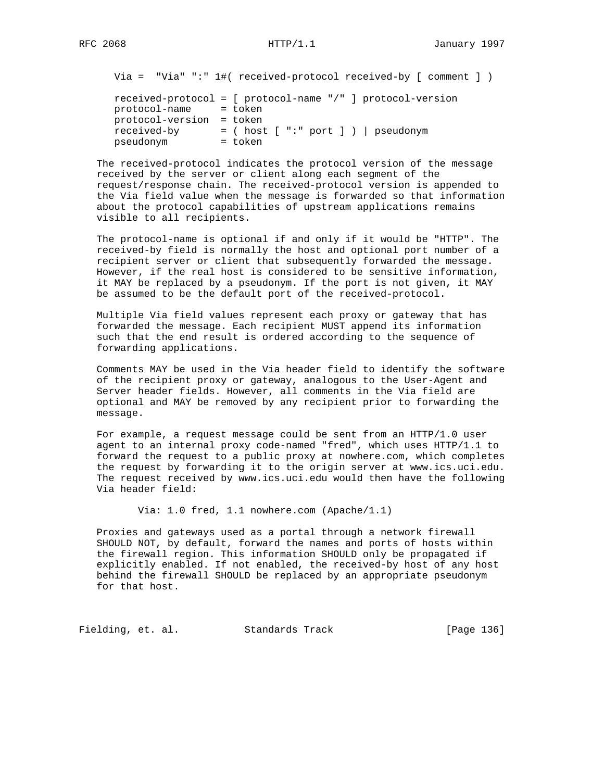Via = "Via" ":" 1#( received-protocol received-by [ comment ] )

|                          | $received-protocol = [protocol-name " / " ] protocol-version$ |
|--------------------------|---------------------------------------------------------------|
| protocol-name            | = token                                                       |
| protocol-version = token |                                                               |
| received-by              | $=$ ( host [ ":" port ] )   pseudonym                         |
| pseudonym                | = token                                                       |

 The received-protocol indicates the protocol version of the message received by the server or client along each segment of the request/response chain. The received-protocol version is appended to the Via field value when the message is forwarded so that information about the protocol capabilities of upstream applications remains visible to all recipients.

 The protocol-name is optional if and only if it would be "HTTP". The received-by field is normally the host and optional port number of a recipient server or client that subsequently forwarded the message. However, if the real host is considered to be sensitive information, it MAY be replaced by a pseudonym. If the port is not given, it MAY be assumed to be the default port of the received-protocol.

 Multiple Via field values represent each proxy or gateway that has forwarded the message. Each recipient MUST append its information such that the end result is ordered according to the sequence of forwarding applications.

 Comments MAY be used in the Via header field to identify the software of the recipient proxy or gateway, analogous to the User-Agent and Server header fields. However, all comments in the Via field are optional and MAY be removed by any recipient prior to forwarding the message.

 For example, a request message could be sent from an HTTP/1.0 user agent to an internal proxy code-named "fred", which uses HTTP/1.1 to forward the request to a public proxy at nowhere.com, which completes the request by forwarding it to the origin server at www.ics.uci.edu. The request received by www.ics.uci.edu would then have the following Via header field:

Via: 1.0 fred, 1.1 nowhere.com (Apache/1.1)

 Proxies and gateways used as a portal through a network firewall SHOULD NOT, by default, forward the names and ports of hosts within the firewall region. This information SHOULD only be propagated if explicitly enabled. If not enabled, the received-by host of any host behind the firewall SHOULD be replaced by an appropriate pseudonym for that host.

Fielding, et. al. Standards Track [Page 136]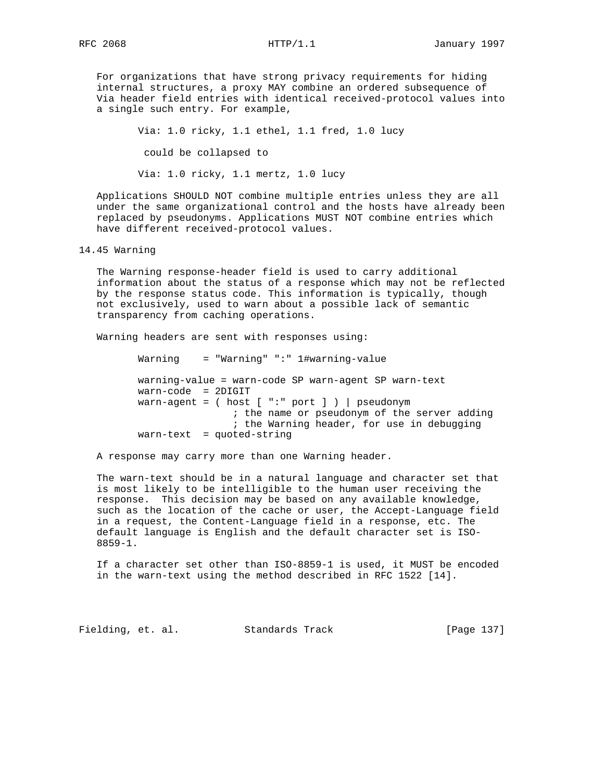For organizations that have strong privacy requirements for hiding internal structures, a proxy MAY combine an ordered subsequence of Via header field entries with identical received-protocol values into a single such entry. For example,

> Via: 1.0 ricky, 1.1 ethel, 1.1 fred, 1.0 lucy could be collapsed to Via: 1.0 ricky, 1.1 mertz, 1.0 lucy

 Applications SHOULD NOT combine multiple entries unless they are all under the same organizational control and the hosts have already been replaced by pseudonyms. Applications MUST NOT combine entries which have different received-protocol values.

## 14.45 Warning

 The Warning response-header field is used to carry additional information about the status of a response which may not be reflected by the response status code. This information is typically, though not exclusively, used to warn about a possible lack of semantic transparency from caching operations.

Warning headers are sent with responses using:

 Warning = "Warning" ":" 1#warning-value warning-value = warn-code SP warn-agent SP warn-text warn-code = 2DIGIT warn-agent =  $($  host  $[$  ":" port  $]$   $)$  | pseudonym ; the name or pseudonym of the server adding ; the Warning header, for use in debugging warn-text = quoted-string

A response may carry more than one Warning header.

 The warn-text should be in a natural language and character set that is most likely to be intelligible to the human user receiving the response. This decision may be based on any available knowledge, such as the location of the cache or user, the Accept-Language field in a request, the Content-Language field in a response, etc. The default language is English and the default character set is ISO- 8859-1.

 If a character set other than ISO-8859-1 is used, it MUST be encoded in the warn-text using the method described in RFC 1522 [14].

Fielding, et. al. Standards Track [Page 137]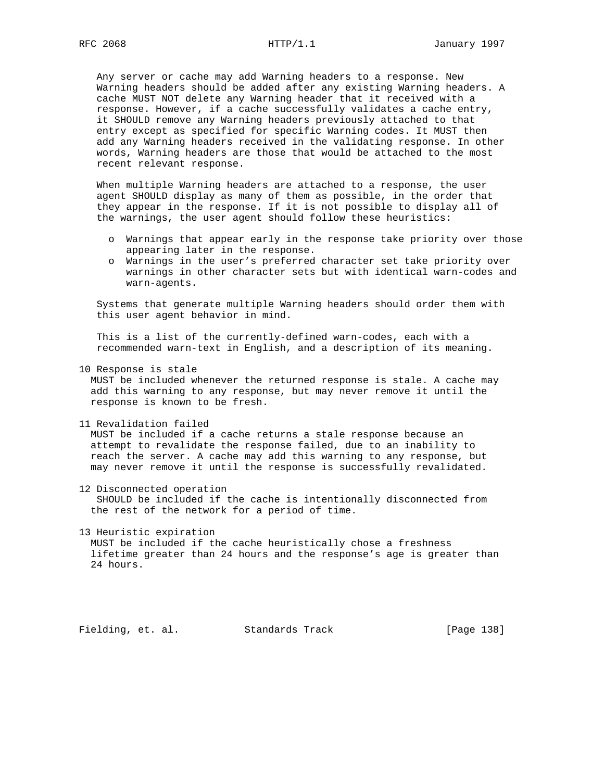Any server or cache may add Warning headers to a response. New Warning headers should be added after any existing Warning headers. A cache MUST NOT delete any Warning header that it received with a response. However, if a cache successfully validates a cache entry, it SHOULD remove any Warning headers previously attached to that entry except as specified for specific Warning codes. It MUST then add any Warning headers received in the validating response. In other words, Warning headers are those that would be attached to the most recent relevant response.

 When multiple Warning headers are attached to a response, the user agent SHOULD display as many of them as possible, in the order that they appear in the response. If it is not possible to display all of the warnings, the user agent should follow these heuristics:

- o Warnings that appear early in the response take priority over those appearing later in the response.
- o Warnings in the user's preferred character set take priority over warnings in other character sets but with identical warn-codes and warn-agents.

 Systems that generate multiple Warning headers should order them with this user agent behavior in mind.

 This is a list of the currently-defined warn-codes, each with a recommended warn-text in English, and a description of its meaning.

10 Response is stale

 MUST be included whenever the returned response is stale. A cache may add this warning to any response, but may never remove it until the response is known to be fresh.

11 Revalidation failed

 MUST be included if a cache returns a stale response because an attempt to revalidate the response failed, due to an inability to reach the server. A cache may add this warning to any response, but may never remove it until the response is successfully revalidated.

- 12 Disconnected operation SHOULD be included if the cache is intentionally disconnected from the rest of the network for a period of time.
- 13 Heuristic expiration MUST be included if the cache heuristically chose a freshness lifetime greater than 24 hours and the response's age is greater than 24 hours.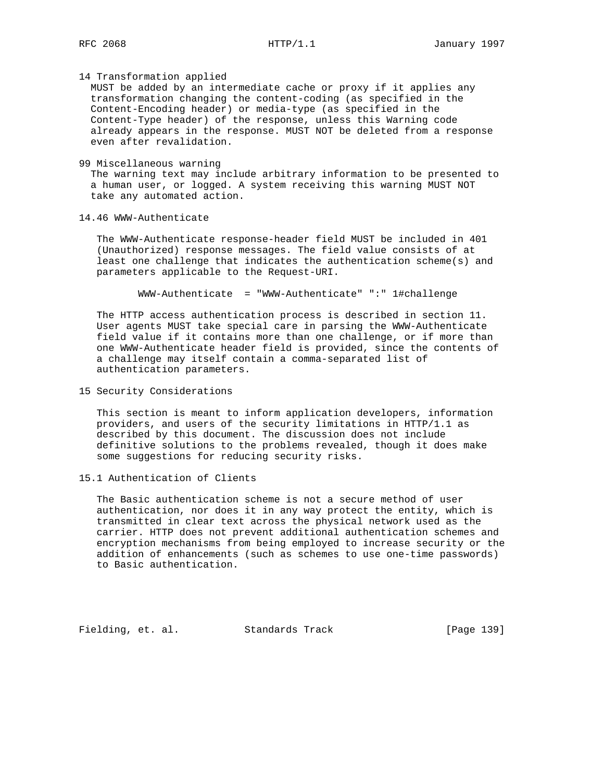14 Transformation applied

 MUST be added by an intermediate cache or proxy if it applies any transformation changing the content-coding (as specified in the Content-Encoding header) or media-type (as specified in the Content-Type header) of the response, unless this Warning code already appears in the response. MUST NOT be deleted from a response even after revalidation.

99 Miscellaneous warning

 The warning text may include arbitrary information to be presented to a human user, or logged. A system receiving this warning MUST NOT take any automated action.

# 14.46 WWW-Authenticate

 The WWW-Authenticate response-header field MUST be included in 401 (Unauthorized) response messages. The field value consists of at least one challenge that indicates the authentication scheme(s) and parameters applicable to the Request-URI.

WWW-Authenticate = "WWW-Authenticate" ":" 1#challenge

 The HTTP access authentication process is described in section 11. User agents MUST take special care in parsing the WWW-Authenticate field value if it contains more than one challenge, or if more than one WWW-Authenticate header field is provided, since the contents of a challenge may itself contain a comma-separated list of authentication parameters.

15 Security Considerations

 This section is meant to inform application developers, information providers, and users of the security limitations in HTTP/1.1 as described by this document. The discussion does not include definitive solutions to the problems revealed, though it does make some suggestions for reducing security risks.

15.1 Authentication of Clients

 The Basic authentication scheme is not a secure method of user authentication, nor does it in any way protect the entity, which is transmitted in clear text across the physical network used as the carrier. HTTP does not prevent additional authentication schemes and encryption mechanisms from being employed to increase security or the addition of enhancements (such as schemes to use one-time passwords) to Basic authentication.

Fielding, et. al. Standards Track [Page 139]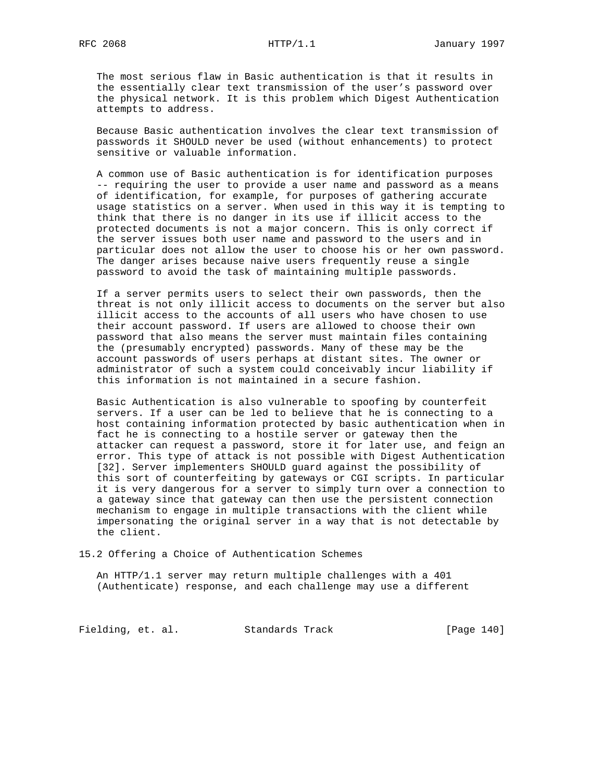The most serious flaw in Basic authentication is that it results in the essentially clear text transmission of the user's password over the physical network. It is this problem which Digest Authentication attempts to address.

 Because Basic authentication involves the clear text transmission of passwords it SHOULD never be used (without enhancements) to protect sensitive or valuable information.

 A common use of Basic authentication is for identification purposes -- requiring the user to provide a user name and password as a means of identification, for example, for purposes of gathering accurate usage statistics on a server. When used in this way it is tempting to think that there is no danger in its use if illicit access to the protected documents is not a major concern. This is only correct if the server issues both user name and password to the users and in particular does not allow the user to choose his or her own password. The danger arises because naive users frequently reuse a single password to avoid the task of maintaining multiple passwords.

 If a server permits users to select their own passwords, then the threat is not only illicit access to documents on the server but also illicit access to the accounts of all users who have chosen to use their account password. If users are allowed to choose their own password that also means the server must maintain files containing the (presumably encrypted) passwords. Many of these may be the account passwords of users perhaps at distant sites. The owner or administrator of such a system could conceivably incur liability if this information is not maintained in a secure fashion.

 Basic Authentication is also vulnerable to spoofing by counterfeit servers. If a user can be led to believe that he is connecting to a host containing information protected by basic authentication when in fact he is connecting to a hostile server or gateway then the attacker can request a password, store it for later use, and feign an error. This type of attack is not possible with Digest Authentication [32]. Server implementers SHOULD guard against the possibility of this sort of counterfeiting by gateways or CGI scripts. In particular it is very dangerous for a server to simply turn over a connection to a gateway since that gateway can then use the persistent connection mechanism to engage in multiple transactions with the client while impersonating the original server in a way that is not detectable by the client.

15.2 Offering a Choice of Authentication Schemes

 An HTTP/1.1 server may return multiple challenges with a 401 (Authenticate) response, and each challenge may use a different

Fielding, et. al. Standards Track [Page 140]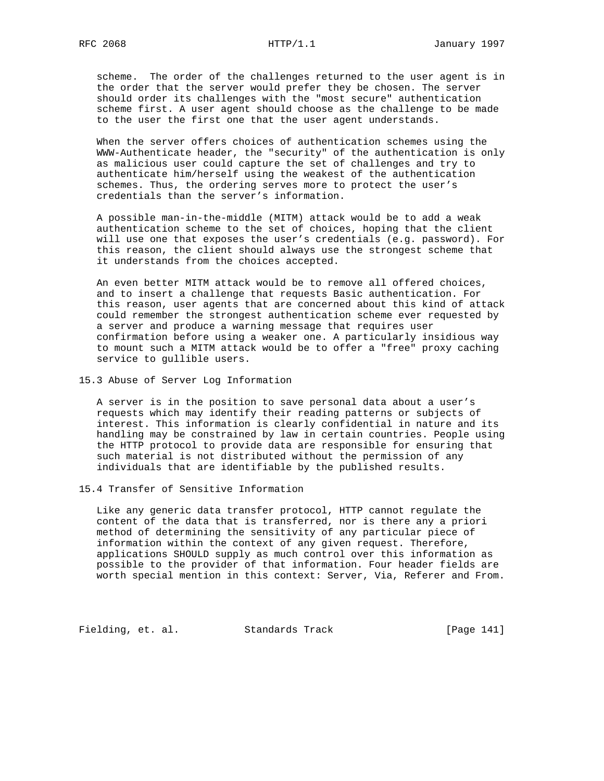scheme. The order of the challenges returned to the user agent is in the order that the server would prefer they be chosen. The server should order its challenges with the "most secure" authentication scheme first. A user agent should choose as the challenge to be made to the user the first one that the user agent understands.

 When the server offers choices of authentication schemes using the WWW-Authenticate header, the "security" of the authentication is only as malicious user could capture the set of challenges and try to authenticate him/herself using the weakest of the authentication schemes. Thus, the ordering serves more to protect the user's credentials than the server's information.

 A possible man-in-the-middle (MITM) attack would be to add a weak authentication scheme to the set of choices, hoping that the client will use one that exposes the user's credentials (e.g. password). For this reason, the client should always use the strongest scheme that it understands from the choices accepted.

 An even better MITM attack would be to remove all offered choices, and to insert a challenge that requests Basic authentication. For this reason, user agents that are concerned about this kind of attack could remember the strongest authentication scheme ever requested by a server and produce a warning message that requires user confirmation before using a weaker one. A particularly insidious way to mount such a MITM attack would be to offer a "free" proxy caching service to gullible users.

15.3 Abuse of Server Log Information

 A server is in the position to save personal data about a user's requests which may identify their reading patterns or subjects of interest. This information is clearly confidential in nature and its handling may be constrained by law in certain countries. People using the HTTP protocol to provide data are responsible for ensuring that such material is not distributed without the permission of any individuals that are identifiable by the published results.

15.4 Transfer of Sensitive Information

 Like any generic data transfer protocol, HTTP cannot regulate the content of the data that is transferred, nor is there any a priori method of determining the sensitivity of any particular piece of information within the context of any given request. Therefore, applications SHOULD supply as much control over this information as possible to the provider of that information. Four header fields are worth special mention in this context: Server, Via, Referer and From.

Fielding, et. al. Standards Track [Page 141]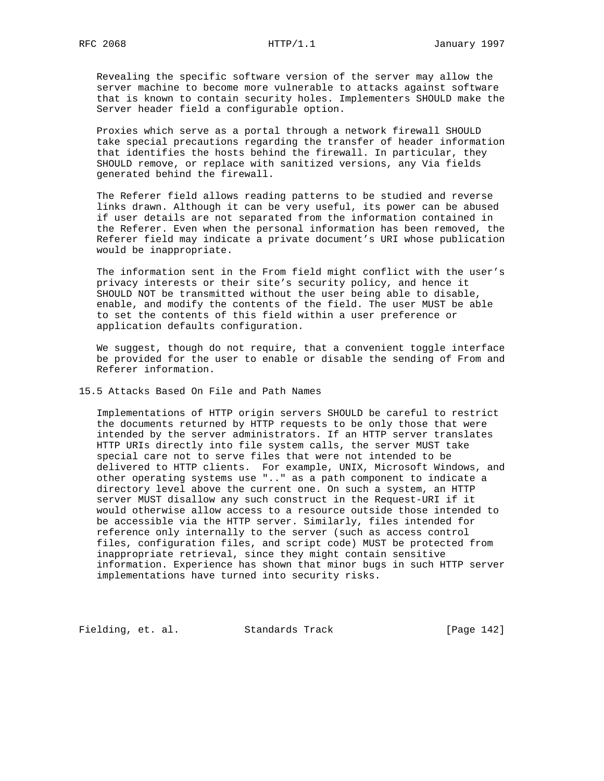Revealing the specific software version of the server may allow the server machine to become more vulnerable to attacks against software that is known to contain security holes. Implementers SHOULD make the Server header field a configurable option.

 Proxies which serve as a portal through a network firewall SHOULD take special precautions regarding the transfer of header information that identifies the hosts behind the firewall. In particular, they SHOULD remove, or replace with sanitized versions, any Via fields generated behind the firewall.

 The Referer field allows reading patterns to be studied and reverse links drawn. Although it can be very useful, its power can be abused if user details are not separated from the information contained in the Referer. Even when the personal information has been removed, the Referer field may indicate a private document's URI whose publication would be inappropriate.

 The information sent in the From field might conflict with the user's privacy interests or their site's security policy, and hence it SHOULD NOT be transmitted without the user being able to disable, enable, and modify the contents of the field. The user MUST be able to set the contents of this field within a user preference or application defaults configuration.

 We suggest, though do not require, that a convenient toggle interface be provided for the user to enable or disable the sending of From and Referer information.

# 15.5 Attacks Based On File and Path Names

 Implementations of HTTP origin servers SHOULD be careful to restrict the documents returned by HTTP requests to be only those that were intended by the server administrators. If an HTTP server translates HTTP URIs directly into file system calls, the server MUST take special care not to serve files that were not intended to be delivered to HTTP clients. For example, UNIX, Microsoft Windows, and other operating systems use ".." as a path component to indicate a directory level above the current one. On such a system, an HTTP server MUST disallow any such construct in the Request-URI if it would otherwise allow access to a resource outside those intended to be accessible via the HTTP server. Similarly, files intended for reference only internally to the server (such as access control files, configuration files, and script code) MUST be protected from inappropriate retrieval, since they might contain sensitive information. Experience has shown that minor bugs in such HTTP server implementations have turned into security risks.

Fielding, et. al. Standards Track [Page 142]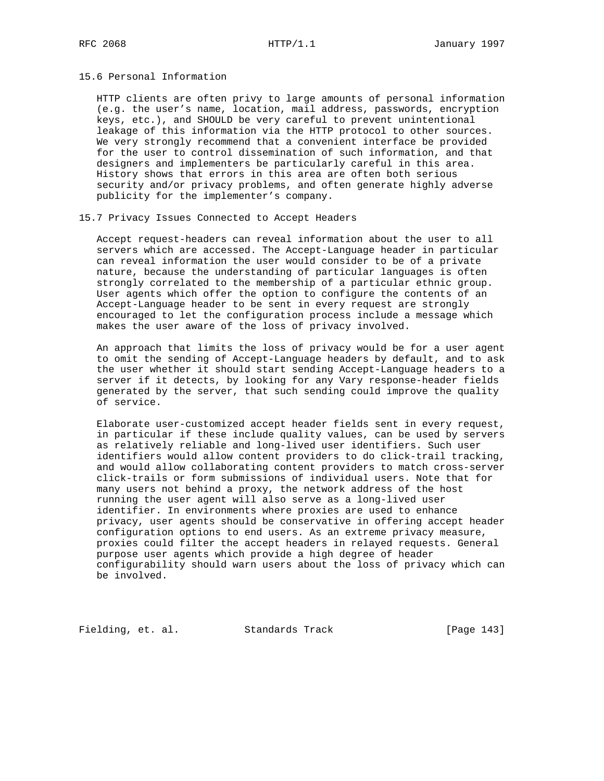# 15.6 Personal Information

 HTTP clients are often privy to large amounts of personal information (e.g. the user's name, location, mail address, passwords, encryption keys, etc.), and SHOULD be very careful to prevent unintentional leakage of this information via the HTTP protocol to other sources. We very strongly recommend that a convenient interface be provided for the user to control dissemination of such information, and that designers and implementers be particularly careful in this area. History shows that errors in this area are often both serious security and/or privacy problems, and often generate highly adverse publicity for the implementer's company.

### 15.7 Privacy Issues Connected to Accept Headers

 Accept request-headers can reveal information about the user to all servers which are accessed. The Accept-Language header in particular can reveal information the user would consider to be of a private nature, because the understanding of particular languages is often strongly correlated to the membership of a particular ethnic group. User agents which offer the option to configure the contents of an Accept-Language header to be sent in every request are strongly encouraged to let the configuration process include a message which makes the user aware of the loss of privacy involved.

 An approach that limits the loss of privacy would be for a user agent to omit the sending of Accept-Language headers by default, and to ask the user whether it should start sending Accept-Language headers to a server if it detects, by looking for any Vary response-header fields generated by the server, that such sending could improve the quality of service.

 Elaborate user-customized accept header fields sent in every request, in particular if these include quality values, can be used by servers as relatively reliable and long-lived user identifiers. Such user identifiers would allow content providers to do click-trail tracking, and would allow collaborating content providers to match cross-server click-trails or form submissions of individual users. Note that for many users not behind a proxy, the network address of the host running the user agent will also serve as a long-lived user identifier. In environments where proxies are used to enhance privacy, user agents should be conservative in offering accept header configuration options to end users. As an extreme privacy measure, proxies could filter the accept headers in relayed requests. General purpose user agents which provide a high degree of header configurability should warn users about the loss of privacy which can be involved.

Fielding, et. al. Standards Track [Page 143]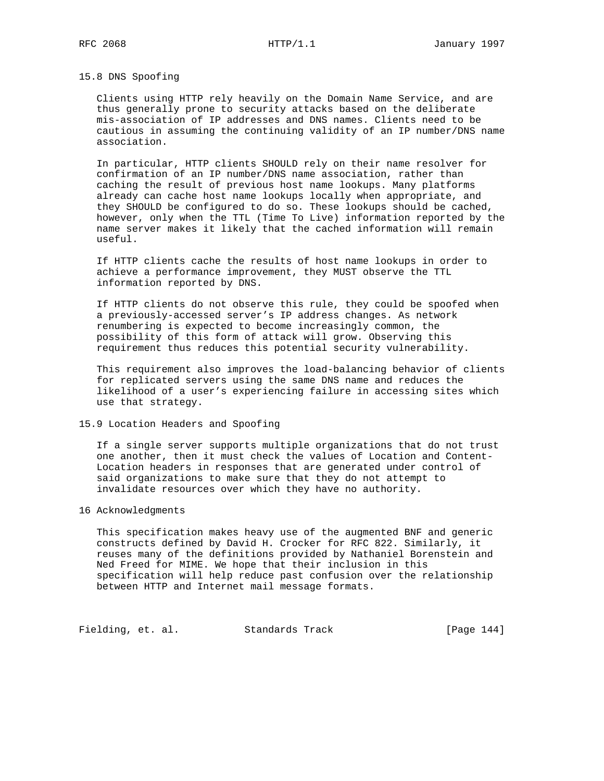## 15.8 DNS Spoofing

 Clients using HTTP rely heavily on the Domain Name Service, and are thus generally prone to security attacks based on the deliberate mis-association of IP addresses and DNS names. Clients need to be cautious in assuming the continuing validity of an IP number/DNS name association.

 In particular, HTTP clients SHOULD rely on their name resolver for confirmation of an IP number/DNS name association, rather than caching the result of previous host name lookups. Many platforms already can cache host name lookups locally when appropriate, and they SHOULD be configured to do so. These lookups should be cached, however, only when the TTL (Time To Live) information reported by the name server makes it likely that the cached information will remain useful.

 If HTTP clients cache the results of host name lookups in order to achieve a performance improvement, they MUST observe the TTL information reported by DNS.

 If HTTP clients do not observe this rule, they could be spoofed when a previously-accessed server's IP address changes. As network renumbering is expected to become increasingly common, the possibility of this form of attack will grow. Observing this requirement thus reduces this potential security vulnerability.

 This requirement also improves the load-balancing behavior of clients for replicated servers using the same DNS name and reduces the likelihood of a user's experiencing failure in accessing sites which use that strategy.

### 15.9 Location Headers and Spoofing

 If a single server supports multiple organizations that do not trust one another, then it must check the values of Location and Content- Location headers in responses that are generated under control of said organizations to make sure that they do not attempt to invalidate resources over which they have no authority.

# 16 Acknowledgments

 This specification makes heavy use of the augmented BNF and generic constructs defined by David H. Crocker for RFC 822. Similarly, it reuses many of the definitions provided by Nathaniel Borenstein and Ned Freed for MIME. We hope that their inclusion in this specification will help reduce past confusion over the relationship between HTTP and Internet mail message formats.

Fielding, et. al. Standards Track [Page 144]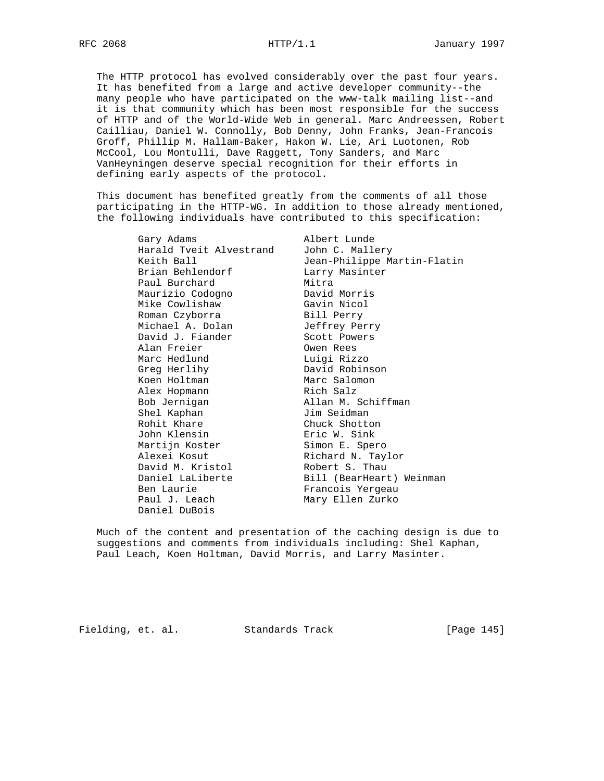The HTTP protocol has evolved considerably over the past four years. It has benefited from a large and active developer community--the many people who have participated on the www-talk mailing list--and it is that community which has been most responsible for the success of HTTP and of the World-Wide Web in general. Marc Andreessen, Robert Cailliau, Daniel W. Connolly, Bob Denny, John Franks, Jean-Francois Groff, Phillip M. Hallam-Baker, Hakon W. Lie, Ari Luotonen, Rob McCool, Lou Montulli, Dave Raggett, Tony Sanders, and Marc VanHeyningen deserve special recognition for their efforts in defining early aspects of the protocol.

 This document has benefited greatly from the comments of all those participating in the HTTP-WG. In addition to those already mentioned, the following individuals have contributed to this specification:

| Gary Adams              | Albert Lunde                |
|-------------------------|-----------------------------|
| Harald Tyeit Alvestrand | John C. Mallery             |
| Keith Ball              | Jean-Philippe Martin-Flatin |
| Brian Behlendorf        | Larry Masinter              |
| Paul Burchard           | Mitra                       |
| Maurizio Codogno        | David Morris                |
| Mike Cowlishaw          | Gavin Nicol                 |
| Roman Czyborra          | Bill Perry                  |
| Michael A. Dolan        | Jeffrey Perry               |
| David J. Fiander        | Scott Powers                |
| Alan Freier             | Owen Rees                   |
| Marc Hedlund            | Luigi Rizzo                 |
| Greg Herlihy            | David Robinson              |
| Koen Holtman            | Marc Salomon                |
| Alex Hopmann            | Rich Salz                   |
| Bob Jernigan            | Allan M. Schiffman          |
| Shel Kaphan             | Jim Seidman                 |
| Rohit Khare             | Chuck Shotton               |
| John Klensin            | Eric W. Sink                |
| Martijn Koster          | Simon E. Spero              |
| Alexei Kosut            | Richard N. Taylor           |
| David M. Kristol        | Robert S. Thau              |
| Daniel LaLiberte        | Bill (BearHeart) Weinman    |
| Ben Laurie              | Francois Yergeau            |
| Paul J. Leach           | Mary Ellen Zurko            |
| Daniel DuBois           |                             |

 Much of the content and presentation of the caching design is due to suggestions and comments from individuals including: Shel Kaphan, Paul Leach, Koen Holtman, David Morris, and Larry Masinter.

Fielding, et. al. Standards Track [Page 145]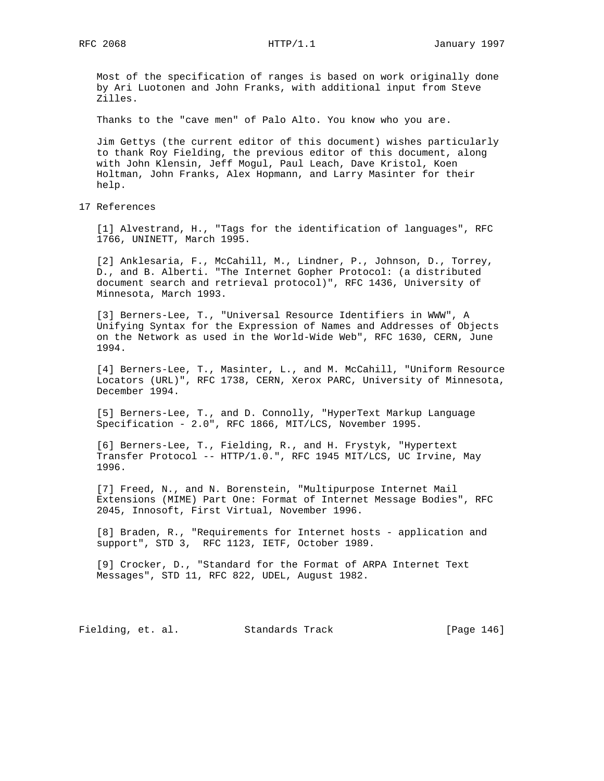Most of the specification of ranges is based on work originally done by Ari Luotonen and John Franks, with additional input from Steve Zilles.

Thanks to the "cave men" of Palo Alto. You know who you are.

 Jim Gettys (the current editor of this document) wishes particularly to thank Roy Fielding, the previous editor of this document, along with John Klensin, Jeff Mogul, Paul Leach, Dave Kristol, Koen Holtman, John Franks, Alex Hopmann, and Larry Masinter for their help.

17 References

 [1] Alvestrand, H., "Tags for the identification of languages", RFC 1766, UNINETT, March 1995.

 [2] Anklesaria, F., McCahill, M., Lindner, P., Johnson, D., Torrey, D., and B. Alberti. "The Internet Gopher Protocol: (a distributed document search and retrieval protocol)", RFC 1436, University of Minnesota, March 1993.

 [3] Berners-Lee, T., "Universal Resource Identifiers in WWW", A Unifying Syntax for the Expression of Names and Addresses of Objects on the Network as used in the World-Wide Web", RFC 1630, CERN, June 1994.

 [4] Berners-Lee, T., Masinter, L., and M. McCahill, "Uniform Resource Locators (URL)", RFC 1738, CERN, Xerox PARC, University of Minnesota, December 1994.

 [5] Berners-Lee, T., and D. Connolly, "HyperText Markup Language Specification - 2.0", RFC 1866, MIT/LCS, November 1995.

 [6] Berners-Lee, T., Fielding, R., and H. Frystyk, "Hypertext Transfer Protocol -- HTTP/1.0.", RFC 1945 MIT/LCS, UC Irvine, May 1996.

 [7] Freed, N., and N. Borenstein, "Multipurpose Internet Mail Extensions (MIME) Part One: Format of Internet Message Bodies", RFC 2045, Innosoft, First Virtual, November 1996.

 [8] Braden, R., "Requirements for Internet hosts - application and support", STD 3, RFC 1123, IETF, October 1989.

 [9] Crocker, D., "Standard for the Format of ARPA Internet Text Messages", STD 11, RFC 822, UDEL, August 1982.

Fielding, et. al. Standards Track [Page 146]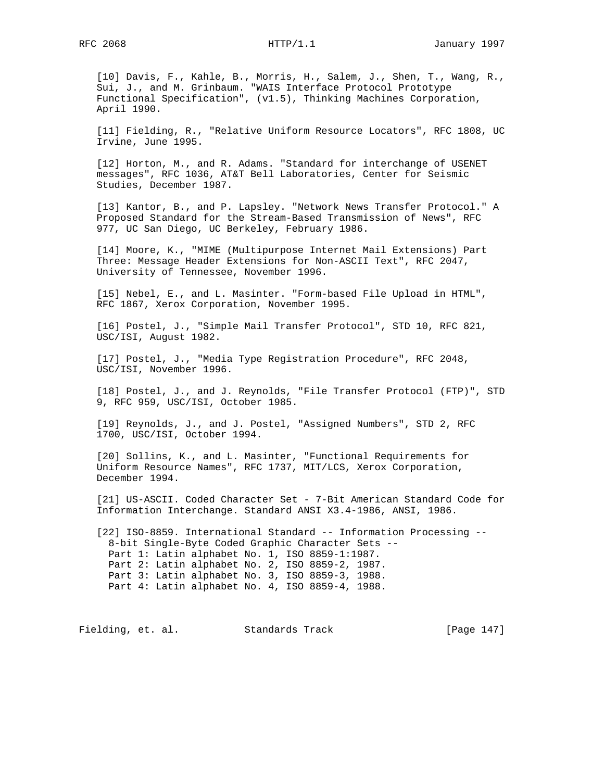[10] Davis, F., Kahle, B., Morris, H., Salem, J., Shen, T., Wang, R., Sui, J., and M. Grinbaum. "WAIS Interface Protocol Prototype Functional Specification", (v1.5), Thinking Machines Corporation, April 1990.

 [11] Fielding, R., "Relative Uniform Resource Locators", RFC 1808, UC Irvine, June 1995.

 [12] Horton, M., and R. Adams. "Standard for interchange of USENET messages", RFC 1036, AT&T Bell Laboratories, Center for Seismic Studies, December 1987.

 [13] Kantor, B., and P. Lapsley. "Network News Transfer Protocol." A Proposed Standard for the Stream-Based Transmission of News", RFC 977, UC San Diego, UC Berkeley, February 1986.

 [14] Moore, K., "MIME (Multipurpose Internet Mail Extensions) Part Three: Message Header Extensions for Non-ASCII Text", RFC 2047, University of Tennessee, November 1996.

 [15] Nebel, E., and L. Masinter. "Form-based File Upload in HTML", RFC 1867, Xerox Corporation, November 1995.

 [16] Postel, J., "Simple Mail Transfer Protocol", STD 10, RFC 821, USC/ISI, August 1982.

 [17] Postel, J., "Media Type Registration Procedure", RFC 2048, USC/ISI, November 1996.

 [18] Postel, J., and J. Reynolds, "File Transfer Protocol (FTP)", STD 9, RFC 959, USC/ISI, October 1985.

 [19] Reynolds, J., and J. Postel, "Assigned Numbers", STD 2, RFC 1700, USC/ISI, October 1994.

 [20] Sollins, K., and L. Masinter, "Functional Requirements for Uniform Resource Names", RFC 1737, MIT/LCS, Xerox Corporation, December 1994.

 [21] US-ASCII. Coded Character Set - 7-Bit American Standard Code for Information Interchange. Standard ANSI X3.4-1986, ANSI, 1986.

 [22] ISO-8859. International Standard -- Information Processing -- 8-bit Single-Byte Coded Graphic Character Sets -- Part 1: Latin alphabet No. 1, ISO 8859-1:1987. Part 2: Latin alphabet No. 2, ISO 8859-2, 1987. Part 3: Latin alphabet No. 3, ISO 8859-3, 1988. Part 4: Latin alphabet No. 4, ISO 8859-4, 1988.

Fielding, et. al. Standards Track [Page 147]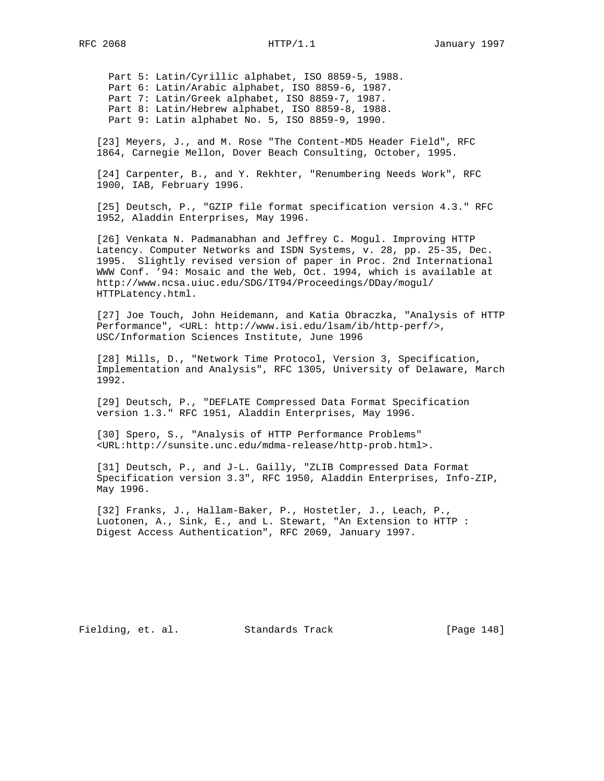Part 5: Latin/Cyrillic alphabet, ISO 8859-5, 1988. Part 6: Latin/Arabic alphabet, ISO 8859-6, 1987. Part 7: Latin/Greek alphabet, ISO 8859-7, 1987. Part 8: Latin/Hebrew alphabet, ISO 8859-8, 1988. Part 9: Latin alphabet No. 5, ISO 8859-9, 1990.

 [23] Meyers, J., and M. Rose "The Content-MD5 Header Field", RFC 1864, Carnegie Mellon, Dover Beach Consulting, October, 1995.

 [24] Carpenter, B., and Y. Rekhter, "Renumbering Needs Work", RFC 1900, IAB, February 1996.

 [25] Deutsch, P., "GZIP file format specification version 4.3." RFC 1952, Aladdin Enterprises, May 1996.

 [26] Venkata N. Padmanabhan and Jeffrey C. Mogul. Improving HTTP Latency. Computer Networks and ISDN Systems, v. 28, pp. 25-35, Dec. 1995. Slightly revised version of paper in Proc. 2nd International WWW Conf. '94: Mosaic and the Web, Oct. 1994, which is available at http://www.ncsa.uiuc.edu/SDG/IT94/Proceedings/DDay/mogul/ HTTPLatency.html.

 [27] Joe Touch, John Heidemann, and Katia Obraczka, "Analysis of HTTP Performance", <URL: http://www.isi.edu/lsam/ib/http-perf/>, USC/Information Sciences Institute, June 1996

 [28] Mills, D., "Network Time Protocol, Version 3, Specification, Implementation and Analysis", RFC 1305, University of Delaware, March 1992.

 [29] Deutsch, P., "DEFLATE Compressed Data Format Specification version 1.3." RFC 1951, Aladdin Enterprises, May 1996.

[30] Spero, S., "Analysis of HTTP Performance Problems" <URL:http://sunsite.unc.edu/mdma-release/http-prob.html>.

 [31] Deutsch, P., and J-L. Gailly, "ZLIB Compressed Data Format Specification version 3.3", RFC 1950, Aladdin Enterprises, Info-ZIP, May 1996.

 [32] Franks, J., Hallam-Baker, P., Hostetler, J., Leach, P., Luotonen, A., Sink, E., and L. Stewart, "An Extension to HTTP : Digest Access Authentication", RFC 2069, January 1997.

Fielding, et. al. Standards Track [Page 148]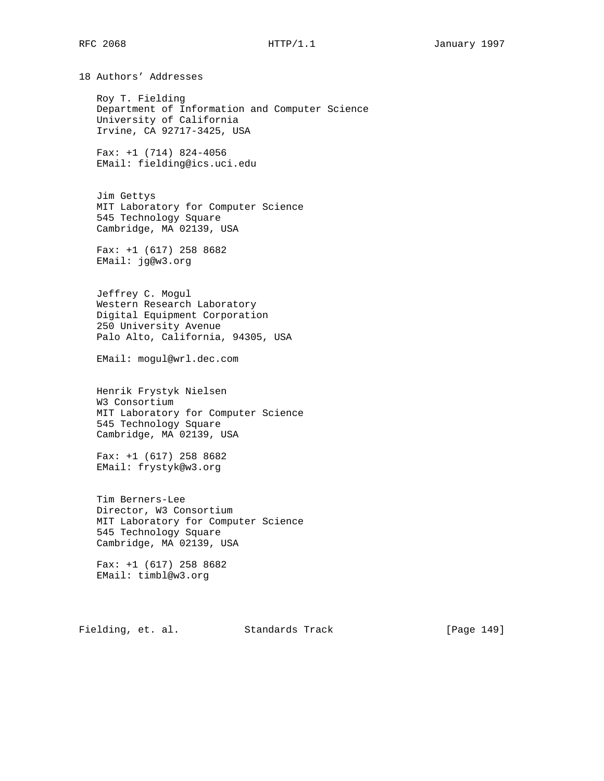18 Authors' Addresses

 Roy T. Fielding Department of Information and Computer Science University of California Irvine, CA 92717-3425, USA

 Fax: +1 (714) 824-4056 EMail: fielding@ics.uci.edu

 Jim Gettys MIT Laboratory for Computer Science 545 Technology Square Cambridge, MA 02139, USA

 Fax: +1 (617) 258 8682 EMail: jg@w3.org

 Jeffrey C. Mogul Western Research Laboratory Digital Equipment Corporation 250 University Avenue Palo Alto, California, 94305, USA

EMail: mogul@wrl.dec.com

 Henrik Frystyk Nielsen W3 Consortium MIT Laboratory for Computer Science 545 Technology Square Cambridge, MA 02139, USA

 Fax: +1 (617) 258 8682 EMail: frystyk@w3.org

 Tim Berners-Lee Director, W3 Consortium MIT Laboratory for Computer Science 545 Technology Square Cambridge, MA 02139, USA

 Fax: +1 (617) 258 8682 EMail: timbl@w3.org

Fielding, et. al. Standards Track [Page 149]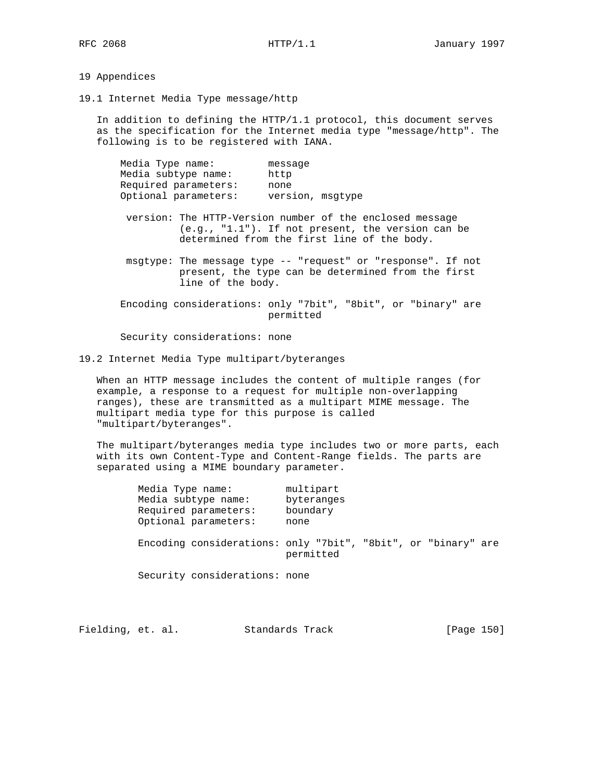### 19 Appendices

19.1 Internet Media Type message/http

 In addition to defining the HTTP/1.1 protocol, this document serves as the specification for the Internet media type "message/http". The following is to be registered with IANA.

| Media Type name:     | message          |
|----------------------|------------------|
| Media subtype name:  | http             |
| Required parameters: | none             |
| Optional parameters: | version, msqtype |

- version: The HTTP-Version number of the enclosed message (e.g., "1.1"). If not present, the version can be determined from the first line of the body.
- msgtype: The message type -- "request" or "response". If not present, the type can be determined from the first line of the body.
- Encoding considerations: only "7bit", "8bit", or "binary" are permitted

Security considerations: none

### 19.2 Internet Media Type multipart/byteranges

 When an HTTP message includes the content of multiple ranges (for example, a response to a request for multiple non-overlapping ranges), these are transmitted as a multipart MIME message. The multipart media type for this purpose is called "multipart/byteranges".

 The multipart/byteranges media type includes two or more parts, each with its own Content-Type and Content-Range fields. The parts are separated using a MIME boundary parameter.

| Media Type name: | Media subtype name:<br>Required parameters:<br>Optional parameters: | multipart<br>byteranges<br>boundary<br>none |  |  |
|------------------|---------------------------------------------------------------------|---------------------------------------------|--|--|
|                  | Encoding considerations: only "7bit", "8bit", or "binary" are       | permitted                                   |  |  |
|                  | Security considerations: none                                       |                                             |  |  |

Fielding, et. al. Standards Track [Page 150]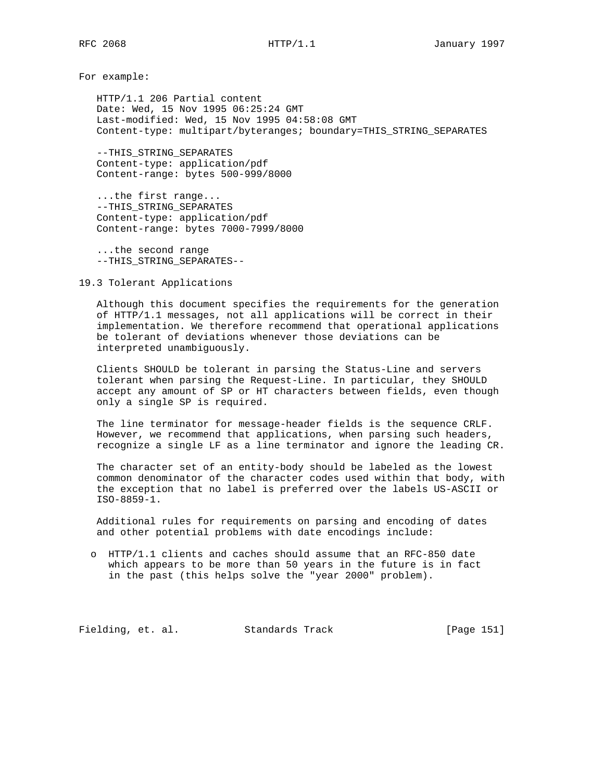For example:

 HTTP/1.1 206 Partial content Date: Wed, 15 Nov 1995 06:25:24 GMT Last-modified: Wed, 15 Nov 1995 04:58:08 GMT Content-type: multipart/byteranges; boundary=THIS\_STRING\_SEPARATES

 --THIS\_STRING\_SEPARATES Content-type: application/pdf Content-range: bytes 500-999/8000

 ...the first range... --THIS\_STRING\_SEPARATES Content-type: application/pdf Content-range: bytes 7000-7999/8000

 ...the second range --THIS\_STRING\_SEPARATES--

19.3 Tolerant Applications

 Although this document specifies the requirements for the generation of HTTP/1.1 messages, not all applications will be correct in their implementation. We therefore recommend that operational applications be tolerant of deviations whenever those deviations can be interpreted unambiguously.

 Clients SHOULD be tolerant in parsing the Status-Line and servers tolerant when parsing the Request-Line. In particular, they SHOULD accept any amount of SP or HT characters between fields, even though only a single SP is required.

 The line terminator for message-header fields is the sequence CRLF. However, we recommend that applications, when parsing such headers, recognize a single LF as a line terminator and ignore the leading CR.

 The character set of an entity-body should be labeled as the lowest common denominator of the character codes used within that body, with the exception that no label is preferred over the labels US-ASCII or ISO-8859-1.

 Additional rules for requirements on parsing and encoding of dates and other potential problems with date encodings include:

 o HTTP/1.1 clients and caches should assume that an RFC-850 date which appears to be more than 50 years in the future is in fact in the past (this helps solve the "year 2000" problem).

Fielding, et. al. Standards Track [Page 151]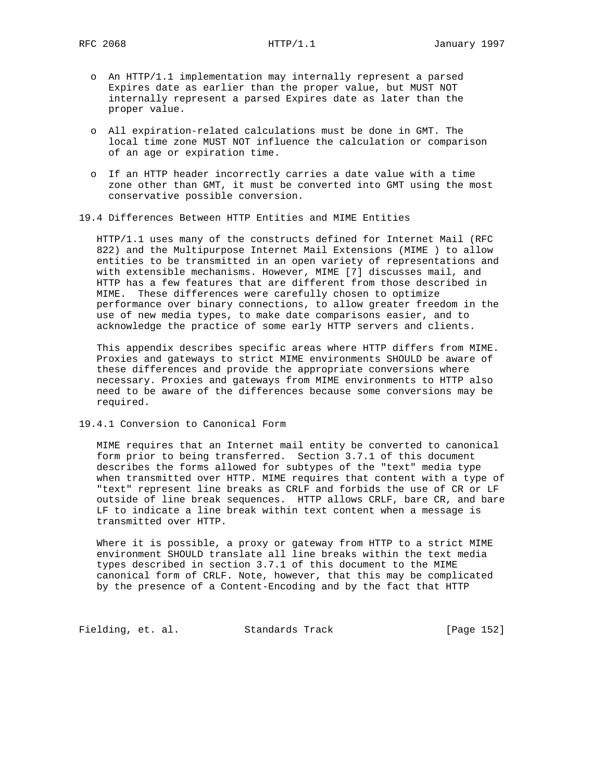- o An HTTP/1.1 implementation may internally represent a parsed Expires date as earlier than the proper value, but MUST NOT internally represent a parsed Expires date as later than the proper value.
- o All expiration-related calculations must be done in GMT. The local time zone MUST NOT influence the calculation or comparison of an age or expiration time.
- o If an HTTP header incorrectly carries a date value with a time zone other than GMT, it must be converted into GMT using the most conservative possible conversion.
- 19.4 Differences Between HTTP Entities and MIME Entities

 HTTP/1.1 uses many of the constructs defined for Internet Mail (RFC 822) and the Multipurpose Internet Mail Extensions (MIME ) to allow entities to be transmitted in an open variety of representations and with extensible mechanisms. However, MIME [7] discusses mail, and HTTP has a few features that are different from those described in MIME. These differences were carefully chosen to optimize performance over binary connections, to allow greater freedom in the use of new media types, to make date comparisons easier, and to acknowledge the practice of some early HTTP servers and clients.

 This appendix describes specific areas where HTTP differs from MIME. Proxies and gateways to strict MIME environments SHOULD be aware of these differences and provide the appropriate conversions where necessary. Proxies and gateways from MIME environments to HTTP also need to be aware of the differences because some conversions may be required.

19.4.1 Conversion to Canonical Form

 MIME requires that an Internet mail entity be converted to canonical form prior to being transferred. Section 3.7.1 of this document describes the forms allowed for subtypes of the "text" media type when transmitted over HTTP. MIME requires that content with a type of "text" represent line breaks as CRLF and forbids the use of CR or LF outside of line break sequences. HTTP allows CRLF, bare CR, and bare LF to indicate a line break within text content when a message is transmitted over HTTP.

 Where it is possible, a proxy or gateway from HTTP to a strict MIME environment SHOULD translate all line breaks within the text media types described in section 3.7.1 of this document to the MIME canonical form of CRLF. Note, however, that this may be complicated by the presence of a Content-Encoding and by the fact that HTTP

Fielding, et. al. Standards Track [Page 152]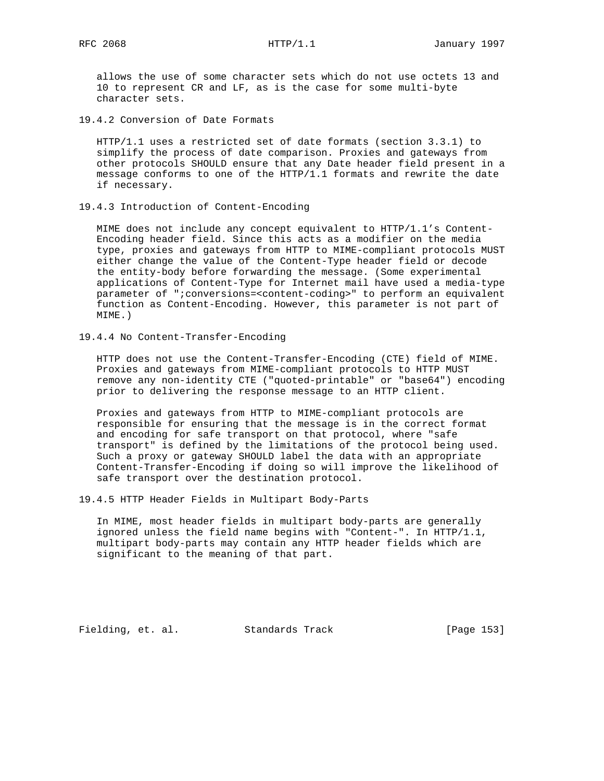allows the use of some character sets which do not use octets 13 and 10 to represent CR and LF, as is the case for some multi-byte character sets.

19.4.2 Conversion of Date Formats

 HTTP/1.1 uses a restricted set of date formats (section 3.3.1) to simplify the process of date comparison. Proxies and gateways from other protocols SHOULD ensure that any Date header field present in a message conforms to one of the HTTP/1.1 formats and rewrite the date if necessary.

19.4.3 Introduction of Content-Encoding

 MIME does not include any concept equivalent to HTTP/1.1's Content- Encoding header field. Since this acts as a modifier on the media type, proxies and gateways from HTTP to MIME-compliant protocols MUST either change the value of the Content-Type header field or decode the entity-body before forwarding the message. (Some experimental applications of Content-Type for Internet mail have used a media-type parameter of ";conversions=<content-coding>" to perform an equivalent function as Content-Encoding. However, this parameter is not part of MIME.)

19.4.4 No Content-Transfer-Encoding

 HTTP does not use the Content-Transfer-Encoding (CTE) field of MIME. Proxies and gateways from MIME-compliant protocols to HTTP MUST remove any non-identity CTE ("quoted-printable" or "base64") encoding prior to delivering the response message to an HTTP client.

 Proxies and gateways from HTTP to MIME-compliant protocols are responsible for ensuring that the message is in the correct format and encoding for safe transport on that protocol, where "safe transport" is defined by the limitations of the protocol being used. Such a proxy or gateway SHOULD label the data with an appropriate Content-Transfer-Encoding if doing so will improve the likelihood of safe transport over the destination protocol.

19.4.5 HTTP Header Fields in Multipart Body-Parts

 In MIME, most header fields in multipart body-parts are generally ignored unless the field name begins with "Content-". In HTTP/1.1, multipart body-parts may contain any HTTP header fields which are significant to the meaning of that part.

Fielding, et. al. Standards Track [Page 153]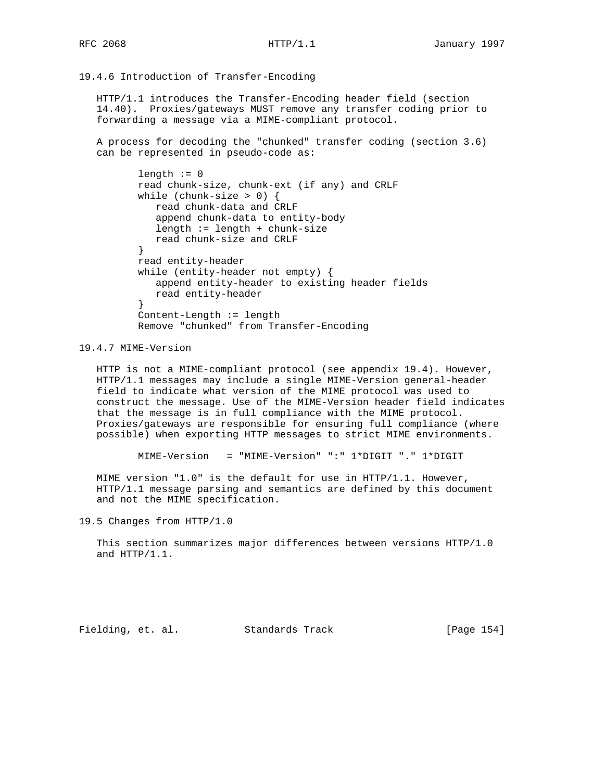19.4.6 Introduction of Transfer-Encoding

 HTTP/1.1 introduces the Transfer-Encoding header field (section 14.40). Proxies/gateways MUST remove any transfer coding prior to forwarding a message via a MIME-compliant protocol.

 A process for decoding the "chunked" transfer coding (section 3.6) can be represented in pseudo-code as:

```
length := 0 read chunk-size, chunk-ext (if any) and CRLF
        while (chunk-size > 0) {
            read chunk-data and CRLF
            append chunk-data to entity-body
            length := length + chunk-size
            read chunk-size and CRLF
}
         read entity-header
         while (entity-header not empty) {
            append entity-header to existing header fields
            read entity-header
}
         Content-Length := length
         Remove "chunked" from Transfer-Encoding
```
## 19.4.7 MIME-Version

 HTTP is not a MIME-compliant protocol (see appendix 19.4). However, HTTP/1.1 messages may include a single MIME-Version general-header field to indicate what version of the MIME protocol was used to construct the message. Use of the MIME-Version header field indicates that the message is in full compliance with the MIME protocol. Proxies/gateways are responsible for ensuring full compliance (where possible) when exporting HTTP messages to strict MIME environments.

MIME-Version = "MIME-Version" ":" 1\*DIGIT "." 1\*DIGIT

 MIME version "1.0" is the default for use in HTTP/1.1. However, HTTP/1.1 message parsing and semantics are defined by this document and not the MIME specification.

19.5 Changes from HTTP/1.0

 This section summarizes major differences between versions HTTP/1.0 and HTTP/1.1.

Fielding, et. al. Standards Track [Page 154]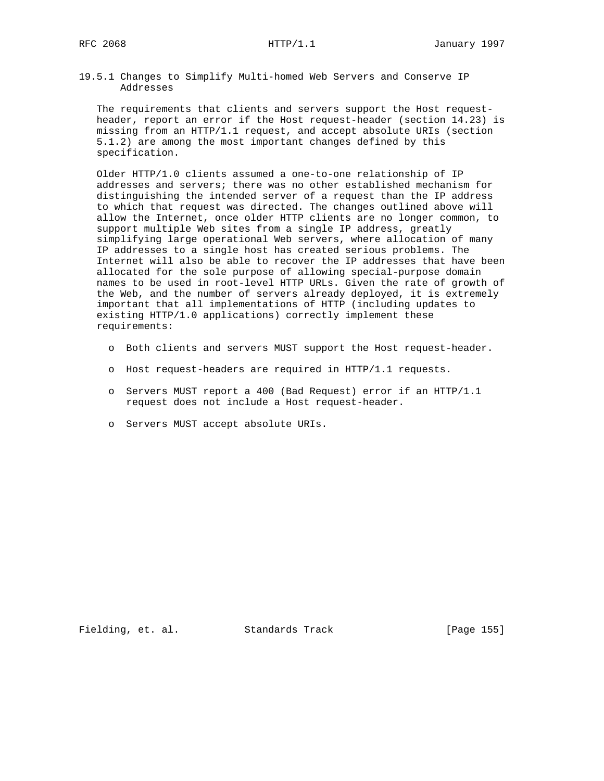19.5.1 Changes to Simplify Multi-homed Web Servers and Conserve IP Addresses

 The requirements that clients and servers support the Host request header, report an error if the Host request-header (section 14.23) is missing from an HTTP/1.1 request, and accept absolute URIs (section 5.1.2) are among the most important changes defined by this specification.

 Older HTTP/1.0 clients assumed a one-to-one relationship of IP addresses and servers; there was no other established mechanism for distinguishing the intended server of a request than the IP address to which that request was directed. The changes outlined above will allow the Internet, once older HTTP clients are no longer common, to support multiple Web sites from a single IP address, greatly simplifying large operational Web servers, where allocation of many IP addresses to a single host has created serious problems. The Internet will also be able to recover the IP addresses that have been allocated for the sole purpose of allowing special-purpose domain names to be used in root-level HTTP URLs. Given the rate of growth of the Web, and the number of servers already deployed, it is extremely important that all implementations of HTTP (including updates to existing HTTP/1.0 applications) correctly implement these requirements:

- o Both clients and servers MUST support the Host request-header.
- o Host request-headers are required in HTTP/1.1 requests.
- o Servers MUST report a 400 (Bad Request) error if an HTTP/1.1 request does not include a Host request-header.
- o Servers MUST accept absolute URIs.

Fielding, et. al. Standards Track [Page 155]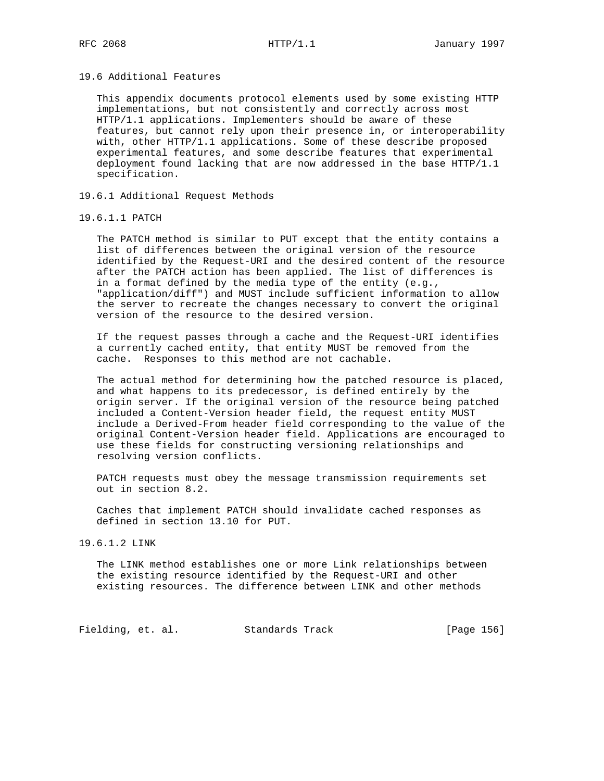## 19.6 Additional Features

 This appendix documents protocol elements used by some existing HTTP implementations, but not consistently and correctly across most HTTP/1.1 applications. Implementers should be aware of these features, but cannot rely upon their presence in, or interoperability with, other HTTP/1.1 applications. Some of these describe proposed experimental features, and some describe features that experimental deployment found lacking that are now addressed in the base HTTP/1.1 specification.

### 19.6.1 Additional Request Methods

### 19.6.1.1 PATCH

 The PATCH method is similar to PUT except that the entity contains a list of differences between the original version of the resource identified by the Request-URI and the desired content of the resource after the PATCH action has been applied. The list of differences is in a format defined by the media type of the entity (e.g., "application/diff") and MUST include sufficient information to allow the server to recreate the changes necessary to convert the original version of the resource to the desired version.

 If the request passes through a cache and the Request-URI identifies a currently cached entity, that entity MUST be removed from the cache. Responses to this method are not cachable.

 The actual method for determining how the patched resource is placed, and what happens to its predecessor, is defined entirely by the origin server. If the original version of the resource being patched included a Content-Version header field, the request entity MUST include a Derived-From header field corresponding to the value of the original Content-Version header field. Applications are encouraged to use these fields for constructing versioning relationships and resolving version conflicts.

 PATCH requests must obey the message transmission requirements set out in section 8.2.

 Caches that implement PATCH should invalidate cached responses as defined in section 13.10 for PUT.

## 19.6.1.2 LINK

 The LINK method establishes one or more Link relationships between the existing resource identified by the Request-URI and other existing resources. The difference between LINK and other methods

Fielding, et. al. Standards Track [Page 156]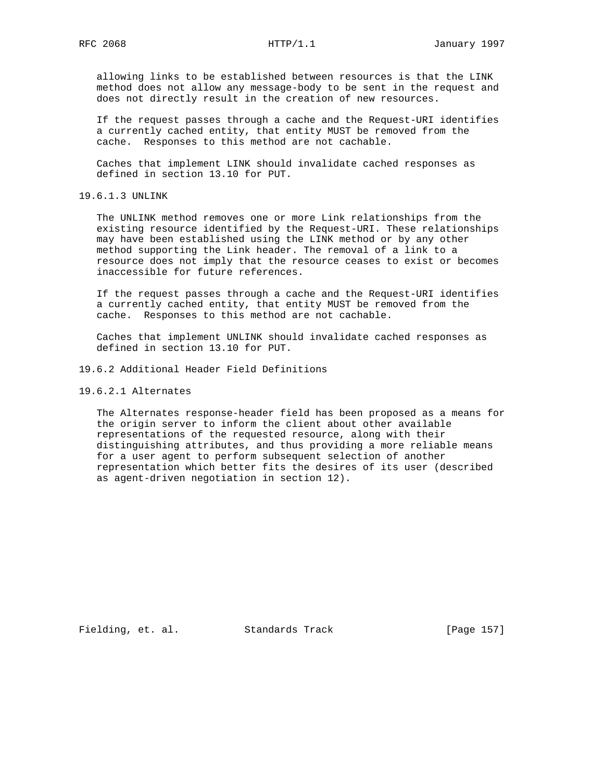allowing links to be established between resources is that the LINK method does not allow any message-body to be sent in the request and does not directly result in the creation of new resources.

 If the request passes through a cache and the Request-URI identifies a currently cached entity, that entity MUST be removed from the cache. Responses to this method are not cachable.

 Caches that implement LINK should invalidate cached responses as defined in section 13.10 for PUT.

19.6.1.3 UNLINK

 The UNLINK method removes one or more Link relationships from the existing resource identified by the Request-URI. These relationships may have been established using the LINK method or by any other method supporting the Link header. The removal of a link to a resource does not imply that the resource ceases to exist or becomes inaccessible for future references.

 If the request passes through a cache and the Request-URI identifies a currently cached entity, that entity MUST be removed from the cache. Responses to this method are not cachable.

 Caches that implement UNLINK should invalidate cached responses as defined in section 13.10 for PUT.

- 19.6.2 Additional Header Field Definitions
- 19.6.2.1 Alternates

 The Alternates response-header field has been proposed as a means for the origin server to inform the client about other available representations of the requested resource, along with their distinguishing attributes, and thus providing a more reliable means for a user agent to perform subsequent selection of another representation which better fits the desires of its user (described as agent-driven negotiation in section 12).

Fielding, et. al. Standards Track [Page 157]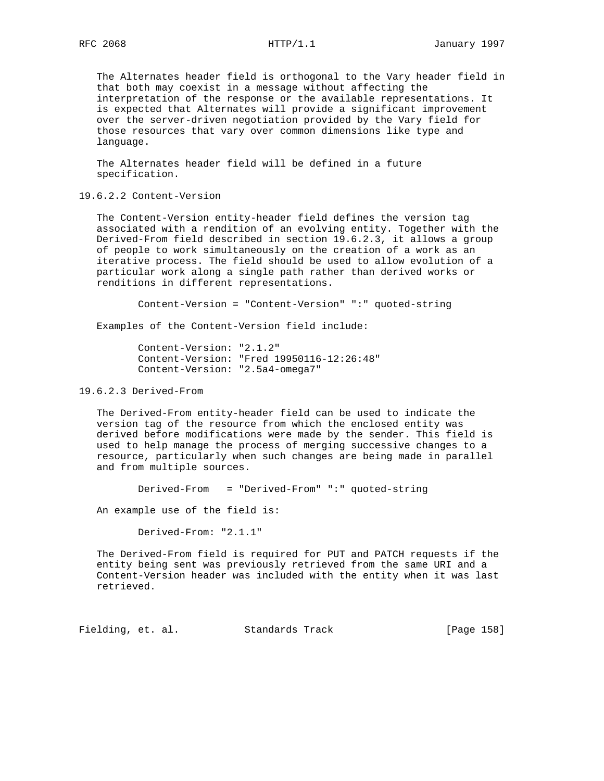The Alternates header field is orthogonal to the Vary header field in that both may coexist in a message without affecting the interpretation of the response or the available representations. It is expected that Alternates will provide a significant improvement over the server-driven negotiation provided by the Vary field for those resources that vary over common dimensions like type and language.

 The Alternates header field will be defined in a future specification.

# 19.6.2.2 Content-Version

 The Content-Version entity-header field defines the version tag associated with a rendition of an evolving entity. Together with the Derived-From field described in section 19.6.2.3, it allows a group of people to work simultaneously on the creation of a work as an iterative process. The field should be used to allow evolution of a particular work along a single path rather than derived works or renditions in different representations.

Content-Version = "Content-Version" ":" quoted-string

Examples of the Content-Version field include:

 Content-Version: "2.1.2" Content-Version: "Fred 19950116-12:26:48" Content-Version: "2.5a4-omega7"

## 19.6.2.3 Derived-From

 The Derived-From entity-header field can be used to indicate the version tag of the resource from which the enclosed entity was derived before modifications were made by the sender. This field is used to help manage the process of merging successive changes to a resource, particularly when such changes are being made in parallel and from multiple sources.

Derived-From = "Derived-From" ":" quoted-string

An example use of the field is:

Derived-From: "2.1.1"

 The Derived-From field is required for PUT and PATCH requests if the entity being sent was previously retrieved from the same URI and a Content-Version header was included with the entity when it was last retrieved.

Fielding, et. al. Standards Track [Page 158]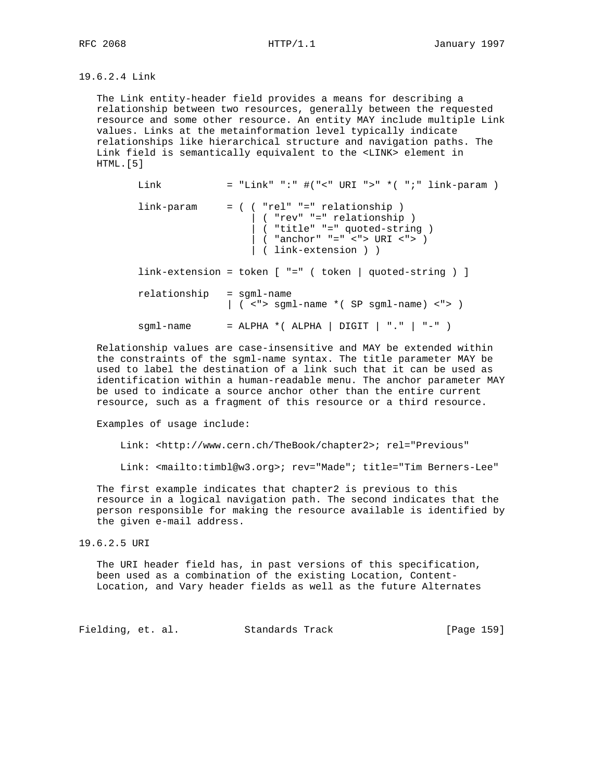## 19.6.2.4 Link

 The Link entity-header field provides a means for describing a relationship between two resources, generally between the requested resource and some other resource. An entity MAY include multiple Link values. Links at the metainformation level typically indicate relationships like hierarchical structure and navigation paths. The Link field is semantically equivalent to the <LINK> element in HTML.[5]

| Link                     | = "Link" ":" #("<" URI ">" *( ";" link-param )                                                                                                                                                                                                            |
|--------------------------|-----------------------------------------------------------------------------------------------------------------------------------------------------------------------------------------------------------------------------------------------------------|
| link-param               | $=$ ( $("rel" "=" relationship )$<br>  ( "rev" "=" relationship )<br>$\begin{array}{ l l } \hline & \hbox{ ( "title" " = " quoted-string )} \\ & \hbox{ ( "anchor" " = " < " > URL < " > )} \\ & \hbox{ ( link-extension ) } \hbox{)} \hline \end{array}$ |
|                          | $link-extension = token [ "=" ( token   quoted-string ) ]$                                                                                                                                                                                                |
| relationship = sgml-name | $ $ ( <"> sgml-name *( SP sgml-name) <"> )                                                                                                                                                                                                                |
| sqml-name                | = ALPHA *( ALPHA   DIGIT   "."   "-" )                                                                                                                                                                                                                    |

 Relationship values are case-insensitive and MAY be extended within the constraints of the sgml-name syntax. The title parameter MAY be used to label the destination of a link such that it can be used as identification within a human-readable menu. The anchor parameter MAY be used to indicate a source anchor other than the entire current resource, such as a fragment of this resource or a third resource.

Examples of usage include:

Link: <http://www.cern.ch/TheBook/chapter2>; rel="Previous"

Link: <mailto:timbl@w3.org>; rev="Made"; title="Tim Berners-Lee"

 The first example indicates that chapter2 is previous to this resource in a logical navigation path. The second indicates that the person responsible for making the resource available is identified by the given e-mail address.

# 19.6.2.5 URI

 The URI header field has, in past versions of this specification, been used as a combination of the existing Location, Content- Location, and Vary header fields as well as the future Alternates

Fielding, et. al. Standards Track [Page 159]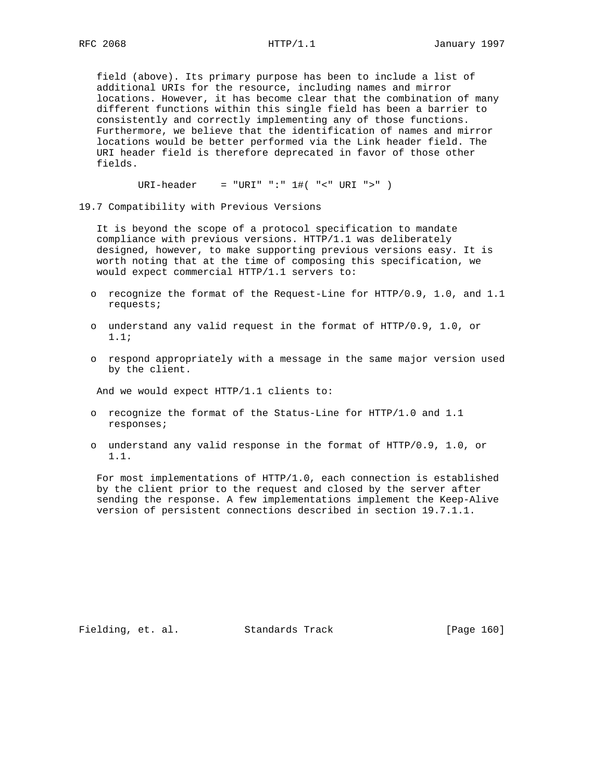field (above). Its primary purpose has been to include a list of additional URIs for the resource, including names and mirror locations. However, it has become clear that the combination of many different functions within this single field has been a barrier to consistently and correctly implementing any of those functions. Furthermore, we believe that the identification of names and mirror locations would be better performed via the Link header field. The URI header field is therefore deprecated in favor of those other fields.

URI-header = "URI" ":" 1#( "<" URI ">" )

19.7 Compatibility with Previous Versions

 It is beyond the scope of a protocol specification to mandate compliance with previous versions. HTTP/1.1 was deliberately designed, however, to make supporting previous versions easy. It is worth noting that at the time of composing this specification, we would expect commercial HTTP/1.1 servers to:

- o recognize the format of the Request-Line for HTTP/0.9, 1.0, and 1.1 requests;
- o understand any valid request in the format of HTTP/0.9, 1.0, or 1.1;
- o respond appropriately with a message in the same major version used by the client.

And we would expect HTTP/1.1 clients to:

- o recognize the format of the Status-Line for HTTP/1.0 and 1.1 responses;
- o understand any valid response in the format of HTTP/0.9, 1.0, or 1.1.

 For most implementations of HTTP/1.0, each connection is established by the client prior to the request and closed by the server after sending the response. A few implementations implement the Keep-Alive version of persistent connections described in section 19.7.1.1.

Fielding, et. al. Standards Track [Page 160]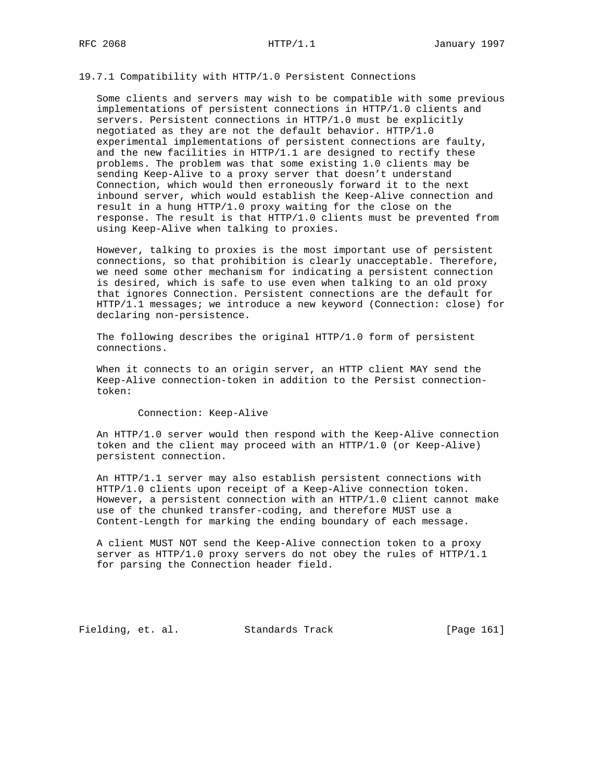### 19.7.1 Compatibility with HTTP/1.0 Persistent Connections

 Some clients and servers may wish to be compatible with some previous implementations of persistent connections in HTTP/1.0 clients and servers. Persistent connections in HTTP/1.0 must be explicitly negotiated as they are not the default behavior. HTTP/1.0 experimental implementations of persistent connections are faulty, and the new facilities in HTTP/1.1 are designed to rectify these problems. The problem was that some existing 1.0 clients may be sending Keep-Alive to a proxy server that doesn't understand Connection, which would then erroneously forward it to the next inbound server, which would establish the Keep-Alive connection and result in a hung HTTP/1.0 proxy waiting for the close on the response. The result is that HTTP/1.0 clients must be prevented from using Keep-Alive when talking to proxies.

 However, talking to proxies is the most important use of persistent connections, so that prohibition is clearly unacceptable. Therefore, we need some other mechanism for indicating a persistent connection is desired, which is safe to use even when talking to an old proxy that ignores Connection. Persistent connections are the default for HTTP/1.1 messages; we introduce a new keyword (Connection: close) for declaring non-persistence.

 The following describes the original HTTP/1.0 form of persistent connections.

 When it connects to an origin server, an HTTP client MAY send the Keep-Alive connection-token in addition to the Persist connection token:

Connection: Keep-Alive

 An HTTP/1.0 server would then respond with the Keep-Alive connection token and the client may proceed with an HTTP/1.0 (or Keep-Alive) persistent connection.

 An HTTP/1.1 server may also establish persistent connections with HTTP/1.0 clients upon receipt of a Keep-Alive connection token. However, a persistent connection with an HTTP/1.0 client cannot make use of the chunked transfer-coding, and therefore MUST use a Content-Length for marking the ending boundary of each message.

 A client MUST NOT send the Keep-Alive connection token to a proxy server as HTTP/1.0 proxy servers do not obey the rules of HTTP/1.1 for parsing the Connection header field.

Fielding, et. al. Standards Track [Page 161]